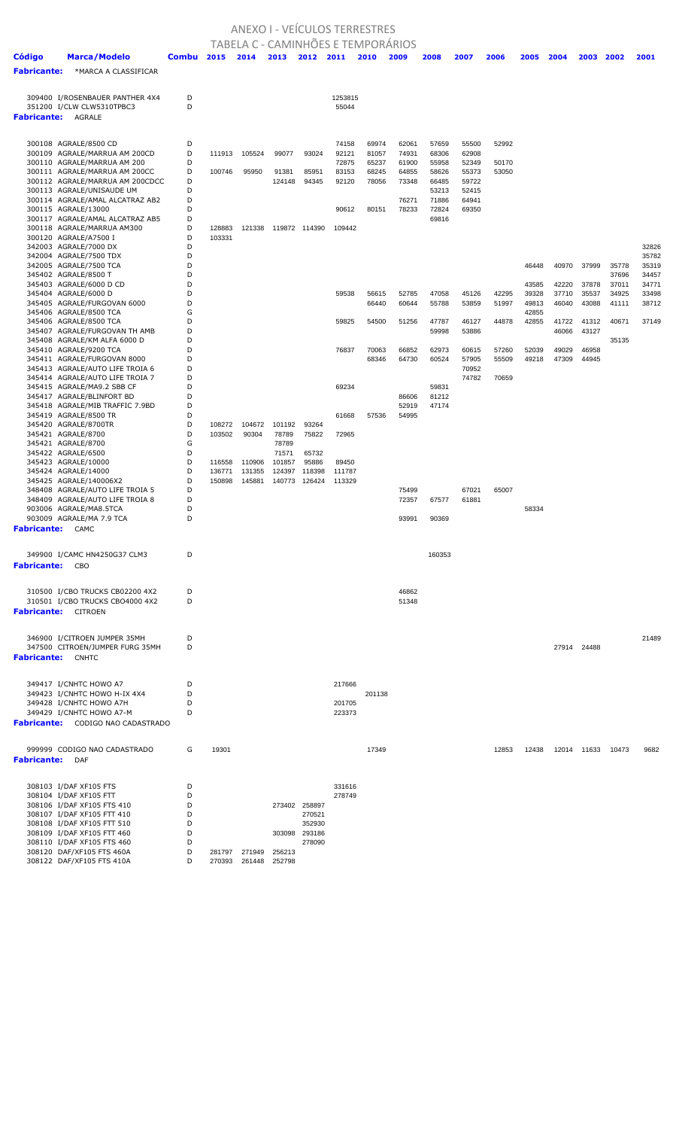## ANEXO I - VEÍCULOS TERRESTRES

|                         |                                                                    |              |        |        | TABELA C - CAMINHÕES E TEMPORÁRIOS |                  |                  |                |                |                |                |       |                |       |             |                |                |
|-------------------------|--------------------------------------------------------------------|--------------|--------|--------|------------------------------------|------------------|------------------|----------------|----------------|----------------|----------------|-------|----------------|-------|-------------|----------------|----------------|
| <b>Código</b>           | <b>Marca/Modelo</b>                                                | <b>Combu</b> | 2015   | 2014   | 2013                               | 2012 2011        |                  | 2010           | 2009           | 2008           | 2007           | 2006  | 2005           | 2004  | 2003        | 2002           | 2001           |
| <b>Fabricante:</b>      | *MARCA A CLASSIFICAR                                               |              |        |        |                                    |                  |                  |                |                |                |                |       |                |       |             |                |                |
|                         |                                                                    |              |        |        |                                    |                  |                  |                |                |                |                |       |                |       |             |                |                |
|                         | 309400 I/ROSENBAUER PANTHER 4X4                                    | D<br>D       |        |        |                                    |                  | 1253815          |                |                |                |                |       |                |       |             |                |                |
|                         | 351200 I/CLW CLW5310TPBC3<br><b>Fabricante: AGRALE</b>             |              |        |        |                                    |                  | 55044            |                |                |                |                |       |                |       |             |                |                |
|                         |                                                                    |              |        |        |                                    |                  |                  |                |                |                |                |       |                |       |             |                |                |
|                         | 300108 AGRALE/8500 CD                                              | D            |        |        |                                    |                  | 74158            | 69974          | 62061          | 57659          | 55500          | 52992 |                |       |             |                |                |
|                         | 300109 AGRALE/MARRUA AM 200CD                                      | D            | 111913 | 105524 | 99077                              | 93024            | 92121            | 81057          | 74931          | 68306          | 62908          |       |                |       |             |                |                |
|                         | 300110 AGRALE/MARRUA AM 200                                        | D            |        |        |                                    |                  | 72875            | 65237          | 61900          | 55958          | 52349          | 50170 |                |       |             |                |                |
|                         | 300111 AGRALE/MARRUA AM 200CC<br>300112 AGRALE/MARRUA AM 200CDCC   | D<br>D       | 100746 | 95950  | 91381<br>124148                    | 85951<br>94345   | 83153<br>92120   | 68245<br>78056 | 64855<br>73348 | 58626<br>66485 | 55373<br>59722 | 53050 |                |       |             |                |                |
|                         | 300113 AGRALE/UNISAUDE UM                                          | D            |        |        |                                    |                  |                  |                |                | 53213          | 52415          |       |                |       |             |                |                |
|                         | 300114 AGRALE/AMAL ALCATRAZ AB2                                    | D            |        |        |                                    |                  |                  |                | 76271          | 71886          | 64941          |       |                |       |             |                |                |
|                         | 300115 AGRALE/13000                                                | D            |        |        |                                    |                  | 90612            | 80151          | 78233          | 72824          | 69350          |       |                |       |             |                |                |
|                         | 300117 AGRALE/AMAL ALCATRAZ AB5<br>300118 AGRALE/MARRUA AM300      | D<br>D       | 128883 | 121338 |                                    | 119872 114390    | 109442           |                |                | 69816          |                |       |                |       |             |                |                |
|                         | 300120 AGRALE/A7500 I                                              | D            | 103331 |        |                                    |                  |                  |                |                |                |                |       |                |       |             |                |                |
|                         | 342003 AGRALE/7000 DX                                              | D            |        |        |                                    |                  |                  |                |                |                |                |       |                |       |             |                | 32826          |
|                         | 342004 AGRALE/7500 TDX                                             | D            |        |        |                                    |                  |                  |                |                |                |                |       |                |       |             |                | 35782          |
|                         | 342005 AGRALE/7500 TCA<br>345402 AGRALE/8500 T                     | D<br>D       |        |        |                                    |                  |                  |                |                |                |                |       | 46448          | 40970 | 37999       | 35778<br>37696 | 35319<br>34457 |
|                         | 345403 AGRALE/6000 D CD                                            | D            |        |        |                                    |                  |                  |                |                |                |                |       | 43585          | 42220 | 37878       | 37011          | 34771          |
|                         | 345404 AGRALE/6000 D                                               | D            |        |        |                                    |                  | 59538            | 56615          | 52785          | 47058          | 45126          | 42295 | 39328          | 37710 | 35537       | 34925          | 33498          |
|                         | 345405 AGRALE/FURGOVAN 6000                                        | D            |        |        |                                    |                  |                  | 66440          | 60644          | 55788          | 53859          | 51997 | 49813          | 46040 | 43088       | 41111          | 38712          |
|                         | 345406 AGRALE/8500 TCA<br>345406 AGRALE/8500 TCA                   | G<br>D       |        |        |                                    |                  | 59825            | 54500          | 51256          | 47787          | 46127          | 44878 | 42855<br>42855 | 41722 | 41312       | 40671          | 37149          |
|                         | 345407 AGRALE/FURGOVAN TH AMB                                      | D            |        |        |                                    |                  |                  |                |                | 59998          | 53886          |       |                | 46066 | 43127       |                |                |
|                         | 345408 AGRALE/KM ALFA 6000 D                                       | D            |        |        |                                    |                  |                  |                |                |                |                |       |                |       |             | 35135          |                |
|                         | 345410 AGRALE/9200 TCA                                             | D            |        |        |                                    |                  | 76837            | 70063          | 66852          | 62973          | 60615          | 57260 | 52039          | 49029 | 46958       |                |                |
|                         | 345411 AGRALE/FURGOVAN 8000<br>345413 AGRALE/AUTO LIFE TROIA 6     | D<br>D       |        |        |                                    |                  |                  | 68346          | 64730          | 60524          | 57905<br>70952 | 55509 | 49218          | 47309 | 44945       |                |                |
|                         | 345414 AGRALE/AUTO LIFE TROIA 7                                    | D            |        |        |                                    |                  |                  |                |                |                | 74782          | 70659 |                |       |             |                |                |
|                         | 345415 AGRALE/MA9.2 SBB CF                                         | D            |        |        |                                    |                  | 69234            |                |                | 59831          |                |       |                |       |             |                |                |
|                         | 345417 AGRALE/BLINFORT BD                                          | D            |        |        |                                    |                  |                  |                | 86606          | 81212          |                |       |                |       |             |                |                |
|                         | 345418 AGRALE/MIB TRAFFIC 7.9BD<br>345419 AGRALE/8500 TR           | D<br>D       |        |        |                                    |                  | 61668            | 57536          | 52919<br>54995 | 47174          |                |       |                |       |             |                |                |
|                         | 345420 AGRALE/8700TR                                               | D            | 108272 | 104672 | 101192                             | 93264            |                  |                |                |                |                |       |                |       |             |                |                |
|                         | 345421 AGRALE/8700                                                 | D            | 103502 | 90304  | 78789                              | 75822            | 72965            |                |                |                |                |       |                |       |             |                |                |
|                         | 345421 AGRALE/8700                                                 | G<br>D       |        |        | 78789                              |                  |                  |                |                |                |                |       |                |       |             |                |                |
|                         | 345422 AGRALE/6500<br>345423 AGRALE/10000                          | D            | 116558 | 110906 | 71571<br>101857                    | 65732<br>95886   | 89450            |                |                |                |                |       |                |       |             |                |                |
|                         | 345424 AGRALE/14000                                                | D            | 136771 | 131355 | 124397                             | 118398           | 111787           |                |                |                |                |       |                |       |             |                |                |
|                         | 345425 AGRALE/140006X2                                             | D            | 150898 | 145881 | 140773                             | 126424           | 113329           |                |                |                |                |       |                |       |             |                |                |
|                         | 348408 AGRALE/AUTO LIFE TROIA 5<br>348409 AGRALE/AUTO LIFE TROIA 8 | D<br>D       |        |        |                                    |                  |                  |                | 75499<br>72357 | 67577          | 67021<br>61881 | 65007 |                |       |             |                |                |
|                         | 903006 AGRALE/MA8.5TCA                                             | D            |        |        |                                    |                  |                  |                |                |                |                |       | 58334          |       |             |                |                |
|                         | 903009 AGRALE/MA 7.9 TCA                                           | D            |        |        |                                    |                  |                  |                | 93991          | 90369          |                |       |                |       |             |                |                |
| <b>Fabricante:</b> CAMC |                                                                    |              |        |        |                                    |                  |                  |                |                |                |                |       |                |       |             |                |                |
|                         |                                                                    |              |        |        |                                    |                  |                  |                |                |                |                |       |                |       |             |                |                |
| <b>Fabricante:</b> CBO  | 349900 I/CAMC HN4250G37 CLM3                                       | D            |        |        |                                    |                  |                  |                |                | 160353         |                |       |                |       |             |                |                |
|                         |                                                                    |              |        |        |                                    |                  |                  |                |                |                |                |       |                |       |             |                |                |
|                         |                                                                    | D            |        |        |                                    |                  |                  |                | 46862          |                |                |       |                |       |             |                |                |
|                         | 310500 I/CBO TRUCKS CB02200 4X2<br>310501 I/CBO TRUCKS CBO4000 4X2 | D            |        |        |                                    |                  |                  |                | 51348          |                |                |       |                |       |             |                |                |
|                         | <b>Fabricante:</b> CITROEN                                         |              |        |        |                                    |                  |                  |                |                |                |                |       |                |       |             |                |                |
|                         |                                                                    |              |        |        |                                    |                  |                  |                |                |                |                |       |                |       |             |                |                |
|                         | 346900 I/CITROEN JUMPER 35MH                                       | D            |        |        |                                    |                  |                  |                |                |                |                |       |                |       |             |                | 21489          |
|                         | 347500 CITROEN/JUMPER FURG 35MH                                    | D            |        |        |                                    |                  |                  |                |                |                |                |       |                |       | 27914 24488 |                |                |
|                         | <b>Fabricante: CNHTC</b>                                           |              |        |        |                                    |                  |                  |                |                |                |                |       |                |       |             |                |                |
|                         |                                                                    |              |        |        |                                    |                  |                  |                |                |                |                |       |                |       |             |                |                |
|                         | 349417 I/CNHTC HOWO A7                                             | D            |        |        |                                    |                  | 217666           |                |                |                |                |       |                |       |             |                |                |
|                         | 349423 I/CNHTC HOWO H-IX 4X4<br>349428 I/CNHTC HOWO A7H            | D<br>D       |        |        |                                    |                  | 201705           | 201138         |                |                |                |       |                |       |             |                |                |
|                         | 349429 I/CNHTC HOWO A7-M                                           | D            |        |        |                                    |                  | 223373           |                |                |                |                |       |                |       |             |                |                |
|                         | <b>Fabricante:</b> CODIGO NAO CADASTRADO                           |              |        |        |                                    |                  |                  |                |                |                |                |       |                |       |             |                |                |
|                         |                                                                    |              |        |        |                                    |                  |                  |                |                |                |                |       |                |       |             |                |                |
|                         | 999999 CODIGO NAO CADASTRADO                                       | G            | 19301  |        |                                    |                  |                  | 17349          |                |                |                | 12853 | 12438          |       | 12014 11633 | 10473          | 9682           |
| <b>Fabricante:</b>      | DAF                                                                |              |        |        |                                    |                  |                  |                |                |                |                |       |                |       |             |                |                |
|                         |                                                                    |              |        |        |                                    |                  |                  |                |                |                |                |       |                |       |             |                |                |
|                         | 308103 I/DAF XF105 FTS<br>308104 I/DAF XF105 FTT                   | D<br>D       |        |        |                                    |                  | 331616<br>278749 |                |                |                |                |       |                |       |             |                |                |
|                         | 308106 I/DAF XF105 FTS 410                                         | D            |        |        |                                    | 273402 258897    |                  |                |                |                |                |       |                |       |             |                |                |
|                         | 308107 I/DAF XF105 FTT 410                                         | D            |        |        |                                    | 270521           |                  |                |                |                |                |       |                |       |             |                |                |
|                         | 308108 I/DAF XF105 FTT 510                                         | D            |        |        |                                    | 352930           |                  |                |                |                |                |       |                |       |             |                |                |
|                         | 308109 I/DAF XF105 FTT 460<br>308110 I/DAF XF105 FTS 460           | D<br>D       |        |        | 303098                             | 293186<br>278090 |                  |                |                |                |                |       |                |       |             |                |                |
|                         | 308120 DAF/XF105 FTS 460A                                          | D            | 281797 | 271949 | 256213                             |                  |                  |                |                |                |                |       |                |       |             |                |                |
|                         | 308122 DAF/XF105 FTS 410A                                          | D            | 270393 | 261448 | 252798                             |                  |                  |                |                |                |                |       |                |       |             |                |                |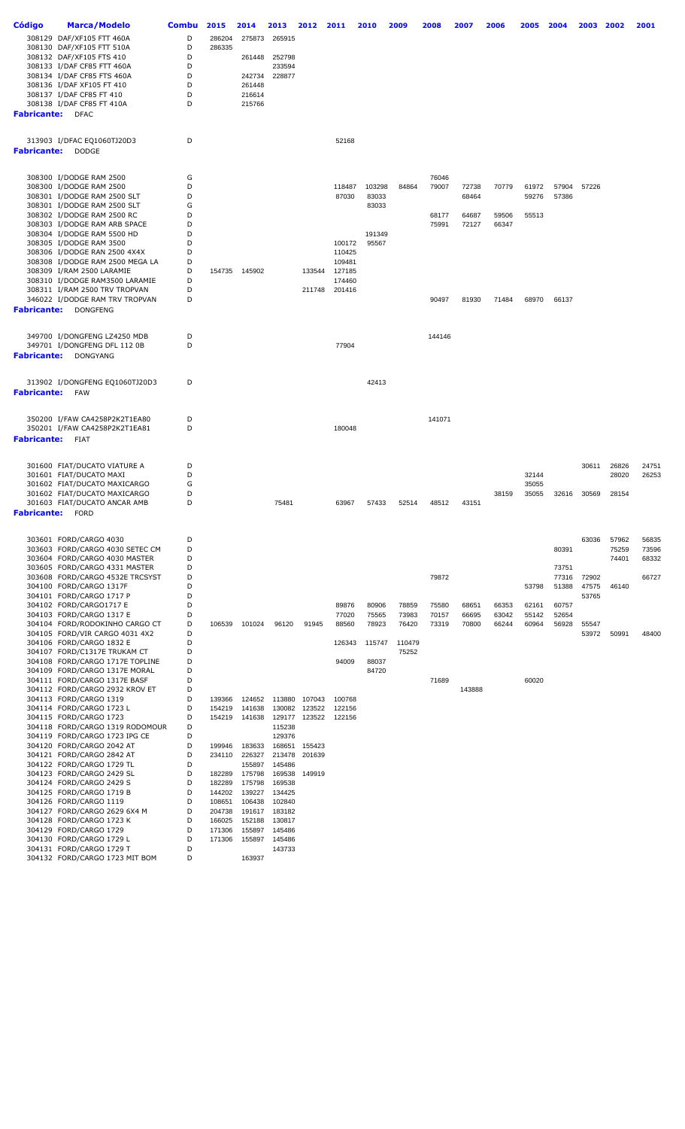| Código                  | <b>Marca/Modelo</b>                                              | <b>Combu</b> | 2015             | 2014             | 2013                    | 2012   | 2011             | 2010   | 2009   | 2008   | 2007   | 2006  | 2005           | 2004           | 2003           | 2002  | 2001  |
|-------------------------|------------------------------------------------------------------|--------------|------------------|------------------|-------------------------|--------|------------------|--------|--------|--------|--------|-------|----------------|----------------|----------------|-------|-------|
|                         | 308129 DAF/XF105 FTT 460A                                        | D            | 286204           | 275873           | 265915                  |        |                  |        |        |        |        |       |                |                |                |       |       |
|                         | 308130 DAF/XF105 FTT 510A                                        | D            | 286335           |                  |                         |        |                  |        |        |        |        |       |                |                |                |       |       |
|                         | 308132 DAF/XF105 FTS 410                                         | D            |                  | 261448           | 252798                  |        |                  |        |        |        |        |       |                |                |                |       |       |
|                         | 308133 I/DAF CF85 FTT 460A                                       | D            |                  |                  | 233594                  |        |                  |        |        |        |        |       |                |                |                |       |       |
|                         | 308134 I/DAF CF85 FTS 460A                                       | D<br>D       |                  | 242734           | 228877                  |        |                  |        |        |        |        |       |                |                |                |       |       |
|                         | 308136 I/DAF XF105 FT 410<br>308137 I/DAF CF85 FT 410            | D            |                  | 261448<br>216614 |                         |        |                  |        |        |        |        |       |                |                |                |       |       |
|                         | 308138 I/DAF CF85 FT 410A                                        | D            |                  | 215766           |                         |        |                  |        |        |        |        |       |                |                |                |       |       |
| Fabricante:             | <b>DFAC</b>                                                      |              |                  |                  |                         |        |                  |        |        |        |        |       |                |                |                |       |       |
|                         |                                                                  |              |                  |                  |                         |        |                  |        |        |        |        |       |                |                |                |       |       |
|                         | 313903 I/DFAC EQ1060TJ20D3                                       | D            |                  |                  |                         |        | 52168            |        |        |        |        |       |                |                |                |       |       |
| Fabricante:             | <b>DODGE</b>                                                     |              |                  |                  |                         |        |                  |        |        |        |        |       |                |                |                |       |       |
|                         |                                                                  |              |                  |                  |                         |        |                  |        |        |        |        |       |                |                |                |       |       |
|                         | 308300 I/DODGE RAM 2500                                          | G            |                  |                  |                         |        |                  |        |        | 76046  |        |       |                |                |                |       |       |
|                         | 308300 I/DODGE RAM 2500                                          | D            |                  |                  |                         |        | 118487           | 103298 | 84864  | 79007  | 72738  | 70779 | 61972          | 57904          | 57226          |       |       |
|                         | 308301 I/DODGE RAM 2500 SLT                                      | D            |                  |                  |                         |        | 87030            | 83033  |        |        | 68464  |       | 59276          | 57386          |                |       |       |
|                         | 308301 I/DODGE RAM 2500 SLT<br>308302 I/DODGE RAM 2500 RC        | G<br>D       |                  |                  |                         |        |                  | 83033  |        | 68177  | 64687  | 59506 | 55513          |                |                |       |       |
|                         | 308303 I/DODGE RAM ARB SPACE                                     | D            |                  |                  |                         |        |                  |        |        | 75991  | 72127  | 66347 |                |                |                |       |       |
|                         | 308304 I/DODGE RAM 5500 HD                                       | D            |                  |                  |                         |        |                  | 191349 |        |        |        |       |                |                |                |       |       |
|                         | 308305 I/DODGE RAM 3500                                          | D            |                  |                  |                         |        | 100172           | 95567  |        |        |        |       |                |                |                |       |       |
|                         | 308306 I/DODGE RAN 2500 4X4X                                     | D            |                  |                  |                         |        | 110425           |        |        |        |        |       |                |                |                |       |       |
|                         | 308308 I/DODGE RAM 2500 MEGA LA                                  | D            |                  |                  |                         |        | 109481           |        |        |        |        |       |                |                |                |       |       |
|                         | 308309 I/RAM 2500 LARAMIE                                        | D            |                  | 154735 145902    |                         | 133544 | 127185           |        |        |        |        |       |                |                |                |       |       |
|                         | 308310 I/DODGE RAM3500 LARAMIE<br>308311 I/RAM 2500 TRV TROPVAN  | D<br>D       |                  |                  |                         | 211748 | 174460<br>201416 |        |        |        |        |       |                |                |                |       |       |
|                         | 346022 I/DODGE RAM TRV TROPVAN                                   | D            |                  |                  |                         |        |                  |        |        | 90497  | 81930  | 71484 | 68970          | 66137          |                |       |       |
| Fabricante:             | <b>DONGFENG</b>                                                  |              |                  |                  |                         |        |                  |        |        |        |        |       |                |                |                |       |       |
|                         |                                                                  |              |                  |                  |                         |        |                  |        |        |        |        |       |                |                |                |       |       |
|                         | 349700 I/DONGFENG LZ4250 MDB                                     | D            |                  |                  |                         |        |                  |        |        | 144146 |        |       |                |                |                |       |       |
|                         | 349701 I/DONGFENG DFL 112 0B                                     | D            |                  |                  |                         |        | 77904            |        |        |        |        |       |                |                |                |       |       |
| Fabricante:             | DONGYANG                                                         |              |                  |                  |                         |        |                  |        |        |        |        |       |                |                |                |       |       |
|                         | 313902 I/DONGFENG EQ1060TJ20D3                                   | D            |                  |                  |                         |        |                  | 42413  |        |        |        |       |                |                |                |       |       |
| Fabricante:             | FAW                                                              |              |                  |                  |                         |        |                  |        |        |        |        |       |                |                |                |       |       |
|                         |                                                                  |              |                  |                  |                         |        |                  |        |        |        |        |       |                |                |                |       |       |
|                         | 350200 I/FAW CA4258P2K2T1EA80                                    | D            |                  |                  |                         |        |                  |        |        | 141071 |        |       |                |                |                |       |       |
|                         | 350201 I/FAW CA4258P2K2T1EA81                                    | D            |                  |                  |                         |        | 180048           |        |        |        |        |       |                |                |                |       |       |
| <b>Fabricante:</b> FIAT |                                                                  |              |                  |                  |                         |        |                  |        |        |        |        |       |                |                |                |       |       |
|                         |                                                                  |              |                  |                  |                         |        |                  |        |        |        |        |       |                |                |                |       |       |
|                         | 301600 FIAT/DUCATO VIATURE A                                     | D            |                  |                  |                         |        |                  |        |        |        |        |       |                |                | 30611          | 26826 | 24751 |
|                         | 301601 FIAT/DUCATO MAXI                                          | D            |                  |                  |                         |        |                  |        |        |        |        |       | 32144          |                |                | 28020 | 26253 |
|                         | 301602 FIAT/DUCATO MAXICARGO                                     | G<br>D       |                  |                  |                         |        |                  |        |        |        |        | 38159 | 35055<br>35055 | 32616          | 30569          | 28154 |       |
|                         | 301602 FIAT/DUCATO MAXICARGO<br>301603 FIAT/DUCATO ANCAR AMB     | D            |                  |                  | 75481                   |        | 63967            | 57433  | 52514  | 48512  | 43151  |       |                |                |                |       |       |
| <b>Fabricante:</b>      | <b>FORD</b>                                                      |              |                  |                  |                         |        |                  |        |        |        |        |       |                |                |                |       |       |
|                         |                                                                  |              |                  |                  |                         |        |                  |        |        |        |        |       |                |                |                |       |       |
|                         | 303601 FORD/CARGO 4030                                           | D            |                  |                  |                         |        |                  |        |        |        |        |       |                |                | 63036          | 57962 | 56835 |
|                         | 303603 FORD/CARGO 4030 SETEC CM                                  | D            |                  |                  |                         |        |                  |        |        |        |        |       |                | 80391          |                | 75259 | 73596 |
|                         | 303604 FORD/CARGO 4030 MASTER<br>303605 FORD/CARGO 4331 MASTER   | D            |                  |                  |                         |        |                  |        |        |        |        |       |                |                |                | 74401 | 68332 |
|                         | 303608 FORD/CARGO 4532E TRCSYST                                  | D<br>D       |                  |                  |                         |        |                  |        |        | 79872  |        |       |                | 73751<br>77316 | 72902          |       | 66727 |
|                         | 304100 FORD/CARGO 1317F                                          | D            |                  |                  |                         |        |                  |        |        |        |        |       | 53798          | 51388          | 47575          | 46140 |       |
|                         | 304101 FORD/CARGO 1717 P                                         | D            |                  |                  |                         |        |                  |        |        |        |        |       |                |                | 53765          |       |       |
|                         | 304102 FORD/CARGO1717 E                                          | D            |                  |                  |                         |        | 89876            | 80906  | 78859  | 75580  | 68651  | 66353 | 62161          | 60757          |                |       |       |
|                         | 304103 FORD/CARGO 1317 E                                         | D<br>D       |                  |                  |                         |        | 77020            | 75565  | 73983  | 70157  | 66695  | 63042 | 55142          | 52654          |                |       |       |
|                         | 304104 FORD/RODOKINHO CARGO CT<br>304105 FORD/VIR CARGO 4031 4X2 | D            | 106539           | 101024           | 96120                   | 91945  | 88560            | 78923  | 76420  | 73319  | 70800  | 66244 | 60964          | 56928          | 55547<br>53972 | 50991 | 48400 |
|                         | 304106 FORD/CARGO 1832 E                                         | D            |                  |                  |                         |        | 126343           | 115747 | 110479 |        |        |       |                |                |                |       |       |
|                         | 304107 FORD/C1317E TRUKAM CT                                     | D            |                  |                  |                         |        |                  |        | 75252  |        |        |       |                |                |                |       |       |
|                         | 304108 FORD/CARGO 1717E TOPLINE                                  | D            |                  |                  |                         |        | 94009            | 88037  |        |        |        |       |                |                |                |       |       |
|                         | 304109 FORD/CARGO 1317E MORAL                                    | D            |                  |                  |                         |        |                  | 84720  |        |        |        |       |                |                |                |       |       |
|                         | 304111 FORD/CARGO 1317E BASF<br>304112 FORD/CARGO 2932 KROV ET   | D<br>D       |                  |                  |                         |        |                  |        |        | 71689  | 143888 |       | 60020          |                |                |       |       |
|                         | 304113 FORD/CARGO 1319                                           | D            | 139366           | 124652           | 113880                  | 107043 | 100768           |        |        |        |        |       |                |                |                |       |       |
|                         | 304114 FORD/CARGO 1723 L                                         | D            | 154219           | 141638           | 130082                  | 123522 | 122156           |        |        |        |        |       |                |                |                |       |       |
|                         | 304115 FORD/CARGO 1723                                           | D            | 154219           | 141638           | 129177                  | 123522 | 122156           |        |        |        |        |       |                |                |                |       |       |
|                         | 304118 FORD/CARGO 1319 RODOMOUR                                  | D            |                  |                  | 115238                  |        |                  |        |        |        |        |       |                |                |                |       |       |
|                         | 304119 FORD/CARGO 1723 IPG CE<br>304120 FORD/CARGO 2042 AT       | D<br>D       | 199946           | 183633           | 129376<br>168651 155423 |        |                  |        |        |        |        |       |                |                |                |       |       |
|                         | 304121 FORD/CARGO 2842 AT                                        | D            | 234110           | 226327           | 213478                  | 201639 |                  |        |        |        |        |       |                |                |                |       |       |
|                         | 304122 FORD/CARGO 1729 TL                                        | D            |                  | 155897           | 145486                  |        |                  |        |        |        |        |       |                |                |                |       |       |
|                         | 304123 FORD/CARGO 2429 SL                                        | D            | 182289           | 175798           | 169538                  | 149919 |                  |        |        |        |        |       |                |                |                |       |       |
|                         | 304124 FORD/CARGO 2429 S                                         | D            | 182289           | 175798           | 169538                  |        |                  |        |        |        |        |       |                |                |                |       |       |
|                         | 304125 FORD/CARGO 1719 B<br>304126 FORD/CARGO 1119               | D<br>D       | 144202<br>108651 | 139227<br>106438 | 134425<br>102840        |        |                  |        |        |        |        |       |                |                |                |       |       |
|                         | 304127 FORD/CARGO 2629 6X4 M                                     | D            | 204738           | 191617           | 183182                  |        |                  |        |        |        |        |       |                |                |                |       |       |
|                         | 304128 FORD/CARGO 1723 K                                         | D            | 166025           | 152188           | 130817                  |        |                  |        |        |        |        |       |                |                |                |       |       |
|                         | 304129 FORD/CARGO 1729                                           | D            | 171306           | 155897           | 145486                  |        |                  |        |        |        |        |       |                |                |                |       |       |
|                         | 304130 FORD/CARGO 1729 L                                         | D            | 171306           | 155897           | 145486                  |        |                  |        |        |        |        |       |                |                |                |       |       |
|                         | 304131 FORD/CARGO 1729 T<br>304132 FORD/CARGO 1723 MIT BOM       | D<br>D       |                  | 163937           | 143733                  |        |                  |        |        |        |        |       |                |                |                |       |       |
|                         |                                                                  |              |                  |                  |                         |        |                  |        |        |        |        |       |                |                |                |       |       |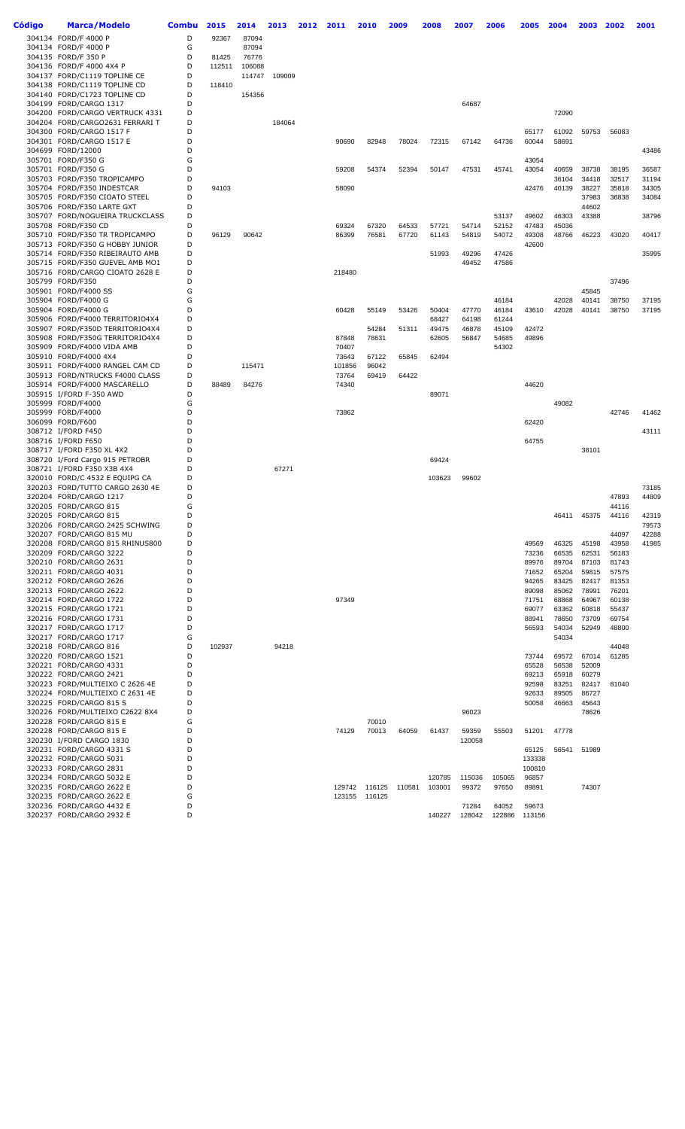| Código | Marca/Modelo                                                       | <b>Combu</b> | 2015            | 2014            | 2013   | 2012 | 2011            | 2010           | 2009   | 2008           | 2007           | 2006           | 2005            | 2004           | 2003           | 2002           | 2001           |
|--------|--------------------------------------------------------------------|--------------|-----------------|-----------------|--------|------|-----------------|----------------|--------|----------------|----------------|----------------|-----------------|----------------|----------------|----------------|----------------|
|        | 304134 FORD/F 4000 P                                               | D            | 92367           | 87094           |        |      |                 |                |        |                |                |                |                 |                |                |                |                |
|        | 304134 FORD/F 4000 P                                               | G            |                 | 87094           |        |      |                 |                |        |                |                |                |                 |                |                |                |                |
|        | 304135 FORD/F 350 P<br>304136 FORD/F 4000 4X4 P                    | D<br>D       | 81425<br>112511 | 76776<br>106088 |        |      |                 |                |        |                |                |                |                 |                |                |                |                |
|        | 304137 FORD/C1119 TOPLINE CE                                       | D            |                 | 114747          | 109009 |      |                 |                |        |                |                |                |                 |                |                |                |                |
|        | 304138 FORD/C1119 TOPLINE CD                                       | D            | 118410          |                 |        |      |                 |                |        |                |                |                |                 |                |                |                |                |
|        | 304140 FORD/C1723 TOPLINE CD                                       | D            |                 | 154356          |        |      |                 |                |        |                |                |                |                 |                |                |                |                |
|        | 304199 FORD/CARGO 1317                                             | D            |                 |                 |        |      |                 |                |        |                | 64687          |                |                 |                |                |                |                |
|        | 304200 FORD/CARGO VERTRUCK 4331<br>304204 FORD/CARGO2631 FERRARI T | D<br>D       |                 |                 | 184064 |      |                 |                |        |                |                |                |                 | 72090          |                |                |                |
|        | 304300 FORD/CARGO 1517 F                                           | D            |                 |                 |        |      |                 |                |        |                |                |                | 65177           | 61092          | 59753          | 56083          |                |
|        | 304301 FORD/CARGO 1517 E                                           | D            |                 |                 |        |      | 90690           | 82948          | 78024  | 72315          | 67142          | 64736          | 60044           | 58691          |                |                |                |
|        | 304699 FORD/12000                                                  | D            |                 |                 |        |      |                 |                |        |                |                |                |                 |                |                |                | 43486          |
|        | 305701 FORD/F350 G<br>305701 FORD/F350 G                           | G<br>D       |                 |                 |        |      | 59208           | 54374          | 52394  | 50147          | 47531          | 45741          | 43054<br>43054  | 40659          | 38738          | 38195          | 36587          |
|        | 305703 FORD/F350 TROPICAMPO                                        | D            |                 |                 |        |      |                 |                |        |                |                |                |                 | 36104          | 34418          | 32517          | 31194          |
|        | 305704 FORD/F350 INDESTCAR                                         | D            | 94103           |                 |        |      | 58090           |                |        |                |                |                | 42476           | 40139          | 38227          | 35818          | 34305          |
|        | 305705 FORD/F350 CIOATO STEEL                                      | D            |                 |                 |        |      |                 |                |        |                |                |                |                 |                | 37983          | 36838          | 34084          |
|        | 305706 FORD/F350 LARTE GXT<br>305707 FORD/NOGUEIRA TRUCKCLASS      | D<br>D       |                 |                 |        |      |                 |                |        |                |                | 53137          | 49602           | 46303          | 44602<br>43388 |                | 38796          |
|        | 305708 FORD/F350 CD                                                | D            |                 |                 |        |      | 69324           | 67320          | 64533  | 57721          | 54714          | 52152          | 47483           | 45036          |                |                |                |
|        | 305710 FORD/F350 TR TROPICAMPO                                     | D            | 96129           | 90642           |        |      | 86399           | 76581          | 67720  | 61143          | 54819          | 54072          | 49308           | 48766          | 46223          | 43020          | 40417          |
|        | 305713 FORD/F350 G HOBBY JUNIOR                                    | D            |                 |                 |        |      |                 |                |        |                |                |                | 42600           |                |                |                |                |
|        | 305714 FORD/F350 RIBEIRAUTO AMB<br>305715 FORD/F350 GUEVEL AMB MO1 | D<br>D       |                 |                 |        |      |                 |                |        | 51993          | 49296<br>49452 | 47426<br>47586 |                 |                |                |                | 35995          |
|        | 305716 FORD/CARGO CIOATO 2628 E                                    | D            |                 |                 |        |      | 218480          |                |        |                |                |                |                 |                |                |                |                |
|        | 305799 FORD/F350                                                   | D            |                 |                 |        |      |                 |                |        |                |                |                |                 |                |                | 37496          |                |
|        | 305901 FORD/F4000 SS                                               | G            |                 |                 |        |      |                 |                |        |                |                |                |                 |                | 45845          |                |                |
|        | 305904 FORD/F4000 G<br>305904 FORD/F4000 G                         | G<br>D       |                 |                 |        |      | 60428           |                | 53426  |                | 47770          | 46184          | 43610           | 42028<br>42028 | 40141<br>40141 | 38750<br>38750 | 37195<br>37195 |
|        | 305906 FORD/F4000 TERRITORIO4X4                                    | D            |                 |                 |        |      |                 | 55149          |        | 50404<br>68427 | 64198          | 46184<br>61244 |                 |                |                |                |                |
|        | 305907 FORD/F350D TERRITORIO4X4                                    | D            |                 |                 |        |      |                 | 54284          | 51311  | 49475          | 46878          | 45109          | 42472           |                |                |                |                |
|        | 305908 FORD/F350G TERRITORIO4X4                                    | D            |                 |                 |        |      | 87848           | 78631          |        | 62605          | 56847          | 54685          | 49896           |                |                |                |                |
|        | 305909 FORD/F4000 VIDA AMB                                         | D<br>D       |                 |                 |        |      | 70407           |                |        |                |                | 54302          |                 |                |                |                |                |
|        | 305910 FORD/F4000 4X4<br>305911 FORD/F4000 RANGEL CAM CD           | D            |                 | 115471          |        |      | 73643<br>101856 | 67122<br>96042 | 65845  | 62494          |                |                |                 |                |                |                |                |
|        | 305913 FORD/NTRUCKS F4000 CLASS                                    | D            |                 |                 |        |      | 73764           | 69419          | 64422  |                |                |                |                 |                |                |                |                |
|        | 305914 FORD/F4000 MASCARELLO                                       | D            | 88489           | 84276           |        |      | 74340           |                |        |                |                |                | 44620           |                |                |                |                |
|        | 305915 I/FORD F-350 AWD                                            | D            |                 |                 |        |      |                 |                |        | 89071          |                |                |                 |                |                |                |                |
|        | 305999 FORD/F4000<br>305999 FORD/F4000                             | G<br>D       |                 |                 |        |      | 73862           |                |        |                |                |                |                 | 49082          |                | 42746          | 41462          |
|        | 306099 FORD/F600                                                   | D            |                 |                 |        |      |                 |                |        |                |                |                | 62420           |                |                |                |                |
|        | 308712 I/FORD F450                                                 | D            |                 |                 |        |      |                 |                |        |                |                |                |                 |                |                |                | 43111          |
|        | 308716 I/FORD F650                                                 | D<br>D       |                 |                 |        |      |                 |                |        |                |                |                | 64755           |                |                |                |                |
|        | 308717 I/FORD F350 XL 4X2<br>308720 I/Ford Cargo 915 PETROBR       | D            |                 |                 |        |      |                 |                |        | 69424          |                |                |                 |                | 38101          |                |                |
|        | 308721 I/FORD F350 X3B 4X4                                         | D            |                 |                 | 67271  |      |                 |                |        |                |                |                |                 |                |                |                |                |
|        | 320010 FORD/C 4532 E EQUIPG CA                                     | D            |                 |                 |        |      |                 |                |        | 103623         | 99602          |                |                 |                |                |                |                |
|        | 320203 FORD/TUTTO CARGO 2630 4E                                    | D            |                 |                 |        |      |                 |                |        |                |                |                |                 |                |                |                | 73185          |
|        | 320204 FORD/CARGO 1217<br>320205 FORD/CARGO 815                    | D<br>G       |                 |                 |        |      |                 |                |        |                |                |                |                 |                |                | 47893<br>44116 | 44809          |
|        | 320205 FORD/CARGO 815                                              | D            |                 |                 |        |      |                 |                |        |                |                |                |                 | 46411          | 45375          | 44116          | 42319          |
|        | 320206 FORD/CARGO 2425 SCHWING                                     | D            |                 |                 |        |      |                 |                |        |                |                |                |                 |                |                |                | 79573          |
|        | 320207 FORD/CARGO 815 MU<br>320208 FORD/CARGO 815 RHINUS800        | D<br>D       |                 |                 |        |      |                 |                |        |                |                |                | 49569           | 46325          | 45198          | 44097<br>43958 | 42288<br>41985 |
|        | 320209 FORD/CARGO 3222                                             | D            |                 |                 |        |      |                 |                |        |                |                |                | 73236           | 66535          | 62531          | 56183          |                |
|        | 320210 FORD/CARGO 2631                                             | D            |                 |                 |        |      |                 |                |        |                |                |                | 89976           | 89704          | 87103          | 81743          |                |
|        | 320211 FORD/CARGO 4031                                             | D            |                 |                 |        |      |                 |                |        |                |                |                | 71652           | 65204          | 59815          | 57575          |                |
|        | 320212 FORD/CARGO 2626<br>320213 FORD/CARGO 2622                   | D<br>D       |                 |                 |        |      |                 |                |        |                |                |                | 94265<br>89098  | 83425<br>85062 | 82417<br>78991 | 81353<br>76201 |                |
|        | 320214 FORD/CARGO 1722                                             | D            |                 |                 |        |      | 97349           |                |        |                |                |                | 71751           | 68868          | 64967          | 60138          |                |
|        | 320215 FORD/CARGO 1721                                             | D            |                 |                 |        |      |                 |                |        |                |                |                | 69077           | 63362          | 60818          | 55437          |                |
|        | 320216 FORD/CARGO 1731                                             | D            |                 |                 |        |      |                 |                |        |                |                |                | 88941           | 78650          | 73709          | 69754          |                |
|        | 320217 FORD/CARGO 1717<br>320217 FORD/CARGO 1717                   | D<br>G       |                 |                 |        |      |                 |                |        |                |                |                | 56593           | 54034<br>54034 | 52949          | 48800          |                |
|        | 320218 FORD/CARGO 816                                              | D            | 102937          |                 | 94218  |      |                 |                |        |                |                |                |                 |                |                | 44048          |                |
|        | 320220 FORD/CARGO 1521                                             | D            |                 |                 |        |      |                 |                |        |                |                |                | 73744           | 69572          | 67014          | 61285          |                |
|        | 320221 FORD/CARGO 4331                                             | D            |                 |                 |        |      |                 |                |        |                |                |                | 65528           | 56538          | 52009          |                |                |
|        | 320222 FORD/CARGO 2421<br>320223 FORD/MULTIEIXO C 2626 4E          | D<br>D       |                 |                 |        |      |                 |                |        |                |                |                | 69213<br>92598  | 65918<br>83251 | 60279<br>82417 | 81040          |                |
|        | 320224 FORD/MULTIEIXO C 2631 4E                                    | D            |                 |                 |        |      |                 |                |        |                |                |                | 92633           | 89505          | 86727          |                |                |
|        | 320225 FORD/CARGO 815 S                                            | D            |                 |                 |        |      |                 |                |        |                |                |                | 50058           | 46663          | 45643          |                |                |
|        | 320226 FORD/MULTIEIXO C2622 8X4                                    | D            |                 |                 |        |      |                 |                |        |                | 96023          |                |                 |                | 78626          |                |                |
|        | 320228 FORD/CARGO 815 E<br>320228 FORD/CARGO 815 E                 | G<br>D       |                 |                 |        |      | 74129           | 70010<br>70013 | 64059  | 61437          | 59359          | 55503          | 51201           | 47778          |                |                |                |
|        | 320230 I/FORD CARGO 1830                                           | D            |                 |                 |        |      |                 |                |        |                | 120058         |                |                 |                |                |                |                |
|        | 320231 FORD/CARGO 4331 S                                           | D            |                 |                 |        |      |                 |                |        |                |                |                | 65125           | 56541          | 51989          |                |                |
|        | 320232 FORD/CARGO 5031                                             | D            |                 |                 |        |      |                 |                |        |                |                |                | 133338          |                |                |                |                |
|        | 320233 FORD/CARGO 2831<br>320234 FORD/CARGO 5032 E                 | D<br>D       |                 |                 |        |      |                 |                |        | 120785         | 115036         | 105065         | 100810<br>96857 |                |                |                |                |
|        | 320235 FORD/CARGO 2622 E                                           | D            |                 |                 |        |      | 129742          | 116125         | 110581 | 103001         | 99372          | 97650          | 89891           |                | 74307          |                |                |
|        | 320235 FORD/CARGO 2622 E                                           | G            |                 |                 |        |      | 123155          | 116125         |        |                |                |                |                 |                |                |                |                |
|        | 320236 FORD/CARGO 4432 E                                           | D            |                 |                 |        |      |                 |                |        |                | 71284          | 64052          | 59673           |                |                |                |                |
|        | 320237 FORD/CARGO 2932 E                                           | D            |                 |                 |        |      |                 |                |        | 140227         | 128042         | 122886         | 113156          |                |                |                |                |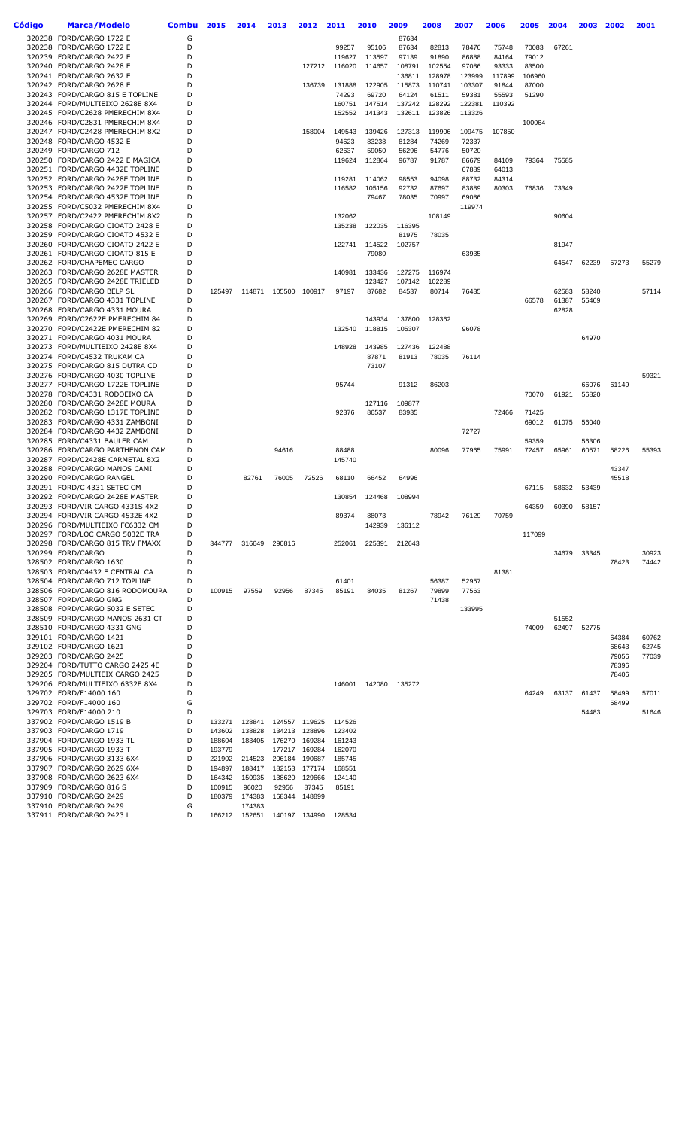| Código | Marca/Modelo                                                       | Combu  | 2015             | 2014            | 2013            | 2012            | 2011             | 2010             | 2009                   | 2008            | 2007            | 2006           | 2005           | 2004  | 2003           | 2002  | 2001  |
|--------|--------------------------------------------------------------------|--------|------------------|-----------------|-----------------|-----------------|------------------|------------------|------------------------|-----------------|-----------------|----------------|----------------|-------|----------------|-------|-------|
|        | 320238 FORD/CARGO 1722 E                                           | G      |                  |                 |                 |                 |                  |                  | 87634                  |                 |                 |                |                |       |                |       |       |
|        | 320238 FORD/CARGO 1722 E                                           | D      |                  |                 |                 |                 | 99257            | 95106            | 87634                  | 82813           | 78476           | 75748          | 70083          | 67261 |                |       |       |
|        | 320239 FORD/CARGO 2422 E                                           | D      |                  |                 |                 |                 | 119627           | 113597           | 97139                  | 91890           | 86888           | 84164          | 79012          |       |                |       |       |
|        | 320240 FORD/CARGO 2428 E                                           | D      |                  |                 |                 | 127212          | 116020           | 114657           | 108791                 | 102554          | 97086           | 93333          | 83500          |       |                |       |       |
|        | 320241 FORD/CARGO 2632 E                                           | D<br>D |                  |                 |                 |                 |                  |                  | 136811                 | 128978          | 123999          | 117899         | 106960         |       |                |       |       |
|        | 320242 FORD/CARGO 2628 E<br>320243 FORD/CARGO 815 E TOPLINE        | D      |                  |                 |                 | 136739          | 131888<br>74293  | 122905<br>69720  | 115873<br>64124        | 110741<br>61511 | 103307<br>59381 | 91844<br>55593 | 87000<br>51290 |       |                |       |       |
|        | 320244 FORD/MULTIEIXO 2628E 8X4                                    | D      |                  |                 |                 |                 | 160751           | 147514           | 137242                 | 128292          | 122381          | 110392         |                |       |                |       |       |
|        | 320245 FORD/C2628 PMERECHIM 8X4                                    | D      |                  |                 |                 |                 | 152552           | 141343           | 132611                 | 123826          | 113326          |                |                |       |                |       |       |
|        | 320246 FORD/C2831 PMERECHIM 8X4                                    | D      |                  |                 |                 |                 |                  |                  |                        |                 |                 |                | 100064         |       |                |       |       |
|        | 320247 FORD/C2428 PMERECHIM 8X2                                    | D      |                  |                 |                 | 158004          | 149543           | 139426           | 127313                 | 119906          | 109475          | 107850         |                |       |                |       |       |
|        | 320248 FORD/CARGO 4532 E                                           | D      |                  |                 |                 |                 | 94623            | 83238            | 81284                  | 74269           | 72337           |                |                |       |                |       |       |
|        | 320249 FORD/CARGO 712                                              | D      |                  |                 |                 |                 | 62637            | 59050            | 56296                  | 54776           | 50720           |                |                |       |                |       |       |
|        | 320250 FORD/CARGO 2422 E MAGICA                                    | D      |                  |                 |                 |                 | 119624           | 112864           | 96787                  | 91787           | 86679           | 84109          | 79364          | 75585 |                |       |       |
|        | 320251 FORD/CARGO 4432E TOPLINE                                    | D      |                  |                 |                 |                 |                  |                  |                        |                 | 67889           | 64013          |                |       |                |       |       |
|        | 320252 FORD/CARGO 2428E TOPLINE<br>320253 FORD/CARGO 2422E TOPLINE | D<br>D |                  |                 |                 |                 | 119281<br>116582 | 114062<br>105156 | 98553<br>92732         | 94098<br>87697  | 88732<br>83889  | 84314<br>80303 |                | 73349 |                |       |       |
|        | 320254 FORD/CARGO 4532E TOPLINE                                    | D      |                  |                 |                 |                 |                  | 79467            | 78035                  | 70997           | 69086           |                | 76836          |       |                |       |       |
|        | 320255 FORD/C5032 PMERECHIM 8X4                                    | D      |                  |                 |                 |                 |                  |                  |                        |                 | 119974          |                |                |       |                |       |       |
|        | 320257 FORD/C2422 PMERECHIM 8X2                                    | D      |                  |                 |                 |                 | 132062           |                  |                        | 108149          |                 |                |                | 90604 |                |       |       |
|        | 320258 FORD/CARGO CIOATO 2428 E                                    | D      |                  |                 |                 |                 | 135238           | 122035           | 116395                 |                 |                 |                |                |       |                |       |       |
|        | 320259 FORD/CARGO CIOATO 4532 E                                    | D      |                  |                 |                 |                 |                  |                  | 81975                  | 78035           |                 |                |                |       |                |       |       |
|        | 320260 FORD/CARGO CIOATO 2422 E                                    | D      |                  |                 |                 |                 | 122741           | 114522           | 102757                 |                 |                 |                |                | 81947 |                |       |       |
|        | 320261 FORD/CARGO CIOATO 815 E                                     | D      |                  |                 |                 |                 |                  | 79080            |                        |                 | 63935           |                |                |       |                |       |       |
|        | 320262 FORD/CHAPEMEC CARGO                                         | D      |                  |                 |                 |                 |                  |                  |                        |                 |                 |                |                | 64547 | 62239          | 57273 | 55279 |
|        | 320263 FORD/CARGO 2628E MASTER                                     | D      |                  |                 |                 |                 | 140981           | 133436           | 127275                 | 116974          |                 |                |                |       |                |       |       |
|        | 320265 FORD/CARGO 2428E TRIELED<br>320266 FORD/CARGO BELP SL       | D<br>D | 125497           | 114871          |                 | 105500 100917   | 97197            | 123427<br>87682  | 107142<br>84537        | 102289<br>80714 | 76435           |                |                | 62583 | 58240          |       | 57114 |
|        | 320267 FORD/CARGO 4331 TOPLINE                                     | D      |                  |                 |                 |                 |                  |                  |                        |                 |                 |                | 66578          | 61387 | 56469          |       |       |
|        | 320268 FORD/CARGO 4331 MOURA                                       | D      |                  |                 |                 |                 |                  |                  |                        |                 |                 |                |                | 62828 |                |       |       |
|        | 320269 FORD/C2622E PMERECHIM 84                                    | D      |                  |                 |                 |                 |                  | 143934           | 137800                 | 128362          |                 |                |                |       |                |       |       |
|        | 320270 FORD/C2422E PMERECHIM 82                                    | D      |                  |                 |                 |                 | 132540           | 118815           | 105307                 |                 | 96078           |                |                |       |                |       |       |
|        | 320271 FORD/CARGO 4031 MOURA                                       | D      |                  |                 |                 |                 |                  |                  |                        |                 |                 |                |                |       | 64970          |       |       |
|        | 320273 FORD/MULTIEIXO 2428E 8X4                                    | D      |                  |                 |                 |                 | 148928           | 143985           | 127436                 | 122488          |                 |                |                |       |                |       |       |
|        | 320274 FORD/C4532 TRUKAM CA                                        | D      |                  |                 |                 |                 |                  | 87871            | 81913                  | 78035           | 76114           |                |                |       |                |       |       |
|        | 320275 FORD/CARGO 815 DUTRA CD                                     | D      |                  |                 |                 |                 |                  | 73107            |                        |                 |                 |                |                |       |                |       |       |
|        | 320276 FORD/CARGO 4030 TOPLINE                                     | D<br>D |                  |                 |                 |                 | 95744            |                  |                        |                 |                 |                |                |       |                |       | 59321 |
|        | 320277 FORD/CARGO 1722E TOPLINE<br>320278 FORD/C4331 RODOEIXO CA   | D      |                  |                 |                 |                 |                  |                  | 91312                  | 86203           |                 |                | 70070          | 61921 | 66076<br>56820 | 61149 |       |
|        | 320280 FORD/CARGO 2428E MOURA                                      | D      |                  |                 |                 |                 |                  | 127116           | 109877                 |                 |                 |                |                |       |                |       |       |
|        | 320282 FORD/CARGO 1317E TOPLINE                                    | D      |                  |                 |                 |                 | 92376            | 86537            | 83935                  |                 |                 | 72466          | 71425          |       |                |       |       |
|        | 320283 FORD/CARGO 4331 ZAMBONI                                     | D      |                  |                 |                 |                 |                  |                  |                        |                 |                 |                | 69012          | 61075 | 56040          |       |       |
|        | 320284 FORD/CARGO 4432 ZAMBONI                                     | D      |                  |                 |                 |                 |                  |                  |                        |                 | 72727           |                |                |       |                |       |       |
|        | 320285 FORD/C4331 BAULER CAM                                       | D      |                  |                 |                 |                 |                  |                  |                        |                 |                 |                | 59359          |       | 56306          |       |       |
|        | 320286 FORD/CARGO PARTHENON CAM                                    | D      |                  |                 | 94616           |                 | 88488            |                  |                        | 80096           | 77965           | 75991          | 72457          | 65961 | 60571          | 58226 | 55393 |
|        | 320287 FORD/C2428E CARMETAL 8X2                                    | D      |                  |                 |                 |                 | 145740           |                  |                        |                 |                 |                |                |       |                |       |       |
|        | 320288 FORD/CARGO MANOS CAMI                                       | D      |                  |                 |                 |                 |                  |                  |                        |                 |                 |                |                |       |                | 43347 |       |
|        | 320290 FORD/CARGO RANGEL<br>320291 FORD/C 4331 SETEC CM            | D<br>D |                  | 82761           | 76005           | 72526           | 68110            | 66452            | 64996                  |                 |                 |                | 67115          | 58632 | 53439          | 45518 |       |
|        | 320292 FORD/CARGO 2428E MASTER                                     | D      |                  |                 |                 |                 | 130854           | 124468           | 108994                 |                 |                 |                |                |       |                |       |       |
|        | 320293 FORD/VIR CARGO 4331S 4X2                                    | D      |                  |                 |                 |                 |                  |                  |                        |                 |                 |                | 64359          | 60390 | 58157          |       |       |
|        | 320294 FORD/VIR CARGO 4532E 4X2                                    | D      |                  |                 |                 |                 | 89374            | 88073            |                        | 78942           | 76129           | 70759          |                |       |                |       |       |
|        | 320296 FORD/MULTIEIXO FC6332 CM                                    |        |                  |                 |                 |                 |                  | 142939           | 136112                 |                 |                 |                |                |       |                |       |       |
|        | 320297 FORD/LOC CARGO 5032E TRA                                    | D      |                  |                 |                 |                 |                  |                  |                        |                 |                 |                | 117099         |       |                |       |       |
|        | 320298 FORD/CARGO 815 TRV FMAXX                                    | D      | 344777           | 316649          | 290816          |                 | 252061           | 225391           | 212643                 |                 |                 |                |                |       |                |       |       |
|        | 320299 FORD/CARGO                                                  | D      |                  |                 |                 |                 |                  |                  |                        |                 |                 |                |                | 34679 | 33345          |       | 30923 |
|        | 328502 FORD/CARGO 1630                                             | D      |                  |                 |                 |                 |                  |                  |                        |                 |                 |                |                |       |                | 78423 | 74442 |
|        | 328503 FORD/C4432 E CENTRAL CA<br>328504 FORD/CARGO 712 TOPLINE    | D<br>D |                  |                 |                 |                 | 61401            |                  |                        | 56387           | 52957           | 81381          |                |       |                |       |       |
|        | 328506 FORD/CARGO 816 RODOMOURA                                    | D      | 100915           | 97559           | 92956           | 87345           | 85191            | 84035            | 81267                  | 79899           | 77563           |                |                |       |                |       |       |
|        | 328507 FORD/CARGO GNG                                              | D      |                  |                 |                 |                 |                  |                  |                        | 71438           |                 |                |                |       |                |       |       |
|        | 328508 FORD/CARGO 5032 E SETEC                                     | D      |                  |                 |                 |                 |                  |                  |                        |                 | 133995          |                |                |       |                |       |       |
|        | 328509 FORD/CARGO MANOS 2631 CT                                    | D      |                  |                 |                 |                 |                  |                  |                        |                 |                 |                |                | 51552 |                |       |       |
|        | 328510 FORD/CARGO 4331 GNG                                         | D      |                  |                 |                 |                 |                  |                  |                        |                 |                 |                | 74009          | 62497 | 52775          |       |       |
|        | 329101 FORD/CARGO 1421                                             | D      |                  |                 |                 |                 |                  |                  |                        |                 |                 |                |                |       |                | 64384 | 60762 |
|        | 329102 FORD/CARGO 1621                                             | D      |                  |                 |                 |                 |                  |                  |                        |                 |                 |                |                |       |                | 68643 | 62745 |
|        | 329203 FORD/CARGO 2425                                             | D      |                  |                 |                 |                 |                  |                  |                        |                 |                 |                |                |       |                | 79056 | 77039 |
|        | 329204 FORD/TUTTO CARGO 2425 4E                                    | D      |                  |                 |                 |                 |                  |                  |                        |                 |                 |                |                |       |                | 78396 |       |
|        | 329205 FORD/MULTIEIX CARGO 2425<br>329206 FORD/MULTIEIXO 6332E 8X4 | D<br>D |                  |                 |                 |                 |                  |                  | 146001  142080  135272 |                 |                 |                |                |       |                | 78406 |       |
|        | 329702 FORD/F14000 160                                             | D      |                  |                 |                 |                 |                  |                  |                        |                 |                 |                | 64249          | 63137 | 61437          | 58499 | 57011 |
|        | 329702 FORD/F14000 160                                             | G      |                  |                 |                 |                 |                  |                  |                        |                 |                 |                |                |       |                | 58499 |       |
|        | 329703 FORD/F14000 210                                             | D      |                  |                 |                 |                 |                  |                  |                        |                 |                 |                |                |       | 54483          |       | 51646 |
|        | 337902 FORD/CARGO 1519 B                                           | D      | 133271           | 128841          |                 | 124557 119625   | 114526           |                  |                        |                 |                 |                |                |       |                |       |       |
|        | 337903 FORD/CARGO 1719                                             | D      | 143602           | 138828          | 134213          | 128896          | 123402           |                  |                        |                 |                 |                |                |       |                |       |       |
|        | 337904 FORD/CARGO 1933 TL                                          | D      | 188604           | 183405          | 176270          | 169284          | 161243           |                  |                        |                 |                 |                |                |       |                |       |       |
|        | 337905 FORD/CARGO 1933 T                                           | D      | 193779           |                 | 177217          | 169284          | 162070           |                  |                        |                 |                 |                |                |       |                |       |       |
|        | 337906 FORD/CARGO 3133 6X4                                         | D      | 221902           | 214523          | 206184          | 190687          | 185745           |                  |                        |                 |                 |                |                |       |                |       |       |
|        | 337907 FORD/CARGO 2629 6X4                                         | D      | 194897           | 188417          |                 | 182153 177174   | 168551           |                  |                        |                 |                 |                |                |       |                |       |       |
|        | 337908 FORD/CARGO 2623 6X4<br>337909 FORD/CARGO 816 S              | D<br>D | 164342<br>100915 | 150935<br>96020 | 138620<br>92956 | 129666<br>87345 | 124140<br>85191  |                  |                        |                 |                 |                |                |       |                |       |       |
|        | 337910 FORD/CARGO 2429                                             | D      | 180379           | 174383          |                 | 168344 148899   |                  |                  |                        |                 |                 |                |                |       |                |       |       |
|        | 337910 FORD/CARGO 2429                                             | G      |                  | 174383          |                 |                 |                  |                  |                        |                 |                 |                |                |       |                |       |       |
|        | 337911 FORD/CARGO 2423 L                                           | D      |                  | 166212 152651   |                 | 140197 134990   | 128534           |                  |                        |                 |                 |                |                |       |                |       |       |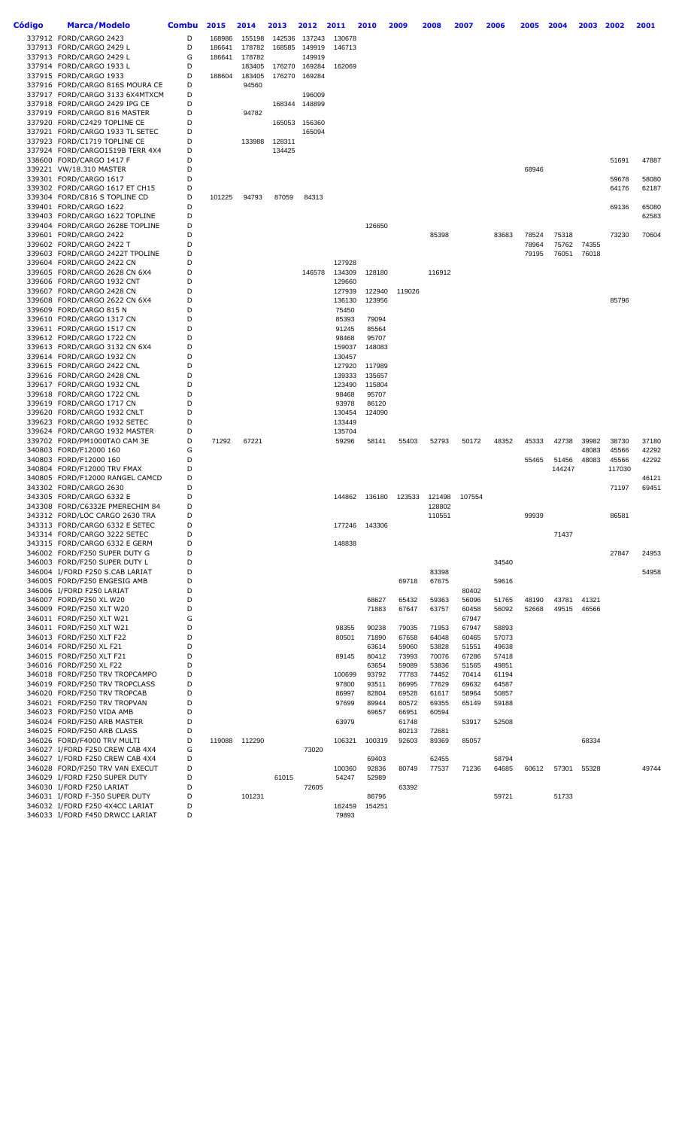| Código | Marca/Modelo                                                       | <b>Combu</b> | 2015   | 2014   | 2013   | 2012          | 2011             | 2010             | 2009           | 2008           | 2007           | 2006           | 2005  | 2004   | 2003  | 2002   | 2001           |
|--------|--------------------------------------------------------------------|--------------|--------|--------|--------|---------------|------------------|------------------|----------------|----------------|----------------|----------------|-------|--------|-------|--------|----------------|
|        | 337912 FORD/CARGO 2423                                             | D            | 168986 | 155198 | 142536 | 137243        | 130678           |                  |                |                |                |                |       |        |       |        |                |
|        | 337913 FORD/CARGO 2429 L                                           | D            | 186641 | 178782 | 168585 | 149919        | 146713           |                  |                |                |                |                |       |        |       |        |                |
|        | 337913 FORD/CARGO 2429 L                                           | G            | 186641 | 178782 |        | 149919        |                  |                  |                |                |                |                |       |        |       |        |                |
|        | 337914 FORD/CARGO 1933 L                                           | D            |        | 183405 | 176270 | 169284        | 162069           |                  |                |                |                |                |       |        |       |        |                |
|        | 337915 FORD/CARGO 1933                                             | D<br>D       | 188604 | 183405 | 176270 | 169284        |                  |                  |                |                |                |                |       |        |       |        |                |
|        | 337916 FORD/CARGO 816S MOURA CE<br>337917 FORD/CARGO 3133 6X4MTXCM | D            |        | 94560  |        | 196009        |                  |                  |                |                |                |                |       |        |       |        |                |
|        | 337918 FORD/CARGO 2429 IPG CE                                      | D            |        |        | 168344 | 148899        |                  |                  |                |                |                |                |       |        |       |        |                |
|        | 337919 FORD/CARGO 816 MASTER                                       | D            |        | 94782  |        |               |                  |                  |                |                |                |                |       |        |       |        |                |
|        | 337920 FORD/C2429 TOPLINE CE                                       | D            |        |        |        | 165053 156360 |                  |                  |                |                |                |                |       |        |       |        |                |
|        | 337921 FORD/CARGO 1933 TL SETEC                                    | D            |        |        |        | 165094        |                  |                  |                |                |                |                |       |        |       |        |                |
|        | 337923 FORD/C1719 TOPLINE CE                                       | D            |        | 133988 | 128311 |               |                  |                  |                |                |                |                |       |        |       |        |                |
|        | 337924 FORD/CARGO1519B TERR 4X4                                    | D            |        |        | 134425 |               |                  |                  |                |                |                |                |       |        |       |        |                |
|        | 338600 FORD/CARGO 1417 F                                           | D            |        |        |        |               |                  |                  |                |                |                |                |       |        |       | 51691  | 47887          |
|        | 339221 VW/18.310 MASTER                                            | D<br>D       |        |        |        |               |                  |                  |                |                |                |                | 68946 |        |       | 59678  |                |
|        | 339301 FORD/CARGO 1617<br>339302 FORD/CARGO 1617 ET CH15           | D            |        |        |        |               |                  |                  |                |                |                |                |       |        |       | 64176  | 58080<br>62187 |
|        | 339304 FORD/C816 S TOPLINE CD                                      | D            | 101225 | 94793  | 87059  | 84313         |                  |                  |                |                |                |                |       |        |       |        |                |
|        | 339401 FORD/CARGO 1622                                             | D            |        |        |        |               |                  |                  |                |                |                |                |       |        |       | 69136  | 65080          |
|        | 339403 FORD/CARGO 1622 TOPLINE                                     | D            |        |        |        |               |                  |                  |                |                |                |                |       |        |       |        | 62583          |
|        | 339404 FORD/CARGO 2628E TOPLINE                                    | D            |        |        |        |               |                  | 126650           |                |                |                |                |       |        |       |        |                |
|        | 339601 FORD/CARGO 2422                                             | D            |        |        |        |               |                  |                  |                | 85398          |                | 83683          | 78524 | 75318  |       | 73230  | 70604          |
|        | 339602 FORD/CARGO 2422 T                                           | D            |        |        |        |               |                  |                  |                |                |                |                | 78964 | 75762  | 74355 |        |                |
|        | 339603 FORD/CARGO 2422T TPOLINE                                    | D            |        |        |        |               |                  |                  |                |                |                |                | 79195 | 76051  | 76018 |        |                |
|        | 339604 FORD/CARGO 2422 CN<br>339605 FORD/CARGO 2628 CN 6X4         | D<br>D       |        |        |        | 146578        | 127928<br>134309 | 128180           |                | 116912         |                |                |       |        |       |        |                |
|        | 339606 FORD/CARGO 1932 CNT                                         | D            |        |        |        |               | 129660           |                  |                |                |                |                |       |        |       |        |                |
|        | 339607 FORD/CARGO 2428 CN                                          | D            |        |        |        |               | 127939           | 122940           | 119026         |                |                |                |       |        |       |        |                |
|        | 339608 FORD/CARGO 2622 CN 6X4                                      | D            |        |        |        |               | 136130           | 123956           |                |                |                |                |       |        |       | 85796  |                |
|        | 339609 FORD/CARGO 815 N                                            | D            |        |        |        |               | 75450            |                  |                |                |                |                |       |        |       |        |                |
|        | 339610 FORD/CARGO 1317 CN                                          | D            |        |        |        |               | 85393            | 79094            |                |                |                |                |       |        |       |        |                |
|        | 339611 FORD/CARGO 1517 CN                                          | D            |        |        |        |               | 91245            | 85564            |                |                |                |                |       |        |       |        |                |
|        | 339612 FORD/CARGO 1722 CN                                          | D            |        |        |        |               | 98468            | 95707            |                |                |                |                |       |        |       |        |                |
|        | 339613 FORD/CARGO 3132 CN 6X4                                      | D            |        |        |        |               | 159037           | 148083           |                |                |                |                |       |        |       |        |                |
|        | 339614 FORD/CARGO 1932 CN                                          | D            |        |        |        |               | 130457           |                  |                |                |                |                |       |        |       |        |                |
|        | 339615 FORD/CARGO 2422 CNL<br>339616 FORD/CARGO 2428 CNL           | D<br>D       |        |        |        |               | 127920<br>139333 | 117989<br>135657 |                |                |                |                |       |        |       |        |                |
|        | 339617 FORD/CARGO 1932 CNL                                         | D            |        |        |        |               | 123490           | 115804           |                |                |                |                |       |        |       |        |                |
|        | 339618 FORD/CARGO 1722 CNL                                         | D            |        |        |        |               | 98468            | 95707            |                |                |                |                |       |        |       |        |                |
|        | 339619 FORD/CARGO 1717 CN                                          | D            |        |        |        |               | 93978            | 86120            |                |                |                |                |       |        |       |        |                |
|        | 339620 FORD/CARGO 1932 CNLT                                        | D            |        |        |        |               | 130454           | 124090           |                |                |                |                |       |        |       |        |                |
|        | 339623 FORD/CARGO 1932 SETEC                                       | D            |        |        |        |               | 133449           |                  |                |                |                |                |       |        |       |        |                |
|        | 339624 FORD/CARGO 1932 MASTER                                      | D            |        |        |        |               | 135704           |                  |                |                |                |                |       |        |       |        |                |
|        | 339702 FORD/PM1000TAO CAM 3E                                       | D            | 71292  | 67221  |        |               | 59296            | 58141            | 55403          | 52793          | 50172          | 48352          | 45333 | 42738  | 39982 | 38730  | 37180          |
|        | 340803 FORD/F12000 160                                             | G            |        |        |        |               |                  |                  |                |                |                |                |       |        | 48083 | 45566  | 42292          |
|        | 340803 FORD/F12000 160                                             | D<br>D       |        |        |        |               |                  |                  |                |                |                |                | 55465 | 51456  | 48083 | 45566  | 42292          |
|        | 340804 FORD/F12000 TRV FMAX<br>340805 FORD/F12000 RANGEL CAMCD     | D            |        |        |        |               |                  |                  |                |                |                |                |       | 144247 |       | 117030 | 46121          |
|        | 343302 FORD/CARGO 2630                                             | D            |        |        |        |               |                  |                  |                |                |                |                |       |        |       | 71197  | 69451          |
|        | 343305 FORD/CARGO 6332 E                                           | D            |        |        |        |               | 144862           | 136180           | 123533         | 121498         | 107554         |                |       |        |       |        |                |
|        | 343308 FORD/C6332E PMERECHIM 84                                    | D            |        |        |        |               |                  |                  |                | 128802         |                |                |       |        |       |        |                |
|        | 343312 FORD/LOC CARGO 2630 TRA                                     | D            |        |        |        |               |                  |                  |                | 110551         |                |                | 99939 |        |       | 86581  |                |
|        | 343313 FORD/CARGO 6332 E SETEC                                     |              |        |        |        |               | 177246           | 143306           |                |                |                |                |       |        |       |        |                |
|        | 343314 FORD/CARGO 3222 SETEC                                       | D            |        |        |        |               |                  |                  |                |                |                |                |       | 71437  |       |        |                |
|        | 343315 FORD/CARGO 6332 E GERM<br>346002 FORD/F250 SUPER DUTY G     | D<br>D       |        |        |        |               | 148838           |                  |                |                |                |                |       |        |       |        |                |
|        | 346003 FORD/F250 SUPER DUTY L                                      | D            |        |        |        |               |                  |                  |                |                |                | 34540          |       |        |       | 27847  | 24953          |
|        | 346004 I/FORD F250 S.CAB LARIAT                                    | D            |        |        |        |               |                  |                  |                | 83398          |                |                |       |        |       |        | 54958          |
|        | 346005 FORD/F250 ENGESIG AMB                                       | D            |        |        |        |               |                  |                  | 69718          | 67675          |                | 59616          |       |        |       |        |                |
|        | 346006 I/FORD F250 LARIAT                                          | D            |        |        |        |               |                  |                  |                |                | 80402          |                |       |        |       |        |                |
|        | 346007 FORD/F250 XL W20                                            | D            |        |        |        |               |                  | 68627            | 65432          | 59363          | 56096          | 51765          | 48190 | 43781  | 41321 |        |                |
|        | 346009 FORD/F250 XLT W20                                           | D            |        |        |        |               |                  | 71883            | 67647          | 63757          | 60458          | 56092          | 52668 | 49515  | 46566 |        |                |
|        | 346011 FORD/F250 XLT W21                                           | G            |        |        |        |               |                  |                  |                |                | 67947          |                |       |        |       |        |                |
|        | 346011 FORD/F250 XLT W21                                           | D            |        |        |        |               | 98355            | 90238            | 79035          | 71953          | 67947          | 58893          |       |        |       |        |                |
|        | 346013 FORD/F250 XLT F22                                           | D            |        |        |        |               | 80501            | 71890            | 67658          | 64048          | 60465          | 57073          |       |        |       |        |                |
|        | 346014 FORD/F250 XL F21<br>346015 FORD/F250 XLT F21                | D<br>D       |        |        |        |               | 89145            | 63614<br>80412   | 59060<br>73993 | 53828<br>70076 | 51551<br>67286 | 49638<br>57418 |       |        |       |        |                |
|        | 346016 FORD/F250 XL F22                                            | D            |        |        |        |               |                  | 63654            | 59089          | 53836          | 51565          | 49851          |       |        |       |        |                |
|        | 346018 FORD/F250 TRV TROPCAMPO                                     | D            |        |        |        |               | 100699           | 93792            | 77783          | 74452          | 70414          | 61194          |       |        |       |        |                |
|        | 346019 FORD/F250 TRV TROPCLASS                                     | D            |        |        |        |               | 97800            | 93511            | 86995          | 77629          | 69632          | 64587          |       |        |       |        |                |
|        | 346020 FORD/F250 TRV TROPCAB                                       | D            |        |        |        |               | 86997            | 82804            | 69528          | 61617          | 58964          | 50857          |       |        |       |        |                |
|        | 346021 FORD/F250 TRV TROPVAN                                       | D            |        |        |        |               | 97699            | 89944            | 80572          | 69355          | 65149          | 59188          |       |        |       |        |                |
|        | 346023 FORD/F250 VIDA AMB                                          | D            |        |        |        |               |                  | 69657            | 66951          | 60594          |                |                |       |        |       |        |                |
|        | 346024 FORD/F250 ARB MASTER                                        | D            |        |        |        |               | 63979            |                  | 61748          |                | 53917          | 52508          |       |        |       |        |                |
|        | 346025 FORD/F250 ARB CLASS                                         | D            |        |        |        |               |                  |                  | 80213          | 72681          |                |                |       |        |       |        |                |
|        | 346026 FORD/F4000 TRV MULTI                                        | D<br>G       | 119088 | 112290 |        |               | 106321           | 100319           | 92603          | 89369          | 85057          |                |       |        | 68334 |        |                |
|        | 346027 I/FORD F250 CREW CAB 4X4<br>346027 I/FORD F250 CREW CAB 4X4 | D            |        |        |        | 73020         |                  | 69403            |                | 62455          |                | 58794          |       |        |       |        |                |
|        | 346028 FORD/F250 TRV VAN EXECUT                                    | D            |        |        |        |               | 100360           | 92836            | 80749          | 77537          | 71236          | 64685          | 60612 | 57301  | 55328 |        | 49744          |
|        | 346029 I/FORD F250 SUPER DUTY                                      | D            |        |        | 61015  |               | 54247            | 52989            |                |                |                |                |       |        |       |        |                |
|        | 346030 I/FORD F250 LARIAT                                          | D            |        |        |        | 72605         |                  |                  | 63392          |                |                |                |       |        |       |        |                |
|        | 346031 I/FORD F-350 SUPER DUTY                                     | D            |        | 101231 |        |               |                  | 86796            |                |                |                | 59721          |       | 51733  |       |        |                |
|        | 346032 I/FORD F250 4X4CC LARIAT                                    | D            |        |        |        |               | 162459           | 154251           |                |                |                |                |       |        |       |        |                |
|        | 346033 I/FORD F450 DRWCC LARIAT                                    | D            |        |        |        |               | 79893            |                  |                |                |                |                |       |        |       |        |                |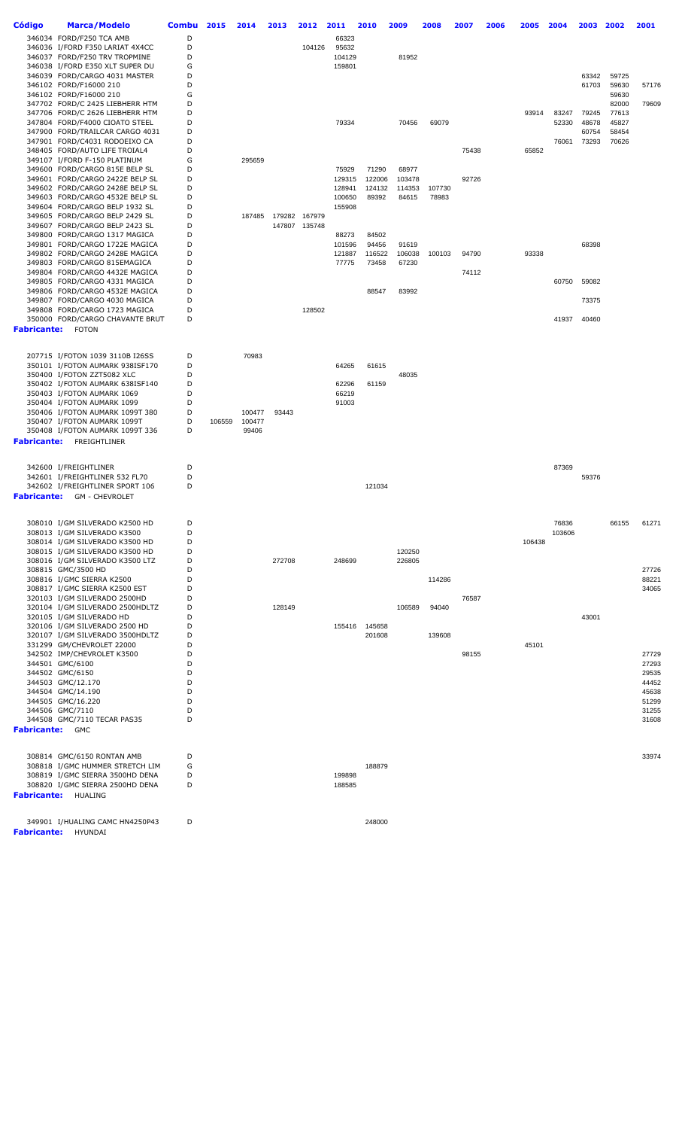| <b>Código</b>      | <b>Marca/Modelo</b>                                                | <b>Combu</b> | 2015   | 2014   | 2013   | 2012                           | 2011   | 2010                    | 2009             | 2008   | 2007  | 2006 | 2005   | 2004   | 2003           | 2002           | 2001           |
|--------------------|--------------------------------------------------------------------|--------------|--------|--------|--------|--------------------------------|--------|-------------------------|------------------|--------|-------|------|--------|--------|----------------|----------------|----------------|
|                    | 346034 FORD/F250 TCA AMB                                           | D            |        |        |        |                                | 66323  |                         |                  |        |       |      |        |        |                |                |                |
|                    | 346036 I/FORD F350 LARIAT 4X4CC                                    | D            |        |        |        | 104126                         | 95632  |                         |                  |        |       |      |        |        |                |                |                |
|                    | 346037 FORD/F250 TRV TROPMINE                                      | D            |        |        |        |                                | 104129 |                         | 81952            |        |       |      |        |        |                |                |                |
|                    | 346038 I/FORD E350 XLT SUPER DU                                    | G            |        |        |        |                                | 159801 |                         |                  |        |       |      |        |        |                |                |                |
|                    | 346039 FORD/CARGO 4031 MASTER<br>346102 FORD/F16000 210            | D<br>D       |        |        |        |                                |        |                         |                  |        |       |      |        |        | 63342<br>61703 | 59725<br>59630 | 57176          |
|                    | 346102 FORD/F16000 210                                             | G            |        |        |        |                                |        |                         |                  |        |       |      |        |        |                | 59630          |                |
|                    | 347702 FORD/C 2425 LIEBHERR HTM                                    | D            |        |        |        |                                |        |                         |                  |        |       |      |        |        |                | 82000          | 79609          |
|                    | 347706 FORD/C 2626 LIEBHERR HTM                                    | D            |        |        |        |                                |        |                         |                  |        |       |      | 93914  | 83247  | 79245          | 77613          |                |
|                    | 347804 FORD/F4000 CIOATO STEEL                                     | D            |        |        |        |                                | 79334  |                         | 70456            | 69079  |       |      |        | 52330  | 48678          | 45827          |                |
|                    | 347900 FORD/TRAILCAR CARGO 4031                                    | D            |        |        |        |                                |        |                         |                  |        |       |      |        |        | 60754          | 58454          |                |
|                    | 347901 FORD/C4031 RODOEIXO CA<br>348405 FORD/AUTO LIFE TROIAL4     | D<br>D       |        |        |        |                                |        |                         |                  |        | 75438 |      | 65852  | 76061  | 73293          | 70626          |                |
|                    | 349107 I/FORD F-150 PLATINUM                                       | G            |        | 295659 |        |                                |        |                         |                  |        |       |      |        |        |                |                |                |
|                    | 349600 FORD/CARGO 815E BELP SL                                     | D            |        |        |        |                                | 75929  | 71290                   | 68977            |        |       |      |        |        |                |                |                |
|                    | 349601 FORD/CARGO 2422E BELP SL                                    | D            |        |        |        |                                | 129315 | 122006                  | 103478           |        | 92726 |      |        |        |                |                |                |
|                    | 349602 FORD/CARGO 2428E BELP SL                                    | D            |        |        |        |                                | 128941 | 124132                  | 114353           | 107730 |       |      |        |        |                |                |                |
|                    | 349603 FORD/CARGO 4532E BELP SL                                    | D            |        |        |        |                                | 100650 | 89392                   | 84615            | 78983  |       |      |        |        |                |                |                |
|                    | 349604 FORD/CARGO BELP 1932 SL                                     | D            |        |        |        |                                | 155908 |                         |                  |        |       |      |        |        |                |                |                |
|                    | 349605 FORD/CARGO BELP 2429 SL<br>349607 FORD/CARGO BELP 2423 SL   | D<br>D       |        | 187485 |        | 179282 167979<br>147807 135748 |        |                         |                  |        |       |      |        |        |                |                |                |
|                    | 349800 FORD/CARGO 1317 MAGICA                                      | D            |        |        |        |                                | 88273  | 84502                   |                  |        |       |      |        |        |                |                |                |
|                    | 349801 FORD/CARGO 1722E MAGICA                                     | D            |        |        |        |                                | 101596 | 94456                   | 91619            |        |       |      |        |        | 68398          |                |                |
|                    | 349802 FORD/CARGO 2428E MAGICA                                     | D            |        |        |        |                                | 121887 | 116522                  | 106038           | 100103 | 94790 |      | 93338  |        |                |                |                |
|                    | 349803 FORD/CARGO 815EMAGICA                                       | D            |        |        |        |                                | 77775  | 73458                   | 67230            |        |       |      |        |        |                |                |                |
|                    | 349804 FORD/CARGO 4432E MAGICA                                     | D            |        |        |        |                                |        |                         |                  |        | 74112 |      |        |        |                |                |                |
|                    | 349805 FORD/CARGO 4331 MAGICA                                      | D            |        |        |        |                                |        |                         |                  |        |       |      |        | 60750  | 59082          |                |                |
|                    | 349806 FORD/CARGO 4532E MAGICA<br>349807 FORD/CARGO 4030 MAGICA    | D<br>D       |        |        |        |                                |        | 88547                   | 83992            |        |       |      |        |        |                |                |                |
|                    | 349808 FORD/CARGO 1723 MAGICA                                      | D            |        |        |        | 128502                         |        |                         |                  |        |       |      |        |        | 73375          |                |                |
|                    | 350000 FORD/CARGO CHAVANTE BRUT                                    | D            |        |        |        |                                |        |                         |                  |        |       |      |        | 41937  | 40460          |                |                |
|                    | <b>Fabricante:</b> FOTON                                           |              |        |        |        |                                |        |                         |                  |        |       |      |        |        |                |                |                |
|                    |                                                                    |              |        |        |        |                                |        |                         |                  |        |       |      |        |        |                |                |                |
|                    |                                                                    |              |        |        |        |                                |        |                         |                  |        |       |      |        |        |                |                |                |
|                    | 207715 I/FOTON 1039 3110B I26SS                                    | D            |        | 70983  |        |                                |        |                         |                  |        |       |      |        |        |                |                |                |
|                    | 350101 I/FOTON AUMARK 938ISF170<br>350400 I/FOTON ZZT5082 XLC      | D<br>D       |        |        |        |                                | 64265  | 61615                   | 48035            |        |       |      |        |        |                |                |                |
|                    | 350402 I/FOTON AUMARK 638ISF140                                    | D            |        |        |        |                                | 62296  | 61159                   |                  |        |       |      |        |        |                |                |                |
|                    | 350403 I/FOTON AUMARK 1069                                         | D            |        |        |        |                                | 66219  |                         |                  |        |       |      |        |        |                |                |                |
|                    | 350404 I/FOTON AUMARK 1099                                         | D            |        |        |        |                                | 91003  |                         |                  |        |       |      |        |        |                |                |                |
|                    | 350406 I/FOTON AUMARK 1099T 380                                    | D            |        | 100477 | 93443  |                                |        |                         |                  |        |       |      |        |        |                |                |                |
|                    | 350407 I/FOTON AUMARK 1099T                                        | D            | 106559 | 100477 |        |                                |        |                         |                  |        |       |      |        |        |                |                |                |
|                    | 350408 I/FOTON AUMARK 1099T 336                                    | D            |        | 99406  |        |                                |        |                         |                  |        |       |      |        |        |                |                |                |
|                    | <b>Fabricante:</b> FREIGHTLINER                                    |              |        |        |        |                                |        |                         |                  |        |       |      |        |        |                |                |                |
|                    |                                                                    |              |        |        |        |                                |        |                         |                  |        |       |      |        |        |                |                |                |
|                    | 342600 I/FREIGHTLINER                                              | D            |        |        |        |                                |        |                         |                  |        |       |      |        | 87369  |                |                |                |
|                    | 342601 I/FREIGHTLINER 532 FL70                                     | D            |        |        |        |                                |        |                         |                  |        |       |      |        |        | 59376          |                |                |
|                    | 342602 I/FREIGHTLINER SPORT 106                                    | D            |        |        |        |                                |        | 121034                  |                  |        |       |      |        |        |                |                |                |
| <b>Fabricante:</b> | <b>GM - CHEVROLET</b>                                              |              |        |        |        |                                |        |                         |                  |        |       |      |        |        |                |                |                |
|                    |                                                                    |              |        |        |        |                                |        |                         |                  |        |       |      |        |        |                |                |                |
|                    | 308010 I/GM SILVERADO K2500 HD                                     |              |        |        |        |                                |        |                         |                  |        |       |      |        | 76836  |                | 66155          | 61271          |
|                    | 308013 I/GM SILVERADO K3500                                        | D            |        |        |        |                                |        |                         |                  |        |       |      |        | 103606 |                |                |                |
|                    | 308014 I/GM SILVERADO K3500 HD                                     | D            |        |        |        |                                |        |                         |                  |        |       |      | 106438 |        |                |                |                |
|                    | 308015 I/GM SILVERADO K3500 HD<br>308016 I/GM SILVERADO K3500 LTZ  | D<br>D       |        |        | 272708 |                                | 248699 |                         | 120250<br>226805 |        |       |      |        |        |                |                |                |
|                    | 308815 GMC/3500 HD                                                 | D            |        |        |        |                                |        |                         |                  |        |       |      |        |        |                |                | 27726          |
|                    | 308816 I/GMC SIERRA K2500                                          | D            |        |        |        |                                |        |                         |                  | 114286 |       |      |        |        |                |                | 88221          |
|                    | 308817 I/GMC SIERRA K2500 EST                                      | D            |        |        |        |                                |        |                         |                  |        |       |      |        |        |                |                | 34065          |
|                    | 320103 I/GM SILVERADO 2500HD                                       | D            |        |        |        |                                |        |                         |                  |        | 76587 |      |        |        |                |                |                |
|                    | 320104 I/GM SILVERADO 2500HDLTZ                                    | D            |        |        | 128149 |                                |        |                         | 106589           | 94040  |       |      |        |        |                |                |                |
|                    | 320105 I/GM SILVERADO HD<br>320106 I/GM SILVERADO 2500 HD          | D            |        |        |        |                                |        |                         |                  |        |       |      |        |        | 43001          |                |                |
|                    | 320107 I/GM SILVERADO 3500HDLTZ                                    | D<br>D       |        |        |        |                                |        | 155416 145658<br>201608 |                  | 139608 |       |      |        |        |                |                |                |
|                    | 331299 GM/CHEVROLET 22000                                          | D            |        |        |        |                                |        |                         |                  |        |       |      | 45101  |        |                |                |                |
|                    | 342502 IMP/CHEVROLET K3500                                         | D            |        |        |        |                                |        |                         |                  |        | 98155 |      |        |        |                |                | 27729          |
|                    | 344501 GMC/6100                                                    | D            |        |        |        |                                |        |                         |                  |        |       |      |        |        |                |                | 27293          |
|                    | 344502 GMC/6150                                                    | D            |        |        |        |                                |        |                         |                  |        |       |      |        |        |                |                | 29535          |
|                    | 344503 GMC/12.170                                                  | D            |        |        |        |                                |        |                         |                  |        |       |      |        |        |                |                | 44452          |
|                    | 344504 GMC/14.190                                                  | D            |        |        |        |                                |        |                         |                  |        |       |      |        |        |                |                | 45638          |
|                    | 344505 GMC/16.220<br>344506 GMC/7110                               | D<br>D       |        |        |        |                                |        |                         |                  |        |       |      |        |        |                |                | 51299<br>31255 |
|                    | 344508 GMC/7110 TECAR PAS35                                        | D            |        |        |        |                                |        |                         |                  |        |       |      |        |        |                |                | 31608          |
| Fabricante: GMC    |                                                                    |              |        |        |        |                                |        |                         |                  |        |       |      |        |        |                |                |                |
|                    |                                                                    |              |        |        |        |                                |        |                         |                  |        |       |      |        |        |                |                |                |
|                    |                                                                    |              |        |        |        |                                |        |                         |                  |        |       |      |        |        |                |                |                |
|                    | 308814 GMC/6150 RONTAN AMB                                         | D            |        |        |        |                                |        |                         |                  |        |       |      |        |        |                |                | 33974          |
|                    | 308818 I/GMC HUMMER STRETCH LIM<br>308819 I/GMC SIERRA 3500HD DENA | G<br>D       |        |        |        |                                | 199898 | 188879                  |                  |        |       |      |        |        |                |                |                |
|                    | 308820 I/GMC SIERRA 2500HD DENA                                    | D            |        |        |        |                                | 188585 |                         |                  |        |       |      |        |        |                |                |                |
|                    | <b>Fabricante: HUALING</b>                                         |              |        |        |        |                                |        |                         |                  |        |       |      |        |        |                |                |                |
|                    |                                                                    |              |        |        |        |                                |        |                         |                  |        |       |      |        |        |                |                |                |
|                    |                                                                    |              |        |        |        |                                |        |                         |                  |        |       |      |        |        |                |                |                |
|                    | 349901 I/HUALING CAMC HN4250P43                                    | D            |        |        |        |                                |        | 248000                  |                  |        |       |      |        |        |                |                |                |
|                    | <b>Fabricante: HYUNDAI</b>                                         |              |        |        |        |                                |        |                         |                  |        |       |      |        |        |                |                |                |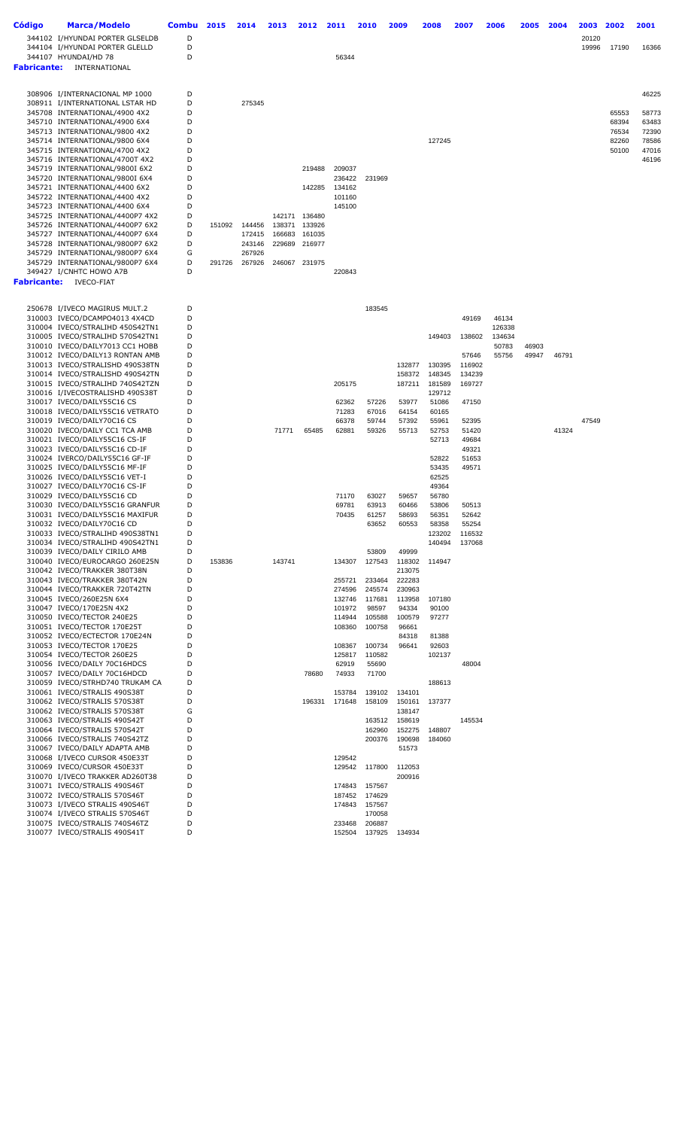| <b>Código</b> | Marca/Modelo                                                       | <b>Combu</b> | 2015   | 2014             | 2013   | 2012          | 2011             | 2010                           | 2009             | 2008            | 2007           | 2006           | 2005  | 2004  | 2003  | 2002  | 2001           |
|---------------|--------------------------------------------------------------------|--------------|--------|------------------|--------|---------------|------------------|--------------------------------|------------------|-----------------|----------------|----------------|-------|-------|-------|-------|----------------|
|               | 344102 I/HYUNDAI PORTER GLSELDB                                    | D            |        |                  |        |               |                  |                                |                  |                 |                |                |       |       | 20120 |       |                |
|               | 344104 I/HYUNDAI PORTER GLELLD                                     | D            |        |                  |        |               |                  |                                |                  |                 |                |                |       |       | 19996 | 17190 | 16366          |
|               | 344107 HYUNDAI/HD 78<br><b>Fabricante:</b> INTERNATIONAL           | D            |        |                  |        |               | 56344            |                                |                  |                 |                |                |       |       |       |       |                |
|               |                                                                    |              |        |                  |        |               |                  |                                |                  |                 |                |                |       |       |       |       |                |
|               |                                                                    |              |        |                  |        |               |                  |                                |                  |                 |                |                |       |       |       |       |                |
|               | 308906 I/INTERNACIONAL MP 1000<br>308911 I/INTERNATIONAL LSTAR HD  | D<br>D       |        |                  |        |               |                  |                                |                  |                 |                |                |       |       |       |       | 46225          |
|               | 345708 INTERNATIONAL/4900 4X2                                      | D            |        | 275345           |        |               |                  |                                |                  |                 |                |                |       |       |       | 65553 | 58773          |
|               | 345710 INTERNATIONAL/4900 6X4                                      | D            |        |                  |        |               |                  |                                |                  |                 |                |                |       |       |       | 68394 | 63483          |
|               | 345713 INTERNATIONAL/9800 4X2                                      | D            |        |                  |        |               |                  |                                |                  |                 |                |                |       |       |       | 76534 | 72390          |
|               | 345714 INTERNATIONAL/9800 6X4                                      | D            |        |                  |        |               |                  |                                |                  | 127245          |                |                |       |       |       | 82260 | 78586          |
|               | 345715 INTERNATIONAL/4700 4X2<br>345716 INTERNATIONAL/4700T 4X2    | D<br>D       |        |                  |        |               |                  |                                |                  |                 |                |                |       |       |       | 50100 | 47016<br>46196 |
|               | 345719 INTERNATIONAL/9800I 6X2                                     | D            |        |                  |        | 219488        | 209037           |                                |                  |                 |                |                |       |       |       |       |                |
|               | 345720 INTERNATIONAL/9800I 6X4                                     | D            |        |                  |        |               |                  | 236422 231969                  |                  |                 |                |                |       |       |       |       |                |
|               | 345721 INTERNATIONAL/4400 6X2                                      | D            |        |                  |        | 142285        | 134162           |                                |                  |                 |                |                |       |       |       |       |                |
|               | 345722 INTERNATIONAL/4400 4X2<br>345723 INTERNATIONAL/4400 6X4     | D<br>D       |        |                  |        |               | 101160<br>145100 |                                |                  |                 |                |                |       |       |       |       |                |
|               | 345725 INTERNATIONAL/4400P7 4X2                                    | D            |        |                  | 142171 | 136480        |                  |                                |                  |                 |                |                |       |       |       |       |                |
|               | 345726 INTERNATIONAL/4400P7 6X2                                    | D            |        | 151092 144456    | 138371 | 133926        |                  |                                |                  |                 |                |                |       |       |       |       |                |
|               | 345727 INTERNATIONAL/4400P7 6X4                                    | D            |        | 172415           | 166683 | 161035        |                  |                                |                  |                 |                |                |       |       |       |       |                |
|               | 345728 INTERNATIONAL/9800P7 6X2<br>345729 INTERNATIONAL/9800P7 6X4 | D<br>G       |        | 243146<br>267926 | 229689 | 216977        |                  |                                |                  |                 |                |                |       |       |       |       |                |
|               | 345729 INTERNATIONAL/9800P7 6X4                                    | D            | 291726 | 267926           |        | 246067 231975 |                  |                                |                  |                 |                |                |       |       |       |       |                |
|               | 349427 I/CNHTC HOWO A7B                                            | D            |        |                  |        |               | 220843           |                                |                  |                 |                |                |       |       |       |       |                |
|               | <b>Fabricante: IVECO-FIAT</b>                                      |              |        |                  |        |               |                  |                                |                  |                 |                |                |       |       |       |       |                |
|               |                                                                    |              |        |                  |        |               |                  |                                |                  |                 |                |                |       |       |       |       |                |
|               | 250678 I/IVECO MAGIRUS MULT.2                                      | D            |        |                  |        |               |                  | 183545                         |                  |                 |                |                |       |       |       |       |                |
|               | 310003 IVECO/DCAMPO4013 4X4CD                                      | D            |        |                  |        |               |                  |                                |                  |                 | 49169          | 46134          |       |       |       |       |                |
|               | 310004 IVECO/STRALIHD 450S42TN1                                    | D            |        |                  |        |               |                  |                                |                  |                 |                | 126338         |       |       |       |       |                |
|               | 310005 IVECO/STRALIHD 570S42TN1                                    | D<br>D       |        |                  |        |               |                  |                                |                  | 149403          | 138602         | 134634         | 46903 |       |       |       |                |
|               | 310010 IVECO/DAILY7013 CC1 HOBB<br>310012 IVECO/DAILY13 RONTAN AMB | D            |        |                  |        |               |                  |                                |                  |                 | 57646          | 50783<br>55756 | 49947 | 46791 |       |       |                |
|               | 310013 IVECO/STRALISHD 490S38TN                                    | D            |        |                  |        |               |                  |                                | 132877           | 130395          | 116902         |                |       |       |       |       |                |
|               | 310014 IVECO/STRALISHD 490S42TN                                    | D            |        |                  |        |               |                  |                                | 158372           | 148345          | 134239         |                |       |       |       |       |                |
|               | 310015 IVECO/STRALIHD 740S42TZN                                    | D            |        |                  |        |               | 205175           |                                | 187211           | 181589          | 169727         |                |       |       |       |       |                |
|               | 310016 I/IVECOSTRALISHD 490S38T<br>310017 IVECO/DAILY55C16 CS      | D<br>D       |        |                  |        |               | 62362            | 57226                          | 53977            | 129712<br>51086 | 47150          |                |       |       |       |       |                |
|               | 310018 IVECO/DAILY55C16 VETRATO                                    | D            |        |                  |        |               | 71283            | 67016                          | 64154            | 60165           |                |                |       |       |       |       |                |
|               | 310019 IVECO/DAILY70C16 CS                                         | D            |        |                  |        |               | 66378            | 59744                          | 57392            | 55961           | 52395          |                |       |       | 47549 |       |                |
|               | 310020 IVECO/DAILY CC1 TCA AMB                                     | D            |        |                  | 71771  | 65485         | 62881            | 59326                          | 55713            | 52753           | 51420          |                |       | 41324 |       |       |                |
|               | 310021 IVECO/DAILY55C16 CS-IF<br>310023 IVECO/DAILY55C16 CD-IF     | D<br>D       |        |                  |        |               |                  |                                |                  | 52713           | 49684<br>49321 |                |       |       |       |       |                |
|               | 310024 IVERCO/DAILY55C16 GF-IF                                     | D            |        |                  |        |               |                  |                                |                  | 52822           | 51653          |                |       |       |       |       |                |
|               | 310025 IVECO/DAILY55C16 MF-IF                                      | D            |        |                  |        |               |                  |                                |                  | 53435           | 49571          |                |       |       |       |       |                |
|               | 310026 IVECO/DAILY55C16 VET-I                                      | D            |        |                  |        |               |                  |                                |                  | 62525           |                |                |       |       |       |       |                |
|               | 310027 IVECO/DAILY70C16 CS-IF                                      | D            |        |                  |        |               |                  |                                |                  | 49364           |                |                |       |       |       |       |                |
|               | 310029 IVECO/DAILY55C16 CD<br>310030 IVECO/DAILY55C16 GRANFUR      | D<br>D       |        |                  |        |               | 71170<br>69781   | 63027<br>63913                 | 59657<br>60466   | 56780<br>53806  | 50513          |                |       |       |       |       |                |
|               | 310031 IVECO/DAILY55C16 MAXIFUR                                    | D            |        |                  |        |               | 70435            | 61257                          | 58693            | 56351           | 52642          |                |       |       |       |       |                |
|               | 310032 IVECO/DAILY70C16 CD                                         | D            |        |                  |        |               |                  | 63652                          | 60553            | 58358           | 55254          |                |       |       |       |       |                |
|               | 310033 IVECO/STRALIHD 490S38TN1                                    | D            |        |                  |        |               |                  |                                |                  | 123202          | 116532         |                |       |       |       |       |                |
|               | 310034 IVECO/STRALIHD 490S42TN1<br>310039 IVECO/DAILY CIRILO AMB   | D<br>D       |        |                  |        |               |                  | 53809                          | 49999            | 140494          | 137068         |                |       |       |       |       |                |
|               | 310040 IVECO/EUROCARGO 260E25N                                     | D            | 153836 |                  | 143741 |               | 134307           | 127543                         | 118302           | 114947          |                |                |       |       |       |       |                |
|               | 310042 IVECO/TRAKKER 380T38N                                       | D            |        |                  |        |               |                  |                                | 213075           |                 |                |                |       |       |       |       |                |
|               | 310043 IVECO/TRAKKER 380T42N                                       | D            |        |                  |        |               | 255721           | 233464                         | 222283           |                 |                |                |       |       |       |       |                |
|               | 310044 IVECO/TRAKKER 720T42TN<br>310045 IVECO/260E25N 6X4          | D<br>D       |        |                  |        |               | 274596<br>132746 | 245574<br>117681               | 230963<br>113958 | 107180          |                |                |       |       |       |       |                |
|               | 310047 IVECO/170E25N 4X2                                           | D            |        |                  |        |               | 101972           | 98597                          | 94334            | 90100           |                |                |       |       |       |       |                |
|               | 310050 IVECO/TECTOR 240E25                                         | D            |        |                  |        |               | 114944           | 105588                         | 100579           | 97277           |                |                |       |       |       |       |                |
|               | 310051 IVECO/TECTOR 170E25T                                        | D            |        |                  |        |               | 108360           | 100758                         | 96661            |                 |                |                |       |       |       |       |                |
|               | 310052 IVECO/ECTECTOR 170E24N<br>310053 IVECO/TECTOR 170E25        | D<br>D       |        |                  |        |               |                  |                                | 84318            | 81388           |                |                |       |       |       |       |                |
|               | 310054 IVECO/TECTOR 260E25                                         | D            |        |                  |        |               | 108367<br>125817 | 100734<br>110582               | 96641            | 92603<br>102137 |                |                |       |       |       |       |                |
|               | 310056 IVECO/DAILY 70C16HDCS                                       | D            |        |                  |        |               | 62919            | 55690                          |                  |                 | 48004          |                |       |       |       |       |                |
|               | 310057 IVECO/DAILY 70C16HDCD                                       | D            |        |                  |        | 78680         | 74933            | 71700                          |                  |                 |                |                |       |       |       |       |                |
|               | 310059 IVECO/STRHD740 TRUKAM CA                                    | D            |        |                  |        |               |                  |                                |                  | 188613          |                |                |       |       |       |       |                |
|               | 310061 IVECO/STRALIS 490S38T<br>310062 IVECO/STRALIS 570S38T       | D<br>D       |        |                  |        | 196331        | 153784<br>171648 | 139102<br>158109               | 134101<br>150161 | 137377          |                |                |       |       |       |       |                |
|               | 310062 IVECO/STRALIS 570S38T                                       | G            |        |                  |        |               |                  |                                | 138147           |                 |                |                |       |       |       |       |                |
|               | 310063 IVECO/STRALIS 490S42T                                       | D            |        |                  |        |               |                  | 163512                         | 158619           |                 | 145534         |                |       |       |       |       |                |
|               | 310064 IVECO/STRALIS 570S42T                                       | D            |        |                  |        |               |                  | 162960                         | 152275           | 148807          |                |                |       |       |       |       |                |
|               | 310066 IVECO/STRALIS 740S42TZ<br>310067 IVECO/DAILY ADAPTA AMB     | D<br>D       |        |                  |        |               |                  | 200376                         | 190698<br>51573  | 184060          |                |                |       |       |       |       |                |
|               | 310068 I/IVECO CURSOR 450E33T                                      | D            |        |                  |        |               | 129542           |                                |                  |                 |                |                |       |       |       |       |                |
|               | 310069 IVECO/CURSOR 450E33T                                        | D            |        |                  |        |               | 129542           | 117800                         | 112053           |                 |                |                |       |       |       |       |                |
|               | 310070 I/IVECO TRAKKER AD260T38                                    | D            |        |                  |        |               |                  |                                | 200916           |                 |                |                |       |       |       |       |                |
|               | 310071 IVECO/STRALIS 490S46T                                       | D            |        |                  |        |               |                  | 174843 157567                  |                  |                 |                |                |       |       |       |       |                |
|               | 310072 IVECO/STRALIS 570S46T<br>310073 I/IVECO STRALIS 490S46T     | D<br>D       |        |                  |        |               |                  | 187452 174629<br>174843 157567 |                  |                 |                |                |       |       |       |       |                |
|               | 310074 I/IVECO STRALIS 570S46T                                     | D            |        |                  |        |               |                  | 170058                         |                  |                 |                |                |       |       |       |       |                |
|               | 310075 IVECO/STRALIS 740S46TZ                                      | D            |        |                  |        |               | 233468           | 206887                         |                  |                 |                |                |       |       |       |       |                |
|               | 310077 IVECO/STRALIS 490S41T                                       | D            |        |                  |        |               |                  | 152504 137925                  | 134934           |                 |                |                |       |       |       |       |                |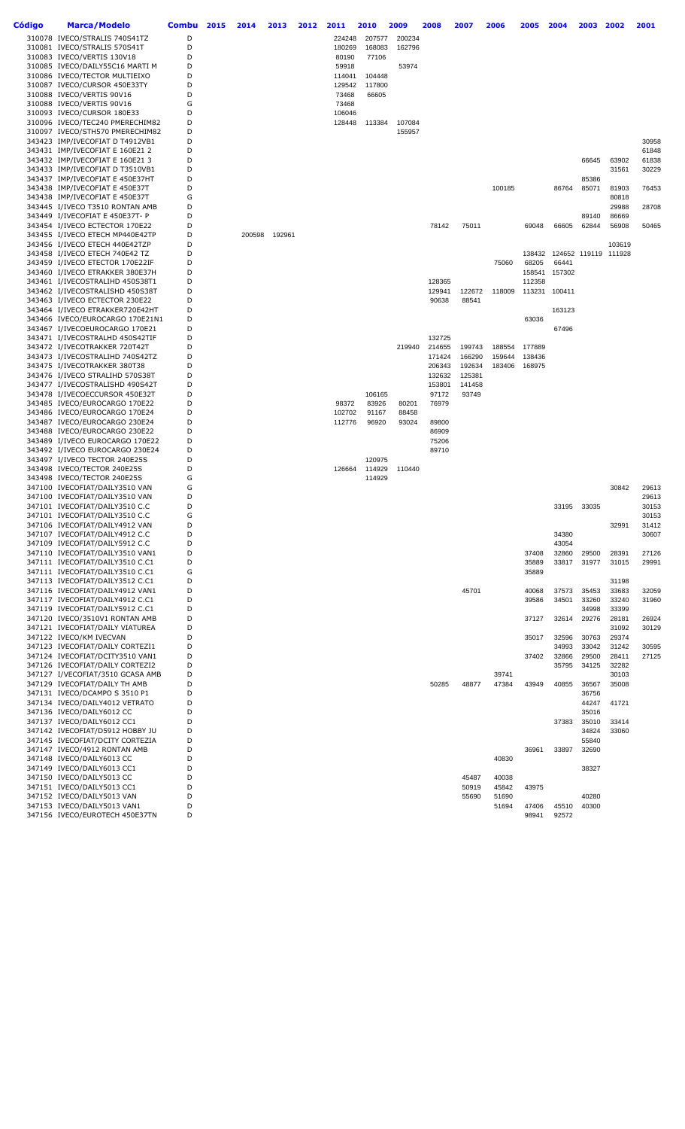| Código | <b>Marca/Modelo</b>                                                | <b>Combu</b> | 2015 | 2014   | 2013   | 2012 | 2011             | 2010   | 2009   | 2008             | 2007             | 2006           | 2005             | 2004   | 2003                 | 2002           | 2001           |
|--------|--------------------------------------------------------------------|--------------|------|--------|--------|------|------------------|--------|--------|------------------|------------------|----------------|------------------|--------|----------------------|----------------|----------------|
|        | 310078 IVECO/STRALIS 740S41TZ                                      | D            |      |        |        |      | 224248           | 207577 | 200234 |                  |                  |                |                  |        |                      |                |                |
|        | 310081 IVECO/STRALIS 570S41T                                       | D            |      |        |        |      | 180269           | 168083 | 162796 |                  |                  |                |                  |        |                      |                |                |
|        | 310083 IVECO/VERTIS 130V18<br>310085 IVECO/DAILY55C16 MARTI M      | D<br>D       |      |        |        |      | 80190<br>59918   | 77106  | 53974  |                  |                  |                |                  |        |                      |                |                |
|        | 310086 IVECO/TECTOR MULTIEIXO                                      | D            |      |        |        |      | 114041           | 104448 |        |                  |                  |                |                  |        |                      |                |                |
|        | 310087 IVECO/CURSOR 450E33TY                                       | D            |      |        |        |      | 129542           | 117800 |        |                  |                  |                |                  |        |                      |                |                |
|        | 310088 IVECO/VERTIS 90V16                                          | D            |      |        |        |      | 73468            | 66605  |        |                  |                  |                |                  |        |                      |                |                |
|        | 310088 IVECO/VERTIS 90V16                                          | G            |      |        |        |      | 73468            |        |        |                  |                  |                |                  |        |                      |                |                |
|        | 310093 IVECO/CURSOR 180E33<br>310096 IVECO/TEC240 PMERECHIM82      | D<br>D       |      |        |        |      | 106046<br>128448 | 113384 | 107084 |                  |                  |                |                  |        |                      |                |                |
|        | 310097 IVECO/STH570 PMERECHIM82                                    | D            |      |        |        |      |                  |        | 155957 |                  |                  |                |                  |        |                      |                |                |
|        | 343423 IMP/IVECOFIAT D T4912VB1                                    | D            |      |        |        |      |                  |        |        |                  |                  |                |                  |        |                      |                | 30958          |
|        | 343431 IMP/IVECOFIAT E 160E21 2                                    | D            |      |        |        |      |                  |        |        |                  |                  |                |                  |        |                      |                | 61848          |
|        | 343432 IMP/IVECOFIAT E 160E21 3                                    | D<br>D       |      |        |        |      |                  |        |        |                  |                  |                |                  |        | 66645                | 63902<br>31561 | 61838          |
|        | 343433 IMP/IVECOFIAT D T3510VB1<br>343437 IMP/IVECOFIAT E 450E37HT | D            |      |        |        |      |                  |        |        |                  |                  |                |                  |        | 85386                |                | 30229          |
|        | 343438 IMP/IVECOFIAT E 450E37T                                     | D            |      |        |        |      |                  |        |        |                  |                  | 100185         |                  | 86764  | 85071                | 81903          | 76453          |
|        | 343438 IMP/IVECOFIAT E 450E37T                                     | G            |      |        |        |      |                  |        |        |                  |                  |                |                  |        |                      | 80818          |                |
|        | 343445 I/IVECO T3510 RONTAN AMB                                    | D            |      |        |        |      |                  |        |        |                  |                  |                |                  |        |                      | 29988          | 28708          |
|        | 343449 I/IVECOFIAT E 450E37T- P<br>343454 I/IVECO ECTECTOR 170E22  | D<br>D       |      |        |        |      |                  |        |        | 78142            | 75011            |                | 69048            | 66605  | 89140<br>62844       | 86669<br>56908 | 50465          |
|        | 343455 I/IVECO ETECH MP440E42TP                                    | D            |      | 200598 | 192961 |      |                  |        |        |                  |                  |                |                  |        |                      |                |                |
|        | 343456 I/IVECO ETECH 440E42TZP                                     | D            |      |        |        |      |                  |        |        |                  |                  |                |                  |        |                      | 103619         |                |
|        | 343458 I/IVECO ETECH 740E42 TZ                                     | D            |      |        |        |      |                  |        |        |                  |                  |                | 138432           |        | 124652 119119 111928 |                |                |
|        | 343459 I/IVECO ETECTOR 170E22IF                                    | D<br>D       |      |        |        |      |                  |        |        |                  |                  | 75060          | 68205            | 66441  |                      |                |                |
|        | 343460 I/IVECO ETRAKKER 380E37H<br>343461 I/IVECOSTRALIHD 450S38T1 | D            |      |        |        |      |                  |        |        | 128365           |                  |                | 158541<br>112358 | 157302 |                      |                |                |
|        | 343462 I/IVECOSTRALISHD 450S38T                                    | D            |      |        |        |      |                  |        |        | 129941           | 122672           | 118009         | 113231           | 100411 |                      |                |                |
|        | 343463 I/IVECO ECTECTOR 230E22                                     | D            |      |        |        |      |                  |        |        | 90638            | 88541            |                |                  |        |                      |                |                |
|        | 343464 I/IVECO ETRAKKER720E42HT                                    | D            |      |        |        |      |                  |        |        |                  |                  |                |                  | 163123 |                      |                |                |
|        | 343466 IVECO/EUROCARGO 170E21N1<br>343467 I/IVECOEUROCARGO 170E21  | D<br>D       |      |        |        |      |                  |        |        |                  |                  |                | 63036            | 67496  |                      |                |                |
|        | 343471 I/IVECOSTRALHD 450S42TIF                                    | D            |      |        |        |      |                  |        |        | 132725           |                  |                |                  |        |                      |                |                |
|        | 343472 I/IVECOTRAKKER 720T42T                                      | D            |      |        |        |      |                  |        | 219940 | 214655           | 199743           | 188554         | 177889           |        |                      |                |                |
|        | 343473 I/IVECOSTRALIHD 740S42TZ                                    | D            |      |        |        |      |                  |        |        | 171424           | 166290           | 159644         | 138436           |        |                      |                |                |
|        | 343475 I/IVECOTRAKKER 380T38                                       | D            |      |        |        |      |                  |        |        | 206343           | 192634           | 183406         | 168975           |        |                      |                |                |
|        | 343476 I/IVECO STRALIHD 570S38T<br>343477 I/IVECOSTRALISHD 490S42T | D<br>D       |      |        |        |      |                  |        |        | 132632<br>153801 | 125381<br>141458 |                |                  |        |                      |                |                |
|        | 343478 I/IVECOECCURSOR 450E32T                                     | D            |      |        |        |      |                  | 106165 |        | 97172            | 93749            |                |                  |        |                      |                |                |
|        | 343485 IVECO/EUROCARGO 170E22                                      | D            |      |        |        |      | 98372            | 83926  | 80201  | 76979            |                  |                |                  |        |                      |                |                |
|        | 343486 IVECO/EUROCARGO 170E24                                      | D            |      |        |        |      | 102702           | 91167  | 88458  |                  |                  |                |                  |        |                      |                |                |
|        | 343487 IVECO/EUROCARGO 230E24<br>343488 IVECO/EUROCARGO 230E22     | D<br>D       |      |        |        |      | 112776           | 96920  | 93024  | 89800<br>86909   |                  |                |                  |        |                      |                |                |
|        | 343489 I/IVECO EUROCARGO 170E22                                    | D            |      |        |        |      |                  |        |        | 75206            |                  |                |                  |        |                      |                |                |
|        | 343492 I/IVECO EUROCARGO 230E24                                    | D            |      |        |        |      |                  |        |        | 89710            |                  |                |                  |        |                      |                |                |
|        | 343497 I/IVECO TECTOR 240E25S                                      | D            |      |        |        |      |                  | 120975 |        |                  |                  |                |                  |        |                      |                |                |
|        | 343498 IVECO/TECTOR 240E25S                                        | D<br>G       |      |        |        |      | 126664           | 114929 | 110440 |                  |                  |                |                  |        |                      |                |                |
|        | 343498 IVECO/TECTOR 240E25S<br>347100 IVECOFIAT/DAILY3510 VAN      | G            |      |        |        |      |                  | 114929 |        |                  |                  |                |                  |        |                      | 30842          | 29613          |
|        | 347100 IVECOFIAT/DAILY3510 VAN                                     | D            |      |        |        |      |                  |        |        |                  |                  |                |                  |        |                      |                | 29613          |
|        | 347101 IVECOFIAT/DAILY3510 C.C                                     | D            |      |        |        |      |                  |        |        |                  |                  |                |                  | 33195  | 33035                |                | 30153          |
|        | 347101 IVECOFIAT/DAILY3510 C.C                                     | G<br>D       |      |        |        |      |                  |        |        |                  |                  |                |                  |        |                      |                | 30153          |
|        | 347106 IVECOFIAT/DAILY4912 VAN<br>347107 IVECOFIAT/DAILY4912 C.C   | D            |      |        |        |      |                  |        |        |                  |                  |                |                  | 34380  |                      | 32991          | 31412<br>30607 |
|        | 347109 IVECOFIAT/DAILY5912 C.C                                     | D            |      |        |        |      |                  |        |        |                  |                  |                |                  | 43054  |                      |                |                |
|        | 347110 IVECOFIAT/DAILY3510 VAN1                                    | D            |      |        |        |      |                  |        |        |                  |                  |                | 37408            | 32860  | 29500                | 28391          | 27126          |
|        | 347111 IVECOFIAT/DAILY3510 C.C1                                    | D            |      |        |        |      |                  |        |        |                  |                  |                | 35889            | 33817  | 31977                | 31015          | 29991          |
|        | 347111 IVECOFIAT/DAILY3510 C.C1<br>347113 IVECOFIAT/DAILY3512 C.C1 | G<br>D       |      |        |        |      |                  |        |        |                  |                  |                | 35889            |        |                      | 31198          |                |
|        | 347116 IVECOFIAT/DAILY4912 VAN1                                    | D            |      |        |        |      |                  |        |        |                  | 45701            |                | 40068            | 37573  | 35453                | 33683          | 32059          |
|        | 347117 IVECOFIAT/DAILY4912 C.C1                                    | D            |      |        |        |      |                  |        |        |                  |                  |                | 39586            | 34501  | 33260                | 33240          | 31960          |
|        | 347119 IVECOFIAT/DAILY5912 C.C1                                    | D            |      |        |        |      |                  |        |        |                  |                  |                |                  |        | 34998                | 33399          |                |
|        | 347120 IVECO/3510V1 RONTAN AMB<br>347121 IVECOFIAT/DAILY VIATUREA  | D<br>D       |      |        |        |      |                  |        |        |                  |                  |                | 37127            | 32614  | 29276                | 28181<br>31092 | 26924<br>30129 |
|        | 347122 IVECO/KM IVECVAN                                            | D            |      |        |        |      |                  |        |        |                  |                  |                | 35017            | 32596  | 30763                | 29374          |                |
|        | 347123 IVECOFIAT/DAILY CORTEZI1                                    | D            |      |        |        |      |                  |        |        |                  |                  |                |                  | 34993  | 33042                | 31242          | 30595          |
|        | 347124 IVECOFIAT/DCITY3510 VAN1                                    | D            |      |        |        |      |                  |        |        |                  |                  |                | 37402            | 32866  | 29500                | 28411          | 27125          |
|        | 347126 IVECOFIAT/DAILY CORTEZI2                                    | D            |      |        |        |      |                  |        |        |                  |                  |                |                  | 35795  | 34125                | 32282          |                |
|        | 347127 I/VECOFIAT/3510 GCASA AMB<br>347129 IVECOFIAT/DAILY TH AMB  | D<br>D       |      |        |        |      |                  |        |        | 50285            | 48877            | 39741<br>47384 | 43949            | 40855  | 36567                | 30103<br>35008 |                |
|        | 347131 IVECO/DCAMPO S 3510 P1                                      | D            |      |        |        |      |                  |        |        |                  |                  |                |                  |        | 36756                |                |                |
|        | 347134 IVECO/DAILY4012 VETRATO                                     | D            |      |        |        |      |                  |        |        |                  |                  |                |                  |        | 44247                | 41721          |                |
|        | 347136 IVECO/DAILY6012 CC                                          | D            |      |        |        |      |                  |        |        |                  |                  |                |                  |        | 35016                |                |                |
|        | 347137 IVECO/DAILY6012 CC1                                         | D<br>D       |      |        |        |      |                  |        |        |                  |                  |                |                  | 37383  | 35010                | 33414          |                |
|        | 347142 IVECOFIAT/D5912 HOBBY JU<br>347145 IVECOFIAT/DCITY CORTEZIA | D            |      |        |        |      |                  |        |        |                  |                  |                |                  |        | 34824<br>55840       | 33060          |                |
|        | 347147 IVECO/4912 RONTAN AMB                                       | D            |      |        |        |      |                  |        |        |                  |                  |                | 36961            | 33897  | 32690                |                |                |
|        | 347148 IVECO/DAILY6013 CC                                          | D            |      |        |        |      |                  |        |        |                  |                  | 40830          |                  |        |                      |                |                |
|        | 347149 IVECO/DAILY6013 CC1                                         | D            |      |        |        |      |                  |        |        |                  |                  |                |                  |        | 38327                |                |                |
|        | 347150 IVECO/DAILY5013 CC<br>347151 IVECO/DAILY5013 CC1            | D<br>D       |      |        |        |      |                  |        |        |                  | 45487<br>50919   | 40038<br>45842 | 43975            |        |                      |                |                |
|        | 347152 IVECO/DAILY5013 VAN                                         | D            |      |        |        |      |                  |        |        |                  | 55690            | 51690          |                  |        | 40280                |                |                |
|        | 347153 IVECO/DAILY5013 VAN1                                        | D            |      |        |        |      |                  |        |        |                  |                  | 51694          | 47406            | 45510  | 40300                |                |                |
|        | 347156 IVECO/EUROTECH 450E37TN                                     | D            |      |        |        |      |                  |        |        |                  |                  |                | 98941            | 92572  |                      |                |                |
|        |                                                                    |              |      |        |        |      |                  |        |        |                  |                  |                |                  |        |                      |                |                |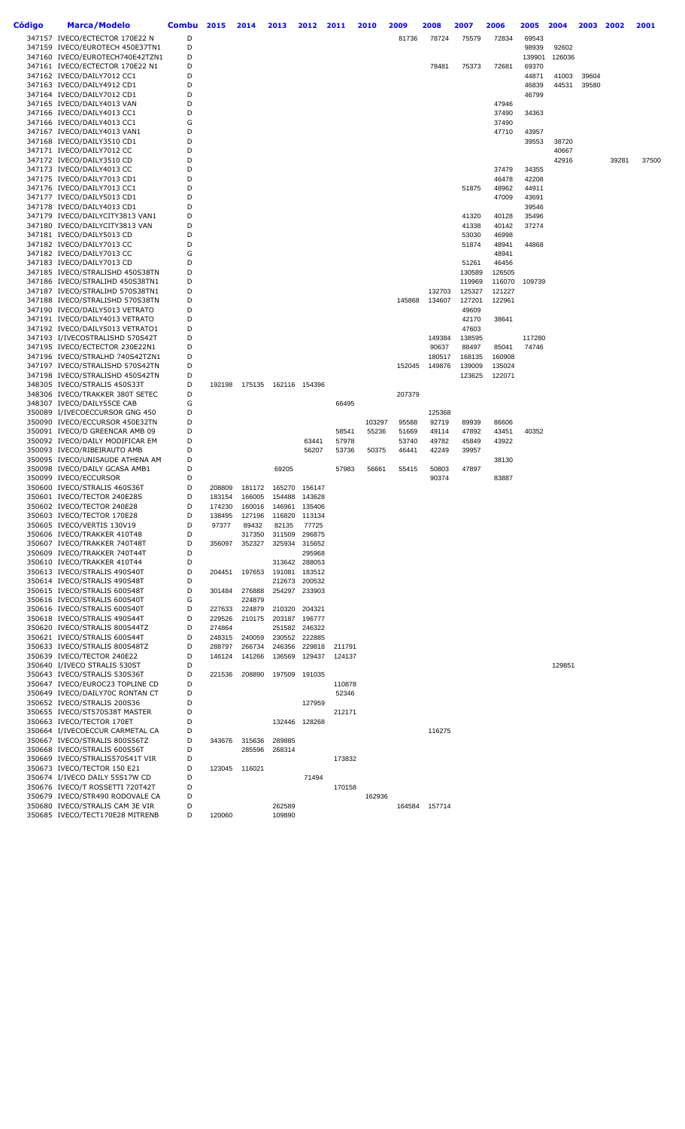| Código | Marca/Modelo                                                       | Combu  | 2015   | 2014          | 2013                   | 2012             | 2011   | 2010            | 2009           | 2008           | 2007             | 2006             | 2005           | 2004   | 2003  | 2002  | 2001  |
|--------|--------------------------------------------------------------------|--------|--------|---------------|------------------------|------------------|--------|-----------------|----------------|----------------|------------------|------------------|----------------|--------|-------|-------|-------|
|        | 347157 IVECO/ECTECTOR 170E22 N                                     | D      |        |               |                        |                  |        |                 | 81736          | 78724          | 75579            | 72834            | 69543          |        |       |       |       |
|        | 347159 IVECO/EUROTECH 450E37TN1                                    | D      |        |               |                        |                  |        |                 |                |                |                  |                  | 98939          | 92602  |       |       |       |
|        | 347160 IVECO/EUROTECH740E42TZN1                                    | D      |        |               |                        |                  |        |                 |                |                |                  |                  | 139901         | 126036 |       |       |       |
|        | 347161 IVECO/ECTECTOR 170E22 N1                                    | D      |        |               |                        |                  |        |                 |                | 78481          | 75373            | 72681            | 69370          |        |       |       |       |
|        | 347162 IVECO/DAILY7012 CC1                                         | D      |        |               |                        |                  |        |                 |                |                |                  |                  | 44871          | 41003  | 39604 |       |       |
|        | 347163 IVECO/DAILY4912 CD1                                         | D      |        |               |                        |                  |        |                 |                |                |                  |                  | 46839          | 44531  | 39580 |       |       |
|        | 347164 IVECO/DAILY7012 CD1                                         | D      |        |               |                        |                  |        |                 |                |                |                  |                  | 46799          |        |       |       |       |
|        | 347165 IVECO/DAILY4013 VAN                                         | D      |        |               |                        |                  |        |                 |                |                |                  | 47946            |                |        |       |       |       |
|        | 347166 IVECO/DAILY4013 CC1                                         | D<br>G |        |               |                        |                  |        |                 |                |                |                  | 37490            | 34363          |        |       |       |       |
|        | 347166 IVECO/DAILY4013 CC1                                         | D      |        |               |                        |                  |        |                 |                |                |                  | 37490            |                |        |       |       |       |
|        | 347167 IVECO/DAILY4013 VAN1<br>347168 IVECO/DAILY3510 CD1          | D      |        |               |                        |                  |        |                 |                |                |                  | 47710            | 43957<br>39553 | 38720  |       |       |       |
|        | 347171 IVECO/DAILY7012 CC                                          | D      |        |               |                        |                  |        |                 |                |                |                  |                  |                | 40667  |       |       |       |
|        | 347172 IVECO/DAILY3510 CD                                          | D      |        |               |                        |                  |        |                 |                |                |                  |                  |                | 42916  |       | 39281 | 37500 |
|        | 347173 IVECO/DAILY4013 CC                                          | D      |        |               |                        |                  |        |                 |                |                |                  | 37479            | 34355          |        |       |       |       |
|        | 347175 IVECO/DAILY7013 CD1                                         | D      |        |               |                        |                  |        |                 |                |                |                  | 46478            | 42208          |        |       |       |       |
|        | 347176 IVECO/DAILY7013 CC1                                         | D      |        |               |                        |                  |        |                 |                |                | 51875            | 48962            | 44911          |        |       |       |       |
|        | 347177 IVECO/DAILY5013 CD1                                         | D      |        |               |                        |                  |        |                 |                |                |                  | 47009            | 43691          |        |       |       |       |
|        | 347178 IVECO/DAILY4013 CD1                                         | D      |        |               |                        |                  |        |                 |                |                |                  |                  | 39546          |        |       |       |       |
|        | 347179 IVECO/DAILYCITY3813 VAN1                                    | D      |        |               |                        |                  |        |                 |                |                | 41320            | 40128            | 35496          |        |       |       |       |
|        | 347180 IVECO/DAILYCITY3813 VAN                                     | D      |        |               |                        |                  |        |                 |                |                | 41338            | 40142            | 37274          |        |       |       |       |
|        | 347181 IVECO/DAILY5013 CD                                          | D      |        |               |                        |                  |        |                 |                |                | 53030            | 46998            |                |        |       |       |       |
|        | 347182 IVECO/DAILY7013 CC                                          | D      |        |               |                        |                  |        |                 |                |                | 51874            | 48941            | 44868          |        |       |       |       |
|        | 347182 IVECO/DAILY7013 CC                                          | G      |        |               |                        |                  |        |                 |                |                |                  | 48941            |                |        |       |       |       |
|        | 347183 IVECO/DAILY7013 CD                                          | D      |        |               |                        |                  |        |                 |                |                | 51261            | 46456            |                |        |       |       |       |
|        | 347185 IVECO/STRALISHD 450S38TN<br>347186 IVECO/STRALIHD 450S38TN1 | D<br>D |        |               |                        |                  |        |                 |                |                | 130589<br>119969 | 126505<br>116070 | 109739         |        |       |       |       |
|        | 347187 IVECO/STRALIHD 570S38TN1                                    | D      |        |               |                        |                  |        |                 |                | 132703         | 125327           | 121227           |                |        |       |       |       |
|        | 347188 IVECO/STRALISHD 570S38TN                                    | D      |        |               |                        |                  |        |                 | 145868         | 134607         | 127201           | 122961           |                |        |       |       |       |
|        | 347190 IVECO/DAILY5013 VETRATO                                     | D      |        |               |                        |                  |        |                 |                |                | 49609            |                  |                |        |       |       |       |
|        | 347191 IVECO/DAILY4013 VETRATO                                     | D      |        |               |                        |                  |        |                 |                |                | 42170            | 38641            |                |        |       |       |       |
|        | 347192 IVECO/DAILY5013 VETRATO1                                    | D      |        |               |                        |                  |        |                 |                |                | 47603            |                  |                |        |       |       |       |
|        | 347193 I/IVECOSTRALISHD 570S42T                                    | D      |        |               |                        |                  |        |                 |                | 149384         | 138595           |                  | 117280         |        |       |       |       |
|        | 347195 IVECO/ECTECTOR 230E22N1                                     | D      |        |               |                        |                  |        |                 |                | 90637          | 88497            | 85041            | 74746          |        |       |       |       |
|        | 347196 IVECO/STRALHD 740S42TZN1                                    | D      |        |               |                        |                  |        |                 |                | 180517         | 168135           | 160908           |                |        |       |       |       |
|        | 347197 IVECO/STRALISHD 570S42TN                                    | D      |        |               |                        |                  |        |                 | 152045         | 149876         | 139009           | 135024           |                |        |       |       |       |
|        | 347198 IVECO/STRALISHD 450S42TN                                    | D      |        |               |                        |                  |        |                 |                |                | 123625           | 122071           |                |        |       |       |       |
|        | 348305 IVECO/STRALIS 450S33T                                       | D      | 192198 |               | 175135  162116  154396 |                  |        |                 |                |                |                  |                  |                |        |       |       |       |
|        | 348306 IVECO/TRAKKER 380T SETEC                                    | D      |        |               |                        |                  |        |                 | 207379         |                |                  |                  |                |        |       |       |       |
|        | 348307 IVECO/DAILY55CE CAB                                         | G      |        |               |                        |                  | 66495  |                 |                |                |                  |                  |                |        |       |       |       |
|        | 350089 I/IVECOECCURSOR GNG 450                                     | D<br>D |        |               |                        |                  |        |                 |                | 125368         |                  |                  |                |        |       |       |       |
|        | 350090 IVECO/ECCURSOR 450E32TN<br>350091 IVECO/D GREENCAR AMB 09   | D      |        |               |                        |                  | 58541  | 103297<br>55236 | 95588<br>51669 | 92719<br>49114 | 89939<br>47892   | 86606<br>43451   | 40352          |        |       |       |       |
|        | 350092 IVECO/DAILY MODIFICAR EM                                    | D      |        |               |                        | 63441            | 57978  |                 | 53740          | 49782          | 45849            | 43922            |                |        |       |       |       |
|        | 350093 IVECO/RIBEIRAUTO AMB                                        | D      |        |               |                        | 56207            | 53736  | 50375           | 46441          | 42249          | 39957            |                  |                |        |       |       |       |
|        | 350095 IVECO/UNISAUDE ATHENA AM                                    | D      |        |               |                        |                  |        |                 |                |                |                  | 38130            |                |        |       |       |       |
|        | 350098 IVECO/DAILY GCASA AMB1                                      | D      |        |               | 69205                  |                  | 57983  | 56661           | 55415          | 50803          | 47897            |                  |                |        |       |       |       |
|        | 350099 IVECO/ECCURSOR                                              | D      |        |               |                        |                  |        |                 |                | 90374          |                  | 83887            |                |        |       |       |       |
|        | 350600 IVECO/STRALIS 460S36T                                       | D      | 208809 | 181172        | 165270                 | 156147           |        |                 |                |                |                  |                  |                |        |       |       |       |
|        | 350601 IVECO/TECTOR 240E28S                                        | D      | 183154 | 166005        | 154488                 | 143628           |        |                 |                |                |                  |                  |                |        |       |       |       |
|        | 350602 IVECO/TECTOR 240E28                                         | D      | 174230 | 160016        | 146961                 | 135406           |        |                 |                |                |                  |                  |                |        |       |       |       |
|        | 350603 IVECO/TECTOR 170E28                                         | D      | 138495 | 127196        | 116820                 | 113134           |        |                 |                |                |                  |                  |                |        |       |       |       |
|        | 350605 IVECO/VERTIS 130V19                                         |        | 97377  | 89432         | 82135                  | 11125            |        |                 |                |                |                  |                  |                |        |       |       |       |
|        | 350606 IVECO/TRAKKER 410T48                                        | D      |        | 317350        | 311509                 | 296875           |        |                 |                |                |                  |                  |                |        |       |       |       |
|        | 350607 IVECO/TRAKKER 740T48T                                       | D      | 356097 | 352327        | 325934                 | 315652           |        |                 |                |                |                  |                  |                |        |       |       |       |
|        | 350609 IVECO/TRAKKER 740T44T<br>350610 IVECO/TRAKKER 410T44        | D<br>D |        |               | 313642                 | 295968<br>288053 |        |                 |                |                |                  |                  |                |        |       |       |       |
|        | 350613 IVECO/STRALIS 490S40T                                       | D      | 204451 | 197653        | 191081                 | 183512           |        |                 |                |                |                  |                  |                |        |       |       |       |
|        | 350614 IVECO/STRALIS 490S48T                                       | D      |        |               | 212673                 | 200532           |        |                 |                |                |                  |                  |                |        |       |       |       |
|        | 350615 IVECO/STRALIS 600S48T                                       | D      | 301484 | 276888        | 254297                 | 233903           |        |                 |                |                |                  |                  |                |        |       |       |       |
|        | 350616 IVECO/STRALIS 600S40T                                       | G      |        | 224879        |                        |                  |        |                 |                |                |                  |                  |                |        |       |       |       |
|        | 350616 IVECO/STRALIS 600S40T                                       | D      | 227633 | 224879        | 210320                 | 204321           |        |                 |                |                |                  |                  |                |        |       |       |       |
|        | 350618 IVECO/STRALIS 490S44T                                       | D      | 229526 | 210175        |                        | 203187 196777    |        |                 |                |                |                  |                  |                |        |       |       |       |
|        | 350620 IVECO/STRALIS 800S44TZ                                      | D      | 274864 |               | 251582                 | 246322           |        |                 |                |                |                  |                  |                |        |       |       |       |
|        | 350621 IVECO/STRALIS 600S44T                                       | D      | 248315 | 240059        | 230552                 | 222885           |        |                 |                |                |                  |                  |                |        |       |       |       |
|        | 350633 IVECO/STRALIS 800S48TZ                                      | D      | 288797 | 266734        | 246356                 | 229818           | 211791 |                 |                |                |                  |                  |                |        |       |       |       |
|        | 350639 IVECO/TECTOR 240E22                                         | D      | 146124 | 141266        | 136569                 | 129437           | 124137 |                 |                |                |                  |                  |                |        |       |       |       |
|        | 350640 I/IVECO STRALIS 530ST                                       | D      |        |               |                        |                  |        |                 |                |                |                  |                  |                | 129851 |       |       |       |
|        | 350643 IVECO/STRALIS 530S36T                                       | D      | 221536 | 208890        | 197509                 | 191035           |        |                 |                |                |                  |                  |                |        |       |       |       |
|        | 350647 IVECO/EUROC23 TOPLINE CD                                    | D<br>D |        |               |                        |                  | 110878 |                 |                |                |                  |                  |                |        |       |       |       |
|        | 350649 IVECO/DAILY70C RONTAN CT<br>350652 IVECO/STRALIS 200S36     | D      |        |               |                        | 127959           | 52346  |                 |                |                |                  |                  |                |        |       |       |       |
|        | 350655 IVECO/ST570S38T MASTER                                      | D      |        |               |                        |                  | 212171 |                 |                |                |                  |                  |                |        |       |       |       |
|        | 350663 IVECO/TECTOR 170ET                                          | D      |        |               | 132446                 | 128268           |        |                 |                |                |                  |                  |                |        |       |       |       |
|        | 350664 I/IVECOECCUR CARMETAL CA                                    | D      |        |               |                        |                  |        |                 |                | 116275         |                  |                  |                |        |       |       |       |
|        | 350667 IVECO/STRALIS 800S56TZ                                      | D      | 343676 | 315636        | 289885                 |                  |        |                 |                |                |                  |                  |                |        |       |       |       |
|        | 350668 IVECO/STRALIS 600S56T                                       | D      |        | 285596        | 268314                 |                  |        |                 |                |                |                  |                  |                |        |       |       |       |
|        | 350669 IVECO/STRALIS570S41T VIR                                    | D      |        |               |                        |                  | 173832 |                 |                |                |                  |                  |                |        |       |       |       |
|        | 350673 IVECO/TECTOR 150 E21                                        | D      |        | 123045 116021 |                        |                  |        |                 |                |                |                  |                  |                |        |       |       |       |
|        | 350674 I/IVECO DAILY 55S17W CD                                     | D      |        |               |                        | 71494            |        |                 |                |                |                  |                  |                |        |       |       |       |
|        | 350676 IVECO/T ROSSETTI 720T42T                                    | D      |        |               |                        |                  | 170158 |                 |                |                |                  |                  |                |        |       |       |       |
|        | 350679 IVECO/STR490 RODOVALE CA                                    | D      |        |               |                        |                  |        | 162936          |                |                |                  |                  |                |        |       |       |       |
|        | 350680 IVECO/STRALIS CAM 3E VIR                                    | D      |        |               | 262589                 |                  |        |                 | 164584         | 157714         |                  |                  |                |        |       |       |       |
|        | 350685 IVECO/TECT170E28 MITRENB                                    | D      | 120060 |               | 109890                 |                  |        |                 |                |                |                  |                  |                |        |       |       |       |
|        |                                                                    |        |        |               |                        |                  |        |                 |                |                |                  |                  |                |        |       |       |       |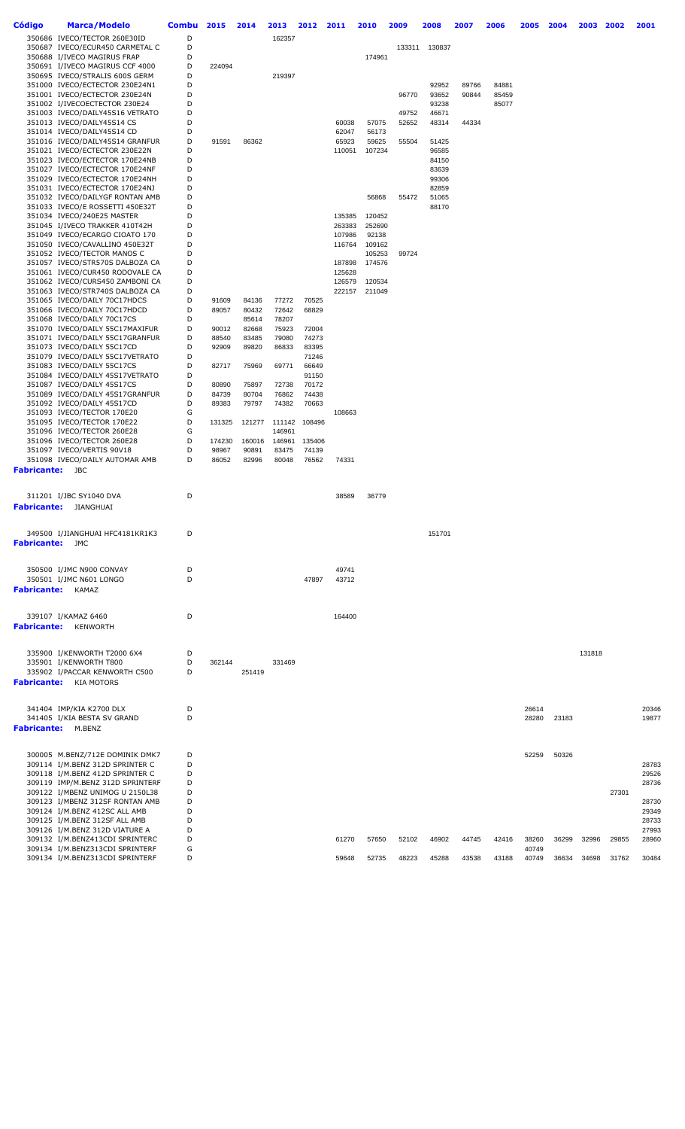| Código                 | <b>Marca/Modelo</b>                                                | <b>Combu</b> | 2015           | 2014           | 2013           | 2012           | 2011   | 2010   | 2009  | 2008           | 2007           | 2006           | 2005           | 2004  | 2003   | 2002  | 2001  |
|------------------------|--------------------------------------------------------------------|--------------|----------------|----------------|----------------|----------------|--------|--------|-------|----------------|----------------|----------------|----------------|-------|--------|-------|-------|
|                        | 350686 IVECO/TECTOR 260E30ID                                       | D            |                |                | 162357         |                |        |        |       |                |                |                |                |       |        |       |       |
|                        | 350687 IVECO/ECUR450 CARMETAL C                                    | D            |                |                |                |                |        |        |       | 133311 130837  |                |                |                |       |        |       |       |
|                        | 350688 I/IVECO MAGIRUS FRAP                                        | D            |                |                |                |                |        | 174961 |       |                |                |                |                |       |        |       |       |
|                        | 350691 I/IVECO MAGIRUS CCF 4000                                    | D            | 224094         |                |                |                |        |        |       |                |                |                |                |       |        |       |       |
|                        | 350695 IVECO/STRALIS 600S GERM                                     | D            |                |                | 219397         |                |        |        |       |                |                |                |                |       |        |       |       |
|                        | 351000 IVECO/ECTECTOR 230E24N1<br>351001 IVECO/ECTECTOR 230E24N    | D<br>D       |                |                |                |                |        |        | 96770 | 92952<br>93652 | 89766<br>90844 | 84881<br>85459 |                |       |        |       |       |
|                        | 351002 I/IVECOECTECTOR 230E24                                      | D            |                |                |                |                |        |        |       | 93238          |                | 85077          |                |       |        |       |       |
|                        | 351003 IVECO/DAILY45S16 VETRATO                                    | D            |                |                |                |                |        |        | 49752 | 46671          |                |                |                |       |        |       |       |
|                        | 351013 IVECO/DAILY45S14 CS                                         | D            |                |                |                |                | 60038  | 57075  | 52652 | 48314          | 44334          |                |                |       |        |       |       |
|                        | 351014 IVECO/DAILY45S14 CD                                         | D            |                |                |                |                | 62047  | 56173  |       |                |                |                |                |       |        |       |       |
|                        | 351016 IVECO/DAILY45S14 GRANFUR                                    | D            | 91591          | 86362          |                |                | 65923  | 59625  | 55504 | 51425          |                |                |                |       |        |       |       |
|                        | 351021 IVECO/ECTECTOR 230E22N                                      | D            |                |                |                |                | 110051 | 107234 |       | 96585          |                |                |                |       |        |       |       |
|                        | 351023 IVECO/ECTECTOR 170E24NB                                     | D            |                |                |                |                |        |        |       | 84150          |                |                |                |       |        |       |       |
|                        | 351027 IVECO/ECTECTOR 170E24NF                                     | D            |                |                |                |                |        |        |       | 83639          |                |                |                |       |        |       |       |
|                        | 351029 IVECO/ECTECTOR 170E24NH                                     | D            |                |                |                |                |        |        |       | 99306          |                |                |                |       |        |       |       |
|                        | 351031 IVECO/ECTECTOR 170E24NJ                                     | D            |                |                |                |                |        |        |       | 82859          |                |                |                |       |        |       |       |
|                        | 351032 IVECO/DAILYGF RONTAN AMB                                    | D<br>D       |                |                |                |                |        | 56868  | 55472 | 51065          |                |                |                |       |        |       |       |
|                        | 351033 IVECO/E ROSSETTI 450E32T<br>351034 IVECO/240E25 MASTER      | D            |                |                |                |                | 135385 | 120452 |       | 88170          |                |                |                |       |        |       |       |
|                        | 351045 I/IVECO TRAKKER 410T42H                                     | D            |                |                |                |                | 263383 | 252690 |       |                |                |                |                |       |        |       |       |
|                        | 351049 IVECO/ECARGO CIOATO 170                                     | D            |                |                |                |                | 107986 | 92138  |       |                |                |                |                |       |        |       |       |
|                        | 351050 IVECO/CAVALLINO 450E32T                                     | D            |                |                |                |                | 116764 | 109162 |       |                |                |                |                |       |        |       |       |
|                        | 351052 IVECO/TECTOR MANOS C                                        | D            |                |                |                |                |        | 105253 | 99724 |                |                |                |                |       |        |       |       |
|                        | 351057 IVECO/STR570S DALBOZA CA                                    | D            |                |                |                |                | 187898 | 174576 |       |                |                |                |                |       |        |       |       |
|                        | 351061 IVECO/CUR450 RODOVALE CA                                    | D            |                |                |                |                | 125628 |        |       |                |                |                |                |       |        |       |       |
|                        | 351062 IVECO/CURS450 ZAMBONI CA                                    | D            |                |                |                |                | 126579 | 120534 |       |                |                |                |                |       |        |       |       |
|                        | 351063 IVECO/STR740S DALBOZA CA                                    | D            |                |                |                |                | 222157 | 211049 |       |                |                |                |                |       |        |       |       |
|                        | 351065 IVECO/DAILY 70C17HDCS                                       | D            | 91609          | 84136          | 77272          | 70525          |        |        |       |                |                |                |                |       |        |       |       |
|                        | 351066 IVECO/DAILY 70C17HDCD                                       | D            | 89057          | 80432          | 72642          | 68829          |        |        |       |                |                |                |                |       |        |       |       |
|                        | 351068 IVECO/DAILY 70C17CS                                         | D            |                | 85614          | 78207          |                |        |        |       |                |                |                |                |       |        |       |       |
|                        | 351070 IVECO/DAILY 55C17MAXIFUR<br>351071 IVECO/DAILY 55C17GRANFUR | D<br>D       | 90012          | 82668          | 75923          | 72004          |        |        |       |                |                |                |                |       |        |       |       |
|                        | 351073 IVECO/DAILY 55C17CD                                         | D            | 88540<br>92909 | 83485<br>89820 | 79080<br>86833 | 74273<br>83395 |        |        |       |                |                |                |                |       |        |       |       |
|                        | 351079 IVECO/DAILY 55C17VETRATO                                    | D            |                |                |                | 71246          |        |        |       |                |                |                |                |       |        |       |       |
|                        | 351083 IVECO/DAILY 55C17CS                                         | D            | 82717          | 75969          | 69771          | 66649          |        |        |       |                |                |                |                |       |        |       |       |
|                        | 351084 IVECO/DAILY 45S17VETRATO                                    | D            |                |                |                | 91150          |        |        |       |                |                |                |                |       |        |       |       |
|                        | 351087 IVECO/DAILY 45S17CS                                         | D            | 80890          | 75897          | 72738          | 70172          |        |        |       |                |                |                |                |       |        |       |       |
|                        | 351089 IVECO/DAILY 45S17GRANFUR                                    | D            | 84739          | 80704          | 76862          | 74438          |        |        |       |                |                |                |                |       |        |       |       |
|                        | 351092 IVECO/DAILY 45S17CD                                         | D            | 89383          | 79797          | 74382          | 70663          |        |        |       |                |                |                |                |       |        |       |       |
|                        | 351093 IVECO/TECTOR 170E20                                         | G            |                |                |                |                | 108663 |        |       |                |                |                |                |       |        |       |       |
|                        | 351095 IVECO/TECTOR 170E22                                         | D            | 131325         | 121277         | 111142         | 108496         |        |        |       |                |                |                |                |       |        |       |       |
|                        | 351096 IVECO/TECTOR 260E28                                         | G            |                |                | 146961         |                |        |        |       |                |                |                |                |       |        |       |       |
|                        | 351096 IVECO/TECTOR 260E28                                         | D            | 174230         | 160016         | 146961         | 135406         |        |        |       |                |                |                |                |       |        |       |       |
|                        | 351097 IVECO/VERTIS 90V18                                          | D            | 98967          | 90891          | 83475          | 74139          |        |        |       |                |                |                |                |       |        |       |       |
|                        | 351098 IVECO/DAILY AUTOMAR AMB                                     | D            | 86052          | 82996          | 80048          | 76562          | 74331  |        |       |                |                |                |                |       |        |       |       |
| <b>Fabricante:</b> JBC |                                                                    |              |                |                |                |                |        |        |       |                |                |                |                |       |        |       |       |
|                        |                                                                    |              |                |                |                |                |        |        |       |                |                |                |                |       |        |       |       |
|                        | 311201 I/JBC SY1040 DVA                                            | D            |                |                |                |                | 38589  | 36779  |       |                |                |                |                |       |        |       |       |
| <b>Fabricante:</b>     | JIANGHUAI                                                          |              |                |                |                |                |        |        |       |                |                |                |                |       |        |       |       |
|                        |                                                                    |              |                |                |                |                |        |        |       |                |                |                |                |       |        |       |       |
|                        | 349500 I/JIANGHUAI HFC4181KR1K3                                    | D            |                |                |                |                |        |        |       | 151701         |                |                |                |       |        |       |       |
| Fabricante:            | JMC                                                                |              |                |                |                |                |        |        |       |                |                |                |                |       |        |       |       |
|                        |                                                                    |              |                |                |                |                |        |        |       |                |                |                |                |       |        |       |       |
|                        |                                                                    |              |                |                |                |                |        |        |       |                |                |                |                |       |        |       |       |
|                        | 350500 I/JMC N900 CONVAY                                           | D            |                |                |                |                | 49741  |        |       |                |                |                |                |       |        |       |       |
|                        | 350501 I/JMC N601 LONGO                                            | D            |                |                |                | 47897          | 43712  |        |       |                |                |                |                |       |        |       |       |
|                        | <b>Fabricante:</b> KAMAZ                                           |              |                |                |                |                |        |        |       |                |                |                |                |       |        |       |       |
|                        |                                                                    |              |                |                |                |                |        |        |       |                |                |                |                |       |        |       |       |
|                        | 339107 I/KAMAZ 6460                                                | D            |                |                |                |                | 164400 |        |       |                |                |                |                |       |        |       |       |
| Fabricante:            | KENWORTH                                                           |              |                |                |                |                |        |        |       |                |                |                |                |       |        |       |       |
|                        |                                                                    |              |                |                |                |                |        |        |       |                |                |                |                |       |        |       |       |
|                        |                                                                    |              |                |                |                |                |        |        |       |                |                |                |                |       |        |       |       |
|                        | 335900 I/KENWORTH T2000 6X4                                        | D            |                |                |                |                |        |        |       |                |                |                |                |       | 131818 |       |       |
|                        | 335901 I/KENWORTH T800                                             | D            | 362144         |                | 331469         |                |        |        |       |                |                |                |                |       |        |       |       |
|                        | 335902 I/PACCAR KENWORTH C500                                      | D            |                | 251419         |                |                |        |        |       |                |                |                |                |       |        |       |       |
|                        | <b>Fabricante:</b> KIA MOTORS                                      |              |                |                |                |                |        |        |       |                |                |                |                |       |        |       |       |
|                        |                                                                    |              |                |                |                |                |        |        |       |                |                |                |                |       |        |       |       |
|                        | 341404 IMP/KIA K2700 DLX                                           | D            |                |                |                |                |        |        |       |                |                |                | 26614          |       |        |       | 20346 |
|                        | 341405 I/KIA BESTA SV GRAND                                        | D            |                |                |                |                |        |        |       |                |                |                | 28280          | 23183 |        |       | 19877 |
|                        | <b>Fabricante:</b> M.BENZ                                          |              |                |                |                |                |        |        |       |                |                |                |                |       |        |       |       |
|                        |                                                                    |              |                |                |                |                |        |        |       |                |                |                |                |       |        |       |       |
|                        | 300005 M.BENZ/712E DOMINIK DMK7                                    | D            |                |                |                |                |        |        |       |                |                |                | 52259          | 50326 |        |       |       |
|                        | 309114 I/M.BENZ 312D SPRINTER C                                    | D            |                |                |                |                |        |        |       |                |                |                |                |       |        |       | 28783 |
|                        | 309118 I/M.BENZ 412D SPRINTER C                                    | D            |                |                |                |                |        |        |       |                |                |                |                |       |        |       | 29526 |
|                        | 309119 IMP/M.BENZ 312D SPRINTERF                                   | D            |                |                |                |                |        |        |       |                |                |                |                |       |        |       | 28736 |
|                        | 309122 I/MBENZ UNIMOG U 2150L38                                    | D            |                |                |                |                |        |        |       |                |                |                |                |       |        | 27301 |       |
|                        | 309123 I/MBENZ 312SF RONTAN AMB                                    | D            |                |                |                |                |        |        |       |                |                |                |                |       |        |       | 28730 |
|                        | 309124 I/M.BENZ 412SC ALL AMB                                      | D            |                |                |                |                |        |        |       |                |                |                |                |       |        |       | 29349 |
|                        | 309125 I/M.BENZ 312SF ALL AMB                                      | D            |                |                |                |                |        |        |       |                |                |                |                |       |        |       | 28733 |
|                        | 309126 I/M.BENZ 312D VIATURE A                                     | D            |                |                |                |                |        |        |       |                |                |                |                |       |        |       | 27993 |
|                        | 309132 I/M.BENZ413CDI SPRINTERC<br>309134 I/M.BENZ313CDI SPRINTERF | D<br>G       |                |                |                |                | 61270  | 57650  | 52102 | 46902          | 44745          | 42416          | 38260<br>40749 | 36299 | 32996  | 29855 | 28960 |
|                        | 309134 I/M.BENZ313CDI SPRINTERF                                    | D            |                |                |                |                | 59648  | 52735  | 48223 | 45288          | 43538          | 43188          | 40749          | 36634 | 34698  | 31762 | 30484 |
|                        |                                                                    |              |                |                |                |                |        |        |       |                |                |                |                |       |        |       |       |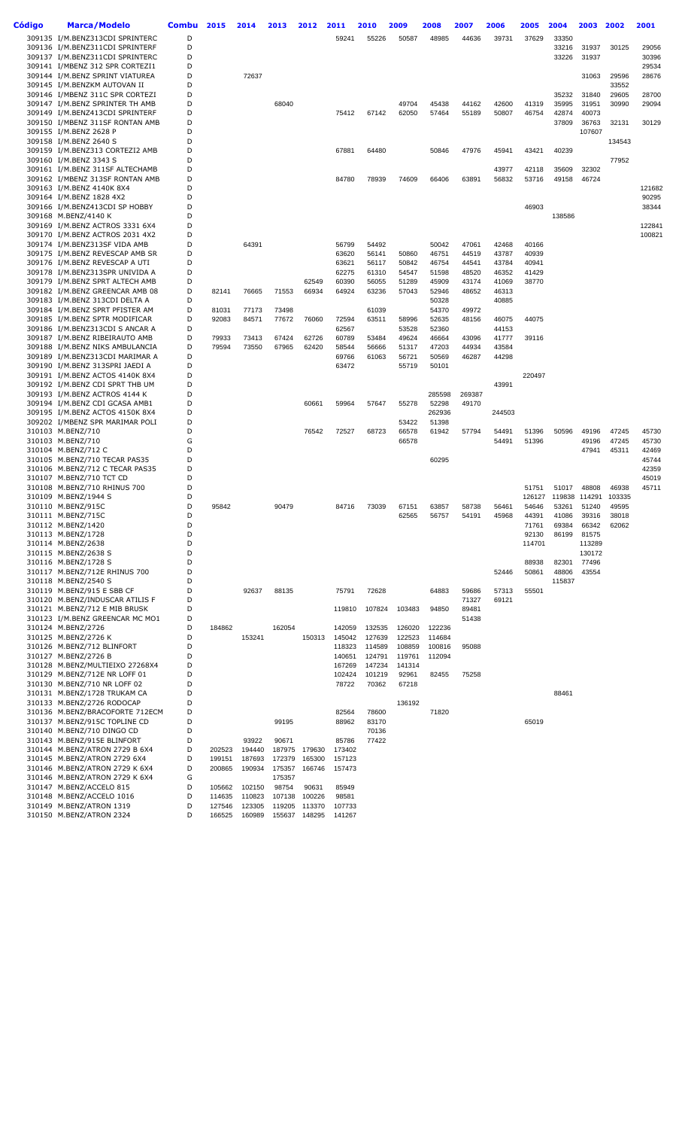| Código | <b>Marca/Modelo</b>                                                | <b>Combu</b> | 2015             | 2014             | 2013            | 2012            | 2011            | 2010            | 2009           | 2008            | 2007           | 2006           | 2005           | 2004           | 2003           | 2002           | 2001            |
|--------|--------------------------------------------------------------------|--------------|------------------|------------------|-----------------|-----------------|-----------------|-----------------|----------------|-----------------|----------------|----------------|----------------|----------------|----------------|----------------|-----------------|
|        | 309135 I/M.BENZ313CDI SPRINTERC                                    | D            |                  |                  |                 |                 | 59241           | 55226           | 50587          | 48985           | 44636          | 39731          | 37629          | 33350          |                |                |                 |
|        | 309136 I/M.BENZ311CDI SPRINTERF<br>309137 I/M.BENZ311CDI SPRINTERC | D<br>D       |                  |                  |                 |                 |                 |                 |                |                 |                |                |                | 33216<br>33226 | 31937<br>31937 | 30125          | 29056<br>30396  |
|        | 309141 I/MBENZ 312 SPR CORTEZI1                                    | D            |                  |                  |                 |                 |                 |                 |                |                 |                |                |                |                |                |                | 29534           |
|        | 309144 I/M.BENZ SPRINT VIATUREA                                    | D            |                  | 72637            |                 |                 |                 |                 |                |                 |                |                |                |                | 31063          | 29596          | 28676           |
|        | 309145 I/M.BENZKM AUTOVAN II                                       | D            |                  |                  |                 |                 |                 |                 |                |                 |                |                |                |                |                | 33552          |                 |
|        | 309146 I/MBENZ 311C SPR CORTEZI<br>309147 I/M.BENZ SPRINTER TH AMB | D<br>D       |                  |                  | 68040           |                 |                 |                 | 49704          | 45438           | 44162          | 42600          | 41319          | 35232<br>35995 | 31840<br>31951 | 29605<br>30990 | 28700<br>29094  |
|        | 309149 I/M.BENZ413CDI SPRINTERF                                    | D            |                  |                  |                 |                 | 75412           | 67142           | 62050          | 57464           | 55189          | 50807          | 46754          | 42874          | 40073          |                |                 |
|        | 309150 I/MBENZ 311SF RONTAN AMB                                    | D            |                  |                  |                 |                 |                 |                 |                |                 |                |                |                | 37809          | 36763          | 32131          | 30129           |
|        | 309155 I/M.BENZ 2628 P                                             | D            |                  |                  |                 |                 |                 |                 |                |                 |                |                |                |                | 107607         |                |                 |
|        | 309158 I/M.BENZ 2640 S<br>309159 I/M.BENZ313 CORTEZI2 AMB          | D<br>D       |                  |                  |                 |                 | 67881           | 64480           |                | 50846           | 47976          | 45941          | 43421          | 40239          |                | 134543         |                 |
|        | 309160 I/M.BENZ 3343 S                                             | D            |                  |                  |                 |                 |                 |                 |                |                 |                |                |                |                |                | 77952          |                 |
|        | 309161 I/M.BENZ 311SF ALTECHAMB                                    | D            |                  |                  |                 |                 |                 |                 |                |                 |                | 43977          | 42118          | 35609          | 32302          |                |                 |
|        | 309162 I/MBENZ 313SF RONTAN AMB                                    | D            |                  |                  |                 |                 | 84780           | 78939           | 74609          | 66406           | 63891          | 56832          | 53716          | 49158          | 46724          |                |                 |
|        | 309163 I/M.BENZ 4140K 8X4<br>309164 I/M.BENZ 1828 4X2              | D<br>D       |                  |                  |                 |                 |                 |                 |                |                 |                |                |                |                |                |                | 121682<br>90295 |
|        | 309166 I/M.BENZ413CDI SP HOBBY                                     | D            |                  |                  |                 |                 |                 |                 |                |                 |                |                | 46903          |                |                |                | 38344           |
|        | 309168 M.BENZ/4140 K                                               | D            |                  |                  |                 |                 |                 |                 |                |                 |                |                |                | 138586         |                |                |                 |
|        | 309169 I/M.BENZ ACTROS 3331 6X4<br>309170 I/M.BENZ ACTROS 2031 4X2 | D<br>D       |                  |                  |                 |                 |                 |                 |                |                 |                |                |                |                |                |                | 122841          |
|        | 309174 I/M.BENZ313SF VIDA AMB                                      | D            |                  | 64391            |                 |                 | 56799           | 54492           |                | 50042           | 47061          | 42468          | 40166          |                |                |                | 100821          |
|        | 309175 I/M.BENZ REVESCAP AMB SR                                    | D            |                  |                  |                 |                 | 63620           | 56141           | 50860          | 46751           | 44519          | 43787          | 40939          |                |                |                |                 |
|        | 309176 I/M.BENZ REVESCAP A UTI                                     | D            |                  |                  |                 |                 | 63621           | 56117           | 50842          | 46754           | 44541          | 43784          | 40941          |                |                |                |                 |
|        | 309178 I/M.BENZ313SPR UNIVIDA A                                    | D            |                  |                  |                 |                 | 62275           | 61310           | 54547          | 51598           | 48520          | 46352          | 41429          |                |                |                |                 |
|        | 309179 I/M.BENZ SPRT ALTECH AMB                                    | D<br>D       | 82141            |                  |                 | 62549           | 60390           | 56055           | 51289<br>57043 | 45909           | 43174<br>48652 | 41069          | 38770          |                |                |                |                 |
|        | 309182 I/M.BENZ GREENCAR AMB 08<br>309183 I/M.BENZ 313CDI DELTA A  | D            |                  | 76665            | 71553           | 66934           | 64924           | 63236           |                | 52946<br>50328  |                | 46313<br>40885 |                |                |                |                |                 |
|        | 309184 I/M.BENZ SPRT PFISTER AM                                    | D            | 81031            | 77173            | 73498           |                 |                 | 61039           |                | 54370           | 49972          |                |                |                |                |                |                 |
|        | 309185 I/M.BENZ SPTR MODIFICAR                                     | D            | 92083            | 84571            | 77672           | 76060           | 72594           | 63511           | 58996          | 52635           | 48156          | 46075          | 44075          |                |                |                |                 |
|        | 309186 I/M.BENZ313CDI S ANCAR A                                    | D            |                  |                  |                 |                 | 62567           |                 | 53528          | 52360           |                | 44153          |                |                |                |                |                 |
|        | 309187 I/M.BENZ RIBEIRAUTO AMB                                     | D            | 79933            | 73413            | 67424           | 62726           | 60789           | 53484           | 49624          | 46664           | 43096          | 41777          | 39116          |                |                |                |                 |
|        | 309188 I/M.BENZ NIKS AMBULANCIA<br>309189 I/M.BENZ313CDI MARIMAR A | D<br>D       | 79594            | 73550            | 67965           | 62420           | 58544<br>69766  | 56666<br>61063  | 51317<br>56721 | 47203<br>50569  | 44934<br>46287 | 43584<br>44298 |                |                |                |                |                 |
|        | 309190 I/M.BENZ 313SPRI JAEDI A                                    | D            |                  |                  |                 |                 | 63472           |                 | 55719          | 50101           |                |                |                |                |                |                |                 |
|        | 309191 I/M.BENZ ACTOS 4140K 8X4                                    | D            |                  |                  |                 |                 |                 |                 |                |                 |                |                | 220497         |                |                |                |                 |
|        | 309192 I/M.BENZ CDI SPRT THB UM                                    | D            |                  |                  |                 |                 |                 |                 |                |                 |                | 43991          |                |                |                |                |                 |
|        | 309193 I/M.BENZ ACTROS 4144 K                                      | D            |                  |                  |                 |                 |                 |                 |                | 285598          | 269387         |                |                |                |                |                |                 |
|        | 309194 I/M.BENZ CDI GCASA AMB1<br>309195 I/M.BENZ ACTOS 4150K 8X4  | D<br>D       |                  |                  |                 | 60661           | 59964           | 57647           | 55278          | 52298<br>262936 | 49170          | 244503         |                |                |                |                |                 |
|        | 309202 I/MBENZ SPR MARIMAR POLI                                    | D            |                  |                  |                 |                 |                 |                 | 53422          | 51398           |                |                |                |                |                |                |                 |
|        | 310103 M.BENZ/710                                                  | D            |                  |                  |                 | 76542           | 72527           | 68723           | 66578          | 61942           | 57794          | 54491          | 51396          | 50596          | 49196          | 47245          | 45730           |
|        | 310103 M.BENZ/710                                                  | G            |                  |                  |                 |                 |                 |                 | 66578          |                 |                | 54491          | 51396          |                | 49196          | 47245          | 45730           |
|        | 310104 M.BENZ/712 C<br>310105 M.BENZ/710 TECAR PAS35               | D<br>D       |                  |                  |                 |                 |                 |                 |                | 60295           |                |                |                |                | 47941          | 45311          | 42469<br>45744  |
|        | 310106 M.BENZ/712 C TECAR PAS35                                    | D            |                  |                  |                 |                 |                 |                 |                |                 |                |                |                |                |                |                | 42359           |
|        | 310107 M.BENZ/710 TCT CD                                           | D            |                  |                  |                 |                 |                 |                 |                |                 |                |                |                |                |                |                | 45019           |
|        | 310108 M.BENZ/710 RHINUS 700                                       | D            |                  |                  |                 |                 |                 |                 |                |                 |                |                | 51751          | 51017          | 48808          | 46938          | 45711           |
|        | 310109 M.BENZ/1944 S                                               | D            |                  |                  |                 |                 |                 |                 |                |                 |                |                | 126127         | 119838         | 114291         | 103335         |                 |
|        | 310110 M.BENZ/915C<br>310111 M.BENZ/715C                           | D<br>D       | 95842            |                  | 90479           |                 | 84716           | 73039           | 67151<br>62565 | 63857<br>56757  | 58738<br>54191 | 56461<br>45968 | 54646<br>44391 | 53261<br>41086 | 51240<br>39316 | 49595<br>38018 |                 |
|        | 310112 M.BENZ/1420                                                 | D            |                  |                  |                 |                 |                 |                 |                |                 |                |                | 71761          | 69384          | 66342          | 62062          |                 |
|        | 310113 M.BENZ/1728                                                 | D            |                  |                  |                 |                 |                 |                 |                |                 |                |                | 92130          | 86199          | 81575          |                |                 |
|        | 310114 M.BENZ/2638                                                 | D            |                  |                  |                 |                 |                 |                 |                |                 |                |                | 114701         |                | 113289         |                |                 |
|        | 310115 M.BENZ/2638 S                                               | D            |                  |                  |                 |                 |                 |                 |                |                 |                |                |                |                | 130172         |                |                 |
|        | 310116 M.BENZ/1728 S<br>310117 M.BENZ/712E RHINUS 700              | D<br>D       |                  |                  |                 |                 |                 |                 |                |                 |                | 52446          | 88938<br>50861 | 82301<br>48806 | 77496<br>43554 |                |                 |
|        | 310118 M.BENZ/2540 S                                               | D            |                  |                  |                 |                 |                 |                 |                |                 |                |                |                | 115837         |                |                |                 |
|        | 310119 M.BENZ/915 E SBB CF                                         | D            |                  | 92637            | 88135           |                 | 75791           | 72628           |                | 64883           | 59686          | 57313          | 55501          |                |                |                |                 |
|        | 310120 M.BENZ/INDUSCAR ATILIS F                                    | D            |                  |                  |                 |                 |                 |                 |                |                 | 71327          | 69121          |                |                |                |                |                 |
|        | 310121 M.BENZ/712 E MIB BRUSK                                      | D            |                  |                  |                 |                 | 119810          | 107824          | 103483         | 94850           | 89481          |                |                |                |                |                |                 |
|        | 310123 I/M.BENZ GREENCAR MC MO1<br>310124 M.BENZ/2726              | D<br>D       | 184862           |                  | 162054          |                 | 142059          | 132535          | 126020         | 122236          | 51438          |                |                |                |                |                |                 |
|        | 310125 M.BENZ/2726 K                                               | D            |                  | 153241           |                 | 150313          | 145042          | 127639          | 122523         | 114684          |                |                |                |                |                |                |                 |
|        | 310126 M.BENZ/712 BLINFORT                                         | D            |                  |                  |                 |                 | 118323          | 114589          | 108859         | 100816          | 95088          |                |                |                |                |                |                 |
|        | 310127 M.BENZ/2726 B                                               | D            |                  |                  |                 |                 | 140651          | 124791          | 119761         | 112094          |                |                |                |                |                |                |                 |
|        | 310128 M.BENZ/MULTIEIXO 27268X4                                    | D<br>D       |                  |                  |                 |                 | 167269          | 147234          | 141314         |                 |                |                |                |                |                |                |                 |
|        | 310129 M.BENZ/712E NR LOFF 01<br>310130 M.BENZ/710 NR LOFF 02      | D            |                  |                  |                 |                 | 102424<br>78722 | 101219<br>70362 | 92961<br>67218 | 82455           | 75258          |                |                |                |                |                |                 |
|        | 310131 M.BENZ/1728 TRUKAM CA                                       | D            |                  |                  |                 |                 |                 |                 |                |                 |                |                |                | 88461          |                |                |                 |
|        | 310133 M.BENZ/2726 RODOCAP                                         | D            |                  |                  |                 |                 |                 |                 | 136192         |                 |                |                |                |                |                |                |                 |
|        | 310136 M.BENZ/BRACOFORTE 712ECM                                    | D            |                  |                  |                 |                 | 82564           | 78600           |                | 71820           |                |                |                |                |                |                |                 |
|        | 310137 M.BENZ/915C TOPLINE CD                                      | D            |                  |                  | 99195           |                 | 88962           | 83170           |                |                 |                |                | 65019          |                |                |                |                 |
|        | 310140 M.BENZ/710 DINGO CD<br>310143 M.BENZ/915E BLINFORT          | D<br>D       |                  | 93922            | 90671           |                 | 85786           | 70136<br>77422  |                |                 |                |                |                |                |                |                |                 |
|        | 310144 M.BENZ/ATRON 2729 B 6X4                                     | D            | 202523           | 194440           |                 | 187975 179630   | 173402          |                 |                |                 |                |                |                |                |                |                |                 |
|        | 310145 M.BENZ/ATRON 2729 6X4                                       | D            | 199151           | 187693           | 172379          | 165300          | 157123          |                 |                |                 |                |                |                |                |                |                |                 |
|        | 310146 M.BENZ/ATRON 2729 K 6X4                                     | D            | 200865           | 190934           | 175357          | 166746          | 157473          |                 |                |                 |                |                |                |                |                |                |                 |
|        | 310146 M.BENZ/ATRON 2729 K 6X4                                     | G            |                  |                  | 175357          |                 |                 |                 |                |                 |                |                |                |                |                |                |                 |
|        | 310147 M.BENZ/ACCELO 815<br>310148 M.BENZ/ACCELO 1016              | D<br>D       | 105662<br>114635 | 102150<br>110823 | 98754<br>107138 | 90631<br>100226 | 85949<br>98581  |                 |                |                 |                |                |                |                |                |                |                 |
|        | 310149 M.BENZ/ATRON 1319                                           | D            | 127546           | 123305           | 119205          | 113370          | 107733          |                 |                |                 |                |                |                |                |                |                |                 |
|        | 310150 M.BENZ/ATRON 2324                                           | D            | 166525           | 160989           | 155637          | 148295          | 141267          |                 |                |                 |                |                |                |                |                |                |                 |
|        |                                                                    |              |                  |                  |                 |                 |                 |                 |                |                 |                |                |                |                |                |                |                 |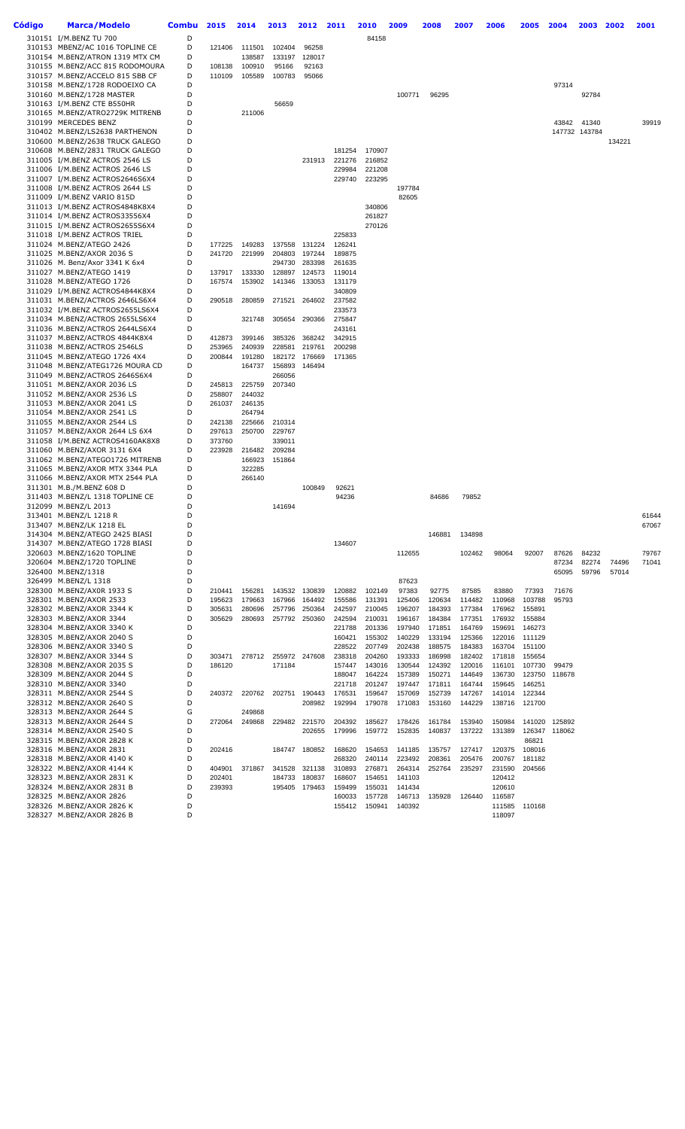| Código | <b>Marca/Modelo</b>                                             | <b>Combu</b> | 2015             | 2014   | 2013             | 2012             | 2011             | 2010             | 2009             | 2008             | 2007             | 2006             | 2005             | 2004   | 2003          | 2002   | 2001  |
|--------|-----------------------------------------------------------------|--------------|------------------|--------|------------------|------------------|------------------|------------------|------------------|------------------|------------------|------------------|------------------|--------|---------------|--------|-------|
|        | 310151 I/M.BENZ TU 700                                          | D            |                  |        |                  |                  |                  | 84158            |                  |                  |                  |                  |                  |        |               |        |       |
|        | 310153 MBENZ/AC 1016 TOPLINE CE                                 | D            | 121406           | 111501 | 102404           | 96258            |                  |                  |                  |                  |                  |                  |                  |        |               |        |       |
|        | 310154 M.BENZ/ATRON 1319 MTX CM                                 | D            |                  | 138587 | 133197           | 128017           |                  |                  |                  |                  |                  |                  |                  |        |               |        |       |
|        | 310155 M.BENZ/ACC 815 RODOMOURA                                 | D            | 108138           | 100910 | 95166            | 92163            |                  |                  |                  |                  |                  |                  |                  |        |               |        |       |
|        | 310157 M.BENZ/ACCELO 815 SBB CF                                 | D            | 110109           | 105589 | 100783           | 95066            |                  |                  |                  |                  |                  |                  |                  |        |               |        |       |
|        | 310158 M.BENZ/1728 RODOEIXO CA                                  | D            |                  |        |                  |                  |                  |                  |                  |                  |                  |                  |                  | 97314  |               |        |       |
|        | 310160 M.BENZ/1728 MASTER                                       | D<br>D       |                  |        |                  |                  |                  |                  | 100771           | 96295            |                  |                  |                  |        | 92784         |        |       |
|        | 310163 I/M.BENZ CTE B550HR<br>310165 M.BENZ/ATRO2729K MITRENB   | D            |                  | 211006 | 56659            |                  |                  |                  |                  |                  |                  |                  |                  |        |               |        |       |
|        | 310199 MERCEDES BENZ                                            | D            |                  |        |                  |                  |                  |                  |                  |                  |                  |                  |                  | 43842  | 41340         |        | 39919 |
|        | 310402 M.BENZ/LS2638 PARTHENON                                  | D            |                  |        |                  |                  |                  |                  |                  |                  |                  |                  |                  |        | 147732 143784 |        |       |
|        | 310600 M.BENZ/2638 TRUCK GALEGO                                 | D            |                  |        |                  |                  |                  |                  |                  |                  |                  |                  |                  |        |               | 134221 |       |
|        | 310608 M.BENZ/2831 TRUCK GALEGO                                 | D            |                  |        |                  |                  | 181254           | 170907           |                  |                  |                  |                  |                  |        |               |        |       |
|        | 311005 I/M.BENZ ACTROS 2546 LS                                  | D            |                  |        |                  | 231913           | 221276           | 216852           |                  |                  |                  |                  |                  |        |               |        |       |
|        | 311006 I/M.BENZ ACTROS 2646 LS                                  | D            |                  |        |                  |                  | 229984           | 221208           |                  |                  |                  |                  |                  |        |               |        |       |
|        | 311007 I/M.BENZ ACTROS2646S6X4                                  | D            |                  |        |                  |                  | 229740           | 223295           |                  |                  |                  |                  |                  |        |               |        |       |
|        | 311008 I/M.BENZ ACTROS 2644 LS                                  | D            |                  |        |                  |                  |                  |                  | 197784           |                  |                  |                  |                  |        |               |        |       |
|        | 311009 I/M.BENZ VARIO 815D                                      | D            |                  |        |                  |                  |                  |                  | 82605            |                  |                  |                  |                  |        |               |        |       |
|        | 311013 I/M.BENZ ACTROS4848K8X4                                  | D<br>D       |                  |        |                  |                  |                  | 340806           |                  |                  |                  |                  |                  |        |               |        |       |
|        | 311014 I/M.BENZ ACTROS33556X4<br>311015 I/M.BENZ ACTROS2655S6X4 | D            |                  |        |                  |                  |                  | 261827<br>270126 |                  |                  |                  |                  |                  |        |               |        |       |
|        | 311018 I/M.BENZ ACTROS TRIEL                                    | D            |                  |        |                  |                  | 225833           |                  |                  |                  |                  |                  |                  |        |               |        |       |
|        | 311024 M.BENZ/ATEGO 2426                                        | D            | 177225           | 149283 | 137558           | 131224           | 126241           |                  |                  |                  |                  |                  |                  |        |               |        |       |
|        | 311025 M.BENZ/AXOR 2036 S                                       | D            | 241720           | 221999 | 204803           | 197244           | 189875           |                  |                  |                  |                  |                  |                  |        |               |        |       |
|        | 311026 M. Benz/Axor 3341 K 6x4                                  | D            |                  |        | 294730           | 283398           | 261635           |                  |                  |                  |                  |                  |                  |        |               |        |       |
|        | 311027 M.BENZ/ATEGO 1419                                        | D            | 137917           | 133330 | 128897           | 124573           | 119014           |                  |                  |                  |                  |                  |                  |        |               |        |       |
|        | 311028 M.BENZ/ATEGO 1726                                        | D            | 167574           | 153902 | 141346           | 133053           | 131179           |                  |                  |                  |                  |                  |                  |        |               |        |       |
|        | 311029 I/M.BENZ ACTROS4844K8X4                                  | D            |                  |        |                  |                  | 340809           |                  |                  |                  |                  |                  |                  |        |               |        |       |
|        | 311031 M.BENZ/ACTROS 2646LS6X4                                  | D            | 290518           | 280859 | 271521           | 264602           | 237582           |                  |                  |                  |                  |                  |                  |        |               |        |       |
|        | 311032 I/M.BENZ ACTROS2655LS6X4                                 | D            |                  |        |                  |                  | 233573           |                  |                  |                  |                  |                  |                  |        |               |        |       |
|        | 311034 M.BENZ/ACTROS 2655LS6X4                                  | D            |                  | 321748 | 305654           | 290366           | 275847           |                  |                  |                  |                  |                  |                  |        |               |        |       |
|        | 311036 M.BENZ/ACTROS 2644LS6X4<br>311037 M.BENZ/ACTROS 4844K8X4 | D<br>D       | 412873           | 399146 | 385326           | 368242           | 243161<br>342915 |                  |                  |                  |                  |                  |                  |        |               |        |       |
|        | 311038 M.BENZ/ACTROS 2546LS                                     | D            | 253965           | 240939 | 228581           | 219761           | 200298           |                  |                  |                  |                  |                  |                  |        |               |        |       |
|        | 311045 M.BENZ/ATEGO 1726 4X4                                    | D            | 200844           | 191280 | 182172           | 176669           | 171365           |                  |                  |                  |                  |                  |                  |        |               |        |       |
|        | 311048 M.BENZ/ATEG1726 MOURA CD                                 | D            |                  | 164737 | 156893           | 146494           |                  |                  |                  |                  |                  |                  |                  |        |               |        |       |
|        | 311049 M.BENZ/ACTROS 2646S6X4                                   | D            |                  |        | 266056           |                  |                  |                  |                  |                  |                  |                  |                  |        |               |        |       |
|        | 311051 M.BENZ/AXOR 2036 LS                                      | D            | 245813           | 225759 | 207340           |                  |                  |                  |                  |                  |                  |                  |                  |        |               |        |       |
|        | 311052 M.BENZ/AXOR 2536 LS                                      | D            | 258807           | 244032 |                  |                  |                  |                  |                  |                  |                  |                  |                  |        |               |        |       |
|        | 311053 M.BENZ/AXOR 2041 LS                                      | D            | 261037           | 246135 |                  |                  |                  |                  |                  |                  |                  |                  |                  |        |               |        |       |
|        | 311054 M.BENZ/AXOR 2541 LS                                      | D            |                  | 264794 |                  |                  |                  |                  |                  |                  |                  |                  |                  |        |               |        |       |
|        | 311055 M.BENZ/AXOR 2544 LS                                      | D            | 242138           | 225666 | 210314           |                  |                  |                  |                  |                  |                  |                  |                  |        |               |        |       |
|        | 311057 M.BENZ/AXOR 2644 LS 6X4                                  | D            | 297613           | 250700 | 229767           |                  |                  |                  |                  |                  |                  |                  |                  |        |               |        |       |
|        | 311058 I/M.BENZ ACTROS4160AK8X8<br>311060 M.BENZ/AXOR 3131 6X4  | D<br>D       | 373760<br>223928 | 216482 | 339011<br>209284 |                  |                  |                  |                  |                  |                  |                  |                  |        |               |        |       |
|        | 311062 M.BENZ/ATEGO1726 MITRENB                                 | D            |                  | 166923 | 151864           |                  |                  |                  |                  |                  |                  |                  |                  |        |               |        |       |
|        | 311065 M.BENZ/AXOR MTX 3344 PLA                                 | D            |                  | 322285 |                  |                  |                  |                  |                  |                  |                  |                  |                  |        |               |        |       |
|        | 311066 M.BENZ/AXOR MTX 2544 PLA                                 | D            |                  | 266140 |                  |                  |                  |                  |                  |                  |                  |                  |                  |        |               |        |       |
|        | 311301 M.B./M.BENZ 608 D                                        | D            |                  |        |                  | 100849           | 92621            |                  |                  |                  |                  |                  |                  |        |               |        |       |
|        | 311403 M.BENZ/L 1318 TOPLINE CE                                 | D            |                  |        |                  |                  | 94236            |                  |                  | 84686            | 79852            |                  |                  |        |               |        |       |
|        | 312099 M.BENZ/L 2013                                            | D            |                  |        | 141694           |                  |                  |                  |                  |                  |                  |                  |                  |        |               |        |       |
|        | 313401 M.BENZ/L 1218 R                                          | D            |                  |        |                  |                  |                  |                  |                  |                  |                  |                  |                  |        |               |        | 61644 |
|        | 313407 M.BENZ/LK 1218 EL                                        | D            |                  |        |                  |                  |                  |                  |                  |                  |                  |                  |                  |        |               |        | 67067 |
|        | 314304 M.BENZ/ATEGO 2425 BIASI                                  | D<br>D       |                  |        |                  |                  |                  |                  |                  | 146881           | 134898           |                  |                  |        |               |        |       |
|        | 314307 M.BENZ/ATEGO 1728 BIASI<br>320603 M.BENZ/1620 TOPLINE    | D            |                  |        |                  |                  | 134607           |                  | 112655           |                  | 102462           | 98064            | 92007            | 87626  | 84232         |        | 79767 |
|        | 320604 M.BENZ/1720 TOPLINE                                      | D            |                  |        |                  |                  |                  |                  |                  |                  |                  |                  |                  | 87234  | 82274         | 74496  | 71041 |
|        | 326400 M.BENZ/1318                                              | D            |                  |        |                  |                  |                  |                  |                  |                  |                  |                  |                  | 65095  | 59796         | 57014  |       |
|        | 326499 M.BENZ/L 1318                                            | D            |                  |        |                  |                  |                  |                  | 87623            |                  |                  |                  |                  |        |               |        |       |
|        | 328300 M.BENZ/AX0R 1933 S                                       | D            | 210441           | 156281 | 143532           | 130839           | 120882           | 102149           | 97383            | 92775            | 87585            | 83880            | 77393            | 71676  |               |        |       |
|        | 328301 M.BENZ/AXOR 2533                                         | D            | 195623           | 179663 | 167966           | 164492           | 155586           | 131391           | 125406           | 120634           | 114482           | 110968           | 103788           | 95793  |               |        |       |
|        | 328302 M.BENZ/AXOR 3344 K                                       | D            | 305631           | 280696 | 257796           | 250364           | 242597           | 210045           | 196207           | 184393           | 177384           | 176962           | 155891           |        |               |        |       |
|        | 328303 M.BENZ/AXOR 3344                                         | D            | 305629           | 280693 | 257792           | 250360           | 242594           | 210031           | 196167           | 184384           | 177351           | 176932           | 155884           |        |               |        |       |
|        | 328304 M.BENZ/AXOR 3340 K                                       | D            |                  |        |                  |                  | 221788           | 201336           | 197940           | 171851           | 164769           | 159691           | 146273           |        |               |        |       |
|        | 328305 M.BENZ/AXOR 2040 S                                       | D            |                  |        |                  |                  | 160421           | 155302           | 140229           | 133194           | 125366           | 122016           | 111129           |        |               |        |       |
|        | 328306 M.BENZ/AXOR 3340 S                                       | D<br>D       |                  |        |                  | 247608           | 228522<br>238318 | 207749<br>204260 | 202438<br>193333 | 188575           | 184383<br>182402 | 163704           | 151100<br>155654 |        |               |        |       |
|        | 328307 M.BENZ/AXOR 3344 S<br>328308 M.BENZ/AXOR 2035 S          | D            | 303471<br>186120 | 278712 | 255972<br>171184 |                  | 157447           | 143016           | 130544           | 186998<br>124392 | 120016           | 171818<br>116101 | 107730           | 99479  |               |        |       |
|        | 328309 M.BENZ/AXOR 2044 S                                       | D            |                  |        |                  |                  | 188047           | 164224           | 157389           | 150271           | 144649           | 136730           | 123750           | 118678 |               |        |       |
|        | 328310 M.BENZ/AXOR 3340                                         | D            |                  |        |                  |                  | 221718           | 201247           | 197447           | 171811           | 164744           | 159645           | 146251           |        |               |        |       |
|        | 328311 M.BENZ/AXOR 2544 S                                       | D            | 240372           | 220762 | 202751           | 190443           | 176531           | 159647           | 157069           | 152739           | 147267           | 141014           | 122344           |        |               |        |       |
|        | 328312 M.BENZ/AXOR 2640 S                                       | D            |                  |        |                  | 208982           | 192994           | 179078           | 171083           | 153160           | 144229           | 138716           | 121700           |        |               |        |       |
|        | 328313 M.BENZ/AXOR 2644 S                                       | G            |                  | 249868 |                  |                  |                  |                  |                  |                  |                  |                  |                  |        |               |        |       |
|        | 328313 M.BENZ/AXOR 2644 S                                       | D            | 272064           | 249868 | 229482           | 221570           | 204392           | 185627           | 178426           | 161784           | 153940           | 150984           | 141020           | 125892 |               |        |       |
|        | 328314 M.BENZ/AXOR 2540 S                                       | D            |                  |        |                  | 202655           | 179996           | 159772           | 152835           | 140837           | 137222           | 131389           | 126347           | 118062 |               |        |       |
|        | 328315 M.BENZ/AXOR 2828 K                                       | D            |                  |        |                  |                  |                  |                  |                  |                  |                  |                  | 86821            |        |               |        |       |
|        | 328316 M.BENZ/AXOR 2831                                         | D            | 202416           |        | 184747           | 180852           | 168620           | 154653           | 141185           | 135757           | 127417           | 120375           | 108016           |        |               |        |       |
|        | 328318 M.BENZ/AXOR 4140 K                                       | D            |                  |        |                  |                  | 268320           | 240114           | 223492           | 208361           | 205476           | 200767           | 181182           |        |               |        |       |
|        | 328322 M.BENZ/AXOR 4144 K                                       | D<br>D       | 404901           | 371867 | 341528           | 321138<br>180837 | 310893           | 276871           | 264314           | 252764           | 235297           | 231590           | 204566           |        |               |        |       |
|        | 328323 M.BENZ/AXOR 2831 K<br>328324 M.BENZ/AXOR 2831 B          | D            | 202401<br>239393 |        | 184733<br>195405 | 179463           | 168607<br>159499 | 154651<br>155031 | 141103<br>141434 |                  |                  | 120412<br>120610 |                  |        |               |        |       |
|        | 328325 M.BENZ/AXOR 2826                                         | D            |                  |        |                  |                  | 160033           | 157728           | 146713           | 135928           | 126440           | 116587           |                  |        |               |        |       |
|        | 328326 M.BENZ/AXOR 2826 K                                       | D            |                  |        |                  |                  | 155412           | 150941           | 140392           |                  |                  | 111585           | 110168           |        |               |        |       |
|        | 328327 M.BENZ/AXOR 2826 B                                       | D            |                  |        |                  |                  |                  |                  |                  |                  |                  | 118097           |                  |        |               |        |       |
|        |                                                                 |              |                  |        |                  |                  |                  |                  |                  |                  |                  |                  |                  |        |               |        |       |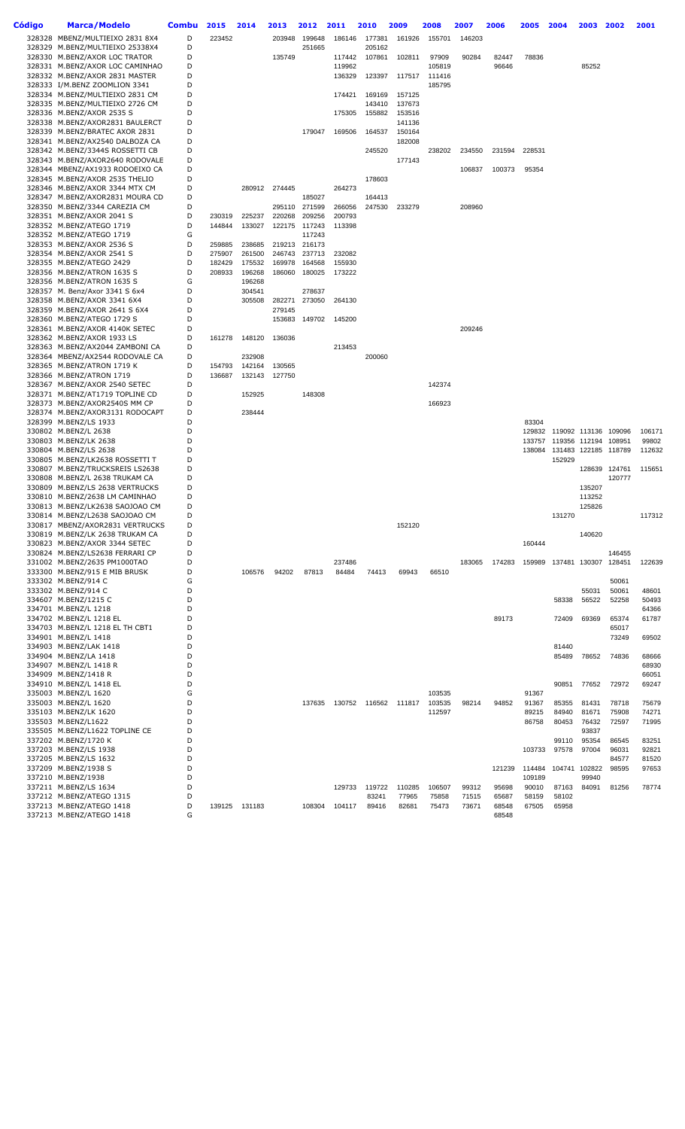| Código | <b>Marca/Modelo</b>                                                | <b>Combu</b> | 2015             | 2014             | 2013             | 2012                    | 2011             | 2010             | 2009             | 2008             | 2007           | 2006           | 2005             | 2004                        | 2003           | 2002                    | 2001            |
|--------|--------------------------------------------------------------------|--------------|------------------|------------------|------------------|-------------------------|------------------|------------------|------------------|------------------|----------------|----------------|------------------|-----------------------------|----------------|-------------------------|-----------------|
|        | 328328 MBENZ/MULTIEIXO 2831 8X4                                    | D            | 223452           |                  | 203948           | 199648                  | 186146           | 177381           | 161926           | 155701           | 146203         |                |                  |                             |                |                         |                 |
|        | 328329 M.BENZ/MULTIEIXO 25338X4                                    | D            |                  |                  |                  | 251665                  |                  | 205162           |                  |                  |                |                |                  |                             |                |                         |                 |
|        | 328330 M.BENZ/AXOR LOC TRATOR                                      | D<br>D       |                  |                  | 135749           |                         | 117442<br>119962 | 107861           | 102811           | 97909            | 90284          | 82447<br>96646 | 78836            |                             | 85252          |                         |                 |
|        | 328331 M.BENZ/AXOR LOC CAMINHAO<br>328332 M.BENZ/AXOR 2831 MASTER  | D            |                  |                  |                  |                         | 136329           | 123397           | 117517           | 105819<br>111416 |                |                |                  |                             |                |                         |                 |
|        | 328333 I/M.BENZ ZOOMLION 3341                                      | D            |                  |                  |                  |                         |                  |                  |                  | 185795           |                |                |                  |                             |                |                         |                 |
|        | 328334 M.BENZ/MULTIEIXO 2831 CM                                    | D            |                  |                  |                  |                         | 174421           | 169169           | 157125           |                  |                |                |                  |                             |                |                         |                 |
|        | 328335 M.BENZ/MULTIEIXO 2726 CM<br>328336 M.BENZ/AXOR 2535 S       | D<br>D       |                  |                  |                  |                         | 175305           | 143410<br>155882 | 137673<br>153516 |                  |                |                |                  |                             |                |                         |                 |
|        | 328338 M.BENZ/AXOR2831 BAULERCT                                    | D            |                  |                  |                  |                         |                  |                  | 141136           |                  |                |                |                  |                             |                |                         |                 |
|        | 328339 M.BENZ/BRATEC AXOR 2831                                     | D            |                  |                  |                  | 179047                  | 169506           | 164537           | 150164           |                  |                |                |                  |                             |                |                         |                 |
|        | 328341 M.BENZ/AX2540 DALBOZA CA<br>328342 M.BENZ/3344S ROSSETTI CB | D<br>D       |                  |                  |                  |                         |                  | 245520           | 182008           | 238202           | 234550         | 231594         | 228531           |                             |                |                         |                 |
|        | 328343 M.BENZ/AXOR2640 RODOVALE                                    | D            |                  |                  |                  |                         |                  |                  | 177143           |                  |                |                |                  |                             |                |                         |                 |
|        | 328344 MBENZ/AX1933 RODOEIXO CA                                    | D            |                  |                  |                  |                         |                  |                  |                  |                  | 106837         | 100373         | 95354            |                             |                |                         |                 |
|        | 328345 M.BENZ/AXOR 2535 THELIO<br>328346 M.BENZ/AXOR 3344 MTX CM   | D<br>D       |                  | 280912           |                  |                         | 264273           | 178603           |                  |                  |                |                |                  |                             |                |                         |                 |
|        | 328347 M.BENZ/AXOR2831 MOURA CD                                    | D            |                  |                  | 274445           | 185027                  |                  | 164413           |                  |                  |                |                |                  |                             |                |                         |                 |
|        | 328350 M.BENZ/3344 CAREZIA CM                                      | D            |                  |                  | 295110           | 271599                  | 266056           | 247530           | 233279           |                  | 208960         |                |                  |                             |                |                         |                 |
|        | 328351 M.BENZ/AXOR 2041 S                                          | D            | 230319           | 225237           | 220268           | 209256                  | 200793           |                  |                  |                  |                |                |                  |                             |                |                         |                 |
|        | 328352 M.BENZ/ATEGO 1719<br>328352 M.BENZ/ATEGO 1719               | D<br>G       | 144844           | 133027           |                  | 122175 117243<br>117243 | 113398           |                  |                  |                  |                |                |                  |                             |                |                         |                 |
|        | 328353 M.BENZ/AXOR 2536 S                                          | D            | 259885           | 238685           |                  | 219213 216173           |                  |                  |                  |                  |                |                |                  |                             |                |                         |                 |
|        | 328354 M.BENZ/AXOR 2541 S                                          | D            | 275907           | 261500           | 246743           | 237713                  | 232082           |                  |                  |                  |                |                |                  |                             |                |                         |                 |
|        | 328355 M.BENZ/ATEGO 2429<br>328356 M.BENZ/ATRON 1635 S             | D<br>D       | 182429<br>208933 | 175532<br>196268 | 169978<br>186060 | 164568<br>180025        | 155930<br>173222 |                  |                  |                  |                |                |                  |                             |                |                         |                 |
|        | 328356 M.BENZ/ATRON 1635 S                                         | G            |                  | 196268           |                  |                         |                  |                  |                  |                  |                |                |                  |                             |                |                         |                 |
|        | 328357 M. Benz/Axor 3341 S 6x4                                     | D            |                  | 304541           |                  | 278637                  |                  |                  |                  |                  |                |                |                  |                             |                |                         |                 |
|        | 328358 M.BENZ/AXOR 3341 6X4                                        | D<br>D       |                  | 305508           | 282271<br>279145 | 273050                  | 264130           |                  |                  |                  |                |                |                  |                             |                |                         |                 |
|        | 328359 M.BENZ/AXOR 2641 S 6X4<br>328360 M.BENZ/ATEGO 1729 S        | D            |                  |                  | 153683           | 149702                  | 145200           |                  |                  |                  |                |                |                  |                             |                |                         |                 |
|        | 328361 M.BENZ/AXOR 4140K SETEC                                     | D            |                  |                  |                  |                         |                  |                  |                  |                  | 209246         |                |                  |                             |                |                         |                 |
|        | 328362 M.BENZ/AXOR 1933 LS                                         | D            | 161278           | 148120           | 136036           |                         |                  |                  |                  |                  |                |                |                  |                             |                |                         |                 |
|        | 328363 M.BENZ/AX2044 ZAMBONI CA<br>328364 MBENZ/AX2544 RODOVALE CA | D<br>D       |                  | 232908           |                  |                         | 213453           | 200060           |                  |                  |                |                |                  |                             |                |                         |                 |
|        | 328365 M.BENZ/ATRON 1719 K                                         | D            | 154793           | 142164           | 130565           |                         |                  |                  |                  |                  |                |                |                  |                             |                |                         |                 |
|        | 328366 M.BENZ/ATRON 1719                                           | D            | 136687           | 132143           | 127750           |                         |                  |                  |                  |                  |                |                |                  |                             |                |                         |                 |
|        | 328367 M.BENZ/AXOR 2540 SETEC<br>328371 M.BENZ/AT1719 TOPLINE CD   | D<br>D       |                  | 152925           |                  | 148308                  |                  |                  |                  | 142374           |                |                |                  |                             |                |                         |                 |
|        | 328373 M.BENZ/AXOR2540S MM CP                                      | D            |                  |                  |                  |                         |                  |                  |                  | 166923           |                |                |                  |                             |                |                         |                 |
|        | 328374 M.BENZ/AXOR3131 RODOCAPT                                    | D            |                  | 238444           |                  |                         |                  |                  |                  |                  |                |                |                  |                             |                |                         |                 |
|        | 328399 M.BENZ/LS 1933                                              | D            |                  |                  |                  |                         |                  |                  |                  |                  |                |                | 83304            |                             |                |                         |                 |
|        | 330802 M.BENZ/L 2638<br>330803 M.BENZ/LK 2638                      | D<br>D       |                  |                  |                  |                         |                  |                  |                  |                  |                |                | 129832<br>133757 | 119092 113136 109096        |                | 119356 112194 108951    | 106171<br>99802 |
|        | 330804 M.BENZ/LS 2638                                              | D            |                  |                  |                  |                         |                  |                  |                  |                  |                |                |                  | 138084 131483 122185 118789 |                |                         | 112632          |
|        | 330805 M.BENZ/LK2638 ROSSETTI T                                    | D            |                  |                  |                  |                         |                  |                  |                  |                  |                |                |                  | 152929                      |                |                         |                 |
|        | 330807 M.BENZ/TRUCKSREIS LS2638<br>330808 M.BENZ/L 2638 TRUKAM CA  | D<br>D       |                  |                  |                  |                         |                  |                  |                  |                  |                |                |                  |                             |                | 128639 124761<br>120777 | 115651          |
|        | 330809 M.BENZ/LS 2638 VERTRUCKS                                    | D            |                  |                  |                  |                         |                  |                  |                  |                  |                |                |                  |                             | 135207         |                         |                 |
|        | 330810 M.BENZ/2638 LM CAMINHAO                                     | D            |                  |                  |                  |                         |                  |                  |                  |                  |                |                |                  |                             | 113252         |                         |                 |
|        | 330813 M.BENZ/LK2638 SAOJOAO CM<br>330814 M.BENZ/L2638 SAOJOAO CM  | D<br>D       |                  |                  |                  |                         |                  |                  |                  |                  |                |                |                  | 131270                      | 125826         |                         | 117312          |
|        | 330817 MBENZ/AXOR2831 VERTRUCKS                                    | D            |                  |                  |                  |                         |                  |                  | 152120           |                  |                |                |                  |                             |                |                         |                 |
|        | 330819 M.BENZ/LK 2638 TRUKAM CA                                    | D            |                  |                  |                  |                         |                  |                  |                  |                  |                |                |                  |                             | 140620         |                         |                 |
|        | 330823 M.BENZ/AXOR 3344 SETEC<br>330824 M.BENZ/LS2638 FERRARI CP   | D<br>D       |                  |                  |                  |                         |                  |                  |                  |                  |                |                | 160444           |                             |                | 146455                  |                 |
|        | 331002 M.BENZ/2635 PM1000TAO                                       | D            |                  |                  |                  |                         | 237486           |                  |                  |                  | 183065         | 174283         |                  | 159989 137481 130307        |                | 128451                  | 122639          |
|        | 333300 M.BENZ/915 E MIB BRUSK                                      | D            |                  | 106576           | 94202            | 87813                   | 84484            | 74413            | 69943            | 66510            |                |                |                  |                             |                |                         |                 |
|        | 333302 M.BENZ/914 C<br>333302 M.BENZ/914 C                         | G<br>D       |                  |                  |                  |                         |                  |                  |                  |                  |                |                |                  |                             | 55031          | 50061<br>50061          | 48601           |
|        | 334607 M.BENZ/1215 C                                               | D            |                  |                  |                  |                         |                  |                  |                  |                  |                |                |                  | 58338                       | 56522          | 52258                   | 50493           |
|        | 334701 M.BENZ/L 1218                                               | D            |                  |                  |                  |                         |                  |                  |                  |                  |                |                |                  |                             |                |                         | 64366           |
|        | 334702 M.BENZ/L 1218 EL                                            | D<br>D       |                  |                  |                  |                         |                  |                  |                  |                  |                | 89173          |                  | 72409                       | 69369          | 65374                   | 61787           |
|        | 334703 M.BENZ/L 1218 EL TH CBT1<br>334901 M.BENZ/L 1418            | D            |                  |                  |                  |                         |                  |                  |                  |                  |                |                |                  |                             |                | 65017<br>73249          | 69502           |
|        | 334903 M.BENZ/LAK 1418                                             | D            |                  |                  |                  |                         |                  |                  |                  |                  |                |                |                  | 81440                       |                |                         |                 |
|        | 334904 M.BENZ/LA 1418                                              | D            |                  |                  |                  |                         |                  |                  |                  |                  |                |                |                  | 85489                       | 78652          | 74836                   | 68666           |
|        | 334907 M.BENZ/L 1418 R<br>334909 M.BENZ/1418 R                     | D<br>D       |                  |                  |                  |                         |                  |                  |                  |                  |                |                |                  |                             |                |                         | 68930<br>66051  |
|        | 334910 M.BENZ/L 1418 EL                                            | D            |                  |                  |                  |                         |                  |                  |                  |                  |                |                |                  | 90851                       | 77652          | 72972                   | 69247           |
|        | 335003 M.BENZ/L 1620                                               | G            |                  |                  |                  |                         |                  |                  |                  | 103535           |                |                | 91367            |                             |                |                         |                 |
|        | 335003 M.BENZ/L 1620<br>335103 M.BENZ/LK 1620                      | D<br>D       |                  |                  |                  | 137635                  | 130752           |                  | 116562 111817    | 103535<br>112597 | 98214          | 94852          | 91367<br>89215   | 85355<br>84940              | 81431<br>81671 | 78718<br>75908          | 75679<br>74271  |
|        | 335503 M.BENZ/L1622                                                | D            |                  |                  |                  |                         |                  |                  |                  |                  |                |                | 86758            | 80453                       | 76432          | 72597                   | 71995           |
|        | 335505 M.BENZ/L1622 TOPLINE CE                                     | D            |                  |                  |                  |                         |                  |                  |                  |                  |                |                |                  |                             | 93837          |                         |                 |
|        | 337202 M.BENZ/1720 K                                               | D<br>D       |                  |                  |                  |                         |                  |                  |                  |                  |                |                | 103733           | 99110<br>97578              | 95354<br>97004 | 86545<br>96031          | 83251<br>92821  |
|        | 337203 M.BENZ/LS 1938<br>337205 M.BENZ/LS 1632                     | D            |                  |                  |                  |                         |                  |                  |                  |                  |                |                |                  |                             |                | 84577                   | 81520           |
|        | 337209 M.BENZ/1938 S                                               | D            |                  |                  |                  |                         |                  |                  |                  |                  |                | 121239         | 114484           |                             | 104741 102822  | 98595                   | 97653           |
|        | 337210 M.BENZ/1938                                                 | D            |                  |                  |                  |                         |                  |                  |                  |                  |                |                | 109189           |                             | 99940          |                         |                 |
|        | 337211 M.BENZ/LS 1634<br>337212 M.BENZ/ATEGO 1315                  | D<br>D       |                  |                  |                  |                         | 129733           | 119722<br>83241  | 110285<br>77965  | 106507<br>75858  | 99312<br>71515 | 95698<br>65687 | 90010<br>58159   | 87163<br>58102              | 84091          | 81256                   | 78774           |
|        | 337213 M.BENZ/ATEGO 1418                                           | D            |                  | 139125 131183    |                  | 108304                  | 104117           | 89416            | 82681            | 75473            | 73671          | 68548          | 67505            | 65958                       |                |                         |                 |
|        | 337213 M.BENZ/ATEGO 1418                                           | G            |                  |                  |                  |                         |                  |                  |                  |                  |                | 68548          |                  |                             |                |                         |                 |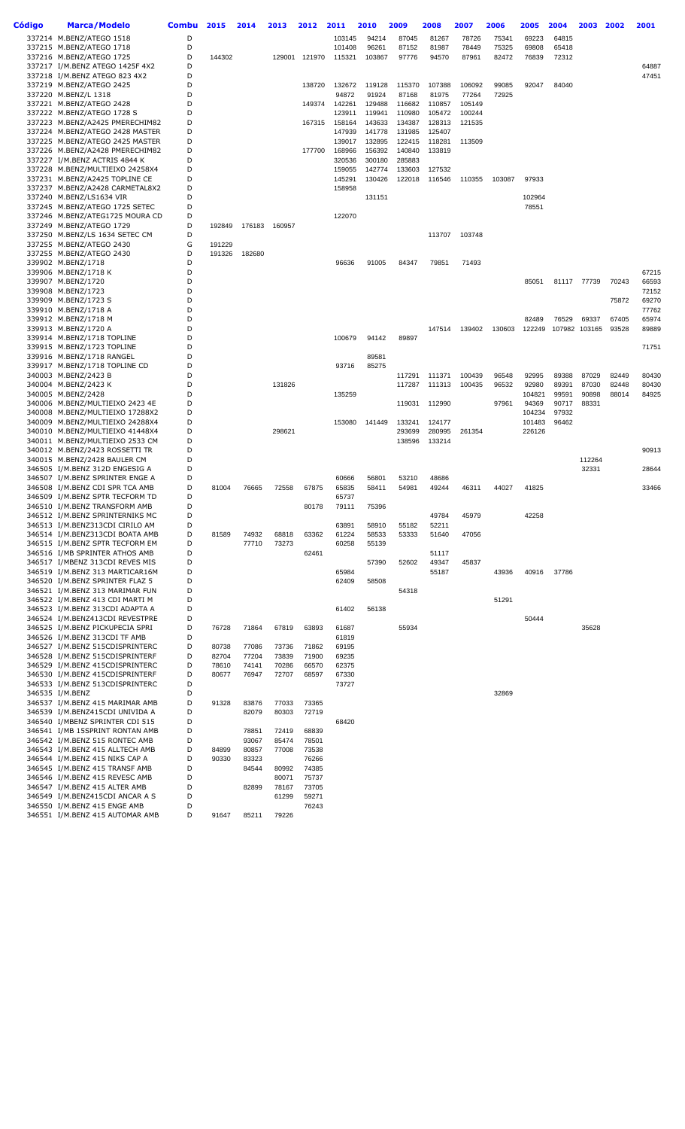| Código | <b>Marca/Modelo</b>                                                | <b>Combu</b> | 2015           | 2014           | 2013           | 2012           | 2011             | 2010             | 2009             | 2008             | 2007             | 2006   | 2005             | 2004            | 2003            | 2002           | 2001           |
|--------|--------------------------------------------------------------------|--------------|----------------|----------------|----------------|----------------|------------------|------------------|------------------|------------------|------------------|--------|------------------|-----------------|-----------------|----------------|----------------|
|        | 337214 M.BENZ/ATEGO 1518                                           | D            |                |                |                |                | 103145           | 94214            | 87045            | 81267            | 78726            | 75341  | 69223            | 64815           |                 |                |                |
|        | 337215 M.BENZ/ATEGO 1718                                           | D            |                |                |                |                | 101408           | 96261            | 87152            | 81987            | 78449            | 75325  | 69808            | 65418           |                 |                |                |
|        | 337216 M.BENZ/ATEGO 1725                                           | D<br>D       | 144302         |                | 129001         | 121970         | 115321           | 103867           | 97776            | 94570            | 87961            | 82472  | 76839            | 72312           |                 |                | 64887          |
|        | 337217 I/M.BENZ ATEGO 1425F 4X2<br>337218 I/M.BENZ ATEGO 823 4X2   | D            |                |                |                |                |                  |                  |                  |                  |                  |        |                  |                 |                 |                | 47451          |
|        | 337219 M.BENZ/ATEGO 2425                                           | D            |                |                |                | 138720         | 132672           | 119128           | 115370           | 107388           | 106092           | 99085  | 92047            | 84040           |                 |                |                |
|        | 337220 M.BENZ/L 1318                                               | D            |                |                |                |                | 94872            | 91924            | 87168            | 81975            | 77264            | 72925  |                  |                 |                 |                |                |
|        | 337221 M.BENZ/ATEGO 2428                                           | D            |                |                |                | 149374         | 142261           | 129488           | 116682           | 110857           | 105149           |        |                  |                 |                 |                |                |
|        | 337222 M.BENZ/ATEGO 1728 S<br>337223 M.BENZ/A2425 PMERECHIM82      | D<br>D       |                |                |                | 167315         | 123911<br>158164 | 119941<br>143633 | 110980<br>134387 | 105472<br>128313 | 100244<br>121535 |        |                  |                 |                 |                |                |
|        | 337224 M.BENZ/ATEGO 2428 MASTER                                    | D            |                |                |                |                | 147939           | 141778           | 131985           | 125407           |                  |        |                  |                 |                 |                |                |
|        | 337225 M.BENZ/ATEGO 2425 MASTER                                    | D            |                |                |                |                | 139017           | 132895           | 122415           | 118281           | 113509           |        |                  |                 |                 |                |                |
|        | 337226 M.BENZ/A2428 PMERECHIM82                                    | D            |                |                |                | 177700         | 168966           | 156392           | 140840           | 133819           |                  |        |                  |                 |                 |                |                |
|        | 337227 I/M.BENZ ACTRIS 4844 K<br>337228 M.BENZ/MULTIEIXO 24258X4   | D<br>D       |                |                |                |                | 320536           | 300180           | 285883           |                  |                  |        |                  |                 |                 |                |                |
|        | 337231 M.BENZ/A2425 TOPLINE CE                                     | D            |                |                |                |                | 159055<br>145291 | 142774<br>130426 | 133603<br>122018 | 127532<br>116546 | 110355           | 103087 | 97933            |                 |                 |                |                |
|        | 337237 M.BENZ/A2428 CARMETAL8X2                                    | D            |                |                |                |                | 158958           |                  |                  |                  |                  |        |                  |                 |                 |                |                |
|        | 337240 M.BENZ/LS1634 VIR                                           | D            |                |                |                |                |                  | 131151           |                  |                  |                  |        | 102964           |                 |                 |                |                |
|        | 337245 M.BENZ/ATEGO 1725 SETEC                                     | D<br>D       |                |                |                |                |                  |                  |                  |                  |                  |        | 78551            |                 |                 |                |                |
|        | 337246 M.BENZ/ATEG1725 MOURA CD<br>337249 M.BENZ/ATEGO 1729        | D            | 192849         | 176183         | 160957         |                | 122070           |                  |                  |                  |                  |        |                  |                 |                 |                |                |
|        | 337250 M.BENZ/LS 1634 SETEC CM                                     | D            |                |                |                |                |                  |                  |                  | 113707           | 103748           |        |                  |                 |                 |                |                |
|        | 337255 M.BENZ/ATEGO 2430                                           | G            | 191229         |                |                |                |                  |                  |                  |                  |                  |        |                  |                 |                 |                |                |
|        | 337255 M.BENZ/ATEGO 2430                                           | D            | 191326         | 182680         |                |                |                  |                  |                  |                  |                  |        |                  |                 |                 |                |                |
|        | 339902 M.BENZ/1718<br>339906 M.BENZ/1718 K                         | D<br>D       |                |                |                |                | 96636            | 91005            | 84347            | 79851            | 71493            |        |                  |                 |                 |                | 67215          |
|        | 339907 M.BENZ/1720                                                 | D            |                |                |                |                |                  |                  |                  |                  |                  |        | 85051            | 81117           | 77739           | 70243          | 66593          |
|        | 339908 M.BENZ/1723                                                 | D            |                |                |                |                |                  |                  |                  |                  |                  |        |                  |                 |                 |                | 72152          |
|        | 339909 M.BENZ/1723 S                                               | D            |                |                |                |                |                  |                  |                  |                  |                  |        |                  |                 |                 | 75872          | 69270          |
|        | 339910 M.BENZ/1718 A                                               | D<br>D       |                |                |                |                |                  |                  |                  |                  |                  |        |                  |                 |                 |                | 77762          |
|        | 339912 M.BENZ/1718 M<br>339913 M.BENZ/1720 A                       | D            |                |                |                |                |                  |                  |                  | 147514           | 139402           | 130603 | 82489<br>122249  | 76529<br>107982 | 69337<br>103165 | 67405<br>93528 | 65974<br>89889 |
|        | 339914 M.BENZ/1718 TOPLINE                                         | D            |                |                |                |                | 100679           | 94142            | 89897            |                  |                  |        |                  |                 |                 |                |                |
|        | 339915 M.BENZ/1723 TOPLINE                                         | D            |                |                |                |                |                  |                  |                  |                  |                  |        |                  |                 |                 |                | 71751          |
|        | 339916 M.BENZ/1718 RANGEL                                          | D            |                |                |                |                |                  | 89581            |                  |                  |                  |        |                  |                 |                 |                |                |
|        | 339917 M.BENZ/1718 TOPLINE CD<br>340003 M.BENZ/2423 B              | D<br>D       |                |                |                |                | 93716            | 85275            | 117291           | 111371           | 100439           | 96548  | 92995            | 89388           | 87029           | 82449          | 80430          |
|        | 340004 M.BENZ/2423 K                                               | D            |                |                | 131826         |                |                  |                  | 117287           | 111313           | 100435           | 96532  | 92980            | 89391           | 87030           | 82448          | 80430          |
|        | 340005 M.BENZ/2428                                                 | D            |                |                |                |                | 135259           |                  |                  |                  |                  |        | 104821           | 99591           | 90898           | 88014          | 84925          |
|        | 340006 M.BENZ/MULTIEIXO 2423 4E                                    | D            |                |                |                |                |                  |                  | 119031           | 112990           |                  | 97961  | 94369            | 90717           | 88331           |                |                |
|        | 340008 M.BENZ/MULTIEIXO 17288X2<br>340009 M.BENZ/MULTIEIXO 24288X4 | D<br>D       |                |                |                |                | 153080           | 141449           | 133241           | 124177           |                  |        | 104234<br>101483 | 97932<br>96462  |                 |                |                |
|        | 340010 M.BENZ/MULTIEIXO 41448X4                                    | D            |                |                | 298621         |                |                  |                  | 293699           | 280995           | 261354           |        | 226126           |                 |                 |                |                |
|        | 340011 M.BENZ/MULTIEIXO 2533 CM                                    | D            |                |                |                |                |                  |                  | 138596           | 133214           |                  |        |                  |                 |                 |                |                |
|        | 340012 M.BENZ/2423 ROSSETTI TR                                     | D            |                |                |                |                |                  |                  |                  |                  |                  |        |                  |                 |                 |                | 90913          |
|        | 340015 M.BENZ/2428 BAULER CM<br>346505 I/M.BENZ 312D ENGESIG A     | D<br>D       |                |                |                |                |                  |                  |                  |                  |                  |        |                  |                 | 112264<br>32331 |                | 28644          |
|        | 346507 I/M.BENZ SPRINTER ENGE A                                    | D            |                |                |                |                | 60666            | 56801            | 53210            | 48686            |                  |        |                  |                 |                 |                |                |
|        | 346508 I/M.BENZ CDI SPR TCA AMB                                    | D            | 81004          | 76665          | 72558          | 67875          | 65835            | 58411            | 54981            | 49244            | 46311            | 44027  | 41825            |                 |                 |                | 33466          |
|        | 346509 I/M.BENZ SPTR TECFORM TD                                    | D            |                |                |                |                | 65737            |                  |                  |                  |                  |        |                  |                 |                 |                |                |
|        | 346510 I/M.BENZ TRANSFORM AMB<br>346512 I/M.BENZ SPRINTERNIKS MC   | D<br>D       |                |                |                | 80178          | 79111            | 75396            |                  | 49784            | 45979            |        | 42258            |                 |                 |                |                |
|        | 346513 I/M.BENZ313CDI CIRILO AM                                    | D            |                |                |                |                | 63891            | 58910            | 55182            | 52211            |                  |        |                  |                 |                 |                |                |
|        | 346514 I/M.BENZ313CDI BOATA AMB                                    | D            | 81589          | 74932          | 68818          | 63362          | 61224            | 58533            | 53333            | 51640            | 47056            |        |                  |                 |                 |                |                |
|        | 346515 I/M.BENZ SPTR TECFORM EM                                    | D            |                | 77710          | 73273          |                | 60258            | 55139            |                  |                  |                  |        |                  |                 |                 |                |                |
|        | 346516 I/MB SPRINTER ATHOS AMB<br>346517 I/MBENZ 313CDI REVES MIS  | D<br>D       |                |                |                | 62461          |                  | 57390            | 52602            | 51117<br>49347   | 45837            |        |                  |                 |                 |                |                |
|        | 346519 I/M.BENZ 313 MARTICAR16M                                    | D            |                |                |                |                | 65984            |                  |                  | 55187            |                  | 43936  | 40916            | 37786           |                 |                |                |
|        | 346520 I/M.BENZ SPRINTER FLAZ 5                                    | D            |                |                |                |                | 62409            | 58508            |                  |                  |                  |        |                  |                 |                 |                |                |
|        | 346521 I/M.BENZ 313 MARIMAR FUN                                    | D            |                |                |                |                |                  |                  | 54318            |                  |                  |        |                  |                 |                 |                |                |
|        | 346522 I/M.BENZ 413 CDI MARTI M<br>346523 I/M.BENZ 313CDI ADAPTA A | D<br>D       |                |                |                |                | 61402            | 56138            |                  |                  |                  | 51291  |                  |                 |                 |                |                |
|        | 346524 I/M.BENZ413CDI REVESTPRE                                    | D            |                |                |                |                |                  |                  |                  |                  |                  |        | 50444            |                 |                 |                |                |
|        | 346525 I/M.BENZ PICKUPECIA SPRI                                    | D            | 76728          | 71864          | 67819          | 63893          | 61687            |                  | 55934            |                  |                  |        |                  |                 | 35628           |                |                |
|        | 346526 I/M.BENZ 313CDI TF AMB                                      | D            |                |                |                |                | 61819            |                  |                  |                  |                  |        |                  |                 |                 |                |                |
|        | 346527 I/M.BENZ 515CDISPRINTERC<br>346528 I/M.BENZ 515CDISPRINTERF | D<br>D       | 80738<br>82704 | 77086<br>77204 | 73736<br>73839 | 71862<br>71900 | 69195<br>69235   |                  |                  |                  |                  |        |                  |                 |                 |                |                |
|        | 346529 I/M.BENZ 415CDISPRINTERC                                    | D            | 78610          | 74141          | 70286          | 66570          | 62375            |                  |                  |                  |                  |        |                  |                 |                 |                |                |
|        | 346530 I/M.BENZ 415CDISPRINTERF                                    | D            | 80677          | 76947          | 72707          | 68597          | 67330            |                  |                  |                  |                  |        |                  |                 |                 |                |                |
|        | 346533 I/M.BENZ 513CDISPRINTERC                                    | D            |                |                |                |                | 73727            |                  |                  |                  |                  |        |                  |                 |                 |                |                |
|        | 346535 I/M.BENZ                                                    | D<br>D       |                |                |                |                |                  |                  |                  |                  |                  | 32869  |                  |                 |                 |                |                |
|        | 346537 I/M.BENZ 415 MARIMAR AMB<br>346539 I/M.BENZ415CDI UNIVIDA A | D            | 91328          | 83876<br>82079 | 77033<br>80303 | 73365<br>72719 |                  |                  |                  |                  |                  |        |                  |                 |                 |                |                |
|        | 346540 I/MBENZ SPRINTER CDI 515                                    | D            |                |                |                |                | 68420            |                  |                  |                  |                  |        |                  |                 |                 |                |                |
|        | 346541 I/MB 15SPRINT RONTAN AMB                                    | D            |                | 78851          | 72419          | 68839          |                  |                  |                  |                  |                  |        |                  |                 |                 |                |                |
|        | 346542 I/M.BENZ 515 RONTEC AMB                                     | D            |                | 93067          | 85474          | 78501          |                  |                  |                  |                  |                  |        |                  |                 |                 |                |                |
|        | 346543 I/M.BENZ 415 ALLTECH AMB<br>346544 I/M.BENZ 415 NIKS CAP A  | D<br>D       | 84899<br>90330 | 80857<br>83323 | 77008          | 73538<br>76266 |                  |                  |                  |                  |                  |        |                  |                 |                 |                |                |
|        | 346545 I/M.BENZ 415 TRANSF AMB                                     | D            |                | 84544          | 80992          | 74385          |                  |                  |                  |                  |                  |        |                  |                 |                 |                |                |
|        | 346546 I/M.BENZ 415 REVESC AMB                                     | D            |                |                | 80071          | 75737          |                  |                  |                  |                  |                  |        |                  |                 |                 |                |                |
|        | 346547 I/M.BENZ 415 ALTER AMB                                      | D<br>D       |                | 82899          | 78167          | 73705          |                  |                  |                  |                  |                  |        |                  |                 |                 |                |                |
|        | 346549 I/M.BENZ415CDI ANCAR A S<br>346550 I/M.BENZ 415 ENGE AMB    | D            |                |                | 61299          | 59271<br>76243 |                  |                  |                  |                  |                  |        |                  |                 |                 |                |                |
|        | 346551 I/M.BENZ 415 AUTOMAR AMB                                    | D            | 91647          | 85211          | 79226          |                |                  |                  |                  |                  |                  |        |                  |                 |                 |                |                |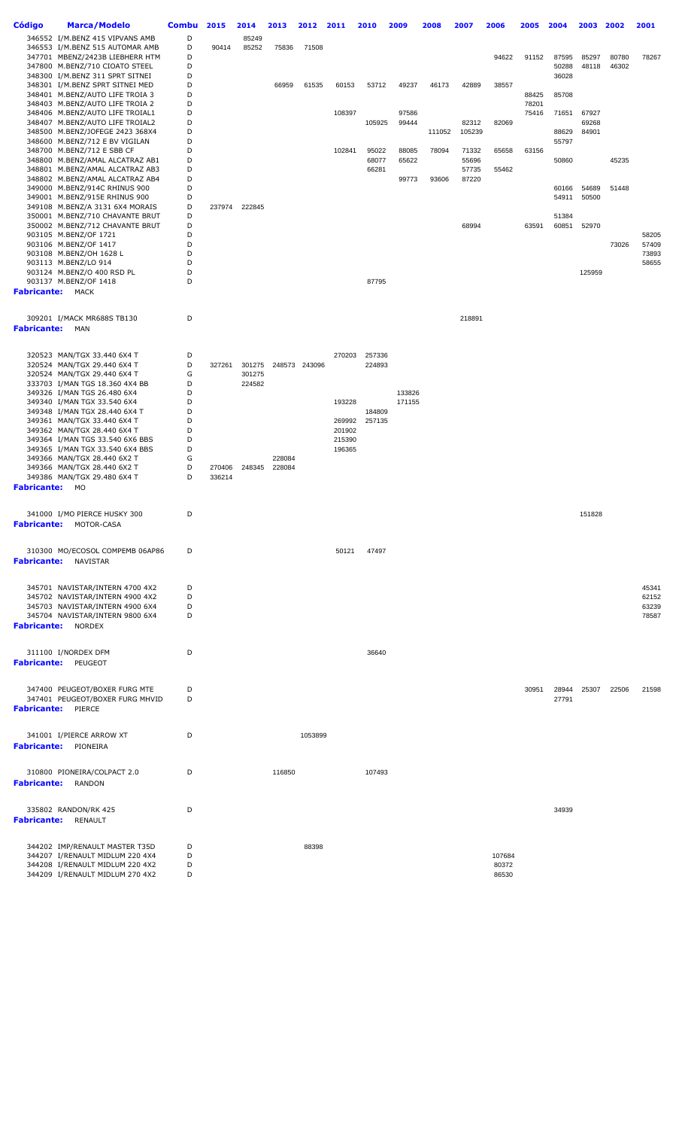| <b>Código</b>           | <b>Marca/Modelo</b>                                                | <b>Combu</b> | 2015   | 2014   | 2013   | 2012          | 2011   | 2010   | 2009   | 2008   | 2007           | 2006   | 2005  | 2004  | 2003   | 2002  | 2001           |
|-------------------------|--------------------------------------------------------------------|--------------|--------|--------|--------|---------------|--------|--------|--------|--------|----------------|--------|-------|-------|--------|-------|----------------|
|                         | 346552 I/M.BENZ 415 VIPVANS AMB                                    | D            |        | 85249  |        |               |        |        |        |        |                |        |       |       |        |       |                |
|                         | 346553 I/M.BENZ 515 AUTOMAR AMB                                    | D            | 90414  | 85252  | 75836  | 71508         |        |        |        |        |                |        |       |       |        |       |                |
|                         | 347701 MBENZ/2423B LIEBHERR HTM                                    | D            |        |        |        |               |        |        |        |        |                | 94622  | 91152 | 87595 | 85297  | 80780 | 78267          |
|                         | 347800 M.BENZ/710 CIOATO STEEL                                     | D            |        |        |        |               |        |        |        |        |                |        |       | 50288 | 48118  | 46302 |                |
|                         | 348300 I/M.BENZ 311 SPRT SITNEI                                    | D            |        |        |        |               |        |        |        |        |                |        |       | 36028 |        |       |                |
|                         | 348301 I/M.BENZ SPRT SITNEI MED<br>348401 M.BENZ/AUTO LIFE TROIA 3 | D<br>D       |        |        | 66959  | 61535         | 60153  | 53712  | 49237  | 46173  | 42889          | 38557  | 88425 | 85708 |        |       |                |
|                         | 348403 M.BENZ/AUTO LIFE TROIA 2                                    | D            |        |        |        |               |        |        |        |        |                |        | 78201 |       |        |       |                |
|                         | 348406 M.BENZ/AUTO LIFE TROIAL1                                    | D            |        |        |        |               | 108397 |        | 97586  |        |                |        | 75416 | 71651 | 67927  |       |                |
|                         | 348407 M.BENZ/AUTO LIFE TROIAL2                                    | D            |        |        |        |               |        | 105925 | 99444  |        | 82312          | 82069  |       |       | 69268  |       |                |
|                         | 348500 M.BENZ/JOFEGE 2423 368X4                                    | D            |        |        |        |               |        |        |        | 111052 | 105239         |        |       | 88629 | 84901  |       |                |
|                         | 348600 M.BENZ/712 E BV VIGILAN                                     | D            |        |        |        |               |        |        |        |        |                |        |       | 55797 |        |       |                |
|                         | 348700 M.BENZ/712 E SBB CF                                         | D            |        |        |        |               | 102841 | 95022  | 88085  | 78094  | 71332          | 65658  | 63156 |       |        |       |                |
|                         | 348800 M.BENZ/AMAL ALCATRAZ AB1                                    | D            |        |        |        |               |        | 68077  | 65622  |        | 55696          |        |       | 50860 |        | 45235 |                |
|                         | 348801 M.BENZ/AMAL ALCATRAZ AB3<br>348802 M.BENZ/AMAL ALCATRAZ AB4 | D<br>D       |        |        |        |               |        | 66281  | 99773  | 93606  | 57735<br>87220 | 55462  |       |       |        |       |                |
|                         | 349000 M.BENZ/914C RHINUS 900                                      | D            |        |        |        |               |        |        |        |        |                |        |       | 60166 | 54689  | 51448 |                |
|                         | 349001 M.BENZ/915E RHINUS 900                                      | D            |        |        |        |               |        |        |        |        |                |        |       | 54911 | 50500  |       |                |
|                         | 349108 M.BENZ/A 3131 6X4 MORAIS                                    | D            | 237974 | 222845 |        |               |        |        |        |        |                |        |       |       |        |       |                |
|                         | 350001 M.BENZ/710 CHAVANTE BRUT                                    | D            |        |        |        |               |        |        |        |        |                |        |       | 51384 |        |       |                |
|                         | 350002 M.BENZ/712 CHAVANTE BRUT                                    | D            |        |        |        |               |        |        |        |        | 68994          |        | 63591 | 60851 | 52970  |       |                |
|                         | 903105 M.BENZ/OF 1721                                              | D            |        |        |        |               |        |        |        |        |                |        |       |       |        |       | 58205          |
|                         | 903106 M.BENZ/OF 1417                                              | D<br>D       |        |        |        |               |        |        |        |        |                |        |       |       |        | 73026 | 57409          |
|                         | 903108 M.BENZ/OH 1628 L<br>903113 M.BENZ/LO 914                    | D            |        |        |        |               |        |        |        |        |                |        |       |       |        |       | 73893<br>58655 |
|                         | 903124 M.BENZ/O 400 RSD PL                                         | D            |        |        |        |               |        |        |        |        |                |        |       |       | 125959 |       |                |
|                         | 903137 M.BENZ/OF 1418                                              | D            |        |        |        |               |        | 87795  |        |        |                |        |       |       |        |       |                |
| <b>Fabricante: MACK</b> |                                                                    |              |        |        |        |               |        |        |        |        |                |        |       |       |        |       |                |
|                         |                                                                    |              |        |        |        |               |        |        |        |        |                |        |       |       |        |       |                |
|                         |                                                                    |              |        |        |        |               |        |        |        |        |                |        |       |       |        |       |                |
|                         | 309201 I/MACK MR688S TB130                                         | D            |        |        |        |               |        |        |        |        | 218891         |        |       |       |        |       |                |
| <b>Fabricante:</b>      | MAN                                                                |              |        |        |        |               |        |        |        |        |                |        |       |       |        |       |                |
|                         |                                                                    |              |        |        |        |               |        |        |        |        |                |        |       |       |        |       |                |
|                         | 320523 MAN/TGX 33.440 6X4 T                                        | D            |        |        |        |               | 270203 | 257336 |        |        |                |        |       |       |        |       |                |
|                         | 320524 MAN/TGX 29.440 6X4 T                                        | D            | 327261 | 301275 |        | 248573 243096 |        | 224893 |        |        |                |        |       |       |        |       |                |
|                         | 320524 MAN/TGX 29.440 6X4 T                                        | G            |        | 301275 |        |               |        |        |        |        |                |        |       |       |        |       |                |
|                         | 333703 I/MAN TGS 18.360 4X4 BB                                     | D            |        | 224582 |        |               |        |        |        |        |                |        |       |       |        |       |                |
|                         | 349326 I/MAN TGS 26.480 6X4                                        | D            |        |        |        |               |        |        | 133826 |        |                |        |       |       |        |       |                |
|                         | 349340 I/MAN TGX 33.540 6X4<br>349348 I/MAN TGX 28.440 6X4 T       | D<br>D       |        |        |        |               | 193228 | 184809 | 171155 |        |                |        |       |       |        |       |                |
|                         | 349361 MAN/TGX 33.440 6X4 T                                        | D            |        |        |        |               | 269992 | 257135 |        |        |                |        |       |       |        |       |                |
|                         | 349362 MAN/TGX 28.440 6X4 T                                        | D            |        |        |        |               | 201902 |        |        |        |                |        |       |       |        |       |                |
|                         | 349364 I/MAN TGS 33.540 6X6 BBS                                    | D            |        |        |        |               | 215390 |        |        |        |                |        |       |       |        |       |                |
|                         | 349365 I/MAN TGX 33.540 6X4 BBS                                    | D            |        |        |        |               | 196365 |        |        |        |                |        |       |       |        |       |                |
|                         | 349366 MAN/TGX 28.440 6X2 T                                        | G            |        |        | 228084 |               |        |        |        |        |                |        |       |       |        |       |                |
|                         | 349366 MAN/TGX 28.440 6X2 T                                        | D            | 270406 | 248345 | 228084 |               |        |        |        |        |                |        |       |       |        |       |                |
|                         | 349386 MAN/TGX 29.480 6X4 T                                        | D            | 336214 |        |        |               |        |        |        |        |                |        |       |       |        |       |                |
| <b>Fabricante: MO</b>   |                                                                    |              |        |        |        |               |        |        |        |        |                |        |       |       |        |       |                |
|                         |                                                                    |              |        |        |        |               |        |        |        |        |                |        |       |       |        |       |                |
|                         | 341000 I/MO PIERCE HUSKY 300                                       | D            |        |        |        |               |        |        |        |        |                |        |       |       | 151828 |       |                |
|                         | <b>Fabricante:</b> MOTOR-CASA                                      |              |        |        |        |               |        |        |        |        |                |        |       |       |        |       |                |
|                         |                                                                    |              |        |        |        |               |        |        |        |        |                |        |       |       |        |       |                |
|                         |                                                                    |              |        |        |        |               |        |        |        |        |                |        |       |       |        |       |                |
|                         | 310300 MO/ECOSOL COMPEMB 06AP86                                    | D            |        |        |        |               | 50121  | 47497  |        |        |                |        |       |       |        |       |                |
|                         | <b>Fabricante: NAVISTAR</b>                                        |              |        |        |        |               |        |        |        |        |                |        |       |       |        |       |                |
|                         |                                                                    |              |        |        |        |               |        |        |        |        |                |        |       |       |        |       |                |
|                         | 345701 NAVISTAR/INTERN 4700 4X2                                    | D            |        |        |        |               |        |        |        |        |                |        |       |       |        |       | 45341          |
|                         | 345702 NAVISTAR/INTERN 4900 4X2                                    | D            |        |        |        |               |        |        |        |        |                |        |       |       |        |       | 62152          |
|                         | 345703 NAVISTAR/INTERN 4900 6X4                                    | D            |        |        |        |               |        |        |        |        |                |        |       |       |        |       | 63239          |
|                         | 345704 NAVISTAR/INTERN 9800 6X4                                    | D            |        |        |        |               |        |        |        |        |                |        |       |       |        |       | 78587          |
|                         | <b>Fabricante: NORDEX</b>                                          |              |        |        |        |               |        |        |        |        |                |        |       |       |        |       |                |
|                         |                                                                    |              |        |        |        |               |        |        |        |        |                |        |       |       |        |       |                |
|                         | 311100 I/NORDEX DFM                                                | D            |        |        |        |               |        | 36640  |        |        |                |        |       |       |        |       |                |
|                         | <b>Fabricante: PEUGEOT</b>                                         |              |        |        |        |               |        |        |        |        |                |        |       |       |        |       |                |
|                         |                                                                    |              |        |        |        |               |        |        |        |        |                |        |       |       |        |       |                |
|                         |                                                                    |              |        |        |        |               |        |        |        |        |                |        |       |       |        |       |                |
|                         | 347400 PEUGEOT/BOXER FURG MTE                                      | D            |        |        |        |               |        |        |        |        |                |        | 30951 | 28944 | 25307  | 22506 | 21598          |
|                         | 347401 PEUGEOT/BOXER FURG MHVID<br><b>Fabricante: PIERCE</b>       | D            |        |        |        |               |        |        |        |        |                |        |       | 27791 |        |       |                |
|                         |                                                                    |              |        |        |        |               |        |        |        |        |                |        |       |       |        |       |                |
|                         |                                                                    |              |        |        |        |               |        |        |        |        |                |        |       |       |        |       |                |
|                         | 341001 I/PIERCE ARROW XT                                           | D            |        |        |        | 1053899       |        |        |        |        |                |        |       |       |        |       |                |
|                         | <b>Fabricante:</b> PIONEIRA                                        |              |        |        |        |               |        |        |        |        |                |        |       |       |        |       |                |
|                         |                                                                    |              |        |        |        |               |        |        |        |        |                |        |       |       |        |       |                |
|                         |                                                                    |              |        |        |        |               |        |        |        |        |                |        |       |       |        |       |                |
|                         | 310800 PIONEIRA/COLPACT 2.0                                        | D            |        |        | 116850 |               |        | 107493 |        |        |                |        |       |       |        |       |                |
|                         | <b>Fabricante:</b> RANDON                                          |              |        |        |        |               |        |        |        |        |                |        |       |       |        |       |                |
|                         |                                                                    |              |        |        |        |               |        |        |        |        |                |        |       |       |        |       |                |
|                         | 335802 RANDON/RK 425                                               | D            |        |        |        |               |        |        |        |        |                |        |       | 34939 |        |       |                |
|                         | Fabricante: RENAULT                                                |              |        |        |        |               |        |        |        |        |                |        |       |       |        |       |                |
|                         |                                                                    |              |        |        |        |               |        |        |        |        |                |        |       |       |        |       |                |
|                         |                                                                    |              |        |        |        |               |        |        |        |        |                |        |       |       |        |       |                |
|                         | 344202 IMP/RENAULT MASTER T35D<br>344207 I/RENAULT MIDLUM 220 4X4  | D<br>D       |        |        |        | 88398         |        |        |        |        |                | 107684 |       |       |        |       |                |
|                         | 344208 I/RENAULT MIDLUM 220 4X2                                    | D            |        |        |        |               |        |        |        |        |                | 80372  |       |       |        |       |                |
|                         | 344209 I/RENAULT MIDLUM 270 4X2                                    | D            |        |        |        |               |        |        |        |        |                | 86530  |       |       |        |       |                |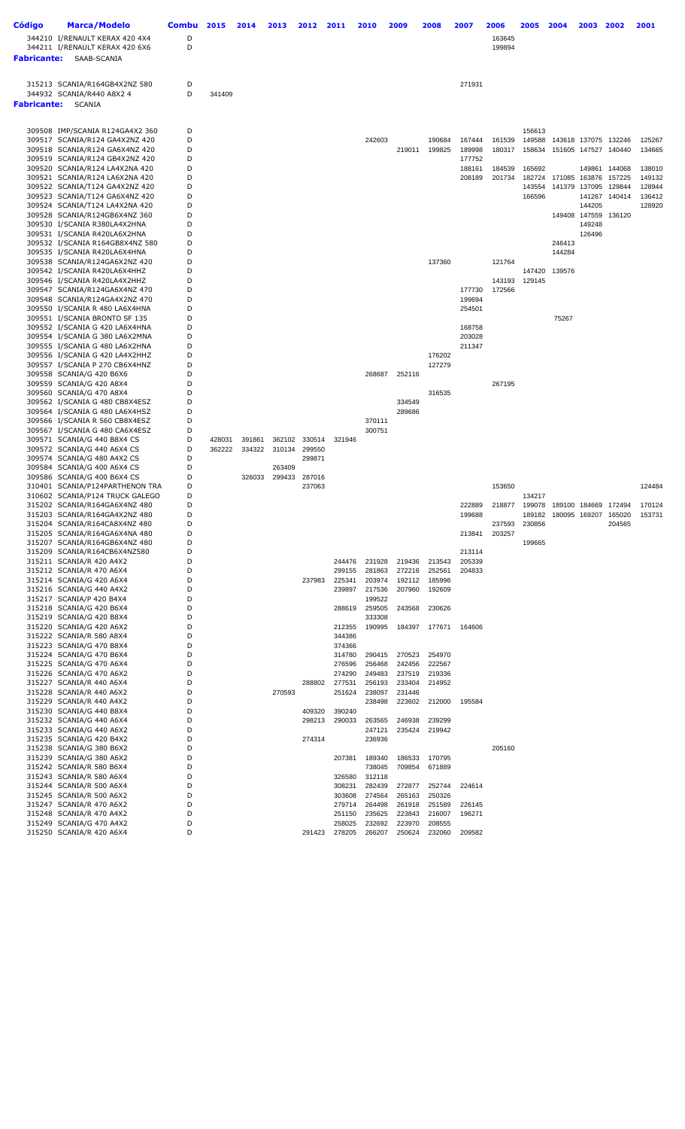| Código             | <b>Marca/Modelo</b>                                              | Combu  | 2015   | 2014   | 2013   | 2012          | 2011             | 2010             | 2009             | 2008             | 2007             | 2006             | 2005             | 2004   | 2003             | 2002                        | 2001             |
|--------------------|------------------------------------------------------------------|--------|--------|--------|--------|---------------|------------------|------------------|------------------|------------------|------------------|------------------|------------------|--------|------------------|-----------------------------|------------------|
|                    | 344210 I/RENAULT KERAX 420 4X4                                   | D      |        |        |        |               |                  |                  |                  |                  |                  | 163645           |                  |        |                  |                             |                  |
|                    | 344211 I/RENAULT KERAX 420 6X6                                   | D      |        |        |        |               |                  |                  |                  |                  |                  | 199894           |                  |        |                  |                             |                  |
| <b>Fabricante:</b> | SAAB-SCANIA                                                      |        |        |        |        |               |                  |                  |                  |                  |                  |                  |                  |        |                  |                             |                  |
|                    |                                                                  |        |        |        |        |               |                  |                  |                  |                  |                  |                  |                  |        |                  |                             |                  |
|                    | 315213 SCANIA/R164GB4X2NZ 580                                    | D<br>D |        |        |        |               |                  |                  |                  |                  | 271931           |                  |                  |        |                  |                             |                  |
| <b>Fabricante:</b> | 344932 SCANIA/R440 A8X2 4<br>SCANIA                              |        | 341409 |        |        |               |                  |                  |                  |                  |                  |                  |                  |        |                  |                             |                  |
|                    |                                                                  |        |        |        |        |               |                  |                  |                  |                  |                  |                  |                  |        |                  |                             |                  |
|                    | 309508 IMP/SCANIA R124GA4X2 360                                  | D      |        |        |        |               |                  |                  |                  |                  |                  |                  | 156613           |        |                  |                             |                  |
|                    | 309517 SCANIA/R124 GA4X2NZ 420                                   | D      |        |        |        |               |                  | 242603           |                  | 190684           | 167444           | 161539           | 149588           |        |                  | 143618 137075 132246        | 125267           |
|                    | 309518 SCANIA/R124 GA6X4NZ 420                                   | D      |        |        |        |               |                  |                  | 219011           | 199825           | 189998           | 180317           | 158634           |        |                  | 151605 147527 140440        | 134665           |
|                    | 309519 SCANIA/R124 GB4X2NZ 420<br>309520 SCANIA/R124 LA4X2NA 420 | D<br>D |        |        |        |               |                  |                  |                  |                  | 177752<br>188161 | 184539           | 165692           |        | 149861           | 144068                      | 138010           |
|                    | 309521 SCANIA/R124 LA6X2NA 420                                   | D      |        |        |        |               |                  |                  |                  |                  | 208189           | 201734           | 182724           | 171085 | 163876           | 157225                      | 149132           |
|                    | 309522 SCANIA/T124 GA4X2NZ 420                                   | D      |        |        |        |               |                  |                  |                  |                  |                  |                  | 143554           | 141379 | 137095           | 129844                      | 128944           |
|                    | 309523 SCANIA/T124 GA6X4NZ 420<br>309524 SCANIA/T124 LA4X2NA 420 | D<br>D |        |        |        |               |                  |                  |                  |                  |                  |                  | 166596           |        | 141267<br>144205 | 140414                      | 136412<br>128920 |
|                    | 309528 SCANIA/R124GB6X4NZ 360                                    | D      |        |        |        |               |                  |                  |                  |                  |                  |                  |                  |        | 149408 147559    | 136120                      |                  |
|                    | 309530 I/SCANIA R380LA4X2HNA                                     | D      |        |        |        |               |                  |                  |                  |                  |                  |                  |                  |        | 149248           |                             |                  |
|                    | 309531 I/SCANIA R420LA6X2HNA<br>309532 I/SCANIA R164GB8X4NZ 580  | D<br>D |        |        |        |               |                  |                  |                  |                  |                  |                  |                  | 246413 | 126496           |                             |                  |
|                    | 309535 I/SCANIA R420LA6X4HNA                                     | D      |        |        |        |               |                  |                  |                  |                  |                  |                  |                  | 144284 |                  |                             |                  |
|                    | 309538 SCANIA/R124GA6X2NZ 420                                    | D      |        |        |        |               |                  |                  |                  | 137360           |                  | 121764           |                  |        |                  |                             |                  |
|                    | 309542 I/SCANIA R420LA6X4HHZ<br>309546 I/SCANIA R420LA4X2HHZ     | D<br>D |        |        |        |               |                  |                  |                  |                  |                  | 143193           | 147420<br>129145 | 139576 |                  |                             |                  |
|                    | 309547 SCANIA/R124GA6X4NZ 470                                    | D      |        |        |        |               |                  |                  |                  |                  | 177730           | 172566           |                  |        |                  |                             |                  |
|                    | 309548 SCANIA/R124GA4X2NZ 470                                    | D      |        |        |        |               |                  |                  |                  |                  | 199694           |                  |                  |        |                  |                             |                  |
|                    | 309550 I/SCANIA R 480 LA6X4HNA<br>309551 I/SCANIA BRONTO SF 135  | D<br>D |        |        |        |               |                  |                  |                  |                  | 254501           |                  |                  | 75267  |                  |                             |                  |
|                    | 309552 I/SCANIA G 420 LA6X4HNA                                   | D      |        |        |        |               |                  |                  |                  |                  | 168758           |                  |                  |        |                  |                             |                  |
|                    | 309554 I/SCANIA G 380 LA6X2MNA                                   | D      |        |        |        |               |                  |                  |                  |                  | 203028           |                  |                  |        |                  |                             |                  |
|                    | 309555 I/SCANIA G 480 LA6X2HNA<br>309556 I/SCANIA G 420 LA4X2HHZ | D<br>D |        |        |        |               |                  |                  |                  | 176202           | 211347           |                  |                  |        |                  |                             |                  |
|                    | 309557 I/SCANIA P 270 CB6X4HNZ                                   | D      |        |        |        |               |                  |                  |                  | 127279           |                  |                  |                  |        |                  |                             |                  |
|                    | 309558 SCANIA/G 420 B6X6                                         | D      |        |        |        |               |                  | 268687           | 252116           |                  |                  |                  |                  |        |                  |                             |                  |
|                    | 309559 SCANIA/G 420 A8X4<br>309560 SCANIA/G 470 A8X4             | D<br>D |        |        |        |               |                  |                  |                  | 316535           |                  | 267195           |                  |        |                  |                             |                  |
|                    | 309562 I/SCANIA G 480 CB8X4ESZ                                   | D      |        |        |        |               |                  |                  | 334549           |                  |                  |                  |                  |        |                  |                             |                  |
|                    | 309564 I/SCANIA G 480 LA6X4HSZ                                   | D      |        |        |        |               |                  |                  | 289686           |                  |                  |                  |                  |        |                  |                             |                  |
|                    | 309566 I/SCANIA R 560 CB8X4ESZ<br>309567 I/SCANIA G 480 CA6X4ESZ | D<br>D |        |        |        |               |                  | 370111<br>300751 |                  |                  |                  |                  |                  |        |                  |                             |                  |
|                    | 309571 SCANIA/G 440 B8X4 CS                                      | D      | 428031 | 391861 | 362102 | 330514        | 321946           |                  |                  |                  |                  |                  |                  |        |                  |                             |                  |
|                    | 309572 SCANIA/G 440 A6X4 CS                                      | D      | 362222 | 334322 | 310134 | 299550        |                  |                  |                  |                  |                  |                  |                  |        |                  |                             |                  |
|                    | 309574 SCANIA/G 480 A4X2 CS<br>309584 SCANIA/G 400 A6X4 CS       | D<br>D |        |        | 263409 | 299871        |                  |                  |                  |                  |                  |                  |                  |        |                  |                             |                  |
|                    | 309586 SCANIA/G 400 B6X4 CS                                      | D      |        | 326033 |        | 299433 287016 |                  |                  |                  |                  |                  |                  |                  |        |                  |                             |                  |
|                    | 310401 SCANIA/P124PARTHENON TRA                                  | D<br>D |        |        |        | 237063        |                  |                  |                  |                  |                  | 153650           | 134217           |        |                  |                             | 124484           |
|                    | 310602 SCANIA/P124 TRUCK GALEGO<br>315202 SCANIA/R164GA6X4NZ 480 | D      |        |        |        |               |                  |                  |                  |                  | 222889           | 218877           |                  |        |                  | 199078 189100 184669 172494 | 170124           |
|                    | 315203 SCANIA/R164GA4X2NZ 480                                    | D      |        |        |        |               |                  |                  |                  |                  | 199688           |                  | 189182           |        |                  | 180095 169207 165020        | 153731           |
|                    | 315204 SCANIA/R164CA8X4NZ 480<br>315205 SCANIA/R164GA6X4NA 480   | D<br>D |        |        |        |               |                  |                  |                  |                  | 213841           | 237593<br>203257 | 230856           |        |                  | 204565                      |                  |
|                    | 315207 SCANIA/R164GB6X4NZ 480                                    | D      |        |        |        |               |                  |                  |                  |                  |                  |                  | 199665           |        |                  |                             |                  |
|                    | 315209 SCANIA/R164CB6X4NZ580                                     | D      |        |        |        |               |                  |                  |                  |                  | 213114           |                  |                  |        |                  |                             |                  |
|                    | 315211 SCANIA/R 420 A4X2<br>315212 SCANIA/R 470 A6X4             | D<br>D |        |        |        |               | 244476<br>299155 | 231928<br>281863 | 219436<br>272216 | 213543<br>252561 | 205339<br>204833 |                  |                  |        |                  |                             |                  |
|                    | 315214 SCANIA/G 420 A6X4                                         | D      |        |        |        | 237983        | 225341           | 203974           | 192112           | 185996           |                  |                  |                  |        |                  |                             |                  |
|                    | 315216 SCANIA/G 440 A4X2                                         | D      |        |        |        |               | 239897           | 217536           | 207960           | 192609           |                  |                  |                  |        |                  |                             |                  |
|                    | 315217 SCANIA/P 420 B4X4<br>315218 SCANIA/G 420 B6X4             | D<br>D |        |        |        |               | 288619           | 199522<br>259505 | 243568           | 230626           |                  |                  |                  |        |                  |                             |                  |
|                    | 315219 SCANIA/G 420 B8X4                                         | D      |        |        |        |               |                  | 333308           |                  |                  |                  |                  |                  |        |                  |                             |                  |
|                    | 315220 SCANIA/G 420 A6X2                                         | D<br>D |        |        |        |               | 212355           | 190995           | 184397           | 177671           | 164606           |                  |                  |        |                  |                             |                  |
|                    | 315222 SCANIA/R 580 A8X4<br>315223 SCANIA/G 470 B8X4             | D      |        |        |        |               | 344386<br>374366 |                  |                  |                  |                  |                  |                  |        |                  |                             |                  |
|                    | 315224 SCANIA/G 470 B6X4                                         | D      |        |        |        |               | 314780           | 290415           | 270523           | 254970           |                  |                  |                  |        |                  |                             |                  |
|                    | 315225 SCANIA/G 470 A6X4<br>315226 SCANIA/G 470 A6X2             | D<br>D |        |        |        |               | 276596<br>274290 | 256468<br>249483 | 242456<br>237519 | 222567<br>219336 |                  |                  |                  |        |                  |                             |                  |
|                    | 315227 SCANIA/R 440 A6X4                                         | D      |        |        |        | 288802        | 277531           | 256193           | 233404           | 214952           |                  |                  |                  |        |                  |                             |                  |
|                    | 315228 SCANIA/R 440 A6X2                                         | D      |        |        | 270593 |               | 251624           | 238097           | 231446           |                  |                  |                  |                  |        |                  |                             |                  |
|                    | 315229 SCANIA/R 440 A4X2<br>315230 SCANIA/G 440 B8X4             | D<br>D |        |        |        | 409320        | 390240           | 238498           | 223602           | 212000           | 195584           |                  |                  |        |                  |                             |                  |
|                    | 315232 SCANIA/G 440 A6X4                                         | D      |        |        |        | 298213        | 290033           | 263565           | 246938           | 239299           |                  |                  |                  |        |                  |                             |                  |
|                    | 315233 SCANIA/G 440 A6X2                                         | D      |        |        |        |               |                  | 247121           | 235424           | 219942           |                  |                  |                  |        |                  |                             |                  |
|                    | 315235 SCANIA/G 420 B4X2<br>315238 SCANIA/G 380 B6X2             | D<br>D |        |        |        | 274314        |                  | 236936           |                  |                  |                  | 205160           |                  |        |                  |                             |                  |
|                    | 315239 SCANIA/G 380 A6X2                                         | D      |        |        |        |               | 207381           | 189340           | 186533           | 170795           |                  |                  |                  |        |                  |                             |                  |
|                    | 315242 SCANIA/R 580 B6X4                                         | D      |        |        |        |               |                  | 738045           | 709854           | 671889           |                  |                  |                  |        |                  |                             |                  |
|                    | 315243 SCANIA/R 580 A6X4<br>315244 SCANIA/R 500 A6X4             | D<br>D |        |        |        |               | 326580<br>308231 | 312118<br>282439 | 272877           | 252744           | 224614           |                  |                  |        |                  |                             |                  |
|                    | 315245 SCANIA/R 500 A6X2                                         | D      |        |        |        |               | 303608           | 274564           | 265163           | 250326           |                  |                  |                  |        |                  |                             |                  |
|                    | 315247 SCANIA/R 470 A6X2                                         | D      |        |        |        |               | 279714           | 264498           | 261918           | 251589           | 226145           |                  |                  |        |                  |                             |                  |
|                    | 315248 SCANIA/R 470 A4X2<br>315249 SCANIA/G 470 A4X2             | D<br>D |        |        |        |               | 251150<br>258025 | 235625<br>232692 | 223843<br>223970 | 216007<br>208555 | 196271           |                  |                  |        |                  |                             |                  |
|                    | 315250 SCANIA/R 420 A6X4                                         | D      |        |        |        | 291423        | 278205           | 266207           | 250624           | 232060           | 209582           |                  |                  |        |                  |                             |                  |
|                    |                                                                  |        |        |        |        |               |                  |                  |                  |                  |                  |                  |                  |        |                  |                             |                  |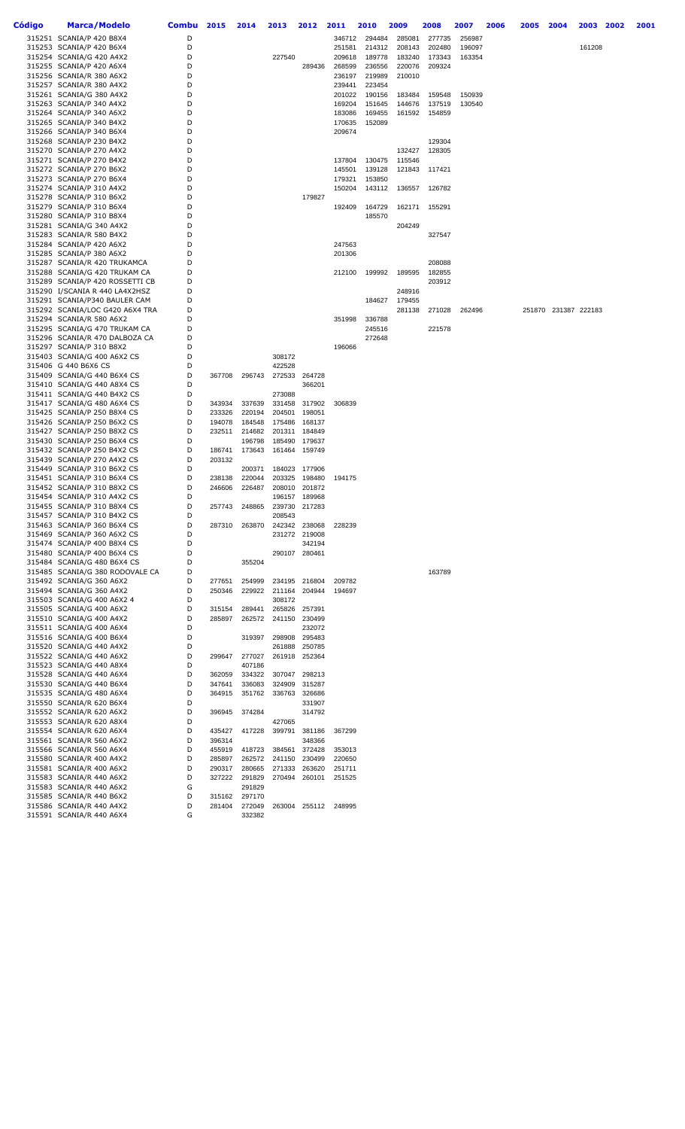| Código | Marca/Modelo                                                   | Combu  | 2015             | 2014             | 2013             | 2012                    | 2011             | 2010             | 2009   | 2008             | 2007   | 2006 | 2005   | 2004          | 2003   | 2002 | 2001 |
|--------|----------------------------------------------------------------|--------|------------------|------------------|------------------|-------------------------|------------------|------------------|--------|------------------|--------|------|--------|---------------|--------|------|------|
|        | 315251 SCANIA/P 420 B8X4                                       | D      |                  |                  |                  |                         | 346712           | 294484           | 285081 | 277735           | 256987 |      |        |               |        |      |      |
|        | 315253 SCANIA/P 420 B6X4                                       | D      |                  |                  |                  |                         | 251581           | 214312           | 208143 | 202480           | 196097 |      |        |               | 161208 |      |      |
|        | 315254 SCANIA/G 420 A4X2                                       | D      |                  |                  | 227540           |                         | 209618           | 189778           | 183240 | 173343           | 163354 |      |        |               |        |      |      |
|        | 315255 SCANIA/P 420 A6X4                                       | D<br>D |                  |                  |                  | 289436                  | 268599           | 236556           | 220076 | 209324           |        |      |        |               |        |      |      |
|        | 315256 SCANIA/R 380 A6X2<br>315257 SCANIA/R 380 A4X2           | D      |                  |                  |                  |                         | 236197<br>239441 | 219989<br>223454 | 210010 |                  |        |      |        |               |        |      |      |
|        | 315261 SCANIA/G 380 A4X2                                       | D      |                  |                  |                  |                         | 201022           | 190156           | 183484 | 159548           | 150939 |      |        |               |        |      |      |
|        | 315263 SCANIA/P 340 A4X2                                       | D      |                  |                  |                  |                         | 169204           | 151645           | 144676 | 137519           | 130540 |      |        |               |        |      |      |
|        | 315264 SCANIA/P 340 A6X2                                       | D      |                  |                  |                  |                         | 183086           | 169455           | 161592 | 154859           |        |      |        |               |        |      |      |
|        | 315265 SCANIA/P 340 B4X2                                       | D      |                  |                  |                  |                         | 170635           | 152089           |        |                  |        |      |        |               |        |      |      |
|        | 315266 SCANIA/P 340 B6X4                                       | D      |                  |                  |                  |                         | 209674           |                  |        |                  |        |      |        |               |        |      |      |
|        | 315268 SCANIA/P 230 B4X2                                       | D      |                  |                  |                  |                         |                  |                  |        | 129304           |        |      |        |               |        |      |      |
|        | 315270 SCANIA/P 270 A4X2                                       | D      |                  |                  |                  |                         |                  |                  | 132427 | 128305           |        |      |        |               |        |      |      |
|        | 315271 SCANIA/P 270 B4X2                                       | D<br>D |                  |                  |                  |                         | 137804           | 130475           | 115546 |                  |        |      |        |               |        |      |      |
|        | 315272 SCANIA/P 270 B6X2<br>315273 SCANIA/P 270 B6X4           | D      |                  |                  |                  |                         | 145501<br>179321 | 139128<br>153850 | 121843 | 117421           |        |      |        |               |        |      |      |
|        | 315274 SCANIA/P 310 A4X2                                       | D      |                  |                  |                  |                         | 150204           | 143112           | 136557 | 126782           |        |      |        |               |        |      |      |
|        | 315278 SCANIA/P 310 B6X2                                       | D      |                  |                  |                  | 179827                  |                  |                  |        |                  |        |      |        |               |        |      |      |
|        | 315279 SCANIA/P 310 B6X4                                       | D      |                  |                  |                  |                         | 192409           | 164729           | 162171 | 155291           |        |      |        |               |        |      |      |
|        | 315280 SCANIA/P 310 B8X4                                       | D      |                  |                  |                  |                         |                  | 185570           |        |                  |        |      |        |               |        |      |      |
|        | 315281 SCANIA/G 340 A4X2                                       | D      |                  |                  |                  |                         |                  |                  | 204249 |                  |        |      |        |               |        |      |      |
|        | 315283 SCANIA/R 580 B4X2                                       | D      |                  |                  |                  |                         |                  |                  |        | 327547           |        |      |        |               |        |      |      |
|        | 315284 SCANIA/P 420 A6X2                                       | D      |                  |                  |                  |                         | 247563           |                  |        |                  |        |      |        |               |        |      |      |
|        | 315285 SCANIA/P 380 A6X2                                       | D<br>D |                  |                  |                  |                         | 201306           |                  |        |                  |        |      |        |               |        |      |      |
|        | 315287 SCANIA/R 420 TRUKAMCA<br>315288 SCANIA/G 420 TRUKAM CA  | D      |                  |                  |                  |                         | 212100           | 199992           | 189595 | 208088<br>182855 |        |      |        |               |        |      |      |
|        | 315289 SCANIA/P 420 ROSSETTI CB                                | D      |                  |                  |                  |                         |                  |                  |        | 203912           |        |      |        |               |        |      |      |
|        | 315290 I/SCANIA R 440 LA4X2HSZ                                 | D      |                  |                  |                  |                         |                  |                  | 248916 |                  |        |      |        |               |        |      |      |
|        | 315291 SCANIA/P340 BAULER CAM                                  | D      |                  |                  |                  |                         |                  | 184627           | 179455 |                  |        |      |        |               |        |      |      |
|        | 315292 SCANIA/LOC G420 A6X4 TRA                                | D      |                  |                  |                  |                         |                  |                  | 281138 | 271028           | 262496 |      | 251870 | 231387 222183 |        |      |      |
|        | 315294 SCANIA/R 580 A6X2                                       | D      |                  |                  |                  |                         | 351998           | 336788           |        |                  |        |      |        |               |        |      |      |
|        | 315295 SCANIA/G 470 TRUKAM CA                                  | D      |                  |                  |                  |                         |                  | 245516           |        | 221578           |        |      |        |               |        |      |      |
|        | 315296 SCANIA/R 470 DALBOZA CA                                 | D      |                  |                  |                  |                         |                  | 272648           |        |                  |        |      |        |               |        |      |      |
|        | 315297 SCANIA/P 310 B8X2                                       | D      |                  |                  |                  |                         | 196066           |                  |        |                  |        |      |        |               |        |      |      |
|        | 315403 SCANIA/G 400 A6X2 CS                                    | D      |                  |                  | 308172           |                         |                  |                  |        |                  |        |      |        |               |        |      |      |
|        | 315406 G 440 B6X6 CS<br>315409 SCANIA/G 440 B6X4 CS            | D<br>D | 367708           | 296743           | 422528<br>272533 | 264728                  |                  |                  |        |                  |        |      |        |               |        |      |      |
|        | 315410 SCANIA/G 440 A8X4 CS                                    | D      |                  |                  |                  | 366201                  |                  |                  |        |                  |        |      |        |               |        |      |      |
|        | 315411 SCANIA/G 440 B4X2 CS                                    | D      |                  |                  | 273088           |                         |                  |                  |        |                  |        |      |        |               |        |      |      |
|        | 315417 SCANIA/G 480 A6X4 CS                                    | D      | 343934           | 337639           | 331458           | 317902                  | 306839           |                  |        |                  |        |      |        |               |        |      |      |
|        | 315425 SCANIA/P 250 B8X4 CS                                    | D      | 233326           | 220194           | 204501           | 198051                  |                  |                  |        |                  |        |      |        |               |        |      |      |
|        | 315426 SCANIA/P 250 B6X2 CS                                    | D      | 194078           | 184548           | 175486           | 168137                  |                  |                  |        |                  |        |      |        |               |        |      |      |
|        | 315427 SCANIA/P 250 B8X2 CS                                    | D      | 232511           | 214682           | 201311           | 184849                  |                  |                  |        |                  |        |      |        |               |        |      |      |
|        | 315430 SCANIA/P 250 B6X4 CS                                    | D      |                  | 196798           | 185490           | 179637                  |                  |                  |        |                  |        |      |        |               |        |      |      |
|        | 315432 SCANIA/P 250 B4X2 CS                                    | D      | 186741           | 173643           | 161464           | 159749                  |                  |                  |        |                  |        |      |        |               |        |      |      |
|        | 315439 SCANIA/P 270 A4X2 CS                                    | D      | 203132           |                  |                  |                         |                  |                  |        |                  |        |      |        |               |        |      |      |
|        | 315449 SCANIA/P 310 B6X2 CS<br>315451 SCANIA/P 310 B6X4 CS     | D<br>D | 238138           | 200371<br>220044 | 203325           | 184023 177906<br>198480 | 194175           |                  |        |                  |        |      |        |               |        |      |      |
|        | 315452 SCANIA/P 310 B8X2 CS                                    | D      | 246606           | 226487           | 208010           | 201872                  |                  |                  |        |                  |        |      |        |               |        |      |      |
|        | 315454 SCANIA/P 310 A4X2 CS                                    | D      |                  |                  | 196157           | 189968                  |                  |                  |        |                  |        |      |        |               |        |      |      |
|        | 315455 SCANIA/P 310 B8X4 CS                                    | D      | 257743           | 248865           | 239730           | 217283                  |                  |                  |        |                  |        |      |        |               |        |      |      |
|        | 315457 SCANIA/P 310 B4X2 CS                                    | D      |                  |                  | 208543           |                         |                  |                  |        |                  |        |      |        |               |        |      |      |
|        | 315463 SCANIA/P 360 B6X4 CS                                    | D      | 287310           | 263870           |                  | 242342 238068           | 228239           |                  |        |                  |        |      |        |               |        |      |      |
|        | 315469 SCANIA/P 360 A6X2 CS                                    | D      |                  |                  |                  | 231272 219008           |                  |                  |        |                  |        |      |        |               |        |      |      |
|        | 315474 SCANIA/P 400 B8X4 CS                                    | D      |                  |                  |                  | 342194                  |                  |                  |        |                  |        |      |        |               |        |      |      |
|        | 315480 SCANIA/P 400 B6X4 CS                                    | D<br>D |                  | 355204           |                  | 290107 280461           |                  |                  |        |                  |        |      |        |               |        |      |      |
|        | 315484 SCANIA/G 480 B6X4 CS<br>315485 SCANIA/G 380 RODOVALE CA | D      |                  |                  |                  |                         |                  |                  |        | 163789           |        |      |        |               |        |      |      |
|        | 315492 SCANIA/G 360 A6X2                                       | D      | 277651           | 254999           |                  | 234195 216804           | 209782           |                  |        |                  |        |      |        |               |        |      |      |
|        | 315494 SCANIA/G 360 A4X2                                       | D      | 250346           | 229922           |                  | 211164 204944           | 194697           |                  |        |                  |        |      |        |               |        |      |      |
|        | 315503 SCANIA/G 400 A6X2 4                                     | D      |                  |                  | 308172           |                         |                  |                  |        |                  |        |      |        |               |        |      |      |
|        | 315505 SCANIA/G 400 A6X2                                       | D      | 315154           | 289441           | 265826           | 257391                  |                  |                  |        |                  |        |      |        |               |        |      |      |
|        | 315510 SCANIA/G 400 A4X2                                       | D      | 285897           | 262572           | 241150           | 230499                  |                  |                  |        |                  |        |      |        |               |        |      |      |
|        | 315511 SCANIA/G 400 A6X4                                       | D      |                  |                  |                  | 232072                  |                  |                  |        |                  |        |      |        |               |        |      |      |
|        | 315516 SCANIA/G 400 B6X4                                       | D      |                  | 319397           | 298908           | 295483                  |                  |                  |        |                  |        |      |        |               |        |      |      |
|        | 315520 SCANIA/G 440 A4X2                                       | D<br>D |                  |                  | 261888           | 250785                  |                  |                  |        |                  |        |      |        |               |        |      |      |
|        | 315522 SCANIA/G 440 A6X2<br>315523 SCANIA/G 440 A8X4           | D      | 299647           | 277027<br>407186 |                  | 261918 252364           |                  |                  |        |                  |        |      |        |               |        |      |      |
|        | 315528 SCANIA/G 440 A6X4                                       | D      | 362059           | 334322           | 307047           | 298213                  |                  |                  |        |                  |        |      |        |               |        |      |      |
|        | 315530 SCANIA/G 440 B6X4                                       | D      | 347641           | 336083           | 324909           | 315287                  |                  |                  |        |                  |        |      |        |               |        |      |      |
|        | 315535 SCANIA/G 480 A6X4                                       | D      | 364915           | 351762           | 336763           | 326686                  |                  |                  |        |                  |        |      |        |               |        |      |      |
|        | 315550 SCANIA/R 620 B6X4                                       | D      |                  |                  |                  | 331907                  |                  |                  |        |                  |        |      |        |               |        |      |      |
|        | 315552 SCANIA/R 620 A6X2                                       | D      | 396945           | 374284           |                  | 314792                  |                  |                  |        |                  |        |      |        |               |        |      |      |
|        | 315553 SCANIA/R 620 A8X4                                       | D      |                  |                  | 427065           |                         |                  |                  |        |                  |        |      |        |               |        |      |      |
|        | 315554 SCANIA/R 620 A6X4                                       | D      | 435427           | 417228           | 399791           | 381186                  | 367299           |                  |        |                  |        |      |        |               |        |      |      |
|        | 315561 SCANIA/R 560 A6X2                                       | D      | 396314           |                  |                  | 348366                  |                  |                  |        |                  |        |      |        |               |        |      |      |
|        | 315566 SCANIA/R 560 A6X4                                       | D      | 455919           | 418723           | 384561           | 372428                  | 353013           |                  |        |                  |        |      |        |               |        |      |      |
|        | 315580 SCANIA/R 400 A4X2<br>315581 SCANIA/R 400 A6X2           | D<br>D | 285897<br>290317 | 262572<br>280665 | 241150<br>271333 | 230499<br>263620        | 220650<br>251711 |                  |        |                  |        |      |        |               |        |      |      |
|        | 315583 SCANIA/R 440 A6X2                                       | D      | 327222           | 291829           |                  | 270494 260101           | 251525           |                  |        |                  |        |      |        |               |        |      |      |
|        | 315583 SCANIA/R 440 A6X2                                       | G      |                  | 291829           |                  |                         |                  |                  |        |                  |        |      |        |               |        |      |      |
|        | 315585 SCANIA/R 440 B6X2                                       | D      | 315162           | 297170           |                  |                         |                  |                  |        |                  |        |      |        |               |        |      |      |
|        | 315586 SCANIA/R 440 A4X2                                       | D      | 281404           | 272049           |                  | 263004 255112           | 248995           |                  |        |                  |        |      |        |               |        |      |      |
|        | 315591 SCANIA/R 440 A6X4                                       | G      |                  | 332382           |                  |                         |                  |                  |        |                  |        |      |        |               |        |      |      |
|        |                                                                |        |                  |                  |                  |                         |                  |                  |        |                  |        |      |        |               |        |      |      |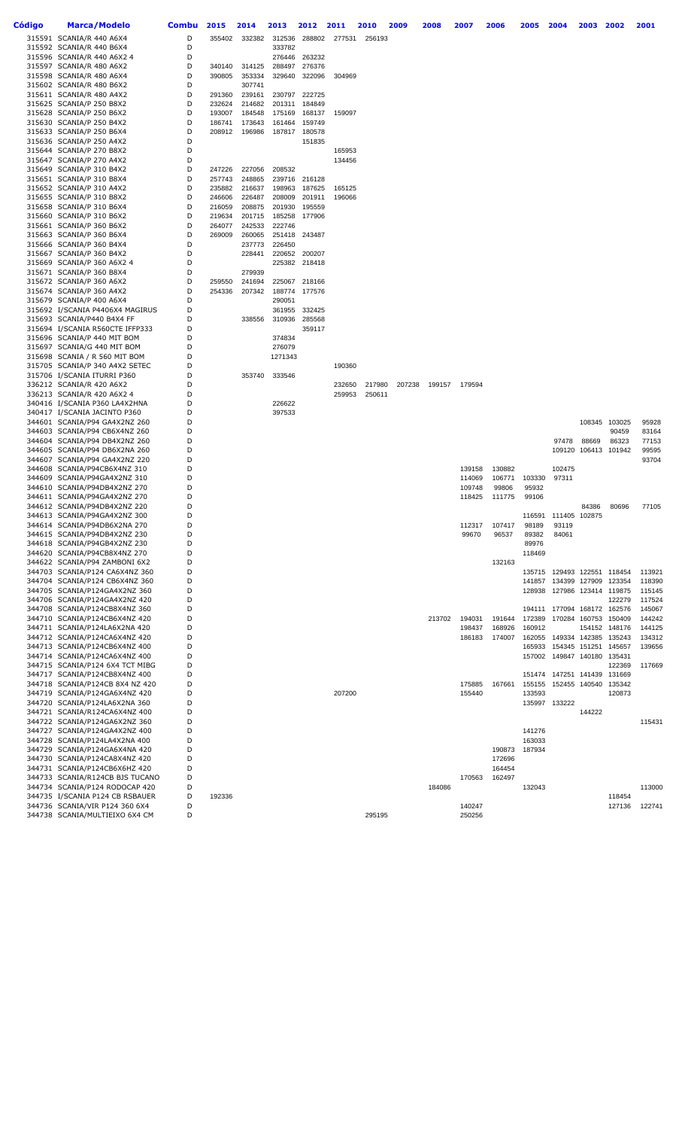| Código | <b>Marca/Modelo</b>                                               | <b>Combu</b> | 2015             | 2014             | 2013             | 2012             | 2011   | 2010   | 2009   | 2008   | 2007   | 2006   | 2005             | 2004                        | 2003                 | 2002                 | 2001             |
|--------|-------------------------------------------------------------------|--------------|------------------|------------------|------------------|------------------|--------|--------|--------|--------|--------|--------|------------------|-----------------------------|----------------------|----------------------|------------------|
|        | 315591 SCANIA/R 440 A6X4                                          | D            | 355402           | 332382           | 312536           | 288802           | 277531 | 256193 |        |        |        |        |                  |                             |                      |                      |                  |
|        | 315592 SCANIA/R 440 B6X4                                          | D            |                  |                  | 333782           |                  |        |        |        |        |        |        |                  |                             |                      |                      |                  |
|        | 315596 SCANIA/R 440 A6X2 4                                        | D            |                  |                  | 276446           | 263232           |        |        |        |        |        |        |                  |                             |                      |                      |                  |
|        | 315597 SCANIA/R 480 A6X2<br>315598 SCANIA/R 480 A6X4              | D<br>D       | 340140           | 314125<br>353334 | 288497<br>329640 | 276376<br>322096 | 304969 |        |        |        |        |        |                  |                             |                      |                      |                  |
|        | 315602 SCANIA/R 480 B6X2                                          | D            | 390805           | 307741           |                  |                  |        |        |        |        |        |        |                  |                             |                      |                      |                  |
|        | 315611 SCANIA/R 480 A4X2                                          | D            | 291360           | 239161           |                  | 230797 222725    |        |        |        |        |        |        |                  |                             |                      |                      |                  |
|        | 315625 SCANIA/P 250 B8X2                                          | D            | 232624           | 214682           | 201311           | 184849           |        |        |        |        |        |        |                  |                             |                      |                      |                  |
|        | 315628 SCANIA/P 250 B6X2<br>315630 SCANIA/P 250 B4X2              | D<br>D       | 193007<br>186741 | 184548<br>173643 | 175169<br>161464 | 168137<br>159749 | 159097 |        |        |        |        |        |                  |                             |                      |                      |                  |
|        | 315633 SCANIA/P 250 B6X4                                          | D            | 208912           | 196986           | 187817           | 180578           |        |        |        |        |        |        |                  |                             |                      |                      |                  |
|        | 315636 SCANIA/P 250 A4X2                                          | D            |                  |                  |                  | 151835           |        |        |        |        |        |        |                  |                             |                      |                      |                  |
|        | 315644 SCANIA/P 270 B8X2                                          | D            |                  |                  |                  |                  | 165953 |        |        |        |        |        |                  |                             |                      |                      |                  |
|        | 315647 SCANIA/P 270 A4X2<br>315649 SCANIA/P 310 B4X2              | D<br>D       | 247226           | 227056           | 208532           |                  | 134456 |        |        |        |        |        |                  |                             |                      |                      |                  |
|        | 315651 SCANIA/P 310 B8X4                                          | D            | 257743           | 248865           |                  | 239716 216128    |        |        |        |        |        |        |                  |                             |                      |                      |                  |
|        | 315652 SCANIA/P 310 A4X2                                          | D            | 235882           | 216637           |                  | 198963 187625    | 165125 |        |        |        |        |        |                  |                             |                      |                      |                  |
|        | 315655 SCANIA/P 310 B8X2                                          | D<br>D       | 246606           | 226487           | 208009           | 201911           | 196066 |        |        |        |        |        |                  |                             |                      |                      |                  |
|        | 315658 SCANIA/P 310 B6X4<br>315660 SCANIA/P 310 B6X2              | D            | 216059<br>219634 | 208875<br>201715 | 201930<br>185258 | 195559<br>177906 |        |        |        |        |        |        |                  |                             |                      |                      |                  |
|        | 315661 SCANIA/P 360 B6X2                                          | D            | 264077           | 242533           | 222746           |                  |        |        |        |        |        |        |                  |                             |                      |                      |                  |
|        | 315663 SCANIA/P 360 B6X4                                          | D            | 269009           | 260065           |                  | 251418 243487    |        |        |        |        |        |        |                  |                             |                      |                      |                  |
|        | 315666 SCANIA/P 360 B4X4<br>315667 SCANIA/P 360 B4X2              | D<br>D       |                  | 237773<br>228441 | 226450           | 220652 200207    |        |        |        |        |        |        |                  |                             |                      |                      |                  |
|        | 315669 SCANIA/P 360 A6X2 4                                        | D            |                  |                  |                  | 225382 218418    |        |        |        |        |        |        |                  |                             |                      |                      |                  |
|        | 315671 SCANIA/P 360 B8X4                                          | D            |                  | 279939           |                  |                  |        |        |        |        |        |        |                  |                             |                      |                      |                  |
|        | 315672 SCANIA/P 360 A6X2                                          | D            | 259550           | 241694           | 225067           | 218166           |        |        |        |        |        |        |                  |                             |                      |                      |                  |
|        | 315674 SCANIA/P 360 A4X2<br>315679 SCANIA/P 400 A6X4              | D<br>D       | 254336           | 207342           | 188774<br>290051 | 177576           |        |        |        |        |        |        |                  |                             |                      |                      |                  |
|        | 315692 I/SCANIA P4406X4 MAGIRUS                                   | D            |                  |                  | 361955           | 332425           |        |        |        |        |        |        |                  |                             |                      |                      |                  |
|        | 315693 SCANIA/P440 B4X4 FF                                        | D            |                  | 338556           | 310936           | 285568           |        |        |        |        |        |        |                  |                             |                      |                      |                  |
|        | 315694 I/SCANIA R560CTE IFFP333                                   | D            |                  |                  |                  | 359117           |        |        |        |        |        |        |                  |                             |                      |                      |                  |
|        | 315696 SCANIA/P 440 MIT BOM<br>315697 SCANIA/G 440 MIT BOM        | D<br>D       |                  |                  | 374834<br>276079 |                  |        |        |        |        |        |        |                  |                             |                      |                      |                  |
|        | 315698 SCANIA / R 560 MIT BOM                                     | D            |                  |                  | 1271343          |                  |        |        |        |        |        |        |                  |                             |                      |                      |                  |
|        | 315705 SCANIA/P 340 A4X2 SETEC                                    | D            |                  |                  |                  |                  | 190360 |        |        |        |        |        |                  |                             |                      |                      |                  |
|        | 315706 I/SCANIA ITURRI P360<br>336212 SCANIA/R 420 A6X2           | D<br>D       |                  | 353740           | 333546           |                  | 232650 | 217980 | 207238 | 199157 | 179594 |        |                  |                             |                      |                      |                  |
|        | 336213 SCANIA/R 420 A6X2 4                                        | D            |                  |                  |                  |                  | 259953 | 250611 |        |        |        |        |                  |                             |                      |                      |                  |
|        | 340416 I/SCANIA P360 LA4X2HNA                                     | D            |                  |                  | 226622           |                  |        |        |        |        |        |        |                  |                             |                      |                      |                  |
|        | 340417 I/SCANIA JACINTO P360<br>344601 SCANIA/P94 GA4X2NZ 260     | D<br>D       |                  |                  | 397533           |                  |        |        |        |        |        |        |                  |                             |                      | 108345 103025        | 95928            |
|        | 344603 SCANIA/P94 CB6X4NZ 260                                     | D            |                  |                  |                  |                  |        |        |        |        |        |        |                  |                             |                      | 90459                | 83164            |
|        | 344604 SCANIA/P94 DB4X2NZ 260                                     | D            |                  |                  |                  |                  |        |        |        |        |        |        |                  | 97478                       | 88669                | 86323                | 77153            |
|        | 344605 SCANIA/P94 DB6X2NA 260<br>344607 SCANIA/P94 GA4X2NZ 220    | D<br>D       |                  |                  |                  |                  |        |        |        |        |        |        |                  |                             | 109120 106413        | 101942               | 99595<br>93704   |
|        | 344608 SCANIA/P94CB6X4NZ 310                                      | D            |                  |                  |                  |                  |        |        |        |        | 139158 | 130882 |                  | 102475                      |                      |                      |                  |
|        | 344609 SCANIA/P94GA4X2NZ 310                                      | D            |                  |                  |                  |                  |        |        |        |        | 114069 | 106771 | 103330           | 97311                       |                      |                      |                  |
|        | 344610 SCANIA/P94DB4X2NZ 270<br>344611 SCANIA/P94GA4X2NZ 270      | D<br>D       |                  |                  |                  |                  |        |        |        |        | 109748 | 99806  | 95932            |                             |                      |                      |                  |
|        | 344612 SCANIA/P94DB4X2NZ 220                                      | D            |                  |                  |                  |                  |        |        |        |        | 118425 | 111775 | 99106            |                             | 84386                | 80696                | 77105            |
|        | 344613 SCANIA/P94GA4X2NZ 300                                      | D            |                  |                  |                  |                  |        |        |        |        |        |        |                  | 116591 111405 102875        |                      |                      |                  |
|        | 344614 SCANIA/P94DB6X2NA 270                                      | D            |                  |                  |                  |                  |        |        |        |        | 112317 | 107417 | 98189            | 93119                       |                      |                      |                  |
|        | 344615 SCANIA/P94DB4X2NZ 230<br>344618 SCANIA/P94GB4X2NZ 230      | D<br>D       |                  |                  |                  |                  |        |        |        |        | 99670  | 96537  | 89382<br>89976   | 84061                       |                      |                      |                  |
|        | 344620 SCANIA/P94CB8X4NZ 270                                      | D            |                  |                  |                  |                  |        |        |        |        |        |        | 118469           |                             |                      |                      |                  |
|        | 344622 SCANIA/P94 ZAMBONI 6X2                                     | D            |                  |                  |                  |                  |        |        |        |        |        | 132163 |                  |                             |                      |                      |                  |
|        | 344703 SCANIA/P124 CA6X4NZ 360<br>344704 SCANIA/P124 CB6X4NZ 360  | D<br>D       |                  |                  |                  |                  |        |        |        |        |        |        | 141857           | 135715 129493 122551 118454 | 134399 127909        | 123354               | 113921<br>118390 |
|        | 344705 SCANIA/P124GA4X2NZ 360                                     | D            |                  |                  |                  |                  |        |        |        |        |        |        | 128938           |                             |                      | 127986 123414 119875 | 115145           |
|        | 344706 SCANIA/P124GA4X2NZ 420                                     | D            |                  |                  |                  |                  |        |        |        |        |        |        |                  |                             |                      | 122279               | 117524           |
|        | 344708 SCANIA/P124CB8X4NZ 360<br>344710 SCANIA/P124CB6X4NZ 420    | D<br>D       |                  |                  |                  |                  |        |        |        | 213702 | 194031 | 191644 | 172389           | 194111 177094 168172 162576 |                      | 170284 160753 150409 | 145067<br>144242 |
|        | 344711 SCANIA/P124LA6X2NA 420                                     | D            |                  |                  |                  |                  |        |        |        |        | 198437 | 168926 | 160912           |                             | 154152               | 148176               | 144125           |
|        | 344712 SCANIA/P124CA6X4NZ 420                                     | D            |                  |                  |                  |                  |        |        |        |        | 186183 | 174007 |                  | 162055 149334 142385 135243 |                      |                      | 134312           |
|        | 344713 SCANIA/P124CB6X4NZ 400                                     | D            |                  |                  |                  |                  |        |        |        |        |        |        | 165933           |                             | 154345 151251        | 145657               | 139656           |
|        | 344714 SCANIA/P124CA6X4NZ 400<br>344715 SCANIA/P124 6X4 TCT MIBG  | D<br>D       |                  |                  |                  |                  |        |        |        |        |        |        | 157002           |                             | 149847 140180 135431 | 122369               | 117669           |
|        | 344717 SCANIA/P124CB8X4NZ 400                                     | D            |                  |                  |                  |                  |        |        |        |        |        |        |                  | 151474 147251 141439        |                      | 131669               |                  |
|        | 344718 SCANIA/P124CB 8X4 NZ 420                                   | D            |                  |                  |                  |                  |        |        |        |        | 175885 | 167661 | 155155           |                             |                      | 152455 140540 135342 |                  |
|        | 344719 SCANIA/P124GA6X4NZ 420<br>344720 SCANIA/P124LA6X2NA 360    | D<br>D       |                  |                  |                  |                  | 207200 |        |        |        | 155440 |        | 133593           | 135997 133222               |                      | 120873               |                  |
|        | 344721 SCANIA/R124CA6X4NZ 400                                     | D            |                  |                  |                  |                  |        |        |        |        |        |        |                  |                             | 144222               |                      |                  |
|        | 344722 SCANIA/P124GA6X2NZ 360                                     | D            |                  |                  |                  |                  |        |        |        |        |        |        |                  |                             |                      |                      | 115431           |
|        | 344727 SCANIA/P124GA4X2NZ 400                                     | D<br>D       |                  |                  |                  |                  |        |        |        |        |        |        | 141276           |                             |                      |                      |                  |
|        | 344728 SCANIA/P124LA4X2NA 400<br>344729 SCANIA/P124GA6X4NA 420    | D            |                  |                  |                  |                  |        |        |        |        |        | 190873 | 163033<br>187934 |                             |                      |                      |                  |
|        | 344730 SCANIA/P124CA8X4NZ 420                                     | D            |                  |                  |                  |                  |        |        |        |        |        | 172696 |                  |                             |                      |                      |                  |
|        | 344731 SCANIA/P124CB6X6HZ 420                                     | D            |                  |                  |                  |                  |        |        |        |        |        | 164454 |                  |                             |                      |                      |                  |
|        | 344733 SCANIA/R124CB BJS TUCANO<br>344734 SCANIA/P124 RODOCAP 420 | D<br>D       |                  |                  |                  |                  |        |        |        | 184086 | 170563 | 162497 | 132043           |                             |                      |                      | 113000           |
|        | 344735 I/SCANIA P124 CB RSBAUER                                   | D            | 192336           |                  |                  |                  |        |        |        |        |        |        |                  |                             |                      | 118454               |                  |
|        | 344736 SCANIA/VIR P124 360 6X4                                    | D            |                  |                  |                  |                  |        |        |        |        | 140247 |        |                  |                             |                      | 127136               | 122741           |
|        | 344738 SCANIA/MULTIEIXO 6X4 CM                                    | D            |                  |                  |                  |                  |        | 295195 |        |        | 250256 |        |                  |                             |                      |                      |                  |
|        |                                                                   |              |                  |                  |                  |                  |        |        |        |        |        |        |                  |                             |                      |                      |                  |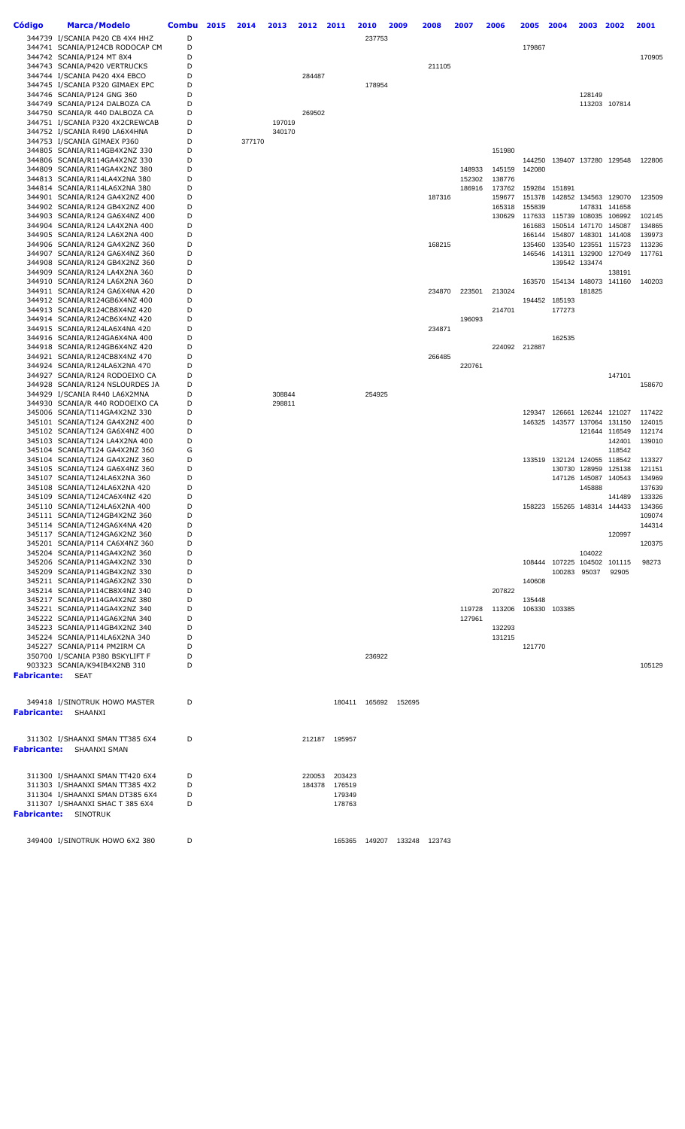| Código                  | <b>Marca/Modelo</b>                                                | <b>Combu</b> | 2015 | 2014   | 2013   | 2012             | 2011             | 2010          | 2009   | 2008          | 2007   | 2006   | 2005             | 2004                        | 2003                 | 2002                 | 2001             |
|-------------------------|--------------------------------------------------------------------|--------------|------|--------|--------|------------------|------------------|---------------|--------|---------------|--------|--------|------------------|-----------------------------|----------------------|----------------------|------------------|
|                         | 344739 I/SCANIA P420 CB 4X4 HHZ                                    | D            |      |        |        |                  |                  | 237753        |        |               |        |        |                  |                             |                      |                      |                  |
|                         | 344741 SCANIA/P124CB RODOCAP CM                                    | D            |      |        |        |                  |                  |               |        |               |        |        | 179867           |                             |                      |                      |                  |
|                         | 344742 SCANIA/P124 MT 8X4                                          | D            |      |        |        |                  |                  |               |        |               |        |        |                  |                             |                      |                      | 170905           |
|                         | 344743 SCANIA/P420 VERTRUCKS                                       | D            |      |        |        |                  |                  |               |        | 211105        |        |        |                  |                             |                      |                      |                  |
|                         | 344744 I/SCANIA P420 4X4 EBCO<br>344745 I/SCANIA P320 GIMAEX EPC   | D<br>D       |      |        |        | 284487           |                  | 178954        |        |               |        |        |                  |                             |                      |                      |                  |
|                         | 344746 SCANIA/P124 GNG 360                                         | D            |      |        |        |                  |                  |               |        |               |        |        |                  |                             | 128149               |                      |                  |
|                         | 344749 SCANIA/P124 DALBOZA CA                                      | D            |      |        |        |                  |                  |               |        |               |        |        |                  |                             |                      | 113203 107814        |                  |
|                         | 344750 SCANIA/R 440 DALBOZA CA                                     | D            |      |        |        | 269502           |                  |               |        |               |        |        |                  |                             |                      |                      |                  |
|                         | 344751 I/SCANIA P320 4X2CREWCAB                                    | D            |      |        | 197019 |                  |                  |               |        |               |        |        |                  |                             |                      |                      |                  |
|                         | 344752 I/SCANIA R490 LA6X4HNA                                      | D            |      |        | 340170 |                  |                  |               |        |               |        |        |                  |                             |                      |                      |                  |
|                         | 344753 I/SCANIA GIMAEX P360                                        | D            |      | 377170 |        |                  |                  |               |        |               |        |        |                  |                             |                      |                      |                  |
|                         | 344805 SCANIA/R114GB4X2NZ 330                                      | D            |      |        |        |                  |                  |               |        |               |        | 151980 |                  |                             |                      |                      |                  |
|                         | 344806 SCANIA/R114GA4X2NZ 330<br>344809 SCANIA/R114GA4X2NZ 380     | D<br>D       |      |        |        |                  |                  |               |        |               | 148933 | 145159 | 144250<br>142080 |                             | 139407 137280 129548 |                      | 122806           |
|                         | 344813 SCANIA/R114LA4X2NA 380                                      | D            |      |        |        |                  |                  |               |        |               | 152302 | 138776 |                  |                             |                      |                      |                  |
|                         | 344814 SCANIA/R114LA6X2NA 380                                      | D            |      |        |        |                  |                  |               |        |               | 186916 | 173762 | 159284           | 151891                      |                      |                      |                  |
|                         | 344901 SCANIA/R124 GA4X2NZ 400                                     | D            |      |        |        |                  |                  |               |        | 187316        |        | 159677 | 151378           |                             | 142852 134563 129070 |                      | 123509           |
|                         | 344902 SCANIA/R124 GB4X2NZ 400                                     | D            |      |        |        |                  |                  |               |        |               |        | 165318 | 155839           |                             | 147831               | 141658               |                  |
|                         | 344903 SCANIA/R124 GA6X4NZ 400                                     | D            |      |        |        |                  |                  |               |        |               |        | 130629 | 117633           | 115739 108035               |                      | 106992               | 102145           |
|                         | 344904 SCANIA/R124 LA4X2NA 400                                     | D            |      |        |        |                  |                  |               |        |               |        |        | 161683           |                             | 150514 147170        | 145087               | 134865           |
|                         | 344905 SCANIA/R124 LA6X2NA 400                                     | D            |      |        |        |                  |                  |               |        |               |        |        | 166144           |                             | 154807 148301        | 141408               | 139973           |
|                         | 344906 SCANIA/R124 GA4X2NZ 360<br>344907 SCANIA/R124 GA6X4NZ 360   | D<br>D       |      |        |        |                  |                  |               |        | 168215        |        |        | 135460           | 141311 132900               | 133540 123551        | 115723<br>127049     | 113236<br>117761 |
|                         | 344908 SCANIA/R124 GB4X2NZ 360                                     | D            |      |        |        |                  |                  |               |        |               |        |        | 146546           |                             | 139542 133474        |                      |                  |
|                         | 344909 SCANIA/R124 LA4X2NA 360                                     | D            |      |        |        |                  |                  |               |        |               |        |        |                  |                             |                      | 138191               |                  |
|                         | 344910 SCANIA/R124 LA6X2NA 360                                     | D            |      |        |        |                  |                  |               |        |               |        |        | 163570           | 154134 148073               |                      | 141160               | 140203           |
|                         | 344911 SCANIA/R124 GA6X4NA 420                                     | D            |      |        |        |                  |                  |               |        | 234870        | 223501 | 213024 |                  |                             | 181825               |                      |                  |
|                         | 344912 SCANIA/R124GB6X4NZ 400                                      | D            |      |        |        |                  |                  |               |        |               |        |        |                  | 194452 185193               |                      |                      |                  |
|                         | 344913 SCANIA/R124CB8X4NZ 420                                      | D            |      |        |        |                  |                  |               |        |               |        | 214701 |                  | 177273                      |                      |                      |                  |
|                         | 344914 SCANIA/R124CB6X4NZ 420                                      | D            |      |        |        |                  |                  |               |        |               | 196093 |        |                  |                             |                      |                      |                  |
|                         | 344915 SCANIA/R124LA6X4NA 420                                      | D            |      |        |        |                  |                  |               |        | 234871        |        |        |                  |                             |                      |                      |                  |
|                         | 344916 SCANIA/R124GA6X4NA 400                                      | D            |      |        |        |                  |                  |               |        |               |        |        |                  | 162535                      |                      |                      |                  |
|                         | 344918 SCANIA/R124GB6X4NZ 420<br>344921 SCANIA/R124CB8X4NZ 470     | D<br>D       |      |        |        |                  |                  |               |        | 266485        |        |        | 224092 212887    |                             |                      |                      |                  |
|                         | 344924 SCANIA/R124LA6X2NA 470                                      | D            |      |        |        |                  |                  |               |        |               | 220761 |        |                  |                             |                      |                      |                  |
|                         | 344927 SCANIA/R124 RODOEIXO CA                                     | D            |      |        |        |                  |                  |               |        |               |        |        |                  |                             |                      | 147101               |                  |
|                         | 344928 SCANIA/R124 NSLOURDES JA                                    | D            |      |        |        |                  |                  |               |        |               |        |        |                  |                             |                      |                      | 158670           |
|                         | 344929 I/SCANIA R440 LA6X2MNA                                      | D            |      |        | 308844 |                  |                  | 254925        |        |               |        |        |                  |                             |                      |                      |                  |
|                         | 344930 SCANIA/R 440 RODOEIXO CA                                    | D            |      |        | 298811 |                  |                  |               |        |               |        |        |                  |                             |                      |                      |                  |
|                         | 345006 SCANIA/T114GA4X2NZ 330                                      | D            |      |        |        |                  |                  |               |        |               |        |        | 129347           | 126661 126244 121027        |                      |                      | 117422           |
|                         | 345101 SCANIA/T124 GA4X2NZ 400<br>345102 SCANIA/T124 GA6X4NZ 400   | D<br>D       |      |        |        |                  |                  |               |        |               |        |        | 146325           | 143577 137064 131150        |                      | 121644 116549        | 124015<br>112174 |
|                         | 345103 SCANIA/T124 LA4X2NA 400                                     | D            |      |        |        |                  |                  |               |        |               |        |        |                  |                             |                      | 142401               | 139010           |
|                         | 345104 SCANIA/T124 GA4X2NZ 360                                     | G            |      |        |        |                  |                  |               |        |               |        |        |                  |                             |                      | 118542               |                  |
|                         | 345104 SCANIA/T124 GA4X2NZ 360                                     | D            |      |        |        |                  |                  |               |        |               |        |        | 133519           | 132124 124055 118542        |                      |                      | 113327           |
|                         | 345105 SCANIA/T124 GA6X4NZ 360                                     | D            |      |        |        |                  |                  |               |        |               |        |        |                  |                             | 130730 128959        | 125138               | 121151           |
|                         | 345107 SCANIA/T124LA6X2NA 360                                      | D            |      |        |        |                  |                  |               |        |               |        |        |                  |                             | 147126 145087        | 140543               | 134969           |
|                         | 345108 SCANIA/T124LA6X2NA 420                                      | D            |      |        |        |                  |                  |               |        |               |        |        |                  |                             | 145888               |                      | 137639           |
|                         | 345109 SCANIA/T124CA6X4NZ 420                                      | D            |      |        |        |                  |                  |               |        |               |        |        |                  |                             |                      | 141489               | 133326           |
|                         | 345110 SCANIA/T124LA6X2NA 400<br>345111 SCANIA/T124GB4X2NZ 360     | D<br>D       |      |        |        |                  |                  |               |        |               |        |        | 158223           |                             |                      | 155265 148314 144433 | 134366           |
|                         | 345114 SCANIA/T124GA6X4NA 420                                      | D            |      |        |        |                  |                  |               |        |               |        |        |                  |                             |                      |                      | 109074<br>144314 |
|                         | 345117 SCANIA/T124GA6X2NZ 360                                      | D            |      |        |        |                  |                  |               |        |               |        |        |                  |                             |                      | 120997               |                  |
|                         | 345201 SCANIA/P114 CA6X4NZ 360                                     | D            |      |        |        |                  |                  |               |        |               |        |        |                  |                             |                      |                      | 120375           |
|                         | 345204 SCANIA/P114GA4X2NZ 360                                      | D            |      |        |        |                  |                  |               |        |               |        |        |                  |                             | 104022               |                      |                  |
|                         | 345206 SCANIA/P114GA4X2NZ 330                                      | D            |      |        |        |                  |                  |               |        |               |        |        |                  | 108444 107225 104502 101115 |                      |                      | 98273            |
|                         | 345209 SCANIA/P114GB4X2NZ 330                                      | D            |      |        |        |                  |                  |               |        |               |        |        |                  |                             | 100283 95037         | 92905                |                  |
|                         | 345211 SCANIA/P114GA6X2NZ 330                                      | D            |      |        |        |                  |                  |               |        |               |        |        | 140608           |                             |                      |                      |                  |
|                         | 345214 SCANIA/P114CB8X4NZ 340                                      | D<br>D       |      |        |        |                  |                  |               |        |               |        | 207822 |                  |                             |                      |                      |                  |
|                         | 345217 SCANIA/P114GA4X2NZ 380<br>345221 SCANIA/P114GA4X2NZ 340     | D            |      |        |        |                  |                  |               |        |               | 119728 | 113206 | 135448           | 106330 103385               |                      |                      |                  |
|                         | 345222 SCANIA/P114GA6X2NA 340                                      | D            |      |        |        |                  |                  |               |        |               | 127961 |        |                  |                             |                      |                      |                  |
|                         | 345223 SCANIA/P114GB4X2NZ 340                                      | D            |      |        |        |                  |                  |               |        |               |        | 132293 |                  |                             |                      |                      |                  |
|                         | 345224 SCANIA/P114LA6X2NA 340                                      | D            |      |        |        |                  |                  |               |        |               |        | 131215 |                  |                             |                      |                      |                  |
|                         | 345227 SCANIA/P114 PM2IRM CA                                       | D            |      |        |        |                  |                  |               |        |               |        |        | 121770           |                             |                      |                      |                  |
|                         | 350700 I/SCANIA P380 BSKYLIFT F                                    | D            |      |        |        |                  |                  | 236922        |        |               |        |        |                  |                             |                      |                      |                  |
|                         | 903323 SCANIA/K94IB4X2NB 310                                       | D            |      |        |        |                  |                  |               |        |               |        |        |                  |                             |                      |                      | 105129           |
| <b>Fabricante:</b> SEAT |                                                                    |              |      |        |        |                  |                  |               |        |               |        |        |                  |                             |                      |                      |                  |
|                         |                                                                    |              |      |        |        |                  |                  |               |        |               |        |        |                  |                             |                      |                      |                  |
|                         | 349418 I/SINOTRUK HOWO MASTER                                      | D            |      |        |        |                  | 180411           | 165692        | 152695 |               |        |        |                  |                             |                      |                      |                  |
| Fabricante:             | SHAANXI                                                            |              |      |        |        |                  |                  |               |        |               |        |        |                  |                             |                      |                      |                  |
|                         |                                                                    |              |      |        |        |                  |                  |               |        |               |        |        |                  |                             |                      |                      |                  |
|                         | 311302 I/SHAANXI SMAN TT385 6X4                                    | D            |      |        |        | 212187           | 195957           |               |        |               |        |        |                  |                             |                      |                      |                  |
| <b>Fabricante:</b>      | SHAANXI SMAN                                                       |              |      |        |        |                  |                  |               |        |               |        |        |                  |                             |                      |                      |                  |
|                         |                                                                    |              |      |        |        |                  |                  |               |        |               |        |        |                  |                             |                      |                      |                  |
|                         |                                                                    |              |      |        |        |                  |                  |               |        |               |        |        |                  |                             |                      |                      |                  |
|                         | 311300 I/SHAANXI SMAN TT420 6X4<br>311303 I/SHAANXI SMAN TT385 4X2 | D<br>D       |      |        |        | 220053<br>184378 | 203423<br>176519 |               |        |               |        |        |                  |                             |                      |                      |                  |
|                         | 311304 I/SHAANXI SMAN DT385 6X4                                    | D            |      |        |        |                  | 179349           |               |        |               |        |        |                  |                             |                      |                      |                  |
|                         | 311307 I/SHAANXI SHAC T 385 6X4                                    | D            |      |        |        |                  | 178763           |               |        |               |        |        |                  |                             |                      |                      |                  |
|                         | <b>Fabricante:</b> SINOTRUK                                        |              |      |        |        |                  |                  |               |        |               |        |        |                  |                             |                      |                      |                  |
|                         |                                                                    |              |      |        |        |                  |                  |               |        |               |        |        |                  |                             |                      |                      |                  |
|                         | 349400 I/SINOTRUK HOWO 6X2 380                                     | D            |      |        |        |                  |                  | 165365 149207 |        | 133248 123743 |        |        |                  |                             |                      |                      |                  |
|                         |                                                                    |              |      |        |        |                  |                  |               |        |               |        |        |                  |                             |                      |                      |                  |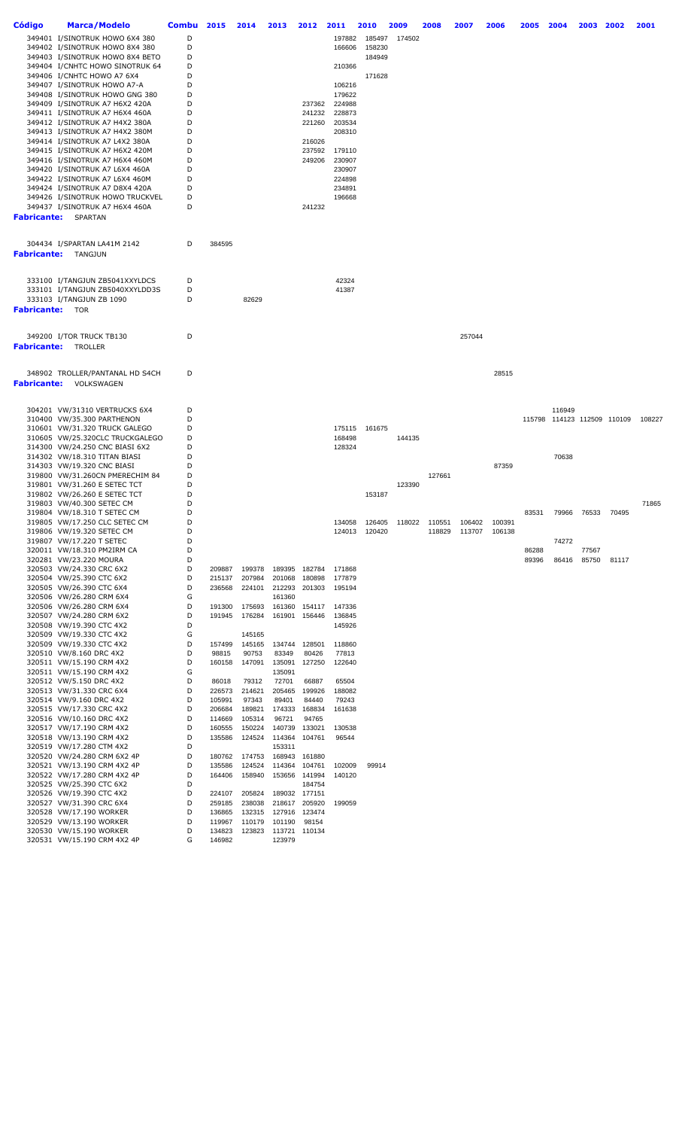| Código                 | <b>Marca/Modelo</b>                                               | Combu  | 2015             | 2014             | 2013             | 2012             | 2011             | 2010          | 2009   | 2008                 | 2007   | 2006          | 2005  | 2004                        | 2003  | 2002  | 2001   |
|------------------------|-------------------------------------------------------------------|--------|------------------|------------------|------------------|------------------|------------------|---------------|--------|----------------------|--------|---------------|-------|-----------------------------|-------|-------|--------|
|                        | 349401 I/SINOTRUK HOWO 6X4 380                                    | D      |                  |                  |                  |                  | 197882           | 185497        | 174502 |                      |        |               |       |                             |       |       |        |
|                        | 349402 I/SINOTRUK HOWO 8X4 380                                    | D      |                  |                  |                  |                  | 166606           | 158230        |        |                      |        |               |       |                             |       |       |        |
|                        | 349403 I/SINOTRUK HOWO 8X4 BETO                                   | D      |                  |                  |                  |                  |                  | 184949        |        |                      |        |               |       |                             |       |       |        |
|                        | 349404 I/CNHTC HOWO SINOTRUK 64                                   | D<br>D |                  |                  |                  |                  | 210366           |               |        |                      |        |               |       |                             |       |       |        |
|                        | 349406 I/CNHTC HOWO A7 6X4<br>349407 I/SINOTRUK HOWO A7-A         | D      |                  |                  |                  |                  | 106216           | 171628        |        |                      |        |               |       |                             |       |       |        |
|                        | 349408 I/SINOTRUK HOWO GNG 380                                    | D      |                  |                  |                  |                  | 179622           |               |        |                      |        |               |       |                             |       |       |        |
|                        | 349409 I/SINOTRUK A7 H6X2 420A                                    | D      |                  |                  |                  | 237362           | 224988           |               |        |                      |        |               |       |                             |       |       |        |
|                        | 349411 I/SINOTRUK A7 H6X4 460A                                    | D      |                  |                  |                  | 241232           | 228873           |               |        |                      |        |               |       |                             |       |       |        |
|                        | 349412 I/SINOTRUK A7 H4X2 380A                                    | D      |                  |                  |                  | 221260           | 203534           |               |        |                      |        |               |       |                             |       |       |        |
|                        | 349413 I/SINOTRUK A7 H4X2 380M<br>349414 I/SINOTRUK A7 L4X2 380A  | D<br>D |                  |                  |                  | 216026           | 208310           |               |        |                      |        |               |       |                             |       |       |        |
|                        | 349415 I/SINOTRUK A7 H6X2 420M                                    | D      |                  |                  |                  | 237592           | 179110           |               |        |                      |        |               |       |                             |       |       |        |
|                        | 349416 I/SINOTRUK A7 H6X4 460M                                    | D      |                  |                  |                  | 249206           | 230907           |               |        |                      |        |               |       |                             |       |       |        |
|                        | 349420 I/SINOTRUK A7 L6X4 460A                                    | D      |                  |                  |                  |                  | 230907           |               |        |                      |        |               |       |                             |       |       |        |
|                        | 349422 I/SINOTRUK A7 L6X4 460M                                    | D      |                  |                  |                  |                  | 224898           |               |        |                      |        |               |       |                             |       |       |        |
|                        | 349424 I/SINOTRUK A7 D8X4 420A                                    | D      |                  |                  |                  |                  | 234891           |               |        |                      |        |               |       |                             |       |       |        |
|                        | 349426 I/SINOTRUK HOWO TRUCKVEL<br>349437 I/SINOTRUK A7 H6X4 460A | D<br>D |                  |                  |                  | 241232           | 196668           |               |        |                      |        |               |       |                             |       |       |        |
|                        | <b>Fabricante:</b> SPARTAN                                        |        |                  |                  |                  |                  |                  |               |        |                      |        |               |       |                             |       |       |        |
|                        |                                                                   |        |                  |                  |                  |                  |                  |               |        |                      |        |               |       |                             |       |       |        |
|                        | 304434 I/SPARTAN LA41M 2142<br>Fabricante: TANGJUN                | D      | 384595           |                  |                  |                  |                  |               |        |                      |        |               |       |                             |       |       |        |
|                        |                                                                   |        |                  |                  |                  |                  |                  |               |        |                      |        |               |       |                             |       |       |        |
|                        | 333100 I/TANGJUN ZB5041XXYLDCS                                    | D      |                  |                  |                  |                  | 42324            |               |        |                      |        |               |       |                             |       |       |        |
|                        | 333101 I/TANGJUN ZB5040XXYLDD3S                                   | D      |                  |                  |                  |                  | 41387            |               |        |                      |        |               |       |                             |       |       |        |
|                        | 333103 I/TANGJUN ZB 1090                                          | D      |                  | 82629            |                  |                  |                  |               |        |                      |        |               |       |                             |       |       |        |
| <b>Fabricante:</b> TOR |                                                                   |        |                  |                  |                  |                  |                  |               |        |                      |        |               |       |                             |       |       |        |
|                        |                                                                   |        |                  |                  |                  |                  |                  |               |        |                      |        |               |       |                             |       |       |        |
|                        | 349200 I/TOR TRUCK TB130                                          | D      |                  |                  |                  |                  |                  |               |        |                      | 257044 |               |       |                             |       |       |        |
| Fabricante:            | TROLLER                                                           |        |                  |                  |                  |                  |                  |               |        |                      |        |               |       |                             |       |       |        |
|                        |                                                                   |        |                  |                  |                  |                  |                  |               |        |                      |        |               |       |                             |       |       |        |
|                        | 348902 TROLLER/PANTANAL HD S4CH                                   | D      |                  |                  |                  |                  |                  |               |        |                      |        | 28515         |       |                             |       |       |        |
| Fabricante:            | VOLKSWAGEN                                                        |        |                  |                  |                  |                  |                  |               |        |                      |        |               |       |                             |       |       |        |
|                        |                                                                   |        |                  |                  |                  |                  |                  |               |        |                      |        |               |       |                             |       |       |        |
|                        | 304201 VW/31310 VERTRUCKS 6X4                                     | D      |                  |                  |                  |                  |                  |               |        |                      |        |               |       | 116949                      |       |       |        |
|                        | 310400 VW/35.300 PARTHENON                                        | D      |                  |                  |                  |                  |                  |               |        |                      |        |               |       | 115798 114123 112509 110109 |       |       | 108227 |
|                        | 310601 VW/31.320 TRUCK GALEGO<br>310605 VW/25.320CLC TRUCKGALEGO  | D<br>D |                  |                  |                  |                  | 175115<br>168498 | 161675        | 144135 |                      |        |               |       |                             |       |       |        |
|                        | 314300 VW/24.250 CNC BIASI 6X2                                    | D      |                  |                  |                  |                  | 128324           |               |        |                      |        |               |       |                             |       |       |        |
|                        | 314302 VW/18.310 TITAN BIASI                                      | D      |                  |                  |                  |                  |                  |               |        |                      |        |               |       | 70638                       |       |       |        |
|                        | 314303 VW/19.320 CNC BIASI                                        | D      |                  |                  |                  |                  |                  |               |        |                      |        | 87359         |       |                             |       |       |        |
|                        | 319800 VW/31.260CN PMERECHIM 84                                   | D      |                  |                  |                  |                  |                  |               |        | 127661               |        |               |       |                             |       |       |        |
|                        | 319801 VW/31.260 E SETEC TCT<br>319802 VW/26.260 E SETEC TCT      | D<br>D |                  |                  |                  |                  |                  | 153187        | 123390 |                      |        |               |       |                             |       |       |        |
|                        | 319803 VW/40.300 SETEC CM                                         | D      |                  |                  |                  |                  |                  |               |        |                      |        |               |       |                             |       |       | 71865  |
|                        | 319804 VW/18.310 T SETEC CM                                       | D      |                  |                  |                  |                  |                  |               |        |                      |        |               | 83531 | 79966                       | 76533 | 70495 |        |
|                        | 319805 VW/17.250 CLC SETEC CM                                     |        |                  |                  |                  |                  | 134058           | 126405        |        | 118022 110551 106402 |        | 100391        |       |                             |       |       |        |
|                        | 319806 VW/19.320 SETEC CM                                         | D      |                  |                  |                  |                  |                  | 124013 120420 |        | 118829               |        | 113707 106138 |       |                             |       |       |        |
|                        | 319807 VW/17.220 T SETEC<br>320011 VW/18.310 PM2IRM CA            | D<br>D |                  |                  |                  |                  |                  |               |        |                      |        |               | 86288 | 74272                       | 77567 |       |        |
|                        | 320281 VW/23.220 MOURA                                            | D      |                  |                  |                  |                  |                  |               |        |                      |        |               | 89396 | 86416                       | 85750 | 81117 |        |
|                        | 320503 VW/24.330 CRC 6X2                                          | D      | 209887           | 199378           | 189395           | 182784           | 171868           |               |        |                      |        |               |       |                             |       |       |        |
|                        | 320504 VW/25.390 CTC 6X2                                          | D      | 215137           | 207984           | 201068           | 180898           | 177879           |               |        |                      |        |               |       |                             |       |       |        |
|                        | 320505 VW/26.390 CTC 6X4                                          | D      | 236568           | 224101           |                  | 212293 201303    | 195194           |               |        |                      |        |               |       |                             |       |       |        |
|                        | 320506 VW/26.280 CRM 6X4<br>320506 VW/26.280 CRM 6X4              | G<br>D | 191300           | 175693           | 161360           | 161360 154117    | 147336           |               |        |                      |        |               |       |                             |       |       |        |
|                        | 320507 VW/24.280 CRM 6X2                                          | D      | 191945           | 176284           | 161901           | 156446           | 136845           |               |        |                      |        |               |       |                             |       |       |        |
|                        | 320508 VW/19.390 CTC 4X2                                          | D      |                  |                  |                  |                  | 145926           |               |        |                      |        |               |       |                             |       |       |        |
|                        | 320509 VW/19.330 CTC 4X2                                          | G      |                  | 145165           |                  |                  |                  |               |        |                      |        |               |       |                             |       |       |        |
|                        | 320509 VW/19.330 CTC 4X2                                          | D      | 157499           | 145165           | 134744           | 128501           | 118860           |               |        |                      |        |               |       |                             |       |       |        |
|                        | 320510 VW/8.160 DRC 4X2<br>320511 VW/15.190 CRM 4X2               | D<br>D | 98815            | 90753            | 83349            | 80426            | 77813            |               |        |                      |        |               |       |                             |       |       |        |
|                        | 320511 VW/15.190 CRM 4X2                                          | G      | 160158           | 147091           | 135091<br>135091 | 127250           | 122640           |               |        |                      |        |               |       |                             |       |       |        |
|                        | 320512 VW/5.150 DRC 4X2                                           | D      | 86018            | 79312            | 72701            | 66887            | 65504            |               |        |                      |        |               |       |                             |       |       |        |
|                        | 320513 VW/31.330 CRC 6X4                                          | D      | 226573           | 214621           | 205465           | 199926           | 188082           |               |        |                      |        |               |       |                             |       |       |        |
|                        | 320514 VW/9.160 DRC 4X2                                           | D      | 105991           | 97343            | 89401            | 84440            | 79243            |               |        |                      |        |               |       |                             |       |       |        |
|                        | 320515 VW/17.330 CRC 4X2                                          | D<br>D | 206684           | 189821           | 174333           | 168834           | 161638           |               |        |                      |        |               |       |                             |       |       |        |
|                        | 320516 VW/10.160 DRC 4X2<br>320517 VW/17.190 CRM 4X2              | D      | 114669<br>160555 | 105314<br>150224 | 96721<br>140739  | 94765<br>133021  | 130538           |               |        |                      |        |               |       |                             |       |       |        |
|                        | 320518 VW/13.190 CRM 4X2                                          | D      | 135586           | 124524           | 114364           | 104761           | 96544            |               |        |                      |        |               |       |                             |       |       |        |
|                        | 320519 VW/17.280 CTM 4X2                                          | D      |                  |                  | 153311           |                  |                  |               |        |                      |        |               |       |                             |       |       |        |
|                        | 320520 VW/24.280 CRM 6X2 4P                                       | D      | 180762           | 174753           |                  | 168943 161880    |                  |               |        |                      |        |               |       |                             |       |       |        |
|                        | 320521 VW/13.190 CRM 4X2 4P                                       | D      | 135586           | 124524           | 114364           | 104761           | 102009           | 99914         |        |                      |        |               |       |                             |       |       |        |
|                        | 320522 VW/17.280 CRM 4X2 4P<br>320525 VW/25.390 CTC 6X2           | D<br>D | 164406           | 158940           | 153656           | 141994<br>184754 | 140120           |               |        |                      |        |               |       |                             |       |       |        |
|                        | 320526 VW/19.390 CTC 4X2                                          | D      | 224107           | 205824           |                  | 189032 177151    |                  |               |        |                      |        |               |       |                             |       |       |        |
|                        | 320527 VW/31.390 CRC 6X4                                          | D      | 259185           | 238038           |                  | 218617 205920    | 199059           |               |        |                      |        |               |       |                             |       |       |        |
|                        | 320528 VW/17.190 WORKER                                           | D      | 136865           | 132315           |                  | 127916 123474    |                  |               |        |                      |        |               |       |                             |       |       |        |
|                        | 320529 VW/13.190 WORKER                                           | D      | 119967           | 110179           | 101190           | 98154            |                  |               |        |                      |        |               |       |                             |       |       |        |
|                        | 320530 VW/15.190 WORKER<br>320531 VW/15.190 CRM 4X2 4P            | D<br>G | 134823<br>146982 | 123823           | 113721<br>123979 | 110134           |                  |               |        |                      |        |               |       |                             |       |       |        |
|                        |                                                                   |        |                  |                  |                  |                  |                  |               |        |                      |        |               |       |                             |       |       |        |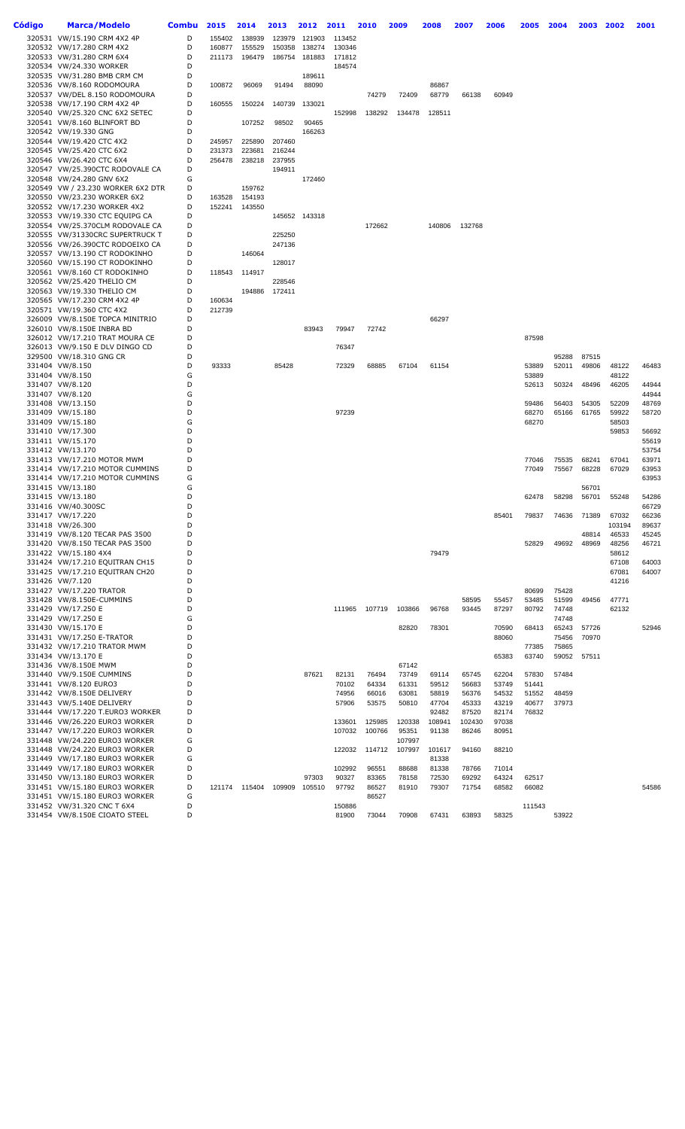| Código | Marca/Modelo                                                       | <b>Combu</b> | 2015   | 2014          | 2013             | 2012          | 2011           | 2010           | 2009           | 2008           | 2007           | 2006           | 2005           | 2004           | 2003           | 2002           | 2001           |
|--------|--------------------------------------------------------------------|--------------|--------|---------------|------------------|---------------|----------------|----------------|----------------|----------------|----------------|----------------|----------------|----------------|----------------|----------------|----------------|
|        | 320531 VW/15.190 CRM 4X2 4P                                        | D            | 155402 | 138939        | 123979           | 121903        | 113452         |                |                |                |                |                |                |                |                |                |                |
|        | 320532 VW/17.280 CRM 4X2                                           | D            | 160877 | 155529        | 150358           | 138274        | 130346         |                |                |                |                |                |                |                |                |                |                |
|        | 320533 VW/31.280 CRM 6X4                                           | D            | 211173 | 196479        | 186754           | 181883        | 171812         |                |                |                |                |                |                |                |                |                |                |
|        | 320534 VW/24.330 WORKER                                            | D            |        |               |                  |               | 184574         |                |                |                |                |                |                |                |                |                |                |
|        | 320535 VW/31.280 BMB CRM CM                                        | D<br>D       | 100872 |               |                  | 189611        |                |                |                | 86867          |                |                |                |                |                |                |                |
|        | 320536 VW/8.160 RODOMOURA<br>320537 VW/DEL 8.150 RODOMOURA         | D            |        | 96069         | 91494            | 88090         |                | 74279          | 72409          | 68779          | 66138          | 60949          |                |                |                |                |                |
|        | 320538 VW/17.190 CRM 4X2 4P                                        | D            | 160555 | 150224        | 140739           | 133021        |                |                |                |                |                |                |                |                |                |                |                |
|        | 320540 VW/25.320 CNC 6X2 SETEC                                     | D            |        |               |                  |               | 152998         | 138292         | 134478         | 128511         |                |                |                |                |                |                |                |
|        | 320541 VW/8.160 BLINFORT BD                                        | D            |        | 107252        | 98502            | 90465         |                |                |                |                |                |                |                |                |                |                |                |
|        | 320542 VW/19.330 GNG                                               | D            |        |               |                  | 166263        |                |                |                |                |                |                |                |                |                |                |                |
|        | 320544 VW/19.420 CTC 4X2                                           | D            | 245957 | 225890        | 207460           |               |                |                |                |                |                |                |                |                |                |                |                |
|        | 320545 VW/25.420 CTC 6X2                                           | D            | 231373 | 223681        | 216244           |               |                |                |                |                |                |                |                |                |                |                |                |
|        | 320546 VW/26.420 CTC 6X4<br>320547 VW/25.390CTC RODOVALE CA        | D<br>D       | 256478 | 238218        | 237955<br>194911 |               |                |                |                |                |                |                |                |                |                |                |                |
|        | 320548 VW/24.280 GNV 6X2                                           | G            |        |               |                  | 172460        |                |                |                |                |                |                |                |                |                |                |                |
|        | 320549 VW / 23.230 WORKER 6X2 DTR                                  | D            |        | 159762        |                  |               |                |                |                |                |                |                |                |                |                |                |                |
|        | 320550 VW/23.230 WORKER 6X2                                        | D            | 163528 | 154193        |                  |               |                |                |                |                |                |                |                |                |                |                |                |
|        | 320552 VW/17.230 WORKER 4X2                                        | D            | 152241 | 143550        |                  |               |                |                |                |                |                |                |                |                |                |                |                |
|        | 320553 VW/19.330 CTC EQUIPG CA                                     | D            |        |               |                  | 145652 143318 |                |                |                |                |                |                |                |                |                |                |                |
|        | 320554 VW/25.370CLM RODOVALE CA                                    | D            |        |               |                  |               |                | 172662         |                | 140806         | 132768         |                |                |                |                |                |                |
|        | 320555 VW/31330CRC SUPERTRUCK T<br>320556 VW/26.390CTC RODOEIXO CA | D<br>D       |        |               | 225250<br>247136 |               |                |                |                |                |                |                |                |                |                |                |                |
|        | 320557 VW/13.190 CT RODOKINHO                                      | D            |        | 146064        |                  |               |                |                |                |                |                |                |                |                |                |                |                |
|        | 320560 VW/15.190 CT RODOKINHO                                      | D            |        |               | 128017           |               |                |                |                |                |                |                |                |                |                |                |                |
|        | 320561 VW/8.160 CT RODOKINHO                                       | D            | 118543 | 114917        |                  |               |                |                |                |                |                |                |                |                |                |                |                |
|        | 320562 VW/25.420 THELIO CM                                         | D            |        |               | 228546           |               |                |                |                |                |                |                |                |                |                |                |                |
|        | 320563 VW/19.330 THELIO CM                                         | D            |        | 194886        | 172411           |               |                |                |                |                |                |                |                |                |                |                |                |
|        | 320565 VW/17.230 CRM 4X2 4P                                        | D            | 160634 |               |                  |               |                |                |                |                |                |                |                |                |                |                |                |
|        | 320571 VW/19.360 CTC 4X2<br>326009 VW/8.150E TOPCA MINITRIO        | D<br>D       | 212739 |               |                  |               |                |                |                | 66297          |                |                |                |                |                |                |                |
|        | 326010 VW/8.150E INBRA BD                                          | D            |        |               |                  | 83943         | 79947          | 72742          |                |                |                |                |                |                |                |                |                |
|        | 326012 VW/17.210 TRAT MOURA CE                                     | D            |        |               |                  |               |                |                |                |                |                |                | 87598          |                |                |                |                |
|        | 326013 VW/9.150 E DLV DINGO CD                                     | D            |        |               |                  |               | 76347          |                |                |                |                |                |                |                |                |                |                |
|        | 329500 VW/18.310 GNG CR                                            | D            |        |               |                  |               |                |                |                |                |                |                |                | 95288          | 87515          |                |                |
|        | 331404 VW/8.150                                                    | D            | 93333  |               | 85428            |               | 72329          | 68885          | 67104          | 61154          |                |                | 53889          | 52011          | 49806          | 48122          | 46483          |
|        | 331404 VW/8.150                                                    | G            |        |               |                  |               |                |                |                |                |                |                | 53889          |                |                | 48122          |                |
|        | 331407 VW/8.120<br>331407 VW/8.120                                 | D<br>G       |        |               |                  |               |                |                |                |                |                |                | 52613          | 50324          | 48496          | 46205          | 44944<br>44944 |
|        | 331408 VW/13.150                                                   | D            |        |               |                  |               |                |                |                |                |                |                | 59486          | 56403          | 54305          | 52209          | 48769          |
|        | 331409 VW/15.180                                                   | D            |        |               |                  |               | 97239          |                |                |                |                |                | 68270          | 65166          | 61765          | 59922          | 58720          |
|        | 331409 VW/15.180                                                   | G            |        |               |                  |               |                |                |                |                |                |                | 68270          |                |                | 58503          |                |
|        | 331410 VW/17.300                                                   | D            |        |               |                  |               |                |                |                |                |                |                |                |                |                | 59853          | 56692          |
|        | 331411 VW/15.170                                                   | D            |        |               |                  |               |                |                |                |                |                |                |                |                |                |                | 55619          |
|        | 331412 VW/13.170                                                   | D            |        |               |                  |               |                |                |                |                |                |                |                |                |                |                | 53754          |
|        | 331413 VW/17.210 MOTOR MWM<br>331414 VW/17.210 MOTOR CUMMINS       | D<br>D       |        |               |                  |               |                |                |                |                |                |                | 77046          | 75535          | 68241          | 67041          | 63971          |
|        | 331414 VW/17.210 MOTOR CUMMINS                                     | G            |        |               |                  |               |                |                |                |                |                |                | 77049          | 75567          | 68228          | 67029          | 63953<br>63953 |
|        | 331415 VW/13.180                                                   | G            |        |               |                  |               |                |                |                |                |                |                |                |                | 56701          |                |                |
|        | 331415 VW/13.180                                                   | D            |        |               |                  |               |                |                |                |                |                |                | 62478          | 58298          | 56701          | 55248          | 54286          |
|        | 331416 VW/40.300SC                                                 | D            |        |               |                  |               |                |                |                |                |                |                |                |                |                |                | 66729          |
|        | 331417 VW/17.220                                                   | D            |        |               |                  |               |                |                |                |                |                | 85401          | 79837          | 74636          | 71389          | 67032          | 66236          |
|        | 331418 VW/26.300                                                   | D            |        |               |                  |               |                |                |                |                |                |                |                |                |                | 103194         | 89637          |
|        | 331419 VW/8.120 TECAR PAS 3500<br>331420 VW/8.150 TECAR PAS 3500   | D<br>D       |        |               |                  |               |                |                |                |                |                |                | 52829          | 49692          | 48814<br>48969 | 46533<br>48256 | 45245<br>46721 |
|        | 331422 VW/15.180 4X4                                               | D            |        |               |                  |               |                |                |                | 79479          |                |                |                |                |                | 58612          |                |
|        | 331424 VW/17.210 EQUITRAN CH15                                     | D            |        |               |                  |               |                |                |                |                |                |                |                |                |                | 67108          | 64003          |
|        | 331425 VW/17.210 EQUITRAN CH20                                     | D            |        |               |                  |               |                |                |                |                |                |                |                |                |                | 67081          | 64007          |
|        | 331426 VW/7.120                                                    | D            |        |               |                  |               |                |                |                |                |                |                |                |                |                | 41216          |                |
|        | 331427 VW/17.220 TRATOR                                            | D            |        |               |                  |               |                |                |                |                |                |                | 80699          | 75428          |                |                |                |
|        | 331428 VW/8.150E-CUMMINS                                           | D<br>D       |        |               |                  |               |                |                |                |                | 58595          | 55457          | 53485          | 51599          | 49456          | 47771<br>62132 |                |
|        | 331429 VW/17.250 E<br>331429 VW/17.250 E                           | G            |        |               |                  |               | 111965         | 107719         | 103866         | 96768          | 93445          | 87297          | 80792          | 74748<br>74748 |                |                |                |
|        | 331430 VW/15.170 E                                                 | D            |        |               |                  |               |                |                | 82820          | 78301          |                | 70590          | 68413          | 65243          | 57726          |                | 52946          |
|        | 331431 VW/17.250 E-TRATOR                                          | D            |        |               |                  |               |                |                |                |                |                | 88060          |                | 75456          | 70970          |                |                |
|        | 331432 VW/17.210 TRATOR MWM                                        | D            |        |               |                  |               |                |                |                |                |                |                | 77385          | 75865          |                |                |                |
|        | 331434 VW/13.170 E                                                 | D            |        |               |                  |               |                |                |                |                |                | 65383          | 63740          | 59052          | 57511          |                |                |
|        | 331436 VW/8.150E MWM                                               | D            |        |               |                  |               |                |                | 67142          |                |                |                |                |                |                |                |                |
|        | 331440 VW/9.150E CUMMINS                                           | D<br>D       |        |               |                  | 87621         | 82131          | 76494          | 73749          | 69114          | 65745          | 62204          | 57830          | 57484          |                |                |                |
|        | 331441 VW/8.120 EURO3<br>331442 VW/8.150E DELIVERY                 | D            |        |               |                  |               | 70102<br>74956 | 64334<br>66016 | 61331<br>63081 | 59512<br>58819 | 56683<br>56376 | 53749<br>54532 | 51441<br>51552 | 48459          |                |                |                |
|        | 331443 VW/5.140E DELIVERY                                          | D            |        |               |                  |               | 57906          | 53575          | 50810          | 47704          | 45333          | 43219          | 40677          | 37973          |                |                |                |
|        | 331444 VW/17.220 T.EURO3 WORKER                                    | D            |        |               |                  |               |                |                |                | 92482          | 87520          | 82174          | 76832          |                |                |                |                |
|        | 331446 VW/26.220 EURO3 WORKER                                      | D            |        |               |                  |               | 133601         | 125985         | 120338         | 108941         | 102430         | 97038          |                |                |                |                |                |
|        | 331447 VW/17.220 EURO3 WORKER                                      | D            |        |               |                  |               | 107032         | 100766         | 95351          | 91138          | 86246          | 80951          |                |                |                |                |                |
|        | 331448 VW/24.220 EURO3 WORKER                                      | G            |        |               |                  |               |                |                | 107997         |                |                |                |                |                |                |                |                |
|        | 331448 VW/24.220 EURO3 WORKER                                      | D<br>G       |        |               |                  |               | 122032         | 114712         | 107997         | 101617         | 94160          | 88210          |                |                |                |                |                |
|        | 331449 VW/17.180 EURO3 WORKER<br>331449 VW/17.180 EURO3 WORKER     | D            |        |               |                  |               | 102992         | 96551          | 88688          | 81338<br>81338 | 78766          | 71014          |                |                |                |                |                |
|        | 331450 VW/13.180 EURO3 WORKER                                      | D            |        |               |                  | 97303         | 90327          | 83365          | 78158          | 72530          | 69292          | 64324          | 62517          |                |                |                |                |
|        | 331451 VW/15.180 EURO3 WORKER                                      | D            |        | 121174 115404 | 109909           | 105510        | 97792          | 86527          | 81910          | 79307          | 71754          | 68582          | 66082          |                |                |                | 54586          |
|        | 331451 VW/15.180 EURO3 WORKER                                      | G            |        |               |                  |               |                | 86527          |                |                |                |                |                |                |                |                |                |
|        | 331452 VW/31.320 CNC T 6X4                                         | D            |        |               |                  |               | 150886         |                |                |                |                |                | 111543         |                |                |                |                |
|        | 331454 VW/8.150E CIOATO STEEL                                      | D            |        |               |                  |               | 81900          | 73044          | 70908          | 67431          | 63893          | 58325          |                | 53922          |                |                |                |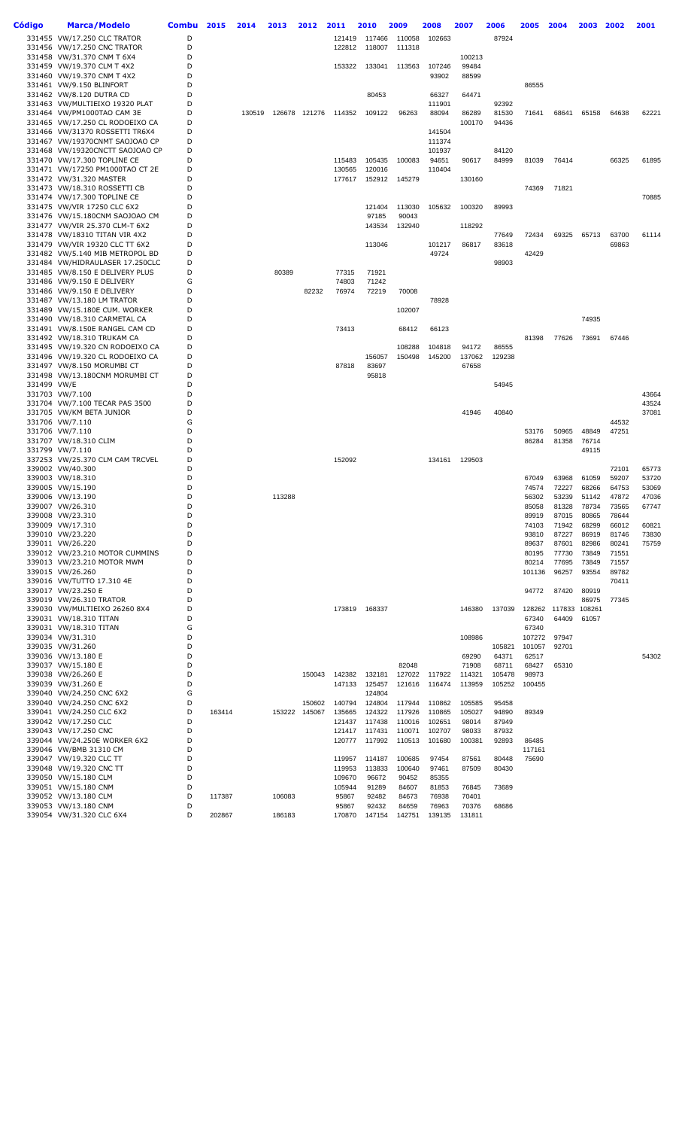| Código      | <b>Marca/Modelo</b>                                                | Combu  | 2015   | 2014   | 2013   | 2012          | 2011                 | 2010             | 2009             | 2008             | 2007             | 2006             | 2005            | 2004           | 2003           | 2002           | 2001           |
|-------------|--------------------------------------------------------------------|--------|--------|--------|--------|---------------|----------------------|------------------|------------------|------------------|------------------|------------------|-----------------|----------------|----------------|----------------|----------------|
|             | 331455 VW/17.250 CLC TRATOR                                        | D      |        |        |        |               | 121419               | 117466           | 110058           | 102663           |                  | 87924            |                 |                |                |                |                |
|             | 331456 VW/17.250 CNC TRATOR                                        | D      |        |        |        |               | 122812               | 118007           | 111318           |                  |                  |                  |                 |                |                |                |                |
|             | 331458 VW/31.370 CNM T 6X4<br>331459 VW/19.370 CLM T 4X2           | D<br>D |        |        |        |               | 153322               | 133041           | 113563           | 107246           | 100213<br>99484  |                  |                 |                |                |                |                |
|             | 331460 VW/19.370 CNM T 4X2                                         | D      |        |        |        |               |                      |                  |                  | 93902            | 88599            |                  |                 |                |                |                |                |
|             | 331461 VW/9.150 BLINFORT                                           | D      |        |        |        |               |                      |                  |                  |                  |                  |                  | 86555           |                |                |                |                |
|             | 331462 VW/8.120 DUTRA CD                                           | D      |        |        |        |               |                      | 80453            |                  | 66327            | 64471            |                  |                 |                |                |                |                |
|             | 331463 VW/MULTIEIXO 19320 PLAT                                     | D      |        |        |        |               |                      |                  |                  | 111901           |                  | 92392            |                 |                |                |                |                |
|             | 331464 VW/PM1000TAO CAM 3E<br>331465 VW/17.250 CL RODOEIXO CA      | D<br>D |        | 130519 |        |               | 126678 121276 114352 | 109122           | 96263            | 88094            | 86289<br>100170  | 81530<br>94436   | 71641           | 68641          | 65158          | 64638          | 62221          |
|             | 331466 VW/31370 ROSSETTI TR6X4                                     | D      |        |        |        |               |                      |                  |                  | 141504           |                  |                  |                 |                |                |                |                |
|             | 331467 VW/19370CNMT SAOJOAO CP                                     | D      |        |        |        |               |                      |                  |                  | 111374           |                  |                  |                 |                |                |                |                |
|             | 331468 VW/19320CNCTT SAOJOAO CP                                    | D      |        |        |        |               |                      |                  |                  | 101937           |                  | 84120            |                 |                |                |                |                |
|             | 331470 VW/17.300 TOPLINE CE                                        | D      |        |        |        |               | 115483               | 105435           | 100083           | 94651            | 90617            | 84999            | 81039           | 76414          |                | 66325          | 61895          |
|             | 331471 VW/17250 PM1000TAO CT 2E<br>331472 VW/31.320 MASTER         | D<br>D |        |        |        |               | 130565<br>177617     | 120016<br>152912 | 145279           | 110404           | 130160           |                  |                 |                |                |                |                |
|             | 331473 VW/18.310 ROSSETTI CB                                       | D      |        |        |        |               |                      |                  |                  |                  |                  |                  | 74369           | 71821          |                |                |                |
|             | 331474 VW/17.300 TOPLINE CE                                        | D      |        |        |        |               |                      |                  |                  |                  |                  |                  |                 |                |                |                | 70885          |
|             | 331475 VW/VIR 17250 CLC 6X2                                        | D      |        |        |        |               |                      | 121404           | 113030           | 105632           | 100320           | 89993            |                 |                |                |                |                |
|             | 331476 VW/15.180CNM SAOJOAO CM                                     | D      |        |        |        |               |                      | 97185            | 90043            |                  |                  |                  |                 |                |                |                |                |
|             | 331477 VW/VIR 25.370 CLM-T 6X2<br>331478 VW/18310 TITAN VIR 4X2    | D<br>D |        |        |        |               |                      | 143534           | 132940           |                  | 118292           | 77649            | 72434           | 69325          | 65713          | 63700          | 61114          |
|             | 331479 VW/VIR 19320 CLC TT 6X2                                     | D      |        |        |        |               |                      | 113046           |                  | 101217           | 86817            | 83618            |                 |                |                | 69863          |                |
|             | 331482 VW/5.140 MIB METROPOL BD                                    | D      |        |        |        |               |                      |                  |                  | 49724            |                  |                  | 42429           |                |                |                |                |
|             | 331484 VW/HIDRAULASER 17.250CLC                                    | D      |        |        |        |               |                      |                  |                  |                  |                  | 98903            |                 |                |                |                |                |
|             | 331485 VW/8.150 E DELIVERY PLUS                                    | D      |        |        | 80389  |               | 77315                | 71921            |                  |                  |                  |                  |                 |                |                |                |                |
|             | 331486 VW/9.150 E DELIVERY<br>331486 VW/9.150 E DELIVERY           | G<br>D |        |        |        | 82232         | 74803<br>76974       | 71242<br>72219   | 70008            |                  |                  |                  |                 |                |                |                |                |
|             | 331487 VW/13.180 LM TRATOR                                         | D      |        |        |        |               |                      |                  |                  | 78928            |                  |                  |                 |                |                |                |                |
|             | 331489 VW/15.180E CUM. WORKER                                      | D      |        |        |        |               |                      |                  | 102007           |                  |                  |                  |                 |                |                |                |                |
|             | 331490 VW/18.310 CARMETAL CA                                       | D      |        |        |        |               |                      |                  |                  |                  |                  |                  |                 |                | 74935          |                |                |
|             | 331491 VW/8.150E RANGEL CAM CD                                     | D      |        |        |        |               | 73413                |                  | 68412            | 66123            |                  |                  |                 |                |                |                |                |
|             | 331492 VW/18.310 TRUKAM CA                                         | D<br>D |        |        |        |               |                      |                  |                  |                  |                  |                  | 81398           | 77626          | 73691          | 67446          |                |
|             | 331495 VW/19.320 CN RODOEIXO CA<br>331496 VW/19.320 CL RODOEIXO CA | D      |        |        |        |               |                      | 156057           | 108288<br>150498 | 104818<br>145200 | 94172<br>137062  | 86555<br>129238  |                 |                |                |                |                |
|             | 331497 VW/8.150 MORUMBI CT                                         | D      |        |        |        |               | 87818                | 83697            |                  |                  | 67658            |                  |                 |                |                |                |                |
|             | 331498 VW/13.180CNM MORUMBI CT                                     | D      |        |        |        |               |                      | 95818            |                  |                  |                  |                  |                 |                |                |                |                |
| 331499 VW/E |                                                                    | D      |        |        |        |               |                      |                  |                  |                  |                  | 54945            |                 |                |                |                |                |
|             | 331703 VW/7.100                                                    | D      |        |        |        |               |                      |                  |                  |                  |                  |                  |                 |                |                |                | 43664          |
|             | 331704 VW/7.100 TECAR PAS 3500<br>331705 VW/KM BETA JUNIOR         | D<br>D |        |        |        |               |                      |                  |                  |                  | 41946            | 40840            |                 |                |                |                | 43524<br>37081 |
|             | 331706 VW/7.110                                                    | G      |        |        |        |               |                      |                  |                  |                  |                  |                  |                 |                |                | 44532          |                |
|             | 331706 VW/7.110                                                    | D      |        |        |        |               |                      |                  |                  |                  |                  |                  | 53176           | 50965          | 48849          | 47251          |                |
|             | 331707 VW/18.310 CLIM                                              | D      |        |        |        |               |                      |                  |                  |                  |                  |                  | 86284           | 81358          | 76714          |                |                |
|             | 331799 VW/7.110                                                    | D<br>D |        |        |        |               | 152092               |                  |                  | 134161           | 129503           |                  |                 |                | 49115          |                |                |
|             | 337253 VW/25.370 CLM CAM TRCVEL<br>339002 VW/40.300                | D      |        |        |        |               |                      |                  |                  |                  |                  |                  |                 |                |                | 72101          | 65773          |
|             | 339003 VW/18.310                                                   | D      |        |        |        |               |                      |                  |                  |                  |                  |                  | 67049           | 63968          | 61059          | 59207          | 53720          |
|             | 339005 VW/15.190                                                   | D      |        |        |        |               |                      |                  |                  |                  |                  |                  | 74574           | 72227          | 68266          | 64753          | 53069          |
|             | 339006 VW/13.190                                                   | D      |        |        | 113288 |               |                      |                  |                  |                  |                  |                  | 56302           | 53239          | 51142          | 47872          | 47036          |
|             | 339007 VW/26.310<br>339008 VW/23.310                               | D<br>D |        |        |        |               |                      |                  |                  |                  |                  |                  | 85058<br>89919  | 81328<br>87015 | 78734<br>80865 | 73565<br>78644 | 67747          |
|             | 339009 VW/17.310                                                   | D      |        |        |        |               |                      |                  |                  |                  |                  |                  | 74103           | 71942          | 68299          | 66012          | 60821          |
|             | 339010 VW/23.220                                                   | D      |        |        |        |               |                      |                  |                  |                  |                  |                  | 93810           | 87227          | 86919          | 81746          | 73830          |
|             | 339011 VW/26.220                                                   | D      |        |        |        |               |                      |                  |                  |                  |                  |                  | 89637           | 87601          | 82986          | 80241          | 75759          |
|             | 339012 VW/23.210 MOTOR CUMMINS                                     | D      |        |        |        |               |                      |                  |                  |                  |                  |                  | 80195           | 77730          | 73849          | 71551          |                |
|             | 339013 VW/23.210 MOTOR MWM<br>339015 VW/26.260                     | D<br>D |        |        |        |               |                      |                  |                  |                  |                  |                  | 80214<br>101136 | 77695<br>96257 | 73849<br>93554 | 71557<br>89782 |                |
|             | 339016 VW/TUTTO 17.310 4E                                          | D      |        |        |        |               |                      |                  |                  |                  |                  |                  |                 |                |                | 70411          |                |
|             | 339017 VW/23.250 E                                                 | D      |        |        |        |               |                      |                  |                  |                  |                  |                  | 94772           | 87420          | 80919          |                |                |
|             | 339019 VW/26.310 TRATOR                                            | D      |        |        |        |               |                      |                  |                  |                  |                  |                  |                 |                | 86975          | 77345          |                |
|             | 339030 VW/MULTIEIXO 26260 8X4                                      | D<br>D |        |        |        |               | 173819               | 168337           |                  |                  | 146380           | 137039           |                 | 128262 117833  | 108261         |                |                |
|             | 339031 VW/18.310 TITAN<br>339031 VW/18.310 TITAN                   | G      |        |        |        |               |                      |                  |                  |                  |                  |                  | 67340<br>67340  | 64409          | 61057          |                |                |
|             | 339034 VW/31.310                                                   | D      |        |        |        |               |                      |                  |                  |                  | 108986           |                  | 107272          | 97947          |                |                |                |
|             | 339035 VW/31.260                                                   | D      |        |        |        |               |                      |                  |                  |                  |                  | 105821           | 101057          | 92701          |                |                |                |
|             | 339036 VW/13.180 E                                                 | D      |        |        |        |               |                      |                  |                  |                  | 69290            | 64371            | 62517           |                |                |                | 54302          |
|             | 339037 VW/15.180 E                                                 | D      |        |        |        |               |                      |                  | 82048            |                  | 71908            | 68711            | 68427           | 65310          |                |                |                |
|             | 339038 VW/26.260 E<br>339039 VW/31.260 E                           | D<br>D |        |        |        | 150043        | 142382<br>147133     | 132181<br>125457 | 127022<br>121616 | 117922<br>116474 | 114321<br>113959 | 105478<br>105252 | 98973<br>100455 |                |                |                |                |
|             | 339040 VW/24.250 CNC 6X2                                           | G      |        |        |        |               |                      | 124804           |                  |                  |                  |                  |                 |                |                |                |                |
|             | 339040 VW/24.250 CNC 6X2                                           | D      |        |        |        | 150602        | 140794               | 124804           | 117944           | 110862           | 105585           | 95458            |                 |                |                |                |                |
|             | 339041 VW/24.250 CLC 6X2                                           | D      | 163414 |        |        | 153222 145067 | 135665               | 124322           | 117926           | 110865           | 105027           | 94890            | 89349           |                |                |                |                |
|             | 339042 VW/17.250 CLC                                               | D      |        |        |        |               | 121437               | 117438           | 110016           | 102651           | 98014            | 87949            |                 |                |                |                |                |
|             | 339043 VW/17.250 CNC<br>339044 VW/24.250E WORKER 6X2               | D<br>D |        |        |        |               | 121417<br>120777     | 117431<br>117992 | 110071<br>110513 | 102707<br>101680 | 98033<br>100381  | 87932<br>92893   | 86485           |                |                |                |                |
|             | 339046 VW/BMB 31310 CM                                             | D      |        |        |        |               |                      |                  |                  |                  |                  |                  | 117161          |                |                |                |                |
|             | 339047 VW/19.320 CLC TT                                            | D      |        |        |        |               | 119957               | 114187           | 100685           | 97454            | 87561            | 80448            | 75690           |                |                |                |                |
|             | 339048 VW/19.320 CNC TT                                            | D      |        |        |        |               | 119953               | 113833           | 100640           | 97461            | 87509            | 80430            |                 |                |                |                |                |
|             | 339050 VW/15.180 CLM                                               | D      |        |        |        |               | 109670               | 96672            | 90452            | 85355            |                  |                  |                 |                |                |                |                |
|             | 339051 VW/15.180 CNM<br>339052 VW/13.180 CLM                       | D<br>D | 117387 |        | 106083 |               | 105944<br>95867      | 91289<br>92482   | 84607<br>84673   | 81853<br>76938   | 76845<br>70401   | 73689            |                 |                |                |                |                |
|             | 339053 VW/13.180 CNM                                               | D      |        |        |        |               | 95867                | 92432            | 84659            | 76963            | 70376            | 68686            |                 |                |                |                |                |
|             | 339054 VW/31.320 CLC 6X4                                           | D      | 202867 |        | 186183 |               | 170870               | 147154           | 142751           | 139135           | 131811           |                  |                 |                |                |                |                |
|             |                                                                    |        |        |        |        |               |                      |                  |                  |                  |                  |                  |                 |                |                |                |                |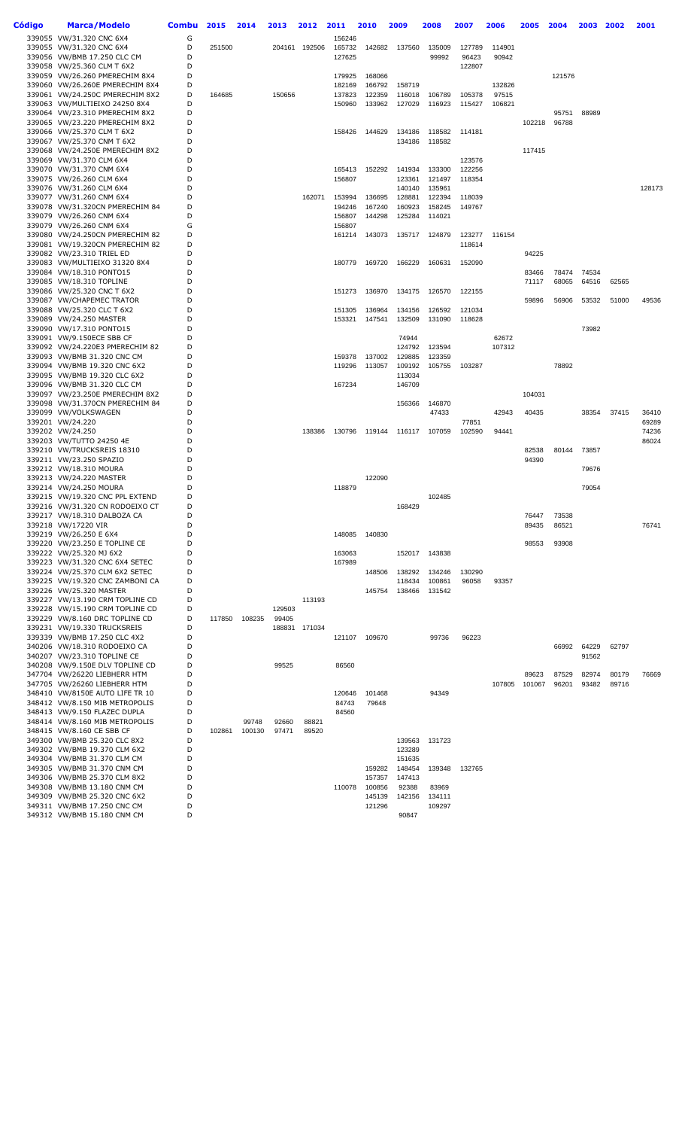| Código | Marca/Modelo                                                       | <b>Combu</b> | 2015   | 2014   | 2013   | 2012   | 2011             | 2010             | 2009             | 2008   | 2007             | 2006   | 2005            | 2004           | 2003           | 2002           | 2001   |
|--------|--------------------------------------------------------------------|--------------|--------|--------|--------|--------|------------------|------------------|------------------|--------|------------------|--------|-----------------|----------------|----------------|----------------|--------|
|        | 339055 VW/31.320 CNC 6X4                                           | G            |        |        |        |        | 156246           |                  |                  |        |                  |        |                 |                |                |                |        |
|        | 339055 VW/31.320 CNC 6X4                                           | D            | 251500 |        | 204161 | 192506 | 165732           | 142682           | 137560           | 135009 | 127789           | 114901 |                 |                |                |                |        |
|        | 339056 VW/BMB 17.250 CLC CM                                        | D            |        |        |        |        | 127625           |                  |                  | 99992  | 96423            | 90942  |                 |                |                |                |        |
|        | 339058 VW/25.360 CLM T 6X2                                         | D<br>D       |        |        |        |        |                  |                  |                  |        | 122807           |        |                 |                |                |                |        |
|        | 339059 VW/26.260 PMERECHIM 8X4<br>339060 VW/26.260E PMERECHIM 8X4  | D            |        |        |        |        | 179925<br>182169 | 168066<br>166792 | 158719           |        |                  | 132826 |                 | 121576         |                |                |        |
|        | 339061 VW/24.250C PMERECHIM 8X2                                    | D            | 164685 |        | 150656 |        | 137823           | 122359           | 116018           | 106789 | 105378           | 97515  |                 |                |                |                |        |
|        | 339063 VW/MULTIEIXO 24250 8X4                                      | D            |        |        |        |        | 150960           | 133962           | 127029           | 116923 | 115427           | 106821 |                 |                |                |                |        |
|        | 339064 VW/23.310 PMERECHIM 8X2                                     | D            |        |        |        |        |                  |                  |                  |        |                  |        |                 | 95751          | 88989          |                |        |
|        | 339065 VW/23.220 PMERECHIM 8X2                                     | D            |        |        |        |        |                  |                  |                  |        |                  |        | 102218          | 96788          |                |                |        |
|        | 339066 VW/25.370 CLM T 6X2                                         | D            |        |        |        |        | 158426           | 144629           | 134186           | 118582 | 114181           |        |                 |                |                |                |        |
|        | 339067 VW/25.370 CNM T 6X2                                         | D            |        |        |        |        |                  |                  | 134186           | 118582 |                  |        |                 |                |                |                |        |
|        | 339068 VW/24.250E PMERECHIM 8X2                                    | D<br>D       |        |        |        |        |                  |                  |                  |        |                  |        | 117415          |                |                |                |        |
|        | 339069 VW/31.370 CLM 6X4<br>339070 VW/31.370 CNM 6X4               | D            |        |        |        |        | 165413           | 152292           | 141934           | 133300 | 123576<br>122256 |        |                 |                |                |                |        |
|        | 339075 VW/26.260 CLM 6X4                                           | D            |        |        |        |        | 156807           |                  | 123361           | 121497 | 118354           |        |                 |                |                |                |        |
|        | 339076 VW/31.260 CLM 6X4                                           | D            |        |        |        |        |                  |                  | 140140           | 135961 |                  |        |                 |                |                |                | 128173 |
|        | 339077 VW/31.260 CNM 6X4                                           | D            |        |        |        | 162071 | 153994           | 136695           | 128881           | 122394 | 118039           |        |                 |                |                |                |        |
|        | 339078 VW/31.320CN PMERECHIM 84                                    | D            |        |        |        |        | 194246           | 167240           | 160923           | 158245 | 149767           |        |                 |                |                |                |        |
|        | 339079 VW/26.260 CNM 6X4                                           | D            |        |        |        |        | 156807           | 144298           | 125284           | 114021 |                  |        |                 |                |                |                |        |
|        | 339079 VW/26.260 CNM 6X4                                           | G            |        |        |        |        | 156807           |                  |                  |        |                  |        |                 |                |                |                |        |
|        | 339080 VW/24.250CN PMERECHIM 82<br>339081 VW/19.320CN PMERECHIM 82 | D<br>D       |        |        |        |        | 161214           | 143073           | 135717           | 124879 | 123277<br>118614 | 116154 |                 |                |                |                |        |
|        | 339082 VW/23.310 TRIEL ED                                          | D            |        |        |        |        |                  |                  |                  |        |                  |        | 94225           |                |                |                |        |
|        | 339083 VW/MULTIEIXO 31320 8X4                                      | D            |        |        |        |        | 180779           | 169720           | 166229           | 160631 | 152090           |        |                 |                |                |                |        |
|        | 339084 VW/18.310 PONTO15                                           | D            |        |        |        |        |                  |                  |                  |        |                  |        | 83466           | 78474          | 74534          |                |        |
|        | 339085 VW/18.310 TOPLINE                                           | D            |        |        |        |        |                  |                  |                  |        |                  |        | 71117           | 68065          | 64516          | 62565          |        |
|        | 339086 VW/25.320 CNC T 6X2                                         | D            |        |        |        |        | 151273           | 136970           | 134175           | 126570 | 122155           |        |                 |                |                |                |        |
|        | 339087 VW/CHAPEMEC TRATOR                                          | D            |        |        |        |        |                  |                  |                  |        |                  |        | 59896           | 56906          | 53532          | 51000          | 49536  |
|        | 339088 VW/25.320 CLC T 6X2                                         | D<br>D       |        |        |        |        | 151305           | 136964           | 134156           | 126592 | 121034           |        |                 |                |                |                |        |
|        | 339089 VW/24.250 MASTER<br>339090 VW/17.310 PONTO15                | D            |        |        |        |        | 153321           | 147541           | 132509           | 131090 | 118628           |        |                 |                | 73982          |                |        |
|        | 339091 VW/9.150ECE SBB CF                                          | D            |        |        |        |        |                  |                  | 74944            |        |                  | 62672  |                 |                |                |                |        |
|        | 339092 VW/24.220E3 PMERECHIM 82                                    | D            |        |        |        |        |                  |                  | 124792           | 123594 |                  | 107312 |                 |                |                |                |        |
|        | 339093 VW/BMB 31.320 CNC CM                                        | D            |        |        |        |        | 159378           | 137002           | 129885           | 123359 |                  |        |                 |                |                |                |        |
|        | 339094 VW/BMB 19.320 CNC 6X2                                       | D            |        |        |        |        | 119296           | 113057           | 109192           | 105755 | 103287           |        |                 | 78892          |                |                |        |
|        | 339095 VW/BMB 19.320 CLC 6X2                                       | D            |        |        |        |        |                  |                  | 113034           |        |                  |        |                 |                |                |                |        |
|        | 339096 VW/BMB 31.320 CLC CM                                        | D<br>D       |        |        |        |        | 167234           |                  | 146709           |        |                  |        | 104031          |                |                |                |        |
|        | 339097 VW/23.250E PMERECHIM 8X2<br>339098 VW/31.370CN PMERECHIM 84 | D            |        |        |        |        |                  |                  | 156366           | 146870 |                  |        |                 |                |                |                |        |
|        | 339099 VW/VOLKSWAGEN                                               | D            |        |        |        |        |                  |                  |                  | 47433  |                  | 42943  | 40435           |                | 38354          | 37415          | 36410  |
|        | 339201 VW/24.220                                                   | D            |        |        |        |        |                  |                  |                  |        | 77851            |        |                 |                |                |                | 69289  |
|        | 339202 VW/24.250                                                   | D            |        |        |        | 138386 | 130796           | 119144           | 116117           | 107059 | 102590           | 94441  |                 |                |                |                | 74236  |
|        | 339203 VW/TUTTO 24250 4E                                           | D            |        |        |        |        |                  |                  |                  |        |                  |        |                 |                |                |                | 86024  |
|        | 339210 VW/TRUCKSREIS 18310                                         | D            |        |        |        |        |                  |                  |                  |        |                  |        | 82538           | 80144          | 73857          |                |        |
|        | 339211 VW/23.250 SPAZIO                                            | D<br>D       |        |        |        |        |                  |                  |                  |        |                  |        | 94390           |                |                |                |        |
|        | 339212 VW/18.310 MOURA<br>339213 VW/24.220 MASTER                  | D            |        |        |        |        |                  | 122090           |                  |        |                  |        |                 |                | 79676          |                |        |
|        | 339214 VW/24.250 MOURA                                             | D            |        |        |        |        | 118879           |                  |                  |        |                  |        |                 |                | 79054          |                |        |
|        | 339215 VW/19.320 CNC PPL EXTEND                                    | D            |        |        |        |        |                  |                  |                  | 102485 |                  |        |                 |                |                |                |        |
|        | 339216 VW/31.320 CN RODOEIXO CT                                    | D            |        |        |        |        |                  |                  | 168429           |        |                  |        |                 |                |                |                |        |
|        | 339217 VW/18.310 DALBOZA CA                                        | D            |        |        |        |        |                  |                  |                  |        |                  |        | 76447           | 73538          |                |                |        |
|        | 339218 VW/17220 VIR                                                | D            |        |        |        |        |                  |                  |                  |        |                  |        | 89435           | 86521          |                |                | 76741  |
|        | 339219 VW/26.250 E 6X4<br>339220 VW/23.250 E TOPLINE CE            | D<br>D       |        |        |        |        | 148085           | 140830           |                  |        |                  |        | 98553           | 93908          |                |                |        |
|        | 339222 VW/25.320 MJ 6X2                                            | D            |        |        |        |        | 163063           |                  | 152017           | 143838 |                  |        |                 |                |                |                |        |
|        | 339223 VW/31.320 CNC 6X4 SETEC                                     | D            |        |        |        |        | 167989           |                  |                  |        |                  |        |                 |                |                |                |        |
|        | 339224 VW/25.370 CLM 6X2 SETEC                                     | D            |        |        |        |        |                  | 148506           | 138292           | 134246 | 130290           |        |                 |                |                |                |        |
|        | 339225 VW/19.320 CNC ZAMBONI CA                                    | D            |        |        |        |        |                  |                  | 118434           | 100861 | 96058            | 93357  |                 |                |                |                |        |
|        | 339226 VW/25.320 MASTER                                            | D            |        |        |        |        |                  | 145754           | 138466           | 131542 |                  |        |                 |                |                |                |        |
|        | 339227 VW/13.190 CRM TOPLINE CD<br>339228 VW/15.190 CRM TOPLINE CD | D<br>D       |        |        | 129503 | 113193 |                  |                  |                  |        |                  |        |                 |                |                |                |        |
|        | 339229 VW/8.160 DRC TOPLINE CD                                     | D            | 117850 | 108235 | 99405  |        |                  |                  |                  |        |                  |        |                 |                |                |                |        |
|        | 339231 VW/19.330 TRUCKSREIS                                        | D            |        |        | 188831 | 171034 |                  |                  |                  |        |                  |        |                 |                |                |                |        |
|        | 339339 VW/BMB 17.250 CLC 4X2                                       | D            |        |        |        |        |                  | 121107 109670    |                  | 99736  | 96223            |        |                 |                |                |                |        |
|        | 340206 VW/18.310 RODOEIXO CA                                       | D            |        |        |        |        |                  |                  |                  |        |                  |        |                 |                | 66992 64229    | 62797          |        |
|        | 340207 VW/23.310 TOPLINE CE                                        | D            |        |        |        |        |                  |                  |                  |        |                  |        |                 |                | 91562          |                |        |
|        | 340208 VW/9.150E DLV TOPLINE CD                                    | D            |        |        | 99525  |        | 86560            |                  |                  |        |                  |        |                 |                |                |                |        |
|        | 347704 VW/26220 LIEBHERR HTM<br>347705 VW/26260 LIEBHERR HTM       | D<br>D       |        |        |        |        |                  |                  |                  |        |                  | 107805 | 89623<br>101067 | 87529<br>96201 | 82974<br>93482 | 80179<br>89716 | 76669  |
|        | 348410 VW/8150E AUTO LIFE TR 10                                    | D            |        |        |        |        | 120646           | 101468           |                  | 94349  |                  |        |                 |                |                |                |        |
|        | 348412 VW/8.150 MIB METROPOLIS                                     | D            |        |        |        |        | 84743            | 79648            |                  |        |                  |        |                 |                |                |                |        |
|        | 348413 VW/9.150 FLAZEC DUPLA                                       | D            |        |        |        |        | 84560            |                  |                  |        |                  |        |                 |                |                |                |        |
|        | 348414 VW/8.160 MIB METROPOLIS                                     | D            |        | 99748  | 92660  | 88821  |                  |                  |                  |        |                  |        |                 |                |                |                |        |
|        | 348415 VW/8.160 CE SBB CF                                          | D            | 102861 | 100130 | 97471  | 89520  |                  |                  |                  |        |                  |        |                 |                |                |                |        |
|        | 349300 VW/BMB 25.320 CLC 8X2                                       | D            |        |        |        |        |                  |                  | 139563           | 131723 |                  |        |                 |                |                |                |        |
|        | 349302 VW/BMB 19.370 CLM 6X2<br>349304 VW/BMB 31.370 CLM CM        | D<br>D       |        |        |        |        |                  |                  | 123289<br>151635 |        |                  |        |                 |                |                |                |        |
|        | 349305 VW/BMB 31.370 CNM CM                                        | D            |        |        |        |        |                  | 159282           | 148454           | 139348 | 132765           |        |                 |                |                |                |        |
|        | 349306 VW/BMB 25.370 CLM 8X2                                       | D            |        |        |        |        |                  | 157357           | 147413           |        |                  |        |                 |                |                |                |        |
|        | 349308 VW/BMB 13.180 CNM CM                                        | D            |        |        |        |        | 110078           | 100856           | 92388            | 83969  |                  |        |                 |                |                |                |        |
|        | 349309 VW/BMB 25.320 CNC 6X2                                       | D            |        |        |        |        |                  | 145139           | 142156           | 134111 |                  |        |                 |                |                |                |        |
|        | 349311 VW/BMB 17.250 CNC CM                                        | D            |        |        |        |        |                  | 121296           |                  | 109297 |                  |        |                 |                |                |                |        |
|        | 349312 VW/BMB 15.180 CNM CM                                        | D            |        |        |        |        |                  |                  | 90847            |        |                  |        |                 |                |                |                |        |
|        |                                                                    |              |        |        |        |        |                  |                  |                  |        |                  |        |                 |                |                |                |        |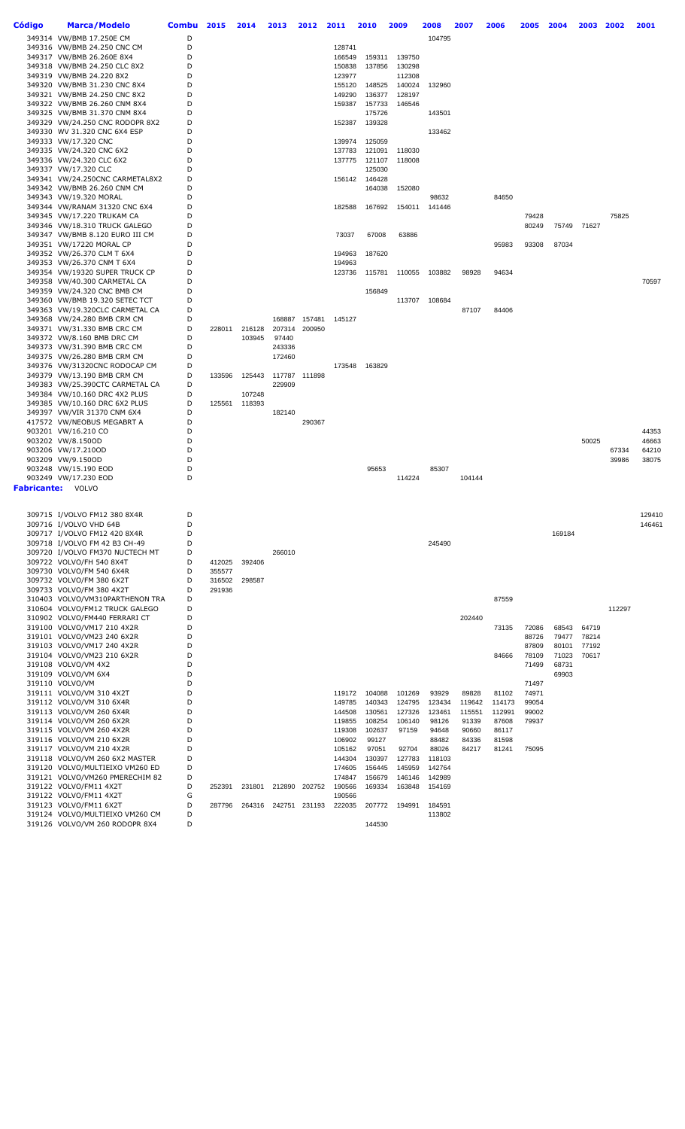| Código | Marca/Modelo                                                 | Combu  | 2015   | 2014   | 2013             | 2012   | 2011             | 2010             | 2009             | 2008            | 2007            | 2006            | 2005           | 2004           | 2003           | 2002   | 2001   |
|--------|--------------------------------------------------------------|--------|--------|--------|------------------|--------|------------------|------------------|------------------|-----------------|-----------------|-----------------|----------------|----------------|----------------|--------|--------|
|        | 349314 VW/BMB 17.250E CM                                     | D      |        |        |                  |        |                  |                  |                  | 104795          |                 |                 |                |                |                |        |        |
|        | 349316 VW/BMB 24.250 CNC CM                                  | D      |        |        |                  |        | 128741           |                  |                  |                 |                 |                 |                |                |                |        |        |
|        | 349317 VW/BMB 26.260E 8X4                                    | D      |        |        |                  |        | 166549           | 159311           | 139750           |                 |                 |                 |                |                |                |        |        |
|        | 349318 VW/BMB 24.250 CLC 8X2                                 | D      |        |        |                  |        | 150838           | 137856           | 130298           |                 |                 |                 |                |                |                |        |        |
|        | 349319 VW/BMB 24.220 8X2                                     | D      |        |        |                  |        | 123977           |                  | 112308           |                 |                 |                 |                |                |                |        |        |
|        | 349320 VW/BMB 31.230 CNC 8X4                                 | D<br>D |        |        |                  |        | 155120           | 148525           | 140024           | 132960          |                 |                 |                |                |                |        |        |
|        | 349321 VW/BMB 24.250 CNC 8X2<br>349322 VW/BMB 26.260 CNM 8X4 | D      |        |        |                  |        | 149290<br>159387 | 136377<br>157733 | 128197<br>146546 |                 |                 |                 |                |                |                |        |        |
|        | 349325 VW/BMB 31.370 CNM 8X4                                 | D      |        |        |                  |        |                  | 175726           |                  | 143501          |                 |                 |                |                |                |        |        |
|        | 349329 VW/24.250 CNC RODOPR 8X2                              | D      |        |        |                  |        | 152387           | 139328           |                  |                 |                 |                 |                |                |                |        |        |
|        | 349330 WV 31.320 CNC 6X4 ESP                                 | D      |        |        |                  |        |                  |                  |                  | 133462          |                 |                 |                |                |                |        |        |
|        | 349333 VW/17.320 CNC                                         | D      |        |        |                  |        | 139974           | 125059           |                  |                 |                 |                 |                |                |                |        |        |
|        | 349335 VW/24.320 CNC 6X2                                     | D      |        |        |                  |        | 137783           | 121091           | 118030           |                 |                 |                 |                |                |                |        |        |
|        | 349336 VW/24.320 CLC 6X2                                     | D      |        |        |                  |        | 137775           | 121107           | 118008           |                 |                 |                 |                |                |                |        |        |
|        | 349337 VW/17.320 CLC                                         | D      |        |        |                  |        |                  | 125030           |                  |                 |                 |                 |                |                |                |        |        |
|        | 349341 VW/24.250CNC CARMETAL8X2                              | D      |        |        |                  |        | 156142           | 146428           |                  |                 |                 |                 |                |                |                |        |        |
|        | 349342 VW/BMB 26.260 CNM CM                                  | D      |        |        |                  |        |                  | 164038           | 152080           |                 |                 |                 |                |                |                |        |        |
|        | 349343 VW/19.320 MORAL<br>349344 VW/RANAM 31320 CNC 6X4      | D<br>D |        |        |                  |        | 182588           | 167692           | 154011           | 98632<br>141446 |                 | 84650           |                |                |                |        |        |
|        | 349345 VW/17.220 TRUKAM CA                                   | D      |        |        |                  |        |                  |                  |                  |                 |                 |                 | 79428          |                |                | 75825  |        |
|        | 349346 VW/18.310 TRUCK GALEGO                                | D      |        |        |                  |        |                  |                  |                  |                 |                 |                 | 80249          |                | 75749 71627    |        |        |
|        | 349347 VW/BMB 8.120 EURO III CM                              | D      |        |        |                  |        | 73037            | 67008            | 63886            |                 |                 |                 |                |                |                |        |        |
|        | 349351 VW/17220 MORAL CP                                     | D      |        |        |                  |        |                  |                  |                  |                 |                 | 95983           | 93308          | 87034          |                |        |        |
|        | 349352 VW/26.370 CLM T 6X4                                   | D      |        |        |                  |        | 194963           | 187620           |                  |                 |                 |                 |                |                |                |        |        |
|        | 349353 VW/26.370 CNM T 6X4                                   | D      |        |        |                  |        | 194963           |                  |                  |                 |                 |                 |                |                |                |        |        |
|        | 349354 VW/19320 SUPER TRUCK CP                               | D<br>D |        |        |                  |        | 123736           | 115781           | 110055           | 103882          | 98928           | 94634           |                |                |                |        | 70597  |
|        | 349358 VW/40.300 CARMETAL CA<br>349359 VW/24.320 CNC BMB CM  | D      |        |        |                  |        |                  | 156849           |                  |                 |                 |                 |                |                |                |        |        |
|        | 349360 VW/BMB 19.320 SETEC TCT                               | D      |        |        |                  |        |                  |                  |                  | 113707 108684   |                 |                 |                |                |                |        |        |
|        | 349363 VW/19.320CLC CARMETAL CA                              | D      |        |        |                  |        |                  |                  |                  |                 | 87107           | 84406           |                |                |                |        |        |
|        | 349368 VW/24.280 BMB CRM CM                                  | D      |        |        | 168887           | 157481 | 145127           |                  |                  |                 |                 |                 |                |                |                |        |        |
|        | 349371 VW/31.330 BMB CRC CM                                  | D      | 228011 | 216128 | 207314           | 200950 |                  |                  |                  |                 |                 |                 |                |                |                |        |        |
|        | 349372 VW/8.160 BMB DRC CM                                   | D      |        | 103945 | 97440            |        |                  |                  |                  |                 |                 |                 |                |                |                |        |        |
|        | 349373 VW/31.390 BMB CRC CM                                  | D      |        |        | 243336           |        |                  |                  |                  |                 |                 |                 |                |                |                |        |        |
|        | 349375 VW/26.280 BMB CRM CM                                  | D      |        |        | 172460           |        |                  |                  |                  |                 |                 |                 |                |                |                |        |        |
|        | 349376 VW/31320CNC RODOCAP CM<br>349379 VW/13.190 BMB CRM CM | D<br>D | 133596 | 125443 |                  | 111898 | 173548           | 163829           |                  |                 |                 |                 |                |                |                |        |        |
|        | 349383 VW/25.390CTC CARMETAL CA                              | D      |        |        | 117787<br>229909 |        |                  |                  |                  |                 |                 |                 |                |                |                |        |        |
|        | 349384 VW/10.160 DRC 4X2 PLUS                                | D      |        | 107248 |                  |        |                  |                  |                  |                 |                 |                 |                |                |                |        |        |
|        | 349385 VW/10.160 DRC 6X2 PLUS                                | D      | 125561 | 118393 |                  |        |                  |                  |                  |                 |                 |                 |                |                |                |        |        |
|        | 349397 VW/VIR 31370 CNM 6X4                                  | D      |        |        | 182140           |        |                  |                  |                  |                 |                 |                 |                |                |                |        |        |
|        | 417572 VW/NEOBUS MEGABRT A                                   | D      |        |        |                  | 290367 |                  |                  |                  |                 |                 |                 |                |                |                |        |        |
|        | 903201 VW/16.210 CO                                          | D      |        |        |                  |        |                  |                  |                  |                 |                 |                 |                |                |                |        | 44353  |
|        | 903202 VW/8.150OD                                            | D      |        |        |                  |        |                  |                  |                  |                 |                 |                 |                |                | 50025          |        | 46663  |
|        | 903206 VW/17.210OD                                           | D      |        |        |                  |        |                  |                  |                  |                 |                 |                 |                |                |                | 67334  | 64210  |
|        | 903209 VW/9.150OD                                            | D      |        |        |                  |        |                  |                  |                  |                 |                 |                 |                |                |                | 39986  | 38075  |
|        | 903248 VW/15.190 EOD<br>903249 VW/17.230 EOD                 | D<br>D |        |        |                  |        |                  | 95653            | 114224           | 85307           | 104144          |                 |                |                |                |        |        |
|        | <b>Fabricante:</b> VOLVO                                     |        |        |        |                  |        |                  |                  |                  |                 |                 |                 |                |                |                |        |        |
|        |                                                              |        |        |        |                  |        |                  |                  |                  |                 |                 |                 |                |                |                |        |        |
|        |                                                              |        |        |        |                  |        |                  |                  |                  |                 |                 |                 |                |                |                |        |        |
|        | 309715 I/VOLVO FM12 380 8X4R                                 | D      |        |        |                  |        |                  |                  |                  |                 |                 |                 |                |                |                |        | 129410 |
|        | 309716 I/VOLVO VHD 64B<br>309717 I/VOLVO FM12 420 8X4R       | D<br>D |        |        |                  |        |                  |                  |                  |                 |                 |                 |                | 169184         |                |        | 146461 |
|        | 309718 I/VOLVO FM 42 B3 CH-49                                | D      |        |        |                  |        |                  |                  |                  | 245490          |                 |                 |                |                |                |        |        |
|        | 309720 I/VOLVO FM370 NUCTECH MT                              | D      |        |        | 266010           |        |                  |                  |                  |                 |                 |                 |                |                |                |        |        |
|        | 309722 VOLVO/FH 540 8X4T                                     | D      | 412025 | 392406 |                  |        |                  |                  |                  |                 |                 |                 |                |                |                |        |        |
|        | 309730 VOLVO/FM 540 6X4R                                     | D      | 355577 |        |                  |        |                  |                  |                  |                 |                 |                 |                |                |                |        |        |
|        | 309732 VOLVO/FM 380 6X2T                                     | D      | 316502 | 298587 |                  |        |                  |                  |                  |                 |                 |                 |                |                |                |        |        |
|        | 309733 VOLVO/FM 380 4X2T                                     | D      | 291936 |        |                  |        |                  |                  |                  |                 |                 |                 |                |                |                |        |        |
|        | 310403 VOLVO/VM310PARTHENON TRA                              | D      |        |        |                  |        |                  |                  |                  |                 |                 | 87559           |                |                |                |        |        |
|        | 310604 VOLVO/FM12 TRUCK GALEGO                               | D      |        |        |                  |        |                  |                  |                  |                 |                 |                 |                |                |                | 112297 |        |
|        | 310902 VOLVO/FM440 FERRARI CT                                | D      |        |        |                  |        |                  |                  |                  |                 | 202440          |                 |                |                |                |        |        |
|        | 319100 VOLVO/VM17 210 4X2R<br>319101 VOLVO/VM23 240 6X2R     | D<br>D |        |        |                  |        |                  |                  |                  |                 |                 | 73135           | 72086<br>88726 | 68543<br>79477 | 64719<br>78214 |        |        |
|        | 319103 VOLVO/VM17 240 4X2R                                   | D      |        |        |                  |        |                  |                  |                  |                 |                 |                 | 87809          | 80101          | 77192          |        |        |
|        | 319104 VOLVO/VM23 210 6X2R                                   | D      |        |        |                  |        |                  |                  |                  |                 |                 | 84666           | 78109          | 71023          | 70617          |        |        |
|        | 319108 VOLVO/VM 4X2                                          | D      |        |        |                  |        |                  |                  |                  |                 |                 |                 | 71499          | 68731          |                |        |        |
|        | 319109 VOLVO/VM 6X4                                          | D      |        |        |                  |        |                  |                  |                  |                 |                 |                 |                | 69903          |                |        |        |
|        | 319110 VOLVO/VM                                              | D      |        |        |                  |        |                  |                  |                  |                 |                 |                 | 71497          |                |                |        |        |
|        | 319111 VOLVO/VM 310 4X2T                                     | D      |        |        |                  |        | 119172           | 104088           | 101269           | 93929           | 89828           | 81102           | 74971          |                |                |        |        |
|        | 319112 VOLVO/VM 310 6X4R                                     | D      |        |        |                  |        | 149785           | 140343           | 124795           | 123434          | 119642          | 114173          | 99054          |                |                |        |        |
|        | 319113 VOLVO/VM 260 6X4R<br>319114 VOLVO/VM 260 6X2R         | D<br>D |        |        |                  |        | 144508<br>119855 | 130561<br>108254 | 127326<br>106140 | 123461<br>98126 | 115551<br>91339 | 112991<br>87608 | 99002<br>79937 |                |                |        |        |
|        | 319115 VOLVO/VM 260 4X2R                                     | D      |        |        |                  |        | 119308           | 102637           | 97159            | 94648           | 90660           | 86117           |                |                |                |        |        |
|        | 319116 VOLVO/VM 210 6X2R                                     | D      |        |        |                  |        | 106902           | 99127            |                  | 88482           | 84336           | 81598           |                |                |                |        |        |
|        | 319117 VOLVO/VM 210 4X2R                                     | D      |        |        |                  |        | 105162           | 97051            | 92704            | 88026           | 84217           | 81241           | 75095          |                |                |        |        |
|        | 319118 VOLVO/VM 260 6X2 MASTER                               | D      |        |        |                  |        | 144304           | 130397           | 127783           | 118103          |                 |                 |                |                |                |        |        |
|        | 319120 VOLVO/MULTIEIXO VM260 ED                              | D      |        |        |                  |        | 174605           | 156445           | 145959           | 142764          |                 |                 |                |                |                |        |        |
|        | 319121 VOLVO/VM260 PMERECHIM 82                              | D      |        |        |                  |        | 174847           | 156679           | 146146           | 142989          |                 |                 |                |                |                |        |        |
|        | 319122 VOLVO/FM11 4X2T                                       | D      | 252391 | 231801 | 212890           | 202752 | 190566           | 169334           | 163848           | 154169          |                 |                 |                |                |                |        |        |
|        | 319122 VOLVO/FM11 4X2T<br>319123 VOLVO/FM11 6X2T             | G<br>D | 287796 | 264316 | 242751           | 231193 | 190566<br>222035 | 207772           | 194991           | 184591          |                 |                 |                |                |                |        |        |
|        | 319124 VOLVO/MULTIEIXO VM260 CM                              | D      |        |        |                  |        |                  |                  |                  | 113802          |                 |                 |                |                |                |        |        |
|        | 319126 VOLVO/VM 260 RODOPR 8X4                               | D      |        |        |                  |        |                  | 144530           |                  |                 |                 |                 |                |                |                |        |        |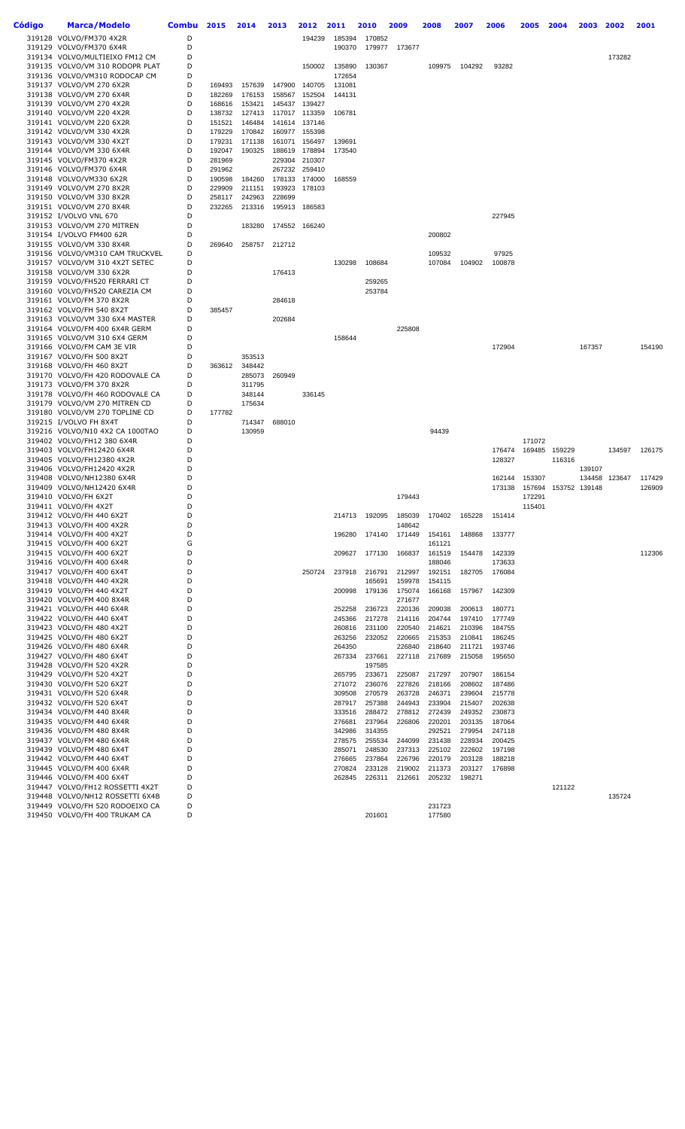| Código | <b>Marca/Modelo</b>                                           | <b>Combu</b> | 2015             | 2014             | 2013   | 2012                    | 2011             | 2010             | 2009             | 2008             | 2007             | 2006             | 2005             | 2004          | 2003          | 2002   | 2001   |
|--------|---------------------------------------------------------------|--------------|------------------|------------------|--------|-------------------------|------------------|------------------|------------------|------------------|------------------|------------------|------------------|---------------|---------------|--------|--------|
|        | 319128 VOLVO/FM370 4X2R                                       | D            |                  |                  |        | 194239                  | 185394           | 170852           |                  |                  |                  |                  |                  |               |               |        |        |
|        | 319129 VOLVO/FM370 6X4R                                       | D            |                  |                  |        |                         | 190370           |                  | 179977 173677    |                  |                  |                  |                  |               |               |        |        |
|        | 319134 VOLVO/MULTIEIXO FM12 CM                                | D            |                  |                  |        |                         |                  |                  |                  |                  |                  |                  |                  |               |               | 173282 |        |
|        | 319135 VOLVO/VM 310 RODOPR PLAT                               | D<br>D       |                  |                  |        | 150002                  | 135890           | 130367           |                  | 109975           | 104292           | 93282            |                  |               |               |        |        |
|        | 319136 VOLVO/VM310 RODOCAP CM<br>319137 VOLVO/VM 270 6X2R     | D            | 169493           | 157639           | 147900 | 140705                  | 172654<br>131081 |                  |                  |                  |                  |                  |                  |               |               |        |        |
|        | 319138 VOLVO/VM 270 6X4R                                      | D            | 182269           | 176153           | 158567 | 152504                  | 144131           |                  |                  |                  |                  |                  |                  |               |               |        |        |
|        | 319139 VOLVO/VM 270 4X2R                                      | D            | 168616           | 153421           | 145437 | 139427                  |                  |                  |                  |                  |                  |                  |                  |               |               |        |        |
|        | 319140 VOLVO/VM 220 4X2R                                      | D            | 138732           | 127413           |        | 117017 113359           | 106781           |                  |                  |                  |                  |                  |                  |               |               |        |        |
|        | 319141 VOLVO/VM 220 6X2R                                      | D            | 151521           | 146484           |        | 141614 137146           |                  |                  |                  |                  |                  |                  |                  |               |               |        |        |
|        | 319142 VOLVO/VM 330 4X2R                                      | D            | 179229           | 170842           | 160977 | 155398                  |                  |                  |                  |                  |                  |                  |                  |               |               |        |        |
|        | 319143 VOLVO/VM 330 4X2T                                      | D            | 179231           | 171138           | 161071 | 156497                  | 139691           |                  |                  |                  |                  |                  |                  |               |               |        |        |
|        | 319144 VOLVO/VM 330 6X4R                                      | D            | 192047           | 190325           | 188619 | 178894                  | 173540           |                  |                  |                  |                  |                  |                  |               |               |        |        |
|        | 319145 VOLVO/FM370 4X2R<br>319146 VOLVO/FM370 6X4R            | D<br>D       | 281969<br>291962 |                  | 229304 | 210307<br>267232 259410 |                  |                  |                  |                  |                  |                  |                  |               |               |        |        |
|        | 319148 VOLVO/VM330 6X2R                                       | D            | 190598           | 184260           | 178133 | 174000                  | 168559           |                  |                  |                  |                  |                  |                  |               |               |        |        |
|        | 319149 VOLVO/VM 270 8X2R                                      | D            | 229909           | 211151           | 193923 | 178103                  |                  |                  |                  |                  |                  |                  |                  |               |               |        |        |
|        | 319150 VOLVO/VM 330 8X2R                                      | D            | 258117           | 242963           | 228699 |                         |                  |                  |                  |                  |                  |                  |                  |               |               |        |        |
|        | 319151 VOLVO/VM 270 8X4R                                      | D            | 232265           | 213316           | 195913 | 186583                  |                  |                  |                  |                  |                  |                  |                  |               |               |        |        |
|        | 319152 I/VOLVO VNL 670                                        | D            |                  |                  |        |                         |                  |                  |                  |                  |                  | 227945           |                  |               |               |        |        |
|        | 319153 VOLVO/VM 270 MITREN                                    | D            |                  | 183280           | 174552 | 166240                  |                  |                  |                  |                  |                  |                  |                  |               |               |        |        |
|        | 319154 I/VOLVO FM400 62R                                      | D            |                  |                  |        |                         |                  |                  |                  | 200802           |                  |                  |                  |               |               |        |        |
|        | 319155 VOLVO/VM 330 8X4R<br>319156 VOLVO/VM310 CAM TRUCKVEL   | D<br>D       | 269640           | 258757           | 212712 |                         |                  |                  |                  | 109532           |                  | 97925            |                  |               |               |        |        |
|        | 319157 VOLVO/VM 310 4X2T SETEC                                | D            |                  |                  |        |                         | 130298           | 108684           |                  | 107084           | 104902           | 100878           |                  |               |               |        |        |
|        | 319158 VOLVO/VM 330 6X2R                                      | D            |                  |                  | 176413 |                         |                  |                  |                  |                  |                  |                  |                  |               |               |        |        |
|        | 319159 VOLVO/FH520 FERRARI CT                                 | D            |                  |                  |        |                         |                  | 259265           |                  |                  |                  |                  |                  |               |               |        |        |
|        | 319160 VOLVO/FH520 CAREZIA CM                                 | D            |                  |                  |        |                         |                  | 253784           |                  |                  |                  |                  |                  |               |               |        |        |
|        | 319161 VOLVO/FM 370 8X2R                                      | D            |                  |                  | 284618 |                         |                  |                  |                  |                  |                  |                  |                  |               |               |        |        |
|        | 319162 VOLVO/FH 540 8X2T                                      | D            | 385457           |                  |        |                         |                  |                  |                  |                  |                  |                  |                  |               |               |        |        |
|        | 319163 VOLVO/VM 330 6X4 MASTER                                | D            |                  |                  | 202684 |                         |                  |                  |                  |                  |                  |                  |                  |               |               |        |        |
|        | 319164 VOLVO/FM 400 6X4R GERM<br>319165 VOLVO/VM 310 6X4 GERM | D<br>D       |                  |                  |        |                         | 158644           |                  | 225808           |                  |                  |                  |                  |               |               |        |        |
|        | 319166 VOLVO/FM CAM 3E VIR                                    | D            |                  |                  |        |                         |                  |                  |                  |                  |                  | 172904           |                  |               | 167357        |        | 154190 |
|        | 319167 VOLVO/FH 500 8X2T                                      | D            |                  | 353513           |        |                         |                  |                  |                  |                  |                  |                  |                  |               |               |        |        |
|        | 319168 VOLVO/FH 460 8X2T                                      | D            | 363612           | 348442           |        |                         |                  |                  |                  |                  |                  |                  |                  |               |               |        |        |
|        | 319170 VOLVO/FH 420 RODOVALE CA                               | D            |                  | 285073           | 260949 |                         |                  |                  |                  |                  |                  |                  |                  |               |               |        |        |
|        | 319173 VOLVO/FM 370 8X2R                                      | D            |                  | 311795           |        |                         |                  |                  |                  |                  |                  |                  |                  |               |               |        |        |
|        | 319178 VOLVO/FH 460 RODOVALE CA                               | D            |                  | 348144           |        | 336145                  |                  |                  |                  |                  |                  |                  |                  |               |               |        |        |
|        | 319179 VOLVO/VM 270 MITREN CD                                 | D            |                  | 175634           |        |                         |                  |                  |                  |                  |                  |                  |                  |               |               |        |        |
|        | 319180 VOLVO/VM 270 TOPLINE CD<br>319215 I/VOLVO FH 8X4T      | D<br>D       | 177782           |                  |        |                         |                  |                  |                  |                  |                  |                  |                  |               |               |        |        |
|        | 319216 VOLVO/N10 4X2 CA 1000TAO                               | D            |                  | 714347<br>130959 | 688010 |                         |                  |                  |                  | 94439            |                  |                  |                  |               |               |        |        |
|        | 319402 VOLVO/FH12 380 6X4R                                    | D            |                  |                  |        |                         |                  |                  |                  |                  |                  |                  | 171072           |               |               |        |        |
|        | 319403 VOLVO/FH12420 6X4R                                     | D            |                  |                  |        |                         |                  |                  |                  |                  |                  | 176474           |                  | 169485 159229 |               | 134597 | 126175 |
|        | 319405 VOLVO/FH12380 4X2R                                     | D            |                  |                  |        |                         |                  |                  |                  |                  |                  | 128327           |                  | 116316        |               |        |        |
|        | 319406 VOLVO/FH12420 4X2R                                     | D            |                  |                  |        |                         |                  |                  |                  |                  |                  |                  |                  |               | 139107        |        |        |
|        | 319408 VOLVO/NH12380 6X4R                                     | D            |                  |                  |        |                         |                  |                  |                  |                  |                  | 162144           | 153307           |               | 134458        | 123647 | 117429 |
|        | 319409 VOLVO/NH12420 6X4R                                     | D            |                  |                  |        |                         |                  |                  |                  |                  |                  | 173138           | 157694           |               | 153752 139148 |        | 126909 |
|        | 319410 VOLVO/FH 6X2T<br>319411 VOLVO/FH 4X2T                  | D<br>D       |                  |                  |        |                         |                  |                  | 179443           |                  |                  |                  | 172291<br>115401 |               |               |        |        |
|        | 319412 VOLVO/FH 440 6X2T                                      | D            |                  |                  |        |                         | 214713           | 192095           | 185039           | 170402           | 165228           | 151414           |                  |               |               |        |        |
|        | 319413 VOLVO/FH 400 4X2R                                      | D            |                  |                  |        |                         |                  |                  | 148642           |                  |                  |                  |                  |               |               |        |        |
|        | 319414 VOLVO/FH 400 4X2T                                      | D            |                  |                  |        |                         | 196280           | 174140           | 171449           | 154161           | 148868           | 133777           |                  |               |               |        |        |
|        | 319415 VOLVO/FH 400 6X2T                                      | G            |                  |                  |        |                         |                  |                  |                  | 161121           |                  |                  |                  |               |               |        |        |
|        | 319415 VOLVO/FH 400 6X2T                                      | D            |                  |                  |        |                         | 209627           | 177130           | 166837           | 161519           | 154478           | 142339           |                  |               |               |        | 112306 |
|        | 319416 VOLVO/FH 400 6X4R                                      | D            |                  |                  |        |                         |                  |                  |                  | 188046           |                  | 173633           |                  |               |               |        |        |
|        | 319417 VOLVO/FH 400 6X4T<br>319418 VOLVO/FH 440 4X2R          | D<br>D       |                  |                  |        | 250724                  | 237918           | 216791           | 212997<br>159978 | 192151<br>154115 | 182705           | 176084           |                  |               |               |        |        |
|        | 319419 VOLVO/FH 440 4X2T                                      | D            |                  |                  |        |                         | 200998           | 165691<br>179136 | 175074           | 166168           | 157967           | 142309           |                  |               |               |        |        |
|        | 319420 VOLVO/FM 400 8X4R                                      | D            |                  |                  |        |                         |                  |                  | 271677           |                  |                  |                  |                  |               |               |        |        |
|        | 319421 VOLVO/FH 440 6X4R                                      | D            |                  |                  |        |                         | 252258           | 236723           | 220136           | 209038           | 200613           | 180771           |                  |               |               |        |        |
|        | 319422 VOLVO/FH 440 6X4T                                      | D            |                  |                  |        |                         | 245366           | 217278           | 214116           | 204744           | 197410           | 177749           |                  |               |               |        |        |
|        | 319423 VOLVO/FH 480 4X2T                                      | D            |                  |                  |        |                         | 260816           | 231100           | 220540           | 214621           | 210396           | 184755           |                  |               |               |        |        |
|        | 319425 VOLVO/FH 480 6X2T                                      | D            |                  |                  |        |                         | 263256           | 232052           | 220665           | 215353           | 210841           | 186245           |                  |               |               |        |        |
|        | 319426 VOLVO/FH 480 6X4R                                      | D            |                  |                  |        |                         | 264350           |                  | 226840           | 218640           | 211721           | 193746           |                  |               |               |        |        |
|        | 319427 VOLVO/FH 480 6X4T                                      | D<br>D       |                  |                  |        |                         | 267334           | 237661           | 227118           | 217689           | 215058           | 195650           |                  |               |               |        |        |
|        | 319428 VOLVO/FH 520 4X2R<br>319429 VOLVO/FH 520 4X2T          | D            |                  |                  |        |                         | 265795           | 197585<br>233671 | 225087           | 217297           | 207907           | 186154           |                  |               |               |        |        |
|        | 319430 VOLVO/FH 520 6X2T                                      | D            |                  |                  |        |                         | 271072           | 236076           | 227826           | 218166           | 208602           | 187486           |                  |               |               |        |        |
|        | 319431 VOLVO/FH 520 6X4R                                      | D            |                  |                  |        |                         | 309508           | 270579           | 263728           | 246371           | 239604           | 215778           |                  |               |               |        |        |
|        | 319432 VOLVO/FH 520 6X4T                                      | D            |                  |                  |        |                         | 287917           | 257388           | 244943           | 233904           | 215407           | 202638           |                  |               |               |        |        |
|        | 319434 VOLVO/FM 440 8X4R                                      | D            |                  |                  |        |                         | 333516           | 288472           | 278812           | 272439           | 249352           | 230873           |                  |               |               |        |        |
|        | 319435 VOLVO/FM 440 6X4R                                      | D            |                  |                  |        |                         | 276681           | 237964           | 226806           | 220201           | 203135           | 187064           |                  |               |               |        |        |
|        | 319436 VOLVO/FM 480 8X4R                                      | D            |                  |                  |        |                         | 342986           | 314355           |                  | 292521           | 279954           | 247118           |                  |               |               |        |        |
|        | 319437 VOLVO/FM 480 6X4R                                      | D<br>D       |                  |                  |        |                         | 278575           | 255534           | 244099           | 231438           | 228934           | 200425           |                  |               |               |        |        |
|        | 319439 VOLVO/FM 480 6X4T<br>319442 VOLVO/FM 440 6X4T          | D            |                  |                  |        |                         | 285071<br>276665 | 248530<br>237864 | 237313<br>226796 | 225102<br>220179 | 222602<br>203128 | 197198<br>188218 |                  |               |               |        |        |
|        | 319445 VOLVO/FM 400 6X4R                                      | D            |                  |                  |        |                         | 270824           | 233128           | 219002           | 211373           | 203127           | 176898           |                  |               |               |        |        |
|        | 319446 VOLVO/FM 400 6X4T                                      | D            |                  |                  |        |                         | 262845           | 226311           | 212661           | 205232           | 198271           |                  |                  |               |               |        |        |
|        | 319447 VOLVO/FH12 ROSSETTI 4X2T                               | D            |                  |                  |        |                         |                  |                  |                  |                  |                  |                  |                  | 121122        |               |        |        |
|        | 319448 VOLVO/NH12 ROSSETTI 6X4B                               | D            |                  |                  |        |                         |                  |                  |                  |                  |                  |                  |                  |               |               | 135724 |        |
|        | 319449 VOLVO/FH 520 RODOEIXO CA                               | D            |                  |                  |        |                         |                  |                  |                  | 231723           |                  |                  |                  |               |               |        |        |
|        | 319450 VOLVO/FH 400 TRUKAM CA                                 | D            |                  |                  |        |                         |                  | 201601           |                  | 177580           |                  |                  |                  |               |               |        |        |